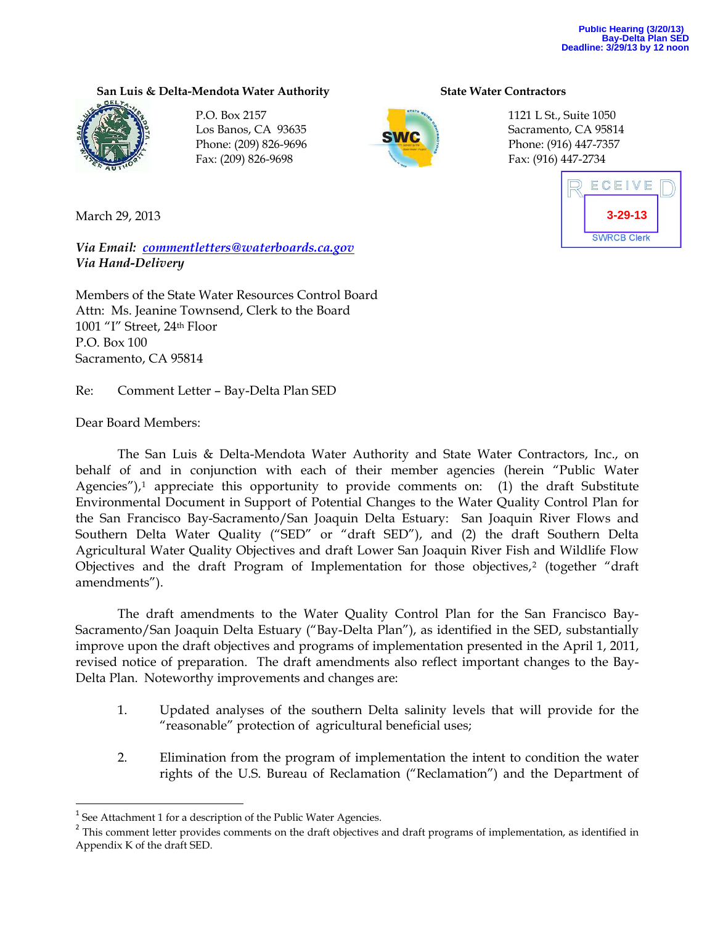#### **San Luis & Delta-Mendota Water Authority France State Water Contractors**



P.O. Box 2157 Los Banos, CA 93635 Phone: (209) 826-9696 Fax: (209) 826-9698



1121 L St., Suite 1050 Sacramento, CA 95814 Phone: (916) 447-7357 Fax: (916) 447-2734



March 29, 2013

*Via Email: [commentletters@waterboards.ca.gov](mailto:commentletters@waterboards.ca.gov) Via Hand-Delivery* 

Members of the State Water Resources Control Board Attn: Ms. Jeanine Townsend, Clerk to the Board 1001 "I" Street, 24th Floor P.O. Box 100 Sacramento, CA 95814

Re: Comment Letter – Bay-Delta Plan SED

Dear Board Members:

 $\overline{a}$ 

The San Luis & Delta-Mendota Water Authority and State Water Contractors, Inc., on behalf of and in conjunction with each of their member agencies (herein "Public Water Agencies"), $\frac{1}{2}$  $\frac{1}{2}$  $\frac{1}{2}$  appreciate this opportunity to provide comments on: (1) the draft Substitute Environmental Document in Support of Potential Changes to the Water Quality Control Plan for the San Francisco Bay-Sacramento/San Joaquin Delta Estuary: San Joaquin River Flows and Southern Delta Water Quality ("SED" or "draft SED"), and (2) the draft Southern Delta Agricultural Water Quality Objectives and draft Lower San Joaquin River Fish and Wildlife Flow Objectives and the draft Program of Implementation for those objectives,<sup>[2](#page-0-1)</sup> (together "draft mendments"). a

revised notice of preparation. The draft amendments also reflect important changes to the Bay-Delta Plan. Noteworthy improvements and changes are: The draft amendments to the Water Quality Control Plan for the San Francisco Bay-Sacramento/San Joaquin Delta Estuary ("Bay-Delta Plan"), as identified in the SED, substantially improve upon the draft objectives and programs of implementation presented in the April 1, 2011,

- 1. Updated analyses of the southern Delta salinity levels that will provide for the "reasonable" protection of agricultural beneficial uses;
- 2. Elimination from the program of implementation the intent to condition the water rights of the U.S. Bureau of Reclamation ("Reclamation") and the Department of

<span id="page-0-0"></span> $<sup>1</sup>$  See Attachment 1 for a description of the Public Water Agencies.</sup>

<span id="page-0-1"></span> $2$  This comment letter provides comments on the draft objectives and draft programs of implementation, as identified in Appendix K of the draft SED.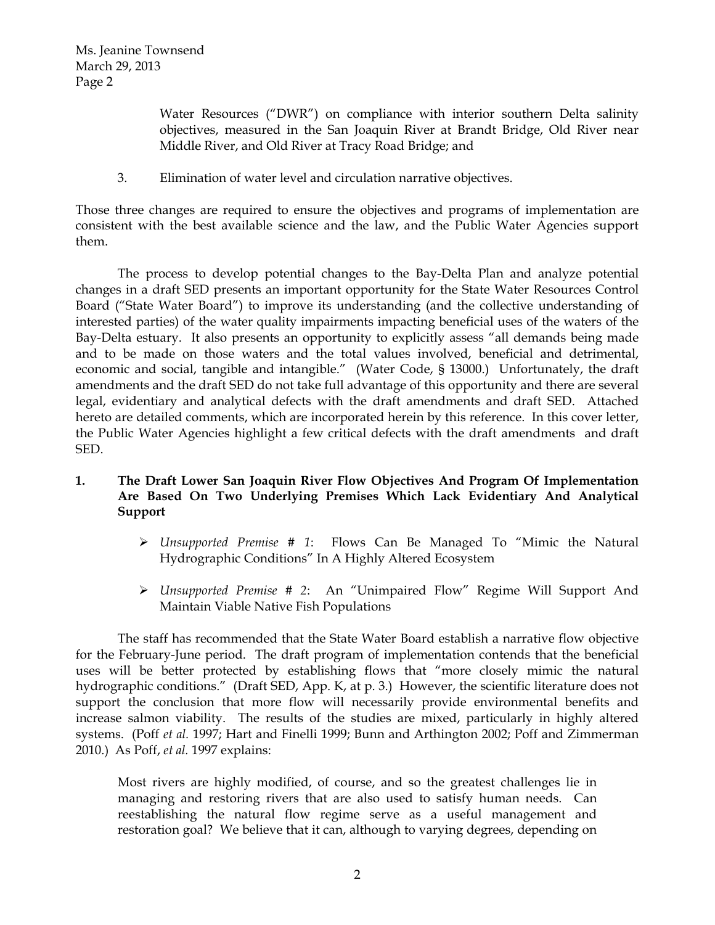> objectives, measured in the San Joaquin River at Brandt Bridge, Old River near Middle River, and Old River at Tracy Road Bridge; and Water Resources ("DWR") on compliance with interior southern Delta salinity

3. Elimination of water level and circulation narrative objectives.

consistent with the best available science and the law, and the Public Water Agencies support them. Those three changes are required to ensure the objectives and programs of implementation are

the Public Water Agencies highlight a few critical defects with the draft amendments and draft SED. The process to develop potential changes to the Bay-Delta Plan and analyze potential changes in a draft SED presents an important opportunity for the State Water Resources Control Board ("State Water Board") to improve its understanding (and the collective understanding of interested parties) of the water quality impairments impacting beneficial uses of the waters of the Bay-Delta estuary. It also presents an opportunity to explicitly assess "all demands being made and to be made on those waters and the total values involved, beneficial and detrimental, economic and social, tangible and intangible." (Water Code, § 13000.) Unfortunately, the draft amendments and the draft SED do not take full advantage of this opportunity and there are several legal, evidentiary and analytical defects with the draft amendments and draft SED. Attached hereto are detailed comments, which are incorporated herein by this reference. In this cover letter,

#### **1.**  Are Based On Two Underlying Premises Which Lack Evidentiary And Analytical **Support The Draft Lower San Joaquin River Flow Objectives And Program Of Implementation**

- > Unsupported Premise # 1: Flows Can Be Managed To "Mimic the Natural Hydrographic Conditions" In A Highly Altered Ecosystem
- > Unsupported Premise # 2: An "Unimpaired Flow" Regime Will Support And Maintain Viable Native Fish Populations

systems. (Poff *et al.* 1997; Hart and Finelli 1999; Bunn and Arthington 2002; Poff and Zimmerman 010.) As Poff, *et al.* 1997 explains: 2 The staff has recommended that the State Water Board establish a narrative flow objective for the February-June period. The draft program of implementation contends that the beneficial uses will be better protected by establishing flows that "more closely mimic the natural hydrographic conditions." (Draft SED, App. K, at p. 3.) However, the scientific literature does not support the conclusion that more flow will necessarily provide environmental benefits and increase salmon viability. The results of the studies are mixed, particularly in highly altered

Most rivers are highly modified, of course, and so the greatest challenges lie in managing and restoring rivers that are also used to satisfy human needs. Can reestablishing the natural flow regime serve as a useful management and restoration goal? We believe that it can, although to varying degrees, depending on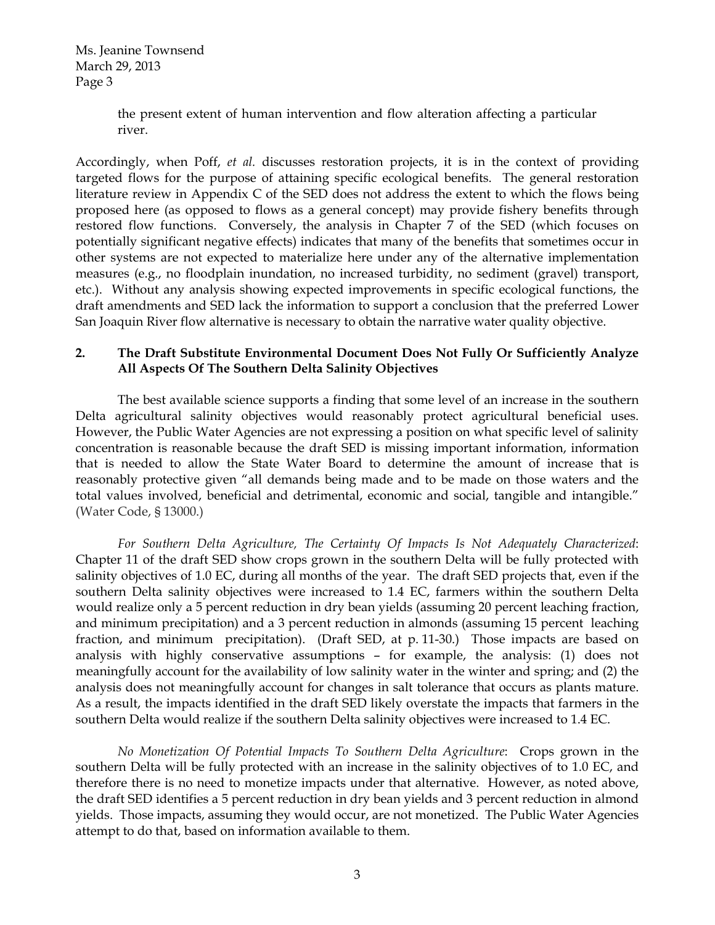> the present extent of human intervention and flow alteration affecting a particular river.

etc.). Without any analysis showing expected improvements in specific ecological functions, the draft amendments and SED lack the information to support a conclusion that the preferred Lower Accordingly, when Poff, *et al.* discusses restoration projects, it is in the context of providing targeted flows for the purpose of attaining specific ecological benefits. The general restoration literature review in Appendix C of the SED does not address the extent to which the flows being proposed here (as opposed to flows as a general concept) may provide fishery benefits through restored flow functions. Conversely, the analysis in Chapter 7 of the SED (which focuses on potentially significant negative effects) indicates that many of the benefits that sometimes occur in other systems are not expected to materialize here under any of the alternative implementation measures (e.g., no floodplain inundation, no increased turbidity, no sediment (gravel) transport, San Joaquin River flow alternative is necessary to obtain the narrative water quality objective.

#### **. The Draft Substitute Environmental Document Does Not Fully Or Sufficiently Analyze 2 All Aspects Of The Southern Delta Salinity Objectives**

reasonably protective given "all demands being made and to be made on those waters and the total values involved, beneficial and detrimental, economic and social, tangible and intangible." (Water Code, § 13000.) The best available science supports a finding that some level of an increase in the southern Delta agricultural salinity objectives would reasonably protect agricultural beneficial uses. However, the Public Water Agencies are not expressing a position on what specific level of salinity concentration is reasonable because the draft SED is missing important information, information that is needed to allow the State Water Board to determine the amount of increase that is

As a result, the impacts identified in the draft SED likely overstate the impacts that farmers in the southe rn Delta would realize if the southern Delta salinity objectives were increased to 1.4 EC. *For Southern Delta Agriculture, The Certainty Of Impacts Is Not Adequately Characterized*: Chapter 11 of the draft SED show crops grown in the southern Delta will be fully protected with salinity objectives of 1.0 EC, during all months of the year. The draft SED projects that, even if the southern Delta salinity objectives were increased to 1.4 EC, farmers within the southern Delta would realize only a 5 percent reduction in dry bean yields (assuming 20 percent leaching fraction, and minimum precipitation) and a 3 percent reduction in almonds (assuming 15 percent leaching fraction, and minimum precipitation). (Draft SED, at p. 11-30.) Those impacts are based on analysis with highly conservative assumptions – for example, the analysis: (1) does not meaningfully account for the availability of low salinity water in the winter and spring; and (2) the analysis does not meaningfully account for changes in salt tolerance that occurs as plants mature.

the draft SED identifies a 5 percent reduction in dry bean yields and 3 percent reduction in almond yields. Those impacts, assuming they would occur, are not monetized. The Public Water Agencies attemp t to do that, based on information available to them. *No Monetization Of Potential Impacts To Southern Delta Agriculture*: Crops grown in the southern Delta will be fully protected with an increase in the salinity objectives of to 1.0 EC, and therefore there is no need to monetize impacts under that alternative. However, as noted above,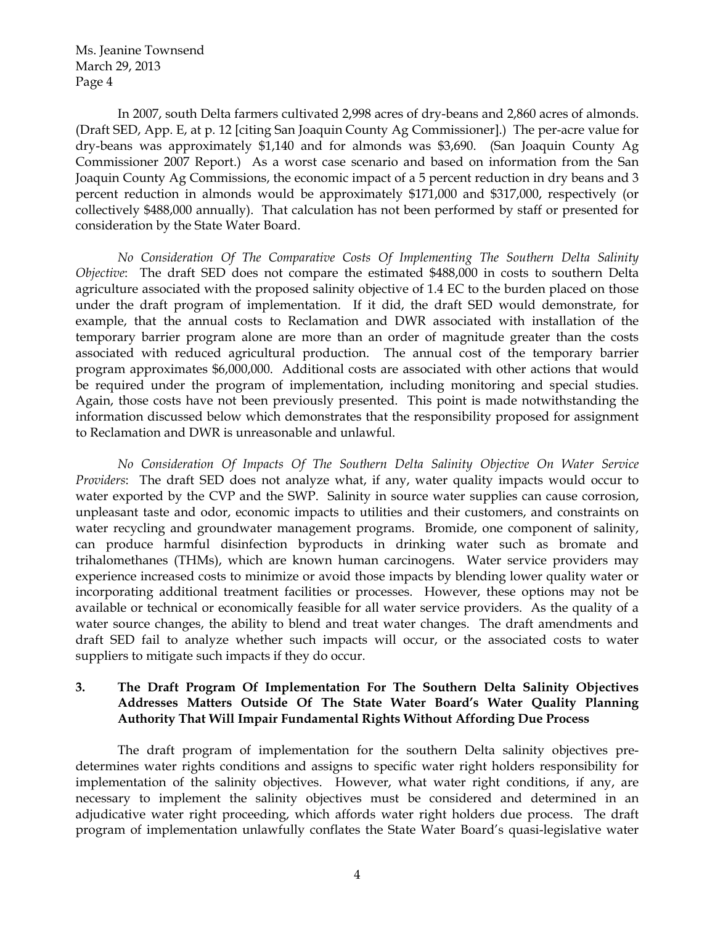percent reduction in almonds would be approximately \$171,000 and \$317,000, respectively (or ollectively \$488,000 annually). That calculation has not been performed by staff or presented for c conside ration by the State Water Board. In 2007, south Delta farmers cultivated 2,998 acres of dry-beans and 2,860 acres of almonds. (Draft SED, App. E, at p. 12 [citing San Joaquin County Ag Commissioner].) The per-acre value for dry-beans was approximately \$1,140 and for almonds was \$3,690. (San Joaquin County Ag Commissioner 2007 Report.) As a worst case scenario and based on information from the San Joaquin County Ag Commissions, the economic impact of a 5 percent reduction in dry beans and 3

Again, those costs have not been previously presented. This point is made notwithstanding the information discussed below which demonstrates that the responsibility proposed for assignment to Recl amation and DWR is unreasonable and unlawful. *No Consideration Of The Comparative Costs Of Implementing The Southern Delta Salinity Objective*: The draft SED does not compare the estimated \$488,000 in costs to southern Delta agriculture associated with the proposed salinity objective of 1.4 EC to the burden placed on those under the draft program of implementation. If it did, the draft SED would demonstrate, for example, that the annual costs to Reclamation and DWR associated with installation of the temporary barrier program alone are more than an order of magnitude greater than the costs associated with reduced agricultural production. The annual cost of the temporary barrier program approximates \$6,000,000. Additional costs are associated with other actions that would be required under the program of implementation, including monitoring and special studies.

water source changes, the ability to blend and treat water changes. The draft amendments and draft SED fail to analyze whether such impacts will occur, or the associated costs to water suppliers to mitigate such impacts if they do occur. *No Consideration Of Impacts Of The Southern Delta Salinity Objective On Water Service Providers*: The draft SED does not analyze what, if any, water quality impacts would occur to water exported by the CVP and the SWP. Salinity in source water supplies can cause corrosion, unpleasant taste and odor, economic impacts to utilities and their customers, and constraints on water recycling and groundwater management programs. Bromide, one component of salinity, can produce harmful disinfection byproducts in drinking water such as bromate and trihalomethanes (THMs), which are known human carcinogens. Water service providers may experience increased costs to minimize or avoid those impacts by blending lower quality water or incorporating additional treatment facilities or processes. However, these options may not be available or technical or economically feasible for all water service providers. As the quality of a

## **3.** The Draft Program Of Implementation For The Southern Delta Salinity Objectives **Addresses Matters Outside Of The State Water Board's Water Quality Planning Authority That Will Impair Fundamental Rights Without Affording Due Process**

adjudicative water right proceeding, which affords water right holders due process. The draft program of implementation unlawfully conflates the State Water Board's quasi-legislative water The draft program of implementation for the southern Delta salinity objectives predetermines water rights conditions and assigns to specific water right holders responsibility for implementation of the salinity objectives. However, what water right conditions, if any, are necessary to implement the salinity objectives must be considered and determined in an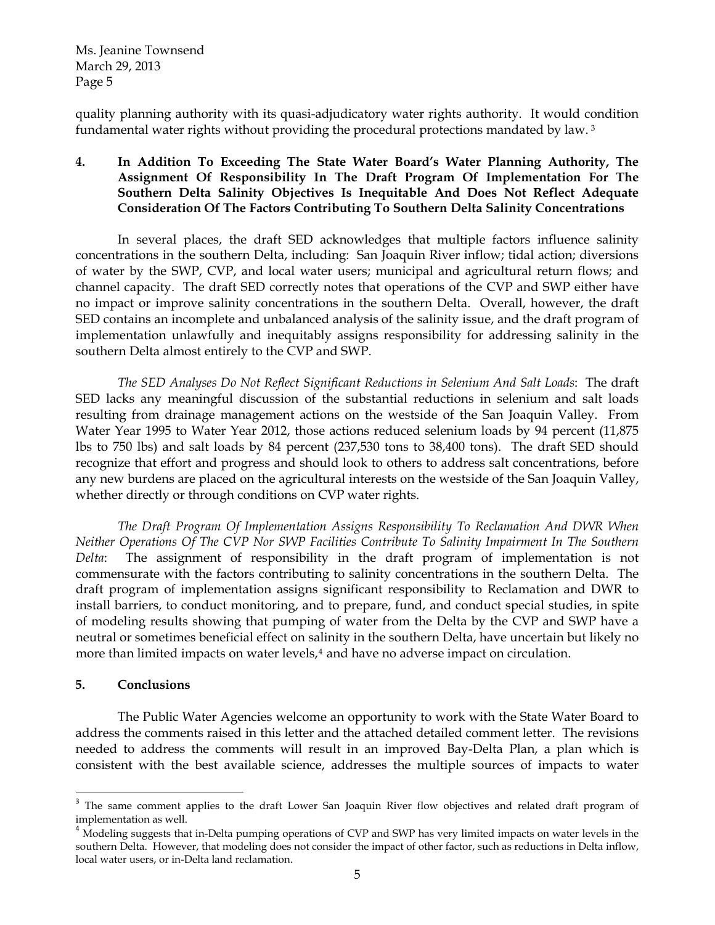quality planning authority with its quasi-adjudicatory water rights authority. It would condition fundamental water rights without providing the procedural protections mandated by law. [3](#page-4-0)

## **4. In Addition To Exceeding The State Water Board's Water Planning Authority, The Assignment Of Responsibility In The Draft Program Of Implementation For The Southern Delta Salinity Objectives Is Inequitable And Does Not Reflect Adequate Consideration Of The Factors Contributing To Southern Delta Salinity Concentrations**

In several places, the draft SED acknowledges that multiple factors influence salinity concentrations in the southern Delta, including: San Joaquin River inflow; tidal action; diversions of water by the SWP, CVP, and local water users; municipal and agricultural return flows; and channel capacity. The draft SED correctly notes that operations of the CVP and SWP either have no impact or improve salinity concentrations in the southern Delta. Overall, however, the draft SED contains an incomplete and unbalanced analysis of the salinity issue, and the draft program of implementation unlawfully and inequitably assigns responsibility for addressing salinity in the southern Delta almost entirely to the CVP and SWP.

*The SED Analyses Do Not Reflect Significant Reductions in Selenium And Salt Loads*: The draft SED lacks any meaningful discussion of the substantial reductions in selenium and salt loads resulting from drainage management actions on the westside of the San Joaquin Valley. From Water Year 1995 to Water Year 2012, those actions reduced selenium loads by 94 percent (11,875 lbs to 750 lbs) and salt loads by 84 percent (237,530 tons to 38,400 tons). The draft SED should recognize that effort and progress and should look to others to address salt concentrations, before any new burdens are placed on the agricultural interests on the westside of the San Joaquin Valley, whether directly or through conditions on CVP water rights.

*The Draft Program Of Implementation Assigns Responsibility To Reclamation And DWR When Neither Operations Of The CVP Nor SWP Facilities Contribute To Salinity Impairment In The Southern Delta*: The assignment of responsibility in the draft program of implementation is not commensurate with the factors contributing to salinity concentrations in the southern Delta. The draft program of implementation assigns significant responsibility to Reclamation and DWR to install barriers, to conduct monitoring, and to prepare, fund, and conduct special studies, in spite of modeling results showing that pumping of water from the Delta by the CVP and SWP have a neutral or sometimes beneficial effect on salinity in the southern Delta, have uncertain but likely no more than limited impacts on water levels,<sup>[4](#page-4-1)</sup> and have no adverse impact on circulation.

## **5. Conclusions**

 $\overline{a}$ 

The Public Water Agencies welcome an opportunity to work with the State Water Board to address the comments raised in this letter and the attached detailed comment letter. The revisions needed to address the comments will result in an improved Bay-Delta Plan, a plan which is consistent with the best available science, addresses the multiple sources of impacts to water

<span id="page-4-0"></span><sup>&</sup>lt;sup>3</sup> The same comment applies to the draft Lower San Joaquin River flow objectives and related draft program of implementation as well.

<span id="page-4-1"></span> $4$  Modeling suggests that in-Delta pumping operations of CVP and SWP has very limited impacts on water levels in the southern Delta. However, that modeling does not consider the impact of other factor, such as reductions in Delta inflow, local water users, or in-Delta land reclamation.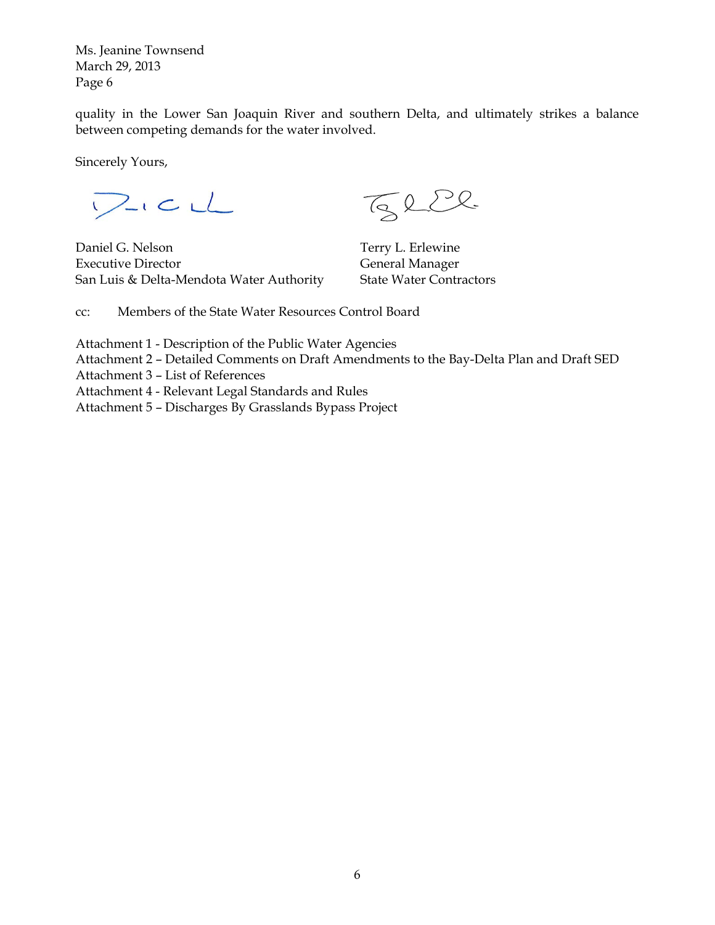quality in the Lower San Joaquin River and southern Delta, and ultimately strikes a balance between competing demands for the water involved.

Sincerely Yours,

PICL

Daniel G. Nelson Executive Director San Luis & Delta-Mendota Water Authority

 $ZPLZ$ 

Terry L. Erlewine General Manager State Water Contractors

cc: Members of the State Water Resources Control Board

Attachment 1 - Description of the Public Water Agencies

Attachment 2 – Detailed Comments on Draft Amendments to the Bay-Delta Plan and Draft SED

Attachment 3 – List of References

Attachment 4 - Relevant Legal Standards and Rules

Attachment 5 – Discharges By Grasslands Bypass Project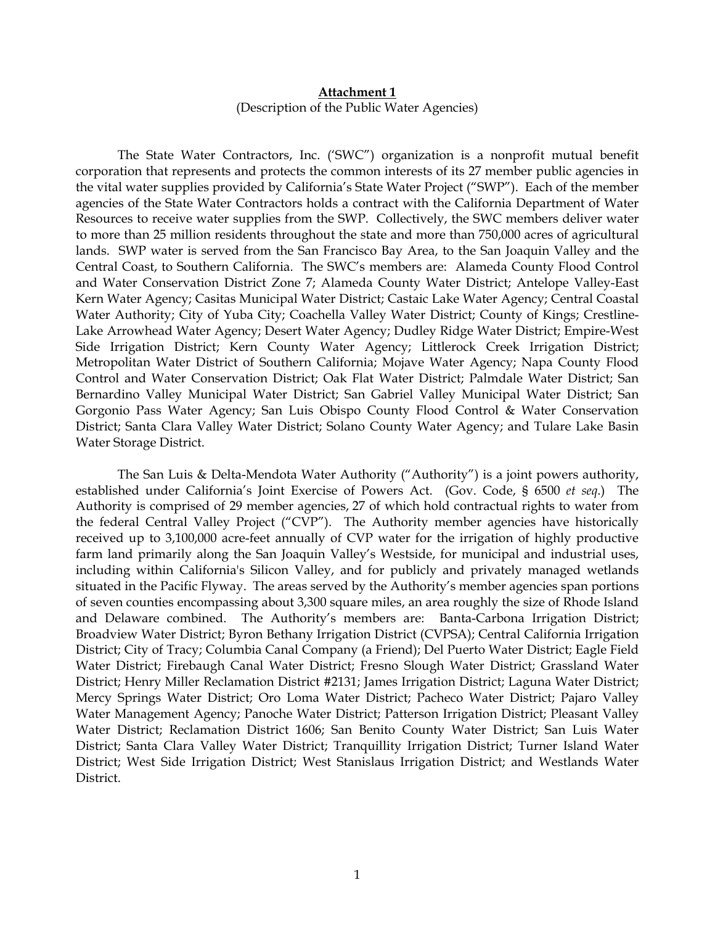#### **Attachment 1** (Description of the Public Water Agencies)

The State Water Contractors, Inc. ('SWC") organization is a nonprofit mutual benefit corporation that represents and protects the common interests of its 27 member public agencies in the vital water supplies provided by California's State Water Project ("SWP"). Each of the member agencies of the State Water Contractors holds a contract with the California Department of Water Resources to receive water supplies from the SWP. Collectively, the SWC members deliver water to more than 25 million residents throughout the state and more than 750,000 acres of agricultural lands. SWP water is served from the San Francisco Bay Area, to the San Joaquin Valley and the Central Coast, to Southern California. The SWC's members are: Alameda County Flood Control and Water Conservation District Zone 7; Alameda County Water District; Antelope Valley-East Kern Water Agency; Casitas Municipal Water District; Castaic Lake Water Agency; Central Coastal Water Authority; City of Yuba City; Coachella Valley Water District; County of Kings; Crestline-Lake Arrowhead Water Agency; Desert Water Agency; Dudley Ridge Water District; Empire-West Side Irrigation District; Kern County Water Agency; Littlerock Creek Irrigation District; Metropolitan Water District of Southern California; Mojave Water Agency; Napa County Flood Control and Water Conservation District; Oak Flat Water District; Palmdale Water District; San Bernardino Valley Municipal Water District; San Gabriel Valley Municipal Water District; San Gorgonio Pass Water Agency; San Luis Obispo County Flood Control & Water Conservation District; Santa Clara Valley Water District; Solano County Water Agency; and Tulare Lake Basin Water Storage District.

The San Luis & Delta-Mendota Water Authority ("Authority") is a joint powers authority, established under California's Joint Exercise of Powers Act. (Gov. Code, § 6500 *et seq*.) The Authority is comprised of 29 member agencies, 27 of which hold contractual rights to water from the federal Central Valley Project ("CVP"). The Authority member agencies have historically received up to 3,100,000 acre-feet annually of CVP water for the irrigation of highly productive farm land primarily along the San Joaquin Valley's Westside, for municipal and industrial uses, including within California's Silicon Valley, and for publicly and privately managed wetlands situated in the Pacific Flyway. The areas served by the Authority's member agencies span portions of seven counties encompassing about 3,300 square miles, an area roughly the size of Rhode Island and Delaware combined. The Authority's members are: Banta-Carbona Irrigation District; Broadview Water District; Byron Bethany Irrigation District (CVPSA); Central California Irrigation District; City of Tracy; Columbia Canal Company (a Friend); Del Puerto Water District; Eagle Field Water District; Firebaugh Canal Water District; Fresno Slough Water District; Grassland Water District; Henry Miller Reclamation District #2131; James Irrigation District; Laguna Water District; Mercy Springs Water District; Oro Loma Water District; Pacheco Water District; Pajaro Valley Water Management Agency; Panoche Water District; Patterson Irrigation District; Pleasant Valley Water District; Reclamation District 1606; San Benito County Water District; San Luis Water District; Santa Clara Valley Water District; Tranquillity Irrigation District; Turner Island Water District; West Side Irrigation District; West Stanislaus Irrigation District; and Westlands Water District.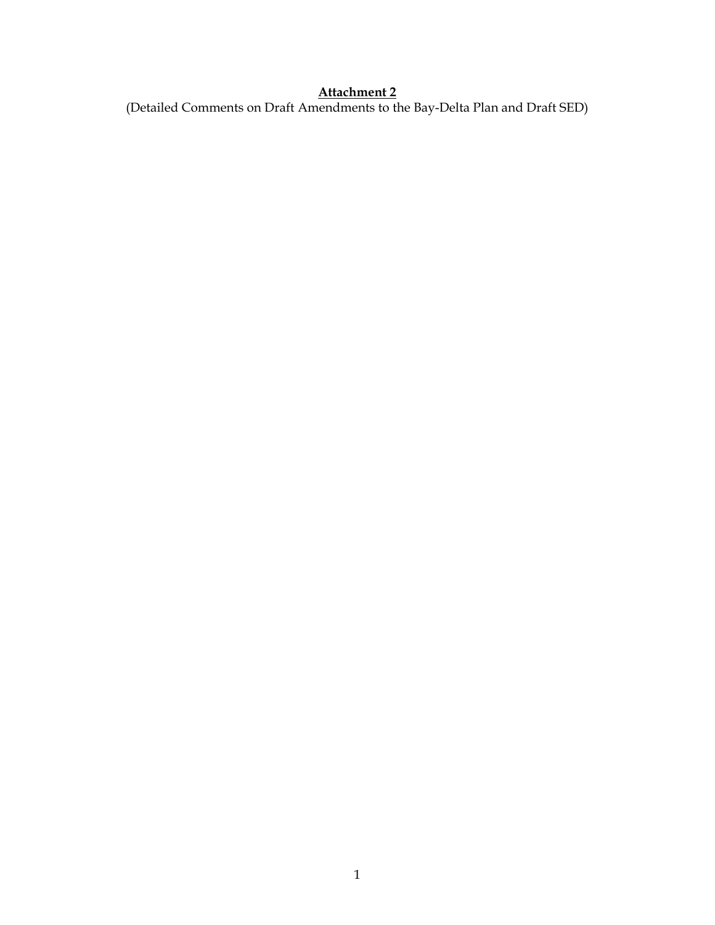#### **Attachment 2**

(Detailed Comments on Draft Amendments to the Bay-Delta Plan and Draft SED)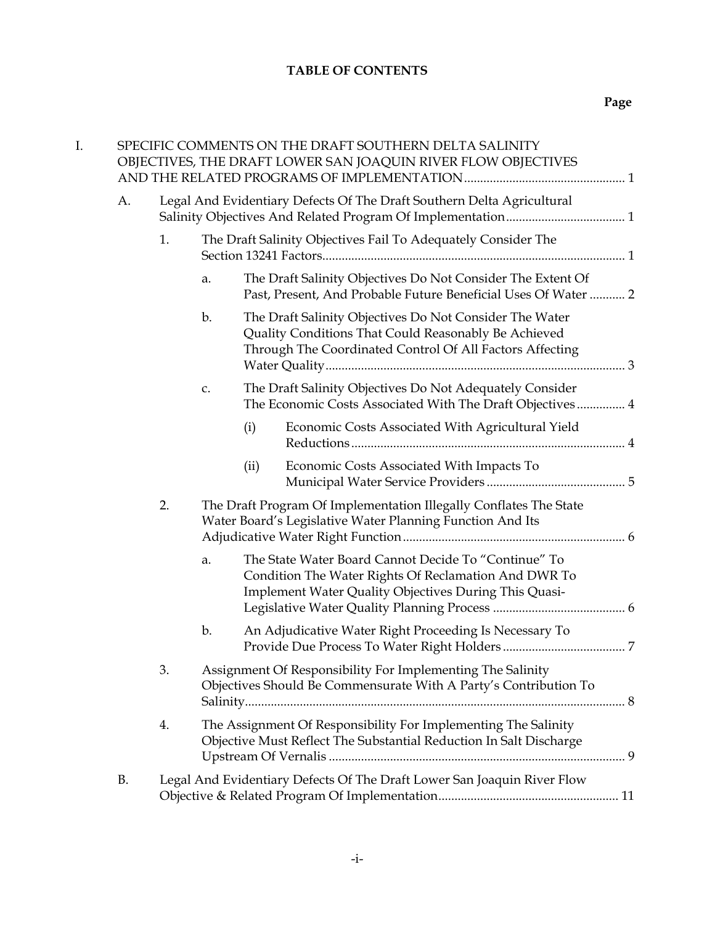# **TABLE OF CONTENTS**

| I. |           |    |    |                                                                        | SPECIFIC COMMENTS ON THE DRAFT SOUTHERN DELTA SALINITY<br>OBJECTIVES, THE DRAFT LOWER SAN JOAQUIN RIVER FLOW OBJECTIVES                                                     |  |  |  |
|----|-----------|----|----|------------------------------------------------------------------------|-----------------------------------------------------------------------------------------------------------------------------------------------------------------------------|--|--|--|
|    | A.        |    |    | Legal And Evidentiary Defects Of The Draft Southern Delta Agricultural |                                                                                                                                                                             |  |  |  |
|    |           | 1. |    |                                                                        | The Draft Salinity Objectives Fail To Adequately Consider The                                                                                                               |  |  |  |
|    |           |    | a. |                                                                        | The Draft Salinity Objectives Do Not Consider The Extent Of<br>Past, Present, And Probable Future Beneficial Uses Of Water  2                                               |  |  |  |
|    |           |    | b. |                                                                        | The Draft Salinity Objectives Do Not Consider The Water<br>Quality Conditions That Could Reasonably Be Achieved<br>Through The Coordinated Control Of All Factors Affecting |  |  |  |
|    |           |    | c. |                                                                        | The Draft Salinity Objectives Do Not Adequately Consider<br>The Economic Costs Associated With The Draft Objectives 4                                                       |  |  |  |
|    |           |    |    | (i)                                                                    | Economic Costs Associated With Agricultural Yield                                                                                                                           |  |  |  |
|    |           |    |    | (ii)                                                                   | Economic Costs Associated With Impacts To                                                                                                                                   |  |  |  |
|    |           | 2. |    |                                                                        | The Draft Program Of Implementation Illegally Conflates The State<br>Water Board's Legislative Water Planning Function And Its                                              |  |  |  |
|    |           |    | a. |                                                                        | The State Water Board Cannot Decide To "Continue" To<br>Condition The Water Rights Of Reclamation And DWR To<br>Implement Water Quality Objectives During This Quasi-       |  |  |  |
|    |           |    | b. |                                                                        | An Adjudicative Water Right Proceeding Is Necessary To                                                                                                                      |  |  |  |
|    |           | 3. |    |                                                                        | Assignment Of Responsibility For Implementing The Salinity<br>Objectives Should Be Commensurate With A Party's Contribution To                                              |  |  |  |
|    |           | 4. |    |                                                                        | The Assignment Of Responsibility For Implementing The Salinity<br>Objective Must Reflect The Substantial Reduction In Salt Discharge                                        |  |  |  |
|    | <b>B.</b> |    |    |                                                                        | Legal And Evidentiary Defects Of The Draft Lower San Joaquin River Flow                                                                                                     |  |  |  |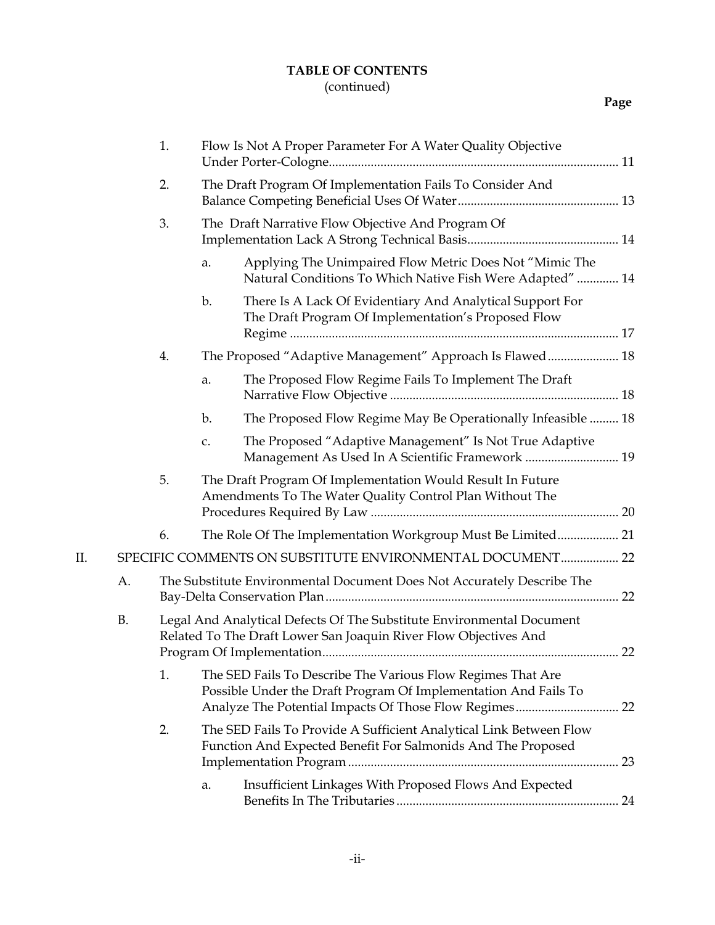|     |           | 1. | Flow Is Not A Proper Parameter For A Water Quality Objective                                                                              |  |
|-----|-----------|----|-------------------------------------------------------------------------------------------------------------------------------------------|--|
|     |           | 2. | The Draft Program Of Implementation Fails To Consider And                                                                                 |  |
|     |           | 3. | The Draft Narrative Flow Objective And Program Of                                                                                         |  |
|     |           |    | Applying The Unimpaired Flow Metric Does Not "Mimic The<br>a.<br>Natural Conditions To Which Native Fish Were Adapted"  14                |  |
|     |           |    | There Is A Lack Of Evidentiary And Analytical Support For<br>b.<br>The Draft Program Of Implementation's Proposed Flow                    |  |
|     |           | 4. | The Proposed "Adaptive Management" Approach Is Flawed 18                                                                                  |  |
|     |           |    | The Proposed Flow Regime Fails To Implement The Draft<br>a.                                                                               |  |
|     |           |    | b.<br>The Proposed Flow Regime May Be Operationally Infeasible  18                                                                        |  |
|     |           |    | The Proposed "Adaptive Management" Is Not True Adaptive<br>c.<br>Management As Used In A Scientific Framework  19                         |  |
|     |           | 5. | The Draft Program Of Implementation Would Result In Future<br>Amendments To The Water Quality Control Plan Without The                    |  |
|     |           | 6. | The Role Of The Implementation Workgroup Must Be Limited 21                                                                               |  |
| II. |           |    | SPECIFIC COMMENTS ON SUBSTITUTE ENVIRONMENTAL DOCUMENT 22                                                                                 |  |
|     | A.        |    | The Substitute Environmental Document Does Not Accurately Describe The                                                                    |  |
|     | <b>B.</b> |    | Legal And Analytical Defects Of The Substitute Environmental Document<br>Related To The Draft Lower San Joaquin River Flow Objectives And |  |
|     |           | 1. | The SED Fails To Describe The Various Flow Regimes That Are<br>Possible Under the Draft Program Of Implementation And Fails To            |  |
|     |           | 2. | The SED Fails To Provide A Sufficient Analytical Link Between Flow<br>Function And Expected Benefit For Salmonids And The Proposed        |  |
|     |           |    | Insufficient Linkages With Proposed Flows And Expected<br>a.                                                                              |  |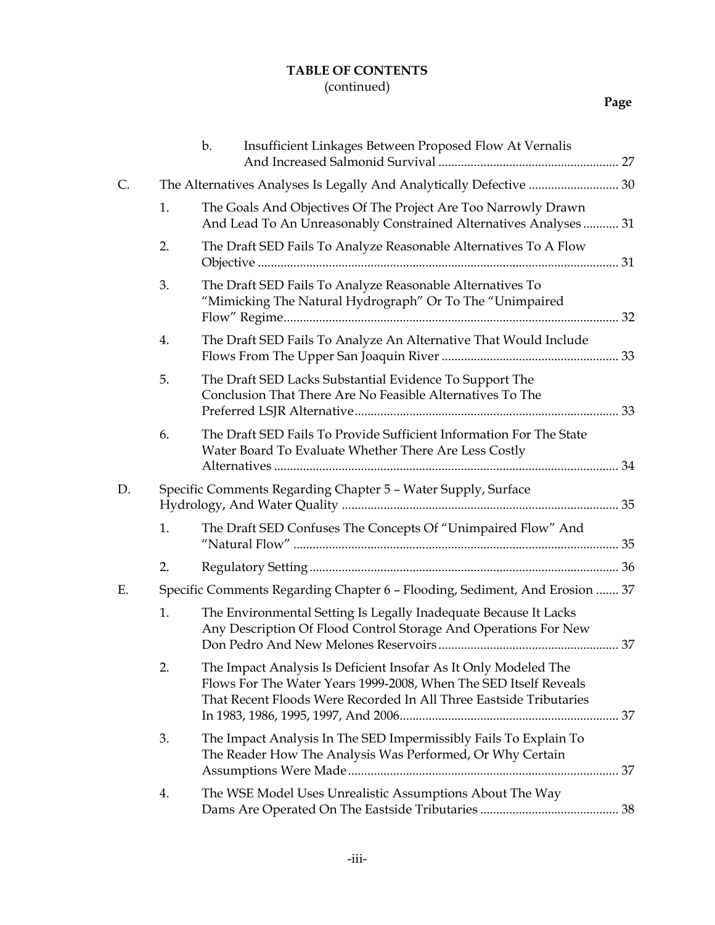|    |    | Insufficient Linkages Between Proposed Flow At Vernalis<br>b.                                                                                                                                             |  |  |  |  |  |  |
|----|----|-----------------------------------------------------------------------------------------------------------------------------------------------------------------------------------------------------------|--|--|--|--|--|--|
| C. |    |                                                                                                                                                                                                           |  |  |  |  |  |  |
|    | 1. | The Goals And Objectives Of The Project Are Too Narrowly Drawn<br>And Lead To An Unreasonably Constrained Alternatives Analyses 31                                                                        |  |  |  |  |  |  |
|    | 2. | The Draft SED Fails To Analyze Reasonable Alternatives To A Flow                                                                                                                                          |  |  |  |  |  |  |
|    | 3. | The Draft SED Fails To Analyze Reasonable Alternatives To<br>"Mimicking The Natural Hydrograph" Or To The "Unimpaired                                                                                     |  |  |  |  |  |  |
|    | 4. | The Draft SED Fails To Analyze An Alternative That Would Include                                                                                                                                          |  |  |  |  |  |  |
|    | 5. | The Draft SED Lacks Substantial Evidence To Support The<br>Conclusion That There Are No Feasible Alternatives To The                                                                                      |  |  |  |  |  |  |
|    | 6. | The Draft SED Fails To Provide Sufficient Information For The State<br>Water Board To Evaluate Whether There Are Less Costly                                                                              |  |  |  |  |  |  |
| D. |    | Specific Comments Regarding Chapter 5 - Water Supply, Surface                                                                                                                                             |  |  |  |  |  |  |
|    | 1. | The Draft SED Confuses The Concepts Of "Unimpaired Flow" And                                                                                                                                              |  |  |  |  |  |  |
|    | 2. |                                                                                                                                                                                                           |  |  |  |  |  |  |
| Ε. |    | Specific Comments Regarding Chapter 6 - Flooding, Sediment, And Erosion  37                                                                                                                               |  |  |  |  |  |  |
|    | 1. | The Environmental Setting Is Legally Inadequate Because It Lacks<br>Any Description Of Flood Control Storage And Operations For New                                                                       |  |  |  |  |  |  |
|    | 2. | The Impact Analysis Is Deficient Insofar As It Only Modeled The<br>Flows For The Water Years 1999-2008, When The SED Itself Reveals<br>That Recent Floods Were Recorded In All Three Eastside Tributaries |  |  |  |  |  |  |
|    | 3. | The Impact Analysis In The SED Impermissibly Fails To Explain To<br>The Reader How The Analysis Was Performed, Or Why Certain                                                                             |  |  |  |  |  |  |
|    | 4. | The WSE Model Uses Unrealistic Assumptions About The Way                                                                                                                                                  |  |  |  |  |  |  |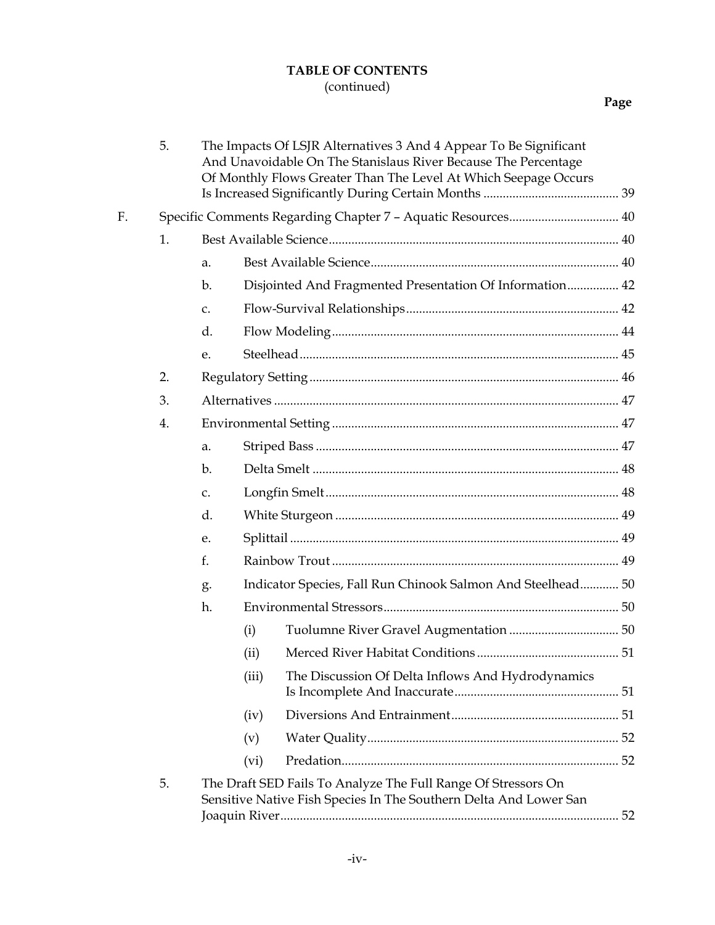|    | 5. |                |       | The Impacts Of LSJR Alternatives 3 And 4 Appear To Be Significant<br>And Unavoidable On The Stanislaus River Because The Percentage<br>Of Monthly Flows Greater Than The Level At Which Seepage Occurs |  |
|----|----|----------------|-------|--------------------------------------------------------------------------------------------------------------------------------------------------------------------------------------------------------|--|
| F. |    |                |       | Specific Comments Regarding Chapter 7 - Aquatic Resources 40                                                                                                                                           |  |
|    | 1. |                |       |                                                                                                                                                                                                        |  |
|    |    | a.             |       |                                                                                                                                                                                                        |  |
|    |    | b.             |       | Disjointed And Fragmented Presentation Of Information 42                                                                                                                                               |  |
|    |    | C.             |       |                                                                                                                                                                                                        |  |
|    |    | d.             |       |                                                                                                                                                                                                        |  |
|    |    | e.             |       |                                                                                                                                                                                                        |  |
|    | 2. |                |       |                                                                                                                                                                                                        |  |
|    | 3. |                |       |                                                                                                                                                                                                        |  |
|    | 4. |                |       |                                                                                                                                                                                                        |  |
|    |    | a.             |       |                                                                                                                                                                                                        |  |
|    |    | $\mathbf{b}$ . |       |                                                                                                                                                                                                        |  |
|    |    | C.             |       |                                                                                                                                                                                                        |  |
|    |    | d.             |       |                                                                                                                                                                                                        |  |
|    |    | e.             |       |                                                                                                                                                                                                        |  |
|    |    | f.             |       |                                                                                                                                                                                                        |  |
|    |    | g.             |       | Indicator Species, Fall Run Chinook Salmon And Steelhead 50                                                                                                                                            |  |
|    |    | h.             |       |                                                                                                                                                                                                        |  |
|    |    |                | (i)   |                                                                                                                                                                                                        |  |
|    |    |                | (ii)  |                                                                                                                                                                                                        |  |
|    |    |                | (iii) | The Discussion Of Delta Inflows And Hydrodynamics                                                                                                                                                      |  |
|    |    |                | (iv)  |                                                                                                                                                                                                        |  |
|    |    |                | (v)   |                                                                                                                                                                                                        |  |
|    |    |                | (vi)  |                                                                                                                                                                                                        |  |
|    | 5. |                |       | The Draft SED Fails To Analyze The Full Range Of Stressors On<br>Sensitive Native Fish Species In The Southern Delta And Lower San                                                                     |  |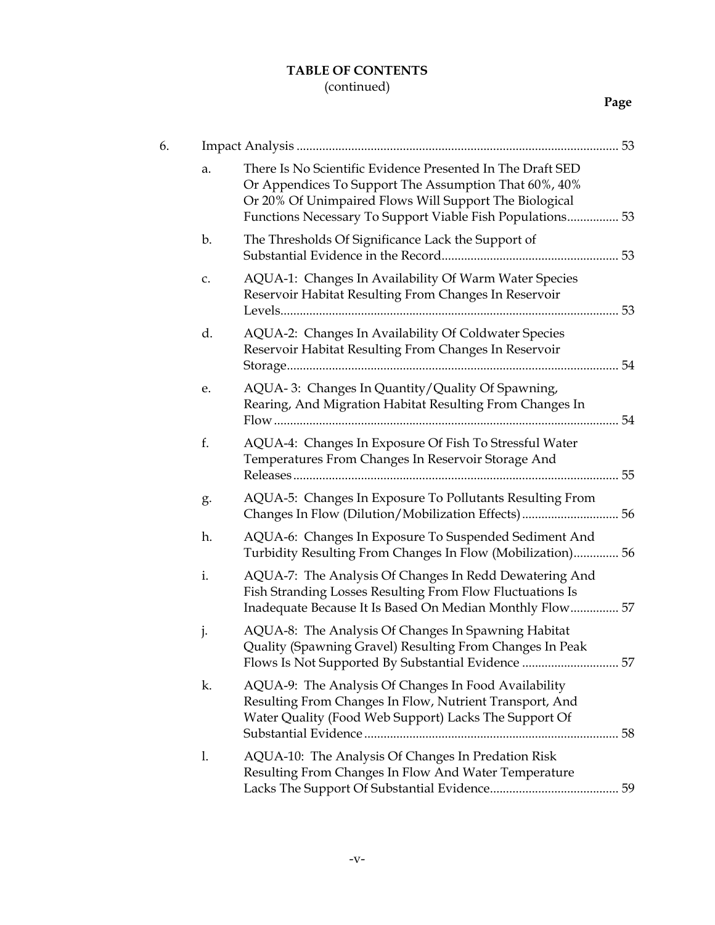# **Page**

| 6. |    |                                                                                                                                                                                                                                            |  |
|----|----|--------------------------------------------------------------------------------------------------------------------------------------------------------------------------------------------------------------------------------------------|--|
|    | a. | There Is No Scientific Evidence Presented In The Draft SED<br>Or Appendices To Support The Assumption That 60%, 40%<br>Or 20% Of Unimpaired Flows Will Support The Biological<br>Functions Necessary To Support Viable Fish Populations 53 |  |
|    | b. | The Thresholds Of Significance Lack the Support of                                                                                                                                                                                         |  |
|    | c. | AQUA-1: Changes In Availability Of Warm Water Species<br>Reservoir Habitat Resulting From Changes In Reservoir                                                                                                                             |  |
|    | d. | AQUA-2: Changes In Availability Of Coldwater Species<br>Reservoir Habitat Resulting From Changes In Reservoir                                                                                                                              |  |
|    | e. | AQUA-3: Changes In Quantity/Quality Of Spawning,<br>Rearing, And Migration Habitat Resulting From Changes In<br>54                                                                                                                         |  |
|    | f. | AQUA-4: Changes In Exposure Of Fish To Stressful Water<br>Temperatures From Changes In Reservoir Storage And                                                                                                                               |  |
|    | g. | AQUA-5: Changes In Exposure To Pollutants Resulting From                                                                                                                                                                                   |  |
|    | h. | AQUA-6: Changes In Exposure To Suspended Sediment And<br>Turbidity Resulting From Changes In Flow (Mobilization) 56                                                                                                                        |  |
|    | i. | AQUA-7: The Analysis Of Changes In Redd Dewatering And<br>Fish Stranding Losses Resulting From Flow Fluctuations Is<br>Inadequate Because It Is Based On Median Monthly Flow 57                                                            |  |
|    | j. | AQUA-8: The Analysis Of Changes In Spawning Habitat<br>Quality (Spawning Gravel) Resulting From Changes In Peak                                                                                                                            |  |
|    | k. | AQUA-9: The Analysis Of Changes In Food Availability<br>Resulting From Changes In Flow, Nutrient Transport, And<br>Water Quality (Food Web Support) Lacks The Support Of                                                                   |  |
|    | 1. | AQUA-10: The Analysis Of Changes In Predation Risk<br>Resulting From Changes In Flow And Water Temperature                                                                                                                                 |  |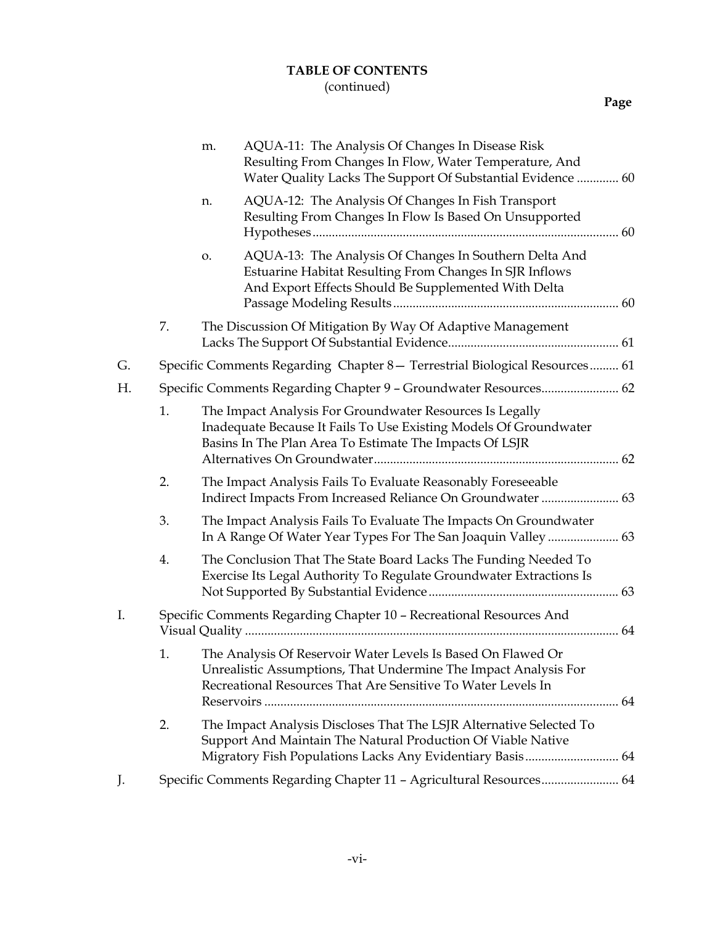|    | m.                                                                                                                                                                                       | AQUA-11: The Analysis Of Changes In Disease Risk<br>Resulting From Changes In Flow, Water Temperature, And<br>Water Quality Lacks The Support Of Substantial Evidence  60 |                                                                                                                                                                                                                                                                                                                                                                                                                                                                                                                                                                                                                                                                                                                                                                                                                                                                                                                                                                                    |  |
|----|------------------------------------------------------------------------------------------------------------------------------------------------------------------------------------------|---------------------------------------------------------------------------------------------------------------------------------------------------------------------------|------------------------------------------------------------------------------------------------------------------------------------------------------------------------------------------------------------------------------------------------------------------------------------------------------------------------------------------------------------------------------------------------------------------------------------------------------------------------------------------------------------------------------------------------------------------------------------------------------------------------------------------------------------------------------------------------------------------------------------------------------------------------------------------------------------------------------------------------------------------------------------------------------------------------------------------------------------------------------------|--|
|    | n.                                                                                                                                                                                       | AQUA-12: The Analysis Of Changes In Fish Transport<br>Resulting From Changes In Flow Is Based On Unsupported                                                              |                                                                                                                                                                                                                                                                                                                                                                                                                                                                                                                                                                                                                                                                                                                                                                                                                                                                                                                                                                                    |  |
|    | O.                                                                                                                                                                                       | AQUA-13: The Analysis Of Changes In Southern Delta And<br>Estuarine Habitat Resulting From Changes In SJR Inflows<br>And Export Effects Should Be Supplemented With Delta |                                                                                                                                                                                                                                                                                                                                                                                                                                                                                                                                                                                                                                                                                                                                                                                                                                                                                                                                                                                    |  |
| 7. |                                                                                                                                                                                          |                                                                                                                                                                           |                                                                                                                                                                                                                                                                                                                                                                                                                                                                                                                                                                                                                                                                                                                                                                                                                                                                                                                                                                                    |  |
|    |                                                                                                                                                                                          |                                                                                                                                                                           |                                                                                                                                                                                                                                                                                                                                                                                                                                                                                                                                                                                                                                                                                                                                                                                                                                                                                                                                                                                    |  |
|    |                                                                                                                                                                                          |                                                                                                                                                                           |                                                                                                                                                                                                                                                                                                                                                                                                                                                                                                                                                                                                                                                                                                                                                                                                                                                                                                                                                                                    |  |
| 1. | The Impact Analysis For Groundwater Resources Is Legally<br>Inadequate Because It Fails To Use Existing Models Of Groundwater<br>Basins In The Plan Area To Estimate The Impacts Of LSJR |                                                                                                                                                                           |                                                                                                                                                                                                                                                                                                                                                                                                                                                                                                                                                                                                                                                                                                                                                                                                                                                                                                                                                                                    |  |
| 2. |                                                                                                                                                                                          |                                                                                                                                                                           |                                                                                                                                                                                                                                                                                                                                                                                                                                                                                                                                                                                                                                                                                                                                                                                                                                                                                                                                                                                    |  |
| 3. |                                                                                                                                                                                          |                                                                                                                                                                           |                                                                                                                                                                                                                                                                                                                                                                                                                                                                                                                                                                                                                                                                                                                                                                                                                                                                                                                                                                                    |  |
| 4. |                                                                                                                                                                                          |                                                                                                                                                                           |                                                                                                                                                                                                                                                                                                                                                                                                                                                                                                                                                                                                                                                                                                                                                                                                                                                                                                                                                                                    |  |
|    |                                                                                                                                                                                          |                                                                                                                                                                           |                                                                                                                                                                                                                                                                                                                                                                                                                                                                                                                                                                                                                                                                                                                                                                                                                                                                                                                                                                                    |  |
| 1. |                                                                                                                                                                                          |                                                                                                                                                                           |                                                                                                                                                                                                                                                                                                                                                                                                                                                                                                                                                                                                                                                                                                                                                                                                                                                                                                                                                                                    |  |
| 2. |                                                                                                                                                                                          |                                                                                                                                                                           |                                                                                                                                                                                                                                                                                                                                                                                                                                                                                                                                                                                                                                                                                                                                                                                                                                                                                                                                                                                    |  |
|    |                                                                                                                                                                                          |                                                                                                                                                                           |                                                                                                                                                                                                                                                                                                                                                                                                                                                                                                                                                                                                                                                                                                                                                                                                                                                                                                                                                                                    |  |
|    |                                                                                                                                                                                          |                                                                                                                                                                           | The Discussion Of Mitigation By Way Of Adaptive Management<br>Specific Comments Regarding Chapter 8 - Terrestrial Biological Resources 61<br>Specific Comments Regarding Chapter 9 - Groundwater Resources 62<br>The Impact Analysis Fails To Evaluate Reasonably Foreseeable<br>The Impact Analysis Fails To Evaluate The Impacts On Groundwater<br>The Conclusion That The State Board Lacks The Funding Needed To<br>Exercise Its Legal Authority To Regulate Groundwater Extractions Is<br>Specific Comments Regarding Chapter 10 - Recreational Resources And<br>The Analysis Of Reservoir Water Levels Is Based On Flawed Or<br>Unrealistic Assumptions, That Undermine The Impact Analysis For<br>Recreational Resources That Are Sensitive To Water Levels In<br>The Impact Analysis Discloses That The LSJR Alternative Selected To<br>Support And Maintain The Natural Production Of Viable Native<br>Specific Comments Regarding Chapter 11 - Agricultural Resources 64 |  |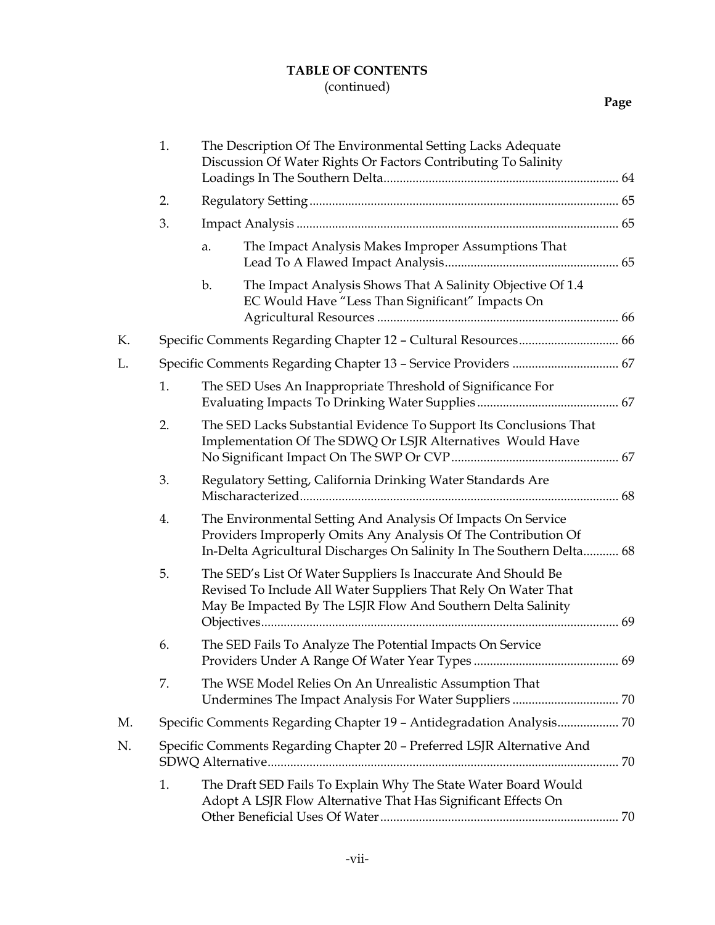|    | 1. | The Description Of The Environmental Setting Lacks Adequate<br>Discussion Of Water Rights Or Factors Contributing To Salinity                                                                           |  |  |  |  |
|----|----|---------------------------------------------------------------------------------------------------------------------------------------------------------------------------------------------------------|--|--|--|--|
|    | 2. |                                                                                                                                                                                                         |  |  |  |  |
|    | 3. |                                                                                                                                                                                                         |  |  |  |  |
|    |    | The Impact Analysis Makes Improper Assumptions That<br>a.                                                                                                                                               |  |  |  |  |
|    |    | The Impact Analysis Shows That A Salinity Objective Of 1.4<br>b.<br>EC Would Have "Less Than Significant" Impacts On                                                                                    |  |  |  |  |
| K. |    |                                                                                                                                                                                                         |  |  |  |  |
| L. |    | Specific Comments Regarding Chapter 13 - Service Providers  67                                                                                                                                          |  |  |  |  |
|    | 1. | The SED Uses An Inappropriate Threshold of Significance For                                                                                                                                             |  |  |  |  |
|    | 2. | The SED Lacks Substantial Evidence To Support Its Conclusions That<br>Implementation Of The SDWQ Or LSJR Alternatives Would Have                                                                        |  |  |  |  |
|    | 3. | Regulatory Setting, California Drinking Water Standards Are                                                                                                                                             |  |  |  |  |
|    | 4. | The Environmental Setting And Analysis Of Impacts On Service<br>Providers Improperly Omits Any Analysis Of The Contribution Of<br>In-Delta Agricultural Discharges On Salinity In The Southern Delta 68 |  |  |  |  |
|    | 5. | The SED's List Of Water Suppliers Is Inaccurate And Should Be<br>Revised To Include All Water Suppliers That Rely On Water That<br>May Be Impacted By The LSJR Flow And Southern Delta Salinity         |  |  |  |  |
|    | 6. | The SED Fails To Analyze The Potential Impacts On Service                                                                                                                                               |  |  |  |  |
|    | 7. | The WSE Model Relies On An Unrealistic Assumption That                                                                                                                                                  |  |  |  |  |
| М. |    | Specific Comments Regarding Chapter 19 - Antidegradation Analysis 70                                                                                                                                    |  |  |  |  |
| N. |    | Specific Comments Regarding Chapter 20 - Preferred LSJR Alternative And                                                                                                                                 |  |  |  |  |
|    | 1. | The Draft SED Fails To Explain Why The State Water Board Would<br>Adopt A LSJR Flow Alternative That Has Significant Effects On                                                                         |  |  |  |  |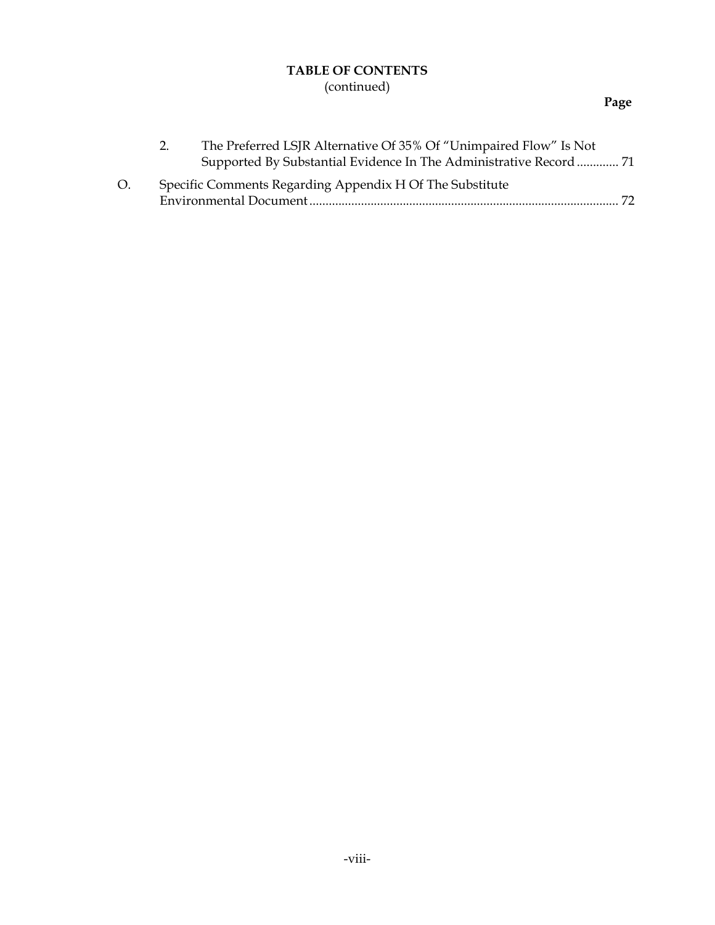## **Page**

|    | The Preferred LSJR Alternative Of 35% Of "Unimpaired Flow" Is Not<br>Supported By Substantial Evidence In The Administrative Record  71 |  |
|----|-----------------------------------------------------------------------------------------------------------------------------------------|--|
| O. | Specific Comments Regarding Appendix H Of The Substitute                                                                                |  |
|    | $\overline{72}$                                                                                                                         |  |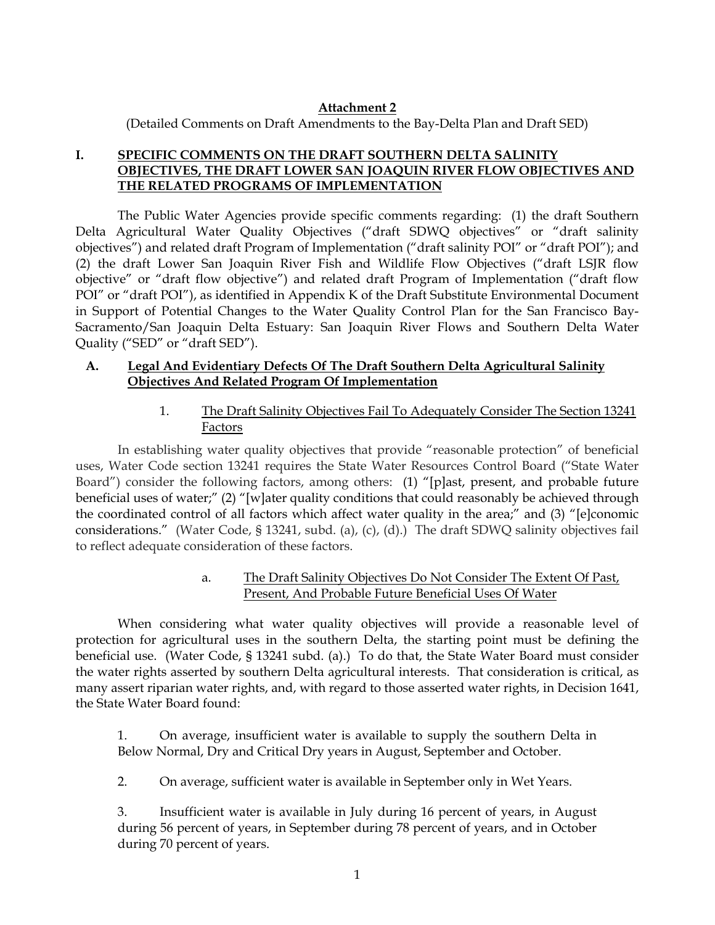#### **Attachment 2**

(Detailed Comments on Draft Amendments to the Bay-Delta Plan and Draft SED)

## **I. SPECIFIC COMMENTS ON THE DRAFT SOUTHERN DELTA SALINITY OBJECTIVES, THE DRAFT LOWER SAN JOAQUIN RIVER FLOW OBJECTIVES AND THE RELATED PROGRAMS OF IMPLEMENTATION**

The Public Water Agencies provide specific comments regarding: (1) the draft Southern Delta Agricultural Water Quality Objectives ("draft SDWQ objectives" or "draft salinity objectives") and related draft Program of Implementation ("draft salinity POI" or "draft POI"); and (2) the draft Lower San Joaquin River Fish and Wildlife Flow Objectives ("draft LSJR flow objective" or "draft flow objective") and related draft Program of Implementation ("draft flow POI" or "draft POI"), as identified in Appendix K of the Draft Substitute Environmental Document in Support of Potential Changes to the Water Quality Control Plan for the San Francisco Bay-Sacramento/San Joaquin Delta Estuary: San Joaquin River Flows and Southern Delta Water Quality ("SED" or "draft SED").

#### **A. Legal And Evidentiary Defects Of The Draft Southern Delta Agricultural Salinity Objectives And Related Program Of Implementation**

1. The Draft Salinity Objectives Fail To Adequately Consider The Section 13241 Factors

In establishing water quality objectives that provide "reasonable protection" of beneficial uses, Water Code section 13241 requires the State Water Resources Control Board ("State Water Board") consider the following factors, among others: (1) "[p]ast, present, and probable future beneficial uses of water;" (2) "[w]ater quality conditions that could reasonably be achieved through the coordinated control of all factors which affect water quality in the area;" and (3) "[e]conomic considerations." (Water Code, § 13241, subd. (a), (c), (d).) The draft SDWQ salinity objectives fail to reflect adequate consideration of these factors.

## a. The Draft Salinity Objectives Do Not Consider The Extent Of Past, Present, And Probable Future Beneficial Uses Of Water

When considering what water quality objectives will provide a reasonable level of protection for agricultural uses in the southern Delta, the starting point must be defining the beneficial use. (Water Code, § 13241 subd. (a).) To do that, the State Water Board must consider the water rights asserted by southern Delta agricultural interests. That consideration is critical, as many assert riparian water rights, and, with regard to those asserted water rights, in Decision 1641, the State Water Board found:

1. On average, insufficient water is available to supply the southern Delta in Below Normal, Dry and Critical Dry years in August, September and October.

2. On average, sufficient water is available in September only in Wet Years.

3. Insufficient water is available in July during 16 percent of years, in August during 56 percent of years, in September during 78 percent of years, and in October during 70 percent of years.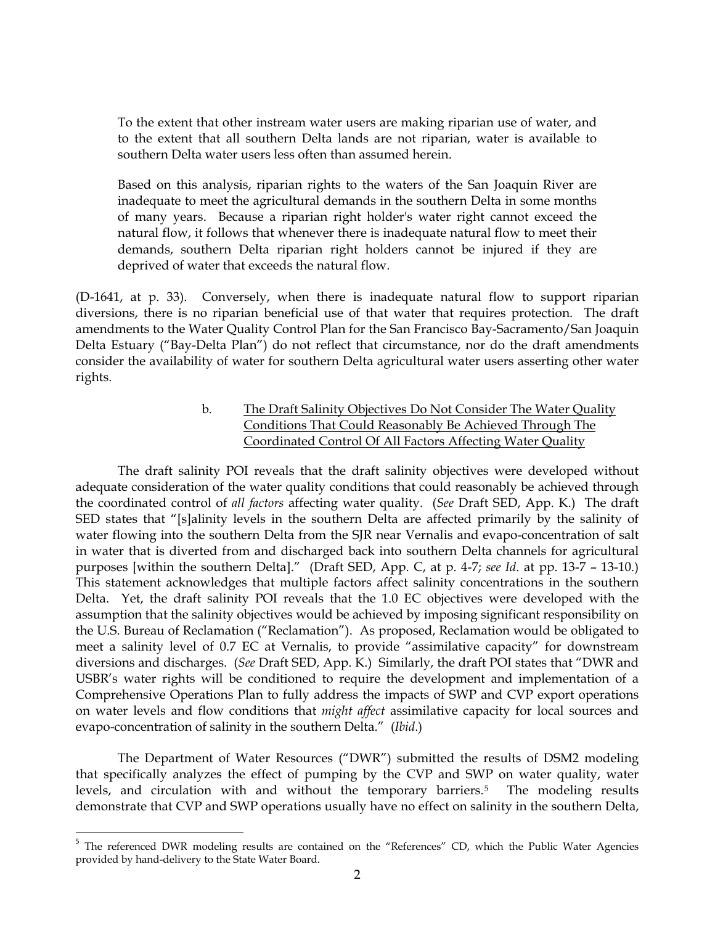To the extent that other instream water users are making riparian use of water, and to the extent that all southern Delta lands are not riparian, water is available to southern Delta water users less often than assumed herein.

Based on this analysis, riparian rights to the waters of the San Joaquin River are inadequate to meet the agricultural demands in the southern Delta in some months of many years. Because a riparian right holder's water right cannot exceed the natural flow, it follows that whenever there is inadequate natural flow to meet their demands, southern Delta riparian right holders cannot be injured if they are deprived of water that exceeds the natural flow.

(D-1641, at p. 33). Conversely, when there is inadequate natural flow to support riparian diversions, there is no riparian beneficial use of that water that requires protection. The draft amendments to the Water Quality Control Plan for the San Francisco Bay-Sacramento/San Joaquin Delta Estuary ("Bay-Delta Plan") do not reflect that circumstance, nor do the draft amendments consider the availability of water for southern Delta agricultural water users asserting other water rights.

## b. The Draft Salinity Objectives Do Not Consider The Water Quality Conditions That Could Reasonably Be Achieved Through The Coordinated Control Of All Factors Affecting Water Quality

The draft salinity POI reveals that the draft salinity objectives were developed without adequate consideration of the water quality conditions that could reasonably be achieved through the coordinated control of *all factors* affecting water quality. (*See* Draft SED, App. K.) The draft SED states that "[s]alinity levels in the southern Delta are affected primarily by the salinity of water flowing into the southern Delta from the SJR near Vernalis and evapo-concentration of salt in water that is diverted from and discharged back into southern Delta channels for agricultural purposes [within the southern Delta]." (Draft SED, App. C, at p. 4-7; *see Id*. at pp. 13-7 – 13-10.) This statement acknowledges that multiple factors affect salinity concentrations in the southern Delta. Yet, the draft salinity POI reveals that the 1.0 EC objectives were developed with the assumption that the salinity objectives would be achieved by imposing significant responsibility on the U.S. Bureau of Reclamation ("Reclamation"). As proposed, Reclamation would be obligated to meet a salinity level of 0.7 EC at Vernalis, to provide "assimilative capacity" for downstream diversions and discharges. (*See* Draft SED, App. K.) Similarly, the draft POI states that "DWR and USBR's water rights will be conditioned to require the development and implementation of a Comprehensive Operations Plan to fully address the impacts of SWP and CVP export operations on water levels and flow conditions that *might affect* assimilative capacity for local sources and evapo-concentration of salinity in the southern Delta." (*Ibid*.)

The Department of Water Resources ("DWR") submitted the results of DSM2 modeling that specifically analyzes the effect of pumping by the CVP and SWP on water quality, water levels, and circulation with and without the temporary barriers.[5](#page-17-0) The modeling results demonstrate that CVP and SWP operations usually have no effect on salinity in the southern Delta,

 $\overline{a}$ 

<span id="page-17-0"></span><sup>&</sup>lt;sup>5</sup> The referenced DWR modeling results are contained on the "References" CD, which the Public Water Agencies provided by hand-delivery to the State Water Board.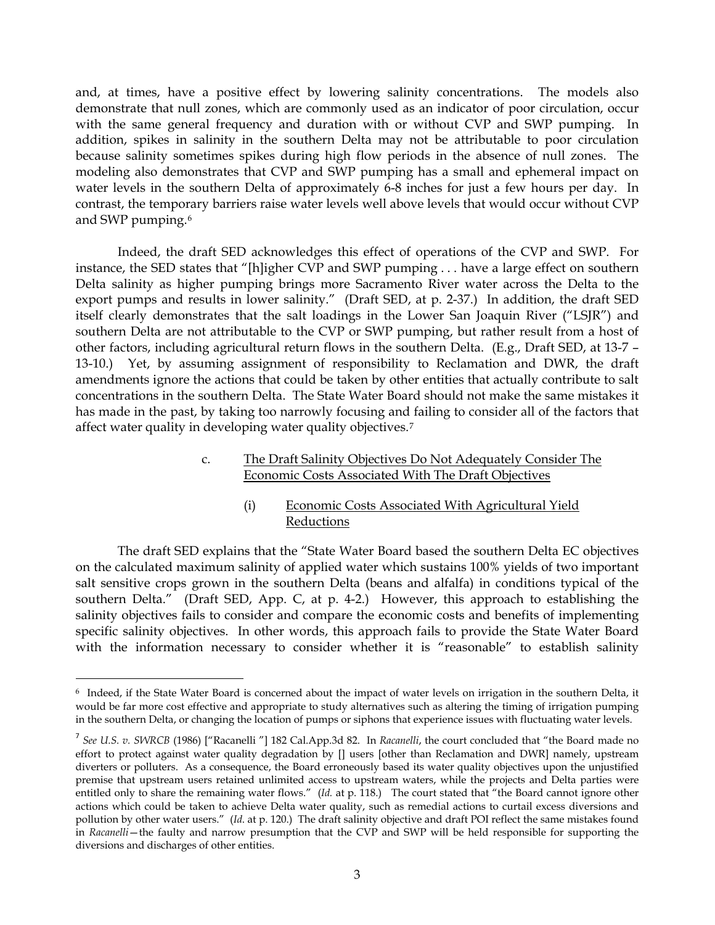and, at times, have a positive effect by lowering salinity concentrations. The models also demonstrate that null zones, which are commonly used as an indicator of poor circulation, occur with the same general frequency and duration with or without CVP and SWP pumping. In addition, spikes in salinity in the southern Delta may not be attributable to poor circulation because salinity sometimes spikes during high flow periods in the absence of null zones. The modeling also demonstrates that CVP and SWP pumping has a small and ephemeral impact on water levels in the southern Delta of approximately 6-8 inches for just a few hours per day. In contrast, the temporary barriers raise water levels well above levels that would occur without CVP and SWP pumping.[6](#page-18-0)

Indeed, the draft SED acknowledges this effect of operations of the CVP and SWP. For instance, the SED states that "[h]igher CVP and SWP pumping . . . have a large effect on southern Delta salinity as higher pumping brings more Sacramento River water across the Delta to the export pumps and results in lower salinity." (Draft SED, at p. 2-37.) In addition, the draft SED itself clearly demonstrates that the salt loadings in the Lower San Joaquin River ("LSJR") and southern Delta are not attributable to the CVP or SWP pumping, but rather result from a host of other factors, including agricultural return flows in the southern Delta. (E.g., Draft SED, at 13-7 – 13-10.) Yet, by assuming assignment of responsibility to Reclamation and DWR, the draft amendments ignore the actions that could be taken by other entities that actually contribute to salt concentrations in the southern Delta. The State Water Board should not make the same mistakes it has made in the past, by taking too narrowly focusing and failing to consider all of the factors that affect water quality in developing water quality objectives.[7](#page-18-1)

- c. The Draft Salinity Objectives Do Not Adequately Consider The Economic Costs Associated With The Draft Objectives
	- (i) Economic Costs Associated With Agricultural Yield Reductions

The draft SED explains that the "State Water Board based the southern Delta EC objectives on the calculated maximum salinity of applied water which sustains 100% yields of two important salt sensitive crops grown in the southern Delta (beans and alfalfa) in conditions typical of the southern Delta." (Draft SED, App. C, at p. 4-2.) However, this approach to establishing the salinity objectives fails to consider and compare the economic costs and benefits of implementing specific salinity objectives. In other words, this approach fails to provide the State Water Board with the information necessary to consider whether it is "reasonable" to establish salinity

 $\overline{a}$ 

<span id="page-18-0"></span> $6$  Indeed, if the State Water Board is concerned about the impact of water levels on irrigation in the southern Delta, it would be far more cost effective and appropriate to study alternatives such as altering the timing of irrigation pumping in the southern Delta, or changing the location of pumps or siphons that experience issues with fluctuating water levels.

<span id="page-18-1"></span><sup>7</sup> *See U.S. v. SWRCB* (1986) ["Racanelli "] 182 Cal.App.3d 82. In *Racanelli*, the court concluded that "the Board made no effort to protect against water quality degradation by [] users [other than Reclamation and DWR] namely, upstream diverters or polluters. As a consequence, the Board erroneously based its water quality objectives upon the unjustified premise that upstream users retained unlimited access to upstream waters, while the projects and Delta parties were entitled only to share the remaining water flows." (*Id.* at p. 118.) The court stated that "the Board cannot ignore other actions which could be taken to achieve Delta water quality, such as remedial actions to curtail excess diversions and pollution by other water users." (*Id*. at p. 120.) The draft salinity objective and draft POI reflect the same mistakes found in *Racanelli*—the faulty and narrow presumption that the CVP and SWP will be held responsible for supporting the diversions and discharges of other entities.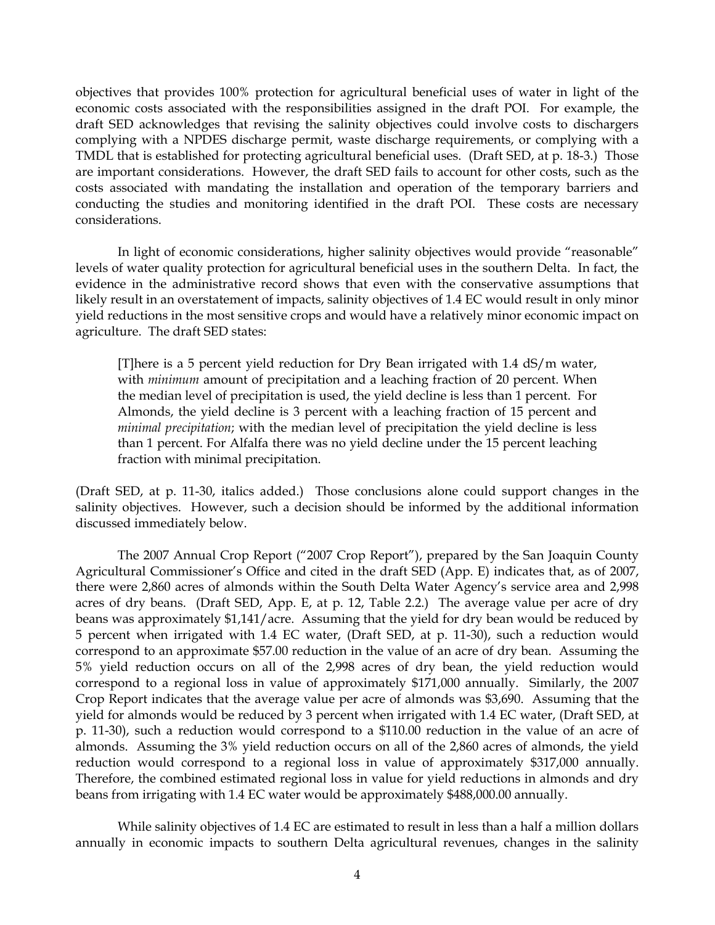objectives that provides 100% protection for agricultural beneficial uses of water in light of the economic costs associated with the responsibilities assigned in the draft POI. For example, the draft SED acknowledges that revising the salinity objectives could involve costs to dischargers complying with a NPDES discharge permit, waste discharge requirements, or complying with a TMDL that is established for protecting agricultural beneficial uses. (Draft SED, at p. 18-3.) Those are important considerations. However, the draft SED fails to account for other costs, such as the costs associated with mandating the installation and operation of the temporary barriers and conducting the studies and monitoring identified in the draft POI. These costs are necessary considerations.

In light of economic considerations, higher salinity objectives would provide "reasonable" levels of water quality protection for agricultural beneficial uses in the southern Delta. In fact, the evidence in the administrative record shows that even with the conservative assumptions that likely result in an overstatement of impacts, salinity objectives of 1.4 EC would result in only minor yield reductions in the most sensitive crops and would have a relatively minor economic impact on agriculture. The draft SED states:

[T]here is a 5 percent yield reduction for Dry Bean irrigated with 1.4 dS/m water, with *minimum* amount of precipitation and a leaching fraction of 20 percent. When the median level of precipitation is used, the yield decline is less than 1 percent. For Almonds, the yield decline is 3 percent with a leaching fraction of 15 percent and *minimal precipitation*; with the median level of precipitation the yield decline is less than 1 percent. For Alfalfa there was no yield decline under the 15 percent leaching fraction with minimal precipitation.

(Draft SED, at p. 11-30, italics added.) Those conclusions alone could support changes in the salinity objectives. However, such a decision should be informed by the additional information discussed immediately below.

The 2007 Annual Crop Report ("2007 Crop Report"), prepared by the San Joaquin County Agricultural Commissioner's Office and cited in the draft SED (App. E) indicates that, as of 2007, there were 2,860 acres of almonds within the South Delta Water Agency's service area and 2,998 acres of dry beans. (Draft SED, App. E, at p. 12, Table 2.2.) The average value per acre of dry beans was approximately \$1,141/acre. Assuming that the yield for dry bean would be reduced by 5 percent when irrigated with 1.4 EC water, (Draft SED, at p. 11-30), such a reduction would correspond to an approximate \$57.00 reduction in the value of an acre of dry bean. Assuming the 5% yield reduction occurs on all of the 2,998 acres of dry bean, the yield reduction would correspond to a regional loss in value of approximately \$171,000 annually. Similarly, the 2007 Crop Report indicates that the average value per acre of almonds was \$3,690. Assuming that the yield for almonds would be reduced by 3 percent when irrigated with 1.4 EC water, (Draft SED, at p. 11-30), such a reduction would correspond to a \$110.00 reduction in the value of an acre of almonds. Assuming the 3% yield reduction occurs on all of the 2,860 acres of almonds, the yield reduction would correspond to a regional loss in value of approximately \$317,000 annually. Therefore, the combined estimated regional loss in value for yield reductions in almonds and dry beans from irrigating with 1.4 EC water would be approximately \$488,000.00 annually.

While salinity objectives of 1.4 EC are estimated to result in less than a half a million dollars annually in economic impacts to southern Delta agricultural revenues, changes in the salinity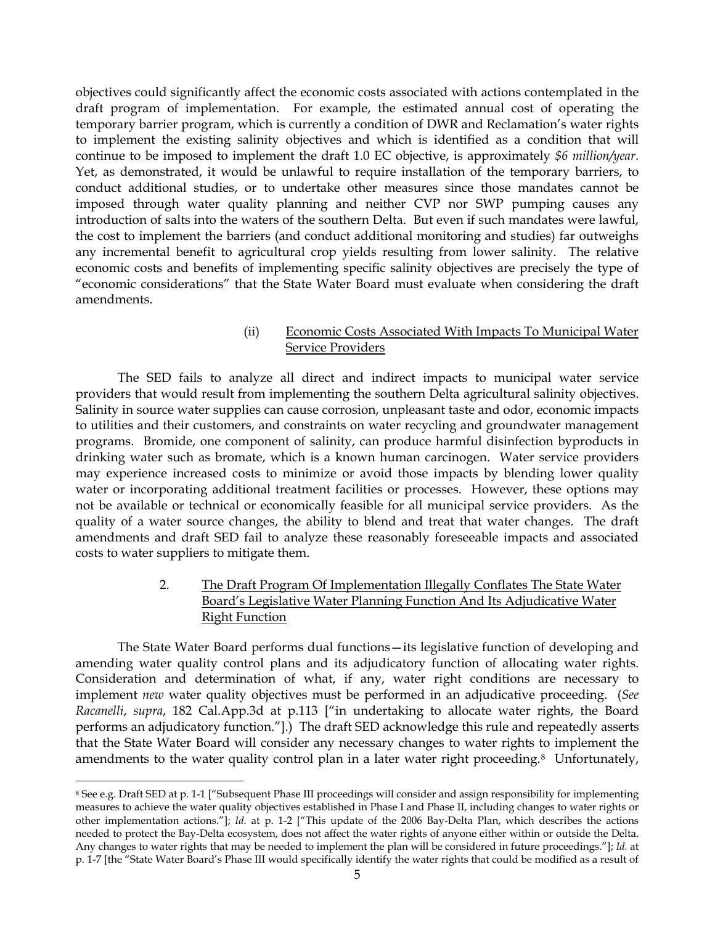objectives could significantly affect the economic costs associated with actions contemplated in the draft program of implementation. For example, the estimated annual cost of operating the temporary barrier program, which is currently a condition of DWR and Reclamation's water rights to implement the existing salinity objectives and which is identified as a condition that will continue to be imposed to implement the draft 1.0 EC objective, is approximately *\$6 million/year*. Yet, as demonstrated, it would be unlawful to require installation of the temporary barriers, to conduct additional studies, or to undertake other measures since those mandates cannot be imposed through water quality planning and neither CVP nor SWP pumping causes any introduction of salts into the waters of the southern Delta. But even if such mandates were lawful, the cost to implement the barriers (and conduct additional monitoring and studies) far outweighs any incremental benefit to agricultural crop yields resulting from lower salinity. The relative economic costs and benefits of implementing specific salinity objectives are precisely the type of "economic considerations" that the State Water Board must evaluate when considering the draft amendments.

## (ii) Economic Costs Associated With Impacts To Municipal Water Service Providers

The SED fails to analyze all direct and indirect impacts to municipal water service providers that would result from implementing the southern Delta agricultural salinity objectives. Salinity in source water supplies can cause corrosion, unpleasant taste and odor, economic impacts to utilities and their customers, and constraints on water recycling and groundwater management programs. Bromide, one component of salinity, can produce harmful disinfection byproducts in drinking water such as bromate, which is a known human carcinogen. Water service providers may experience increased costs to minimize or avoid those impacts by blending lower quality water or incorporating additional treatment facilities or processes. However, these options may not be available or technical or economically feasible for all municipal service providers. As the quality of a water source changes, the ability to blend and treat that water changes. The draft amendments and draft SED fail to analyze these reasonably foreseeable impacts and associated costs to water suppliers to mitigate them.

## 2. The Draft Program Of Implementation Illegally Conflates The State Water Board's Legislative Water Planning Function And Its Adjudicative Water Right Function

The State Water Board performs dual functions—its legislative function of developing and amending water quality control plans and its adjudicatory function of allocating water rights. Consideration and determination of what, if any, water right conditions are necessary to implement *new* water quality objectives must be performed in an adjudicative proceeding. (*See Racanelli*, *supra*, 182 Cal.App.3d at p.113 ["in undertaking to allocate water rights, the Board performs an adjudicatory function."].) The draft SED acknowledge this rule and repeatedly asserts that the State Water Board will consider any necessary changes to water rights to implement the amendments to the water quality control plan in a later water right proceeding.<sup>[8](#page-20-0)</sup> Unfortunately,

 $\overline{a}$ 

<span id="page-20-0"></span><sup>8</sup> See e.g. Draft SED at p. 1-1 ["Subsequent Phase III proceedings will consider and assign responsibility for implementing measures to achieve the water quality objectives established in Phase I and Phase II, including changes to water rights or other implementation actions."]; *Id.* at p. 1-2 ["This update of the 2006 Bay-Delta Plan, which describes the actions needed to protect the Bay-Delta ecosystem, does not affect the water rights of anyone either within or outside the Delta. Any changes to water rights that may be needed to implement the plan will be considered in future proceedings."]; *Id.* at p. 1-7 [the "State Water Board's Phase III would specifically identify the water rights that could be modified as a result of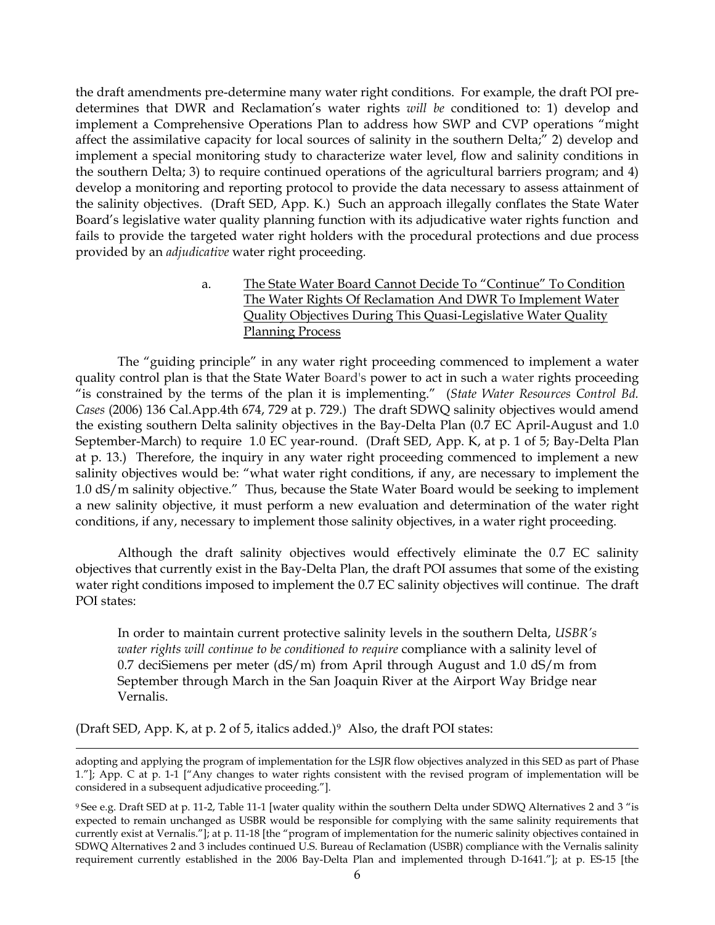the draft amendments pre-determine many water right conditions. For example, the draft POI predetermines that DWR and Reclamation's water rights *will be* conditioned to: 1) develop and implement a Comprehensive Operations Plan to address how SWP and CVP operations "might affect the assimilative capacity for local sources of salinity in the southern Delta;" 2) develop and implement a special monitoring study to characterize water level, flow and salinity conditions in the southern Delta; 3) to require continued operations of the agricultural barriers program; and 4) develop a monitoring and reporting protocol to provide the data necessary to assess attainment of the salinity objectives. (Draft SED, App. K.) Such an approach illegally conflates the State Water Board's legislative water quality planning function with its adjudicative water rights function and fails to provide the targeted water right holders with the procedural protections and due process provided by an *adjudicative* water right proceeding.

> a. The State Water Board Cannot Decide To "Continue" To Condition The Water Rights Of Reclamation And DWR To Implement Water Quality Objectives During This Quasi-Legislative Water Quality Planning Process

The "guiding principle" in any water right proceeding commenced to implement a water quality control plan is that the State Water Board's power to act in such a water rights proceeding "is constrained by the terms of the plan it is implementing." (*State Water Resources Control Bd. Cases* (2006) 136 Cal.App.4th 674, 729 at p. 729.) The draft SDWQ salinity objectives would amend the existing southern Delta salinity objectives in the Bay-Delta Plan (0.7 EC April-August and 1.0 September-March) to require 1.0 EC year-round. (Draft SED, App. K, at p. 1 of 5; Bay-Delta Plan at p. 13.) Therefore, the inquiry in any water right proceeding commenced to implement a new salinity objectives would be: "what water right conditions, if any, are necessary to implement the 1.0 dS/m salinity objective." Thus, because the State Water Board would be seeking to implement a new salinity objective, it must perform a new evaluation and determination of the water right conditions, if any, necessary to implement those salinity objectives, in a water right proceeding.

Although the draft salinity objectives would effectively eliminate the 0.7 EC salinity objectives that currently exist in the Bay-Delta Plan, the draft POI assumes that some of the existing water right conditions imposed to implement the 0.7 EC salinity objectives will continue. The draft POI states:

In order to maintain current protective salinity levels in the southern Delta, *USBR's water rights will continue to be conditioned to require* compliance with a salinity level of 0.7 deciSiemens per meter (dS/m) from April through August and 1.0 dS/m from September through March in the San Joaquin River at the Airport Way Bridge near Vernalis.

(Draft SED, App. K, at p. 2 of 5, italics added.)<sup>9</sup> Also, the draft POI states:

<u>.</u>

adopting and applying the program of implementation for the LSJR flow objectives analyzed in this SED as part of Phase 1."]; App. C at p. 1-1 ["Any changes to water rights consistent with the revised program of implementation will be considered in a subsequent adjudicative proceeding."].

<span id="page-21-0"></span><sup>9</sup> See e.g. Draft SED at p. 11-2, Table 11-1 [water quality within the southern Delta under SDWQ Alternatives 2 and 3 "is expected to remain unchanged as USBR would be responsible for complying with the same salinity requirements that currently exist at Vernalis."]; at p. 11-18 [the "program of implementation for the numeric salinity objectives contained in SDWQ Alternatives 2 and 3 includes continued U.S. Bureau of Reclamation (USBR) compliance with the Vernalis salinity requirement currently established in the 2006 Bay-Delta Plan and implemented through D-1641."]; at p. ES-15 [the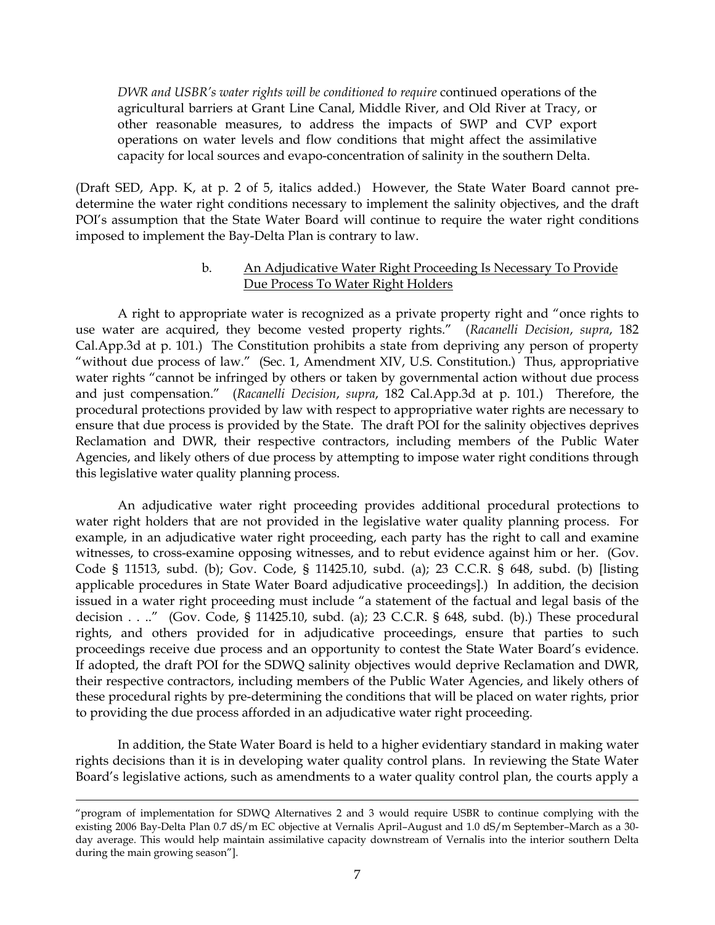*DWR and USBR's water rights will be conditioned to require* continued operations of the agricultural barriers at Grant Line Canal, Middle River, and Old River at Tracy, or other reasonable measures, to address the impacts of SWP and CVP export operations on water levels and flow conditions that might affect the assimilative capacity for local sources and evapo-concentration of salinity in the southern Delta.

(Draft SED, App. K, at p. 2 of 5, italics added.) However, the State Water Board cannot predetermine the water right conditions necessary to implement the salinity objectives, and the draft POI's assumption that the State Water Board will continue to require the water right conditions imposed to implement the Bay-Delta Plan is contrary to law.

## b. An Adjudicative Water Right Proceeding Is Necessary To Provide Due Process To Water Right Holders

A right to appropriate water is recognized as a private property right and "once rights to use water are acquired, they become vested property rights." (*Racanelli Decision*, *supra*, 182 Cal.App.3d at p. 101.) The Constitution prohibits a state from depriving any person of property "without due process of law." (Sec. 1, Amendment XIV, U.S. Constitution.) Thus, appropriative water rights "cannot be infringed by others or taken by governmental action without due process and just compensation." (*Racanelli Decision*, *supra*, 182 Cal.App.3d at p. 101.) Therefore, the procedural protections provided by law with respect to appropriative water rights are necessary to ensure that due process is provided by the State. The draft POI for the salinity objectives deprives Reclamation and DWR, their respective contractors, including members of the Public Water Agencies, and likely others of due process by attempting to impose water right conditions through this legislative water quality planning process.

An adjudicative water right proceeding provides additional procedural protections to water right holders that are not provided in the legislative water quality planning process. For example, in an adjudicative water right proceeding, each party has the right to call and examine witnesses, to cross-examine opposing witnesses, and to rebut evidence against him or her. (Gov. Code § 11513, subd. (b); Gov. Code, § 11425.10, subd. (a); 23 C.C.R. § 648, subd. (b) [listing applicable procedures in State Water Board adjudicative proceedings].) In addition, the decision issued in a water right proceeding must include "a statement of the factual and legal basis of the decision . . .." (Gov. Code, § 11425.10, subd. (a); 23 C.C.R. § 648, subd. (b).) These procedural rights, and others provided for in adjudicative proceedings, ensure that parties to such proceedings receive due process and an opportunity to contest the State Water Board's evidence. If adopted, the draft POI for the SDWQ salinity objectives would deprive Reclamation and DWR, their respective contractors, including members of the Public Water Agencies, and likely others of these procedural rights by pre-determining the conditions that will be placed on water rights, prior to providing the due process afforded in an adjudicative water right proceeding.

In addition, the State Water Board is held to a higher evidentiary standard in making water rights decisions than it is in developing water quality control plans. In reviewing the State Water Board's legislative actions, such as amendments to a water quality control plan, the courts apply a

<u>.</u>

<sup>&</sup>quot;program of implementation for SDWQ Alternatives 2 and 3 would require USBR to continue complying with the existing 2006 Bay-Delta Plan 0.7 dS/m EC objective at Vernalis April–August and 1.0 dS/m September–March as a 30 day average. This would help maintain assimilative capacity downstream of Vernalis into the interior southern Delta during the main growing season"].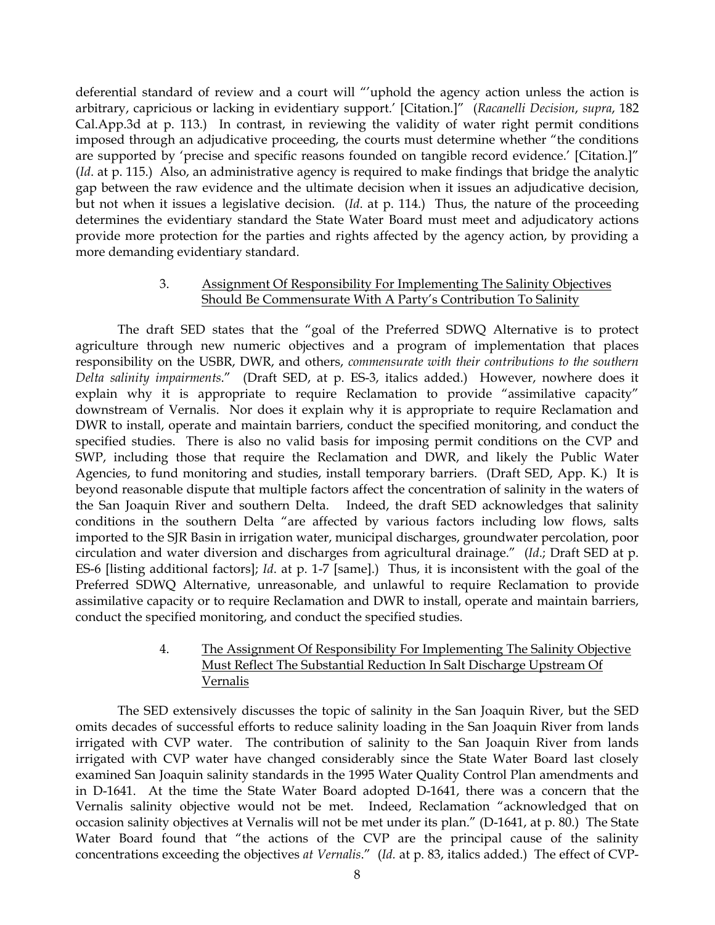deferential standard of review and a court will "'uphold the agency action unless the action is arbitrary, capricious or lacking in evidentiary support.' [Citation.]" (*Racanelli Decision*, *supra*, 182 Cal.App.3d at p. 113.) In contrast, in reviewing the validity of water right permit conditions imposed through an adjudicative proceeding, the courts must determine whether "the conditions are supported by 'precise and specific reasons founded on tangible record evidence.' [Citation.]" (*Id*. at p. 115.) Also, an administrative agency is required to make findings that bridge the analytic gap between the raw evidence and the ultimate decision when it issues an adjudicative decision, but not when it issues a legislative decision. (*Id*. at p. 114.) Thus, the nature of the proceeding determines the evidentiary standard the State Water Board must meet and adjudicatory actions provide more protection for the parties and rights affected by the agency action, by providing a more demanding evidentiary standard.

#### 3. Assignment Of Responsibility For Implementing The Salinity Objectives Should Be Commensurate With A Party's Contribution To Salinity

The draft SED states that the "goal of the Preferred SDWQ Alternative is to protect agriculture through new numeric objectives and a program of implementation that places responsibility on the USBR, DWR, and others, *commensurate with their contributions to the southern Delta salinity impairments*." (Draft SED, at p. ES-3, italics added.) However, nowhere does it explain why it is appropriate to require Reclamation to provide "assimilative capacity" downstream of Vernalis. Nor does it explain why it is appropriate to require Reclamation and DWR to install, operate and maintain barriers, conduct the specified monitoring, and conduct the specified studies. There is also no valid basis for imposing permit conditions on the CVP and SWP, including those that require the Reclamation and DWR, and likely the Public Water Agencies, to fund monitoring and studies, install temporary barriers. (Draft SED, App. K.) It is beyond reasonable dispute that multiple factors affect the concentration of salinity in the waters of the San Joaquin River and southern Delta. Indeed, the draft SED acknowledges that salinity conditions in the southern Delta "are affected by various factors including low flows, salts imported to the SJR Basin in irrigation water, municipal discharges, groundwater percolation, poor circulation and water diversion and discharges from agricultural drainage." (*Id*.; Draft SED at p. ES-6 [listing additional factors]; *Id*. at p. 1-7 [same].) Thus, it is inconsistent with the goal of the Preferred SDWQ Alternative, unreasonable, and unlawful to require Reclamation to provide assimilative capacity or to require Reclamation and DWR to install, operate and maintain barriers, conduct the specified monitoring, and conduct the specified studies.

## 4. The Assignment Of Responsibility For Implementing The Salinity Objective Must Reflect The Substantial Reduction In Salt Discharge Upstream Of Vernalis

The SED extensively discusses the topic of salinity in the San Joaquin River, but the SED omits decades of successful efforts to reduce salinity loading in the San Joaquin River from lands irrigated with CVP water. The contribution of salinity to the San Joaquin River from lands irrigated with CVP water have changed considerably since the State Water Board last closely examined San Joaquin salinity standards in the 1995 Water Quality Control Plan amendments and in D-1641. At the time the State Water Board adopted D-1641, there was a concern that the Vernalis salinity objective would not be met. Indeed, Reclamation "acknowledged that on occasion salinity objectives at Vernalis will not be met under its plan." (D-1641, at p. 80.) The State Water Board found that "the actions of the CVP are the principal cause of the salinity concentrations exceeding the objectives *at Vernalis*." (*Id.* at p. 83, italics added.) The effect of CVP-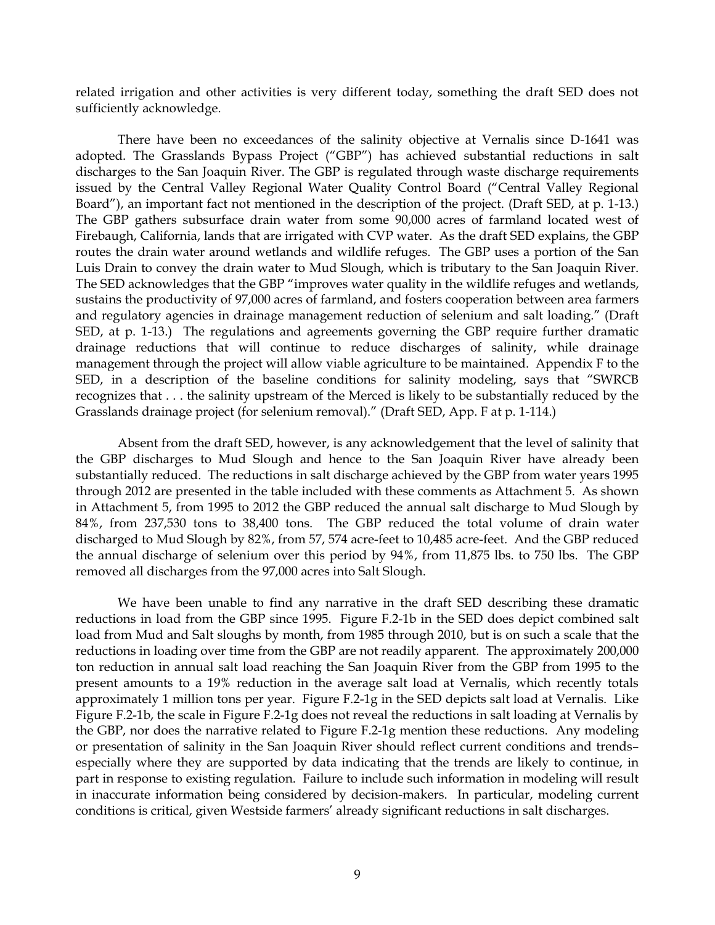related irrigation and other activities is very different today, something the draft SED does not sufficiently acknowledge.

There have been no exceedances of the salinity objective at Vernalis since D-1641 was adopted. The Grasslands Bypass Project ("GBP") has achieved substantial reductions in salt discharges to the San Joaquin River. The GBP is regulated through waste discharge requirements issued by the Central Valley Regional Water Quality Control Board ("Central Valley Regional Board"), an important fact not mentioned in the description of the project. (Draft SED, at p. 1-13.) The GBP gathers subsurface drain water from some 90,000 acres of farmland located west of Firebaugh, California, lands that are irrigated with CVP water. As the draft SED explains, the GBP routes the drain water around wetlands and wildlife refuges. The GBP uses a portion of the San Luis Drain to convey the drain water to Mud Slough, which is tributary to the San Joaquin River. The SED acknowledges that the GBP "improves water quality in the wildlife refuges and wetlands, sustains the productivity of 97,000 acres of farmland, and fosters cooperation between area farmers and regulatory agencies in drainage management reduction of selenium and salt loading." (Draft SED, at p. 1-13.) The regulations and agreements governing the GBP require further dramatic drainage reductions that will continue to reduce discharges of salinity, while drainage management through the project will allow viable agriculture to be maintained. Appendix F to the SED, in a description of the baseline conditions for salinity modeling, says that "SWRCB recognizes that . . . the salinity upstream of the Merced is likely to be substantially reduced by the Grasslands drainage project (for selenium removal)." (Draft SED, App. F at p. 1-114.)

Absent from the draft SED, however, is any acknowledgement that the level of salinity that the GBP discharges to Mud Slough and hence to the San Joaquin River have already been substantially reduced. The reductions in salt discharge achieved by the GBP from water years 1995 through 2012 are presented in the table included with these comments as Attachment 5. As shown in Attachment 5, from 1995 to 2012 the GBP reduced the annual salt discharge to Mud Slough by 84%, from 237,530 tons to 38,400 tons. The GBP reduced the total volume of drain water discharged to Mud Slough by 82%, from 57, 574 acre-feet to 10,485 acre-feet. And the GBP reduced the annual discharge of selenium over this period by 94%, from 11,875 lbs. to 750 lbs. The GBP removed all discharges from the 97,000 acres into Salt Slough.

We have been unable to find any narrative in the draft SED describing these dramatic reductions in load from the GBP since 1995. Figure F.2-1b in the SED does depict combined salt load from Mud and Salt sloughs by month, from 1985 through 2010, but is on such a scale that the reductions in loading over time from the GBP are not readily apparent. The approximately 200,000 ton reduction in annual salt load reaching the San Joaquin River from the GBP from 1995 to the present amounts to a 19% reduction in the average salt load at Vernalis, which recently totals approximately 1 million tons per year. Figure F.2-1g in the SED depicts salt load at Vernalis. Like Figure F.2-1b, the scale in Figure F.2-1g does not reveal the reductions in salt loading at Vernalis by the GBP, nor does the narrative related to Figure F.2-1g mention these reductions. Any modeling or presentation of salinity in the San Joaquin River should reflect current conditions and trends– especially where they are supported by data indicating that the trends are likely to continue, in part in response to existing regulation. Failure to include such information in modeling will result in inaccurate information being considered by decision-makers. In particular, modeling current conditions is critical, given Westside farmers' already significant reductions in salt discharges.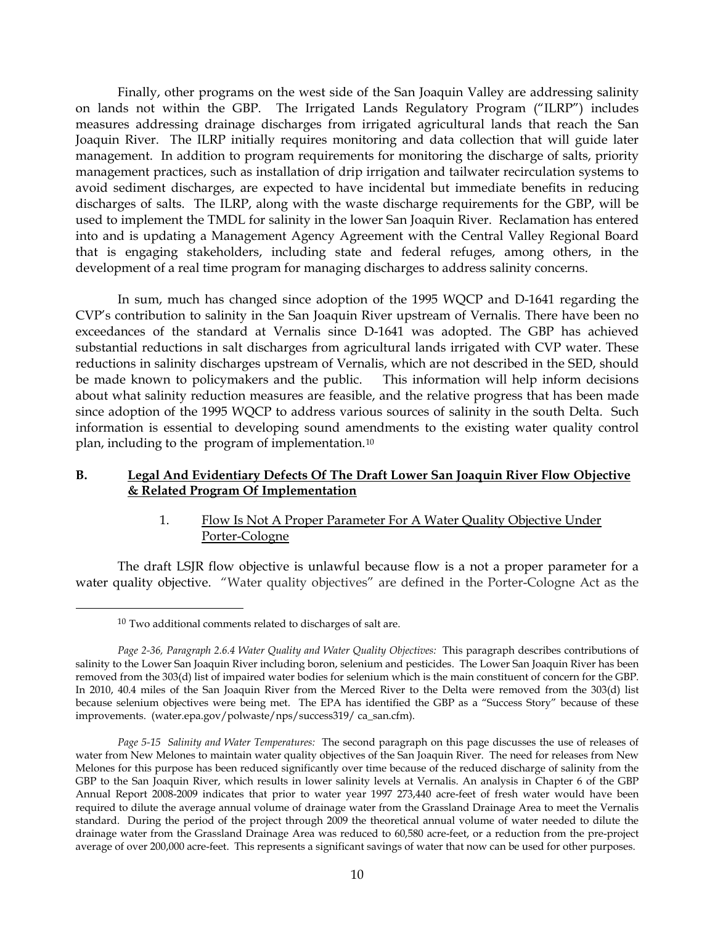Finally, other programs on the west side of the San Joaquin Valley are addressing salinity on lands not within the GBP. The Irrigated Lands Regulatory Program ("ILRP") includes measures addressing drainage discharges from irrigated agricultural lands that reach the San Joaquin River. The ILRP initially requires monitoring and data collection that will guide later management. In addition to program requirements for monitoring the discharge of salts, priority management practices, such as installation of drip irrigation and tailwater recirculation systems to avoid sediment discharges, are expected to have incidental but immediate benefits in reducing discharges of salts. The ILRP, along with the waste discharge requirements for the GBP, will be used to implement the TMDL for salinity in the lower San Joaquin River. Reclamation has entered into and is updating a Management Agency Agreement with the Central Valley Regional Board that is engaging stakeholders, including state and federal refuges, among others, in the development of a real time program for managing discharges to address salinity concerns.

In sum, much has changed since adoption of the 1995 WQCP and D-1641 regarding the CVP's contribution to salinity in the San Joaquin River upstream of Vernalis. There have been no exceedances of the standard at Vernalis since D-1641 was adopted. The GBP has achieved substantial reductions in salt discharges from agricultural lands irrigated with CVP water. These reductions in salinity discharges upstream of Vernalis, which are not described in the SED, should be made known to policymakers and the public. This information will help inform decisions about what salinity reduction measures are feasible, and the relative progress that has been made since adoption of the 1995 WQCP to address various sources of salinity in the south Delta. Such information is essential to developing sound amendments to the existing water quality control plan, including to the program of implementation.[10](#page-25-0)

#### **B. Legal And Evidentiary Defects Of The Draft Lower San Joaquin River Flow Objective & Related Program Of Implementation**

#### 1. Flow Is Not A Proper Parameter For A Water Quality Objective Under Porter-Cologne

The draft LSJR flow objective is unlawful because flow is a not a proper parameter for a water quality objective. "Water quality objectives" are defined in the Porter-Cologne Act as the

<span id="page-25-0"></span> $\overline{a}$ 

<sup>10</sup> Two additional comments related to discharges of salt are.

*Page 2-36, Paragraph 2.6.4 Water Quality and Water Quality Objectives:*This paragraph describes contributions of salinity to the Lower San Joaquin River including boron, selenium and pesticides. The Lower San Joaquin River has been removed from the 303(d) list of impaired water bodies for selenium which is the main constituent of concern for the GBP. In 2010, 40.4 miles of the San Joaquin River from the Merced River to the Delta were removed from the 303(d) list because selenium objectives were being met. The EPA has identified the GBP as a "Success Story" because of these improvements. (water.epa.gov/polwaste/nps/success319/ ca\_san.cfm).

*Page 5-15 Salinity and Water Temperatures:*The second paragraph on this page discusses the use of releases of water from New Melones to maintain water quality objectives of the San Joaquin River. The need for releases from New Melones for this purpose has been reduced significantly over time because of the reduced discharge of salinity from the GBP to the San Joaquin River, which results in lower salinity levels at Vernalis. An analysis in Chapter 6 of the GBP Annual Report 2008-2009 indicates that prior to water year 1997 273,440 acre-feet of fresh water would have been required to dilute the average annual volume of drainage water from the Grassland Drainage Area to meet the Vernalis standard. During the period of the project through 2009 the theoretical annual volume of water needed to dilute the drainage water from the Grassland Drainage Area was reduced to 60,580 acre-feet, or a reduction from the pre-project average of over 200,000 acre-feet. This represents a significant savings of water that now can be used for other purposes.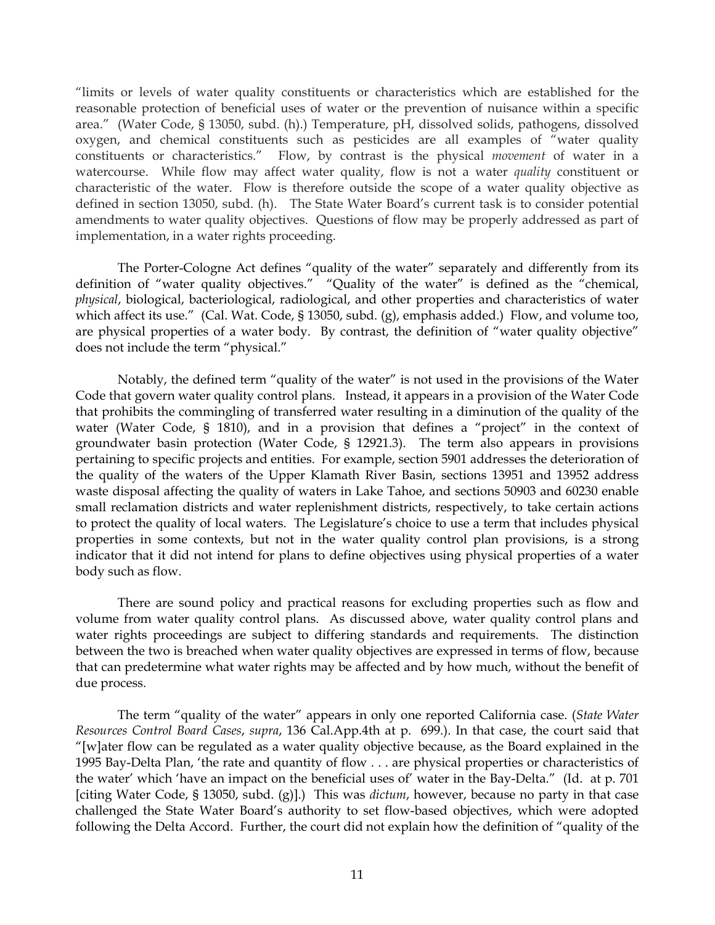"limits or levels of water quality constituents or characteristics which are established for the reasonable protection of beneficial uses of water or the prevention of nuisance within a specific area." (Water Code, § 13050, subd. (h).) Temperature, pH, dissolved solids, pathogens, dissolved oxygen, and chemical constituents such as pesticides are all examples of "water quality constituents or characteristics." Flow, by contrast is the physical *movement* of water in a watercourse. While flow may affect water quality, flow is not a water *quality* constituent or characteristic of the water. Flow is therefore outside the scope of a water quality objective as defined in section 13050, subd. (h). The State Water Board's current task is to consider potential amendments to water quality objectives. Questions of flow may be properly addressed as part of implementation, in a water rights proceeding.

The Porter-Cologne Act defines "quality of the water" separately and differently from its definition of "water quality objectives." "Quality of the water" is defined as the "chemical, *physical*, biological, bacteriological, radiological, and other properties and characteristics of water which affect its use." (Cal. Wat. Code, § 13050, subd. (g), emphasis added.) Flow, and volume too, are physical properties of a water body. By contrast, the definition of "water quality objective" does not include the term "physical."

Notably, the defined term "quality of the water" is not used in the provisions of the Water Code that govern water quality control plans. Instead, it appears in a provision of the Water Code that prohibits the commingling of transferred water resulting in a diminution of the quality of the water (Water Code, § 1810), and in a provision that defines a "project" in the context of groundwater basin protection (Water Code, § 12921.3). The term also appears in provisions pertaining to specific projects and entities. For example, section 5901 addresses the deterioration of the quality of the waters of the Upper Klamath River Basin, sections 13951 and 13952 address waste disposal affecting the quality of waters in Lake Tahoe, and sections 50903 and 60230 enable small reclamation districts and water replenishment districts, respectively, to take certain actions to protect the quality of local waters. The Legislature's choice to use a term that includes physical properties in some contexts, but not in the water quality control plan provisions, is a strong indicator that it did not intend for plans to define objectives using physical properties of a water body such as flow.

There are sound policy and practical reasons for excluding properties such as flow and volume from water quality control plans. As discussed above, water quality control plans and water rights proceedings are subject to differing standards and requirements. The distinction between the two is breached when water quality objectives are expressed in terms of flow, because that can predetermine what water rights may be affected and by how much, without the benefit of due process.

The term "quality of the water" appears in only one reported California case. (*State Water Resources Control Board Cases*, *supra*, 136 Cal.App.4th at p. 699.). In that case, the court said that "[w]ater flow can be regulated as a water quality objective because, as the Board explained in the 1995 Bay-Delta Plan, 'the rate and quantity of flow . . . are physical properties or characteristics of the water' which 'have an impact on the beneficial uses of' water in the Bay-Delta." (Id. at p. 701 [citing Water Code, § 13050, subd. (g)].) This was *dictum*, however, because no party in that case challenged the State Water Board's authority to set flow-based objectives, which were adopted following the Delta Accord. Further, the court did not explain how the definition of "quality of the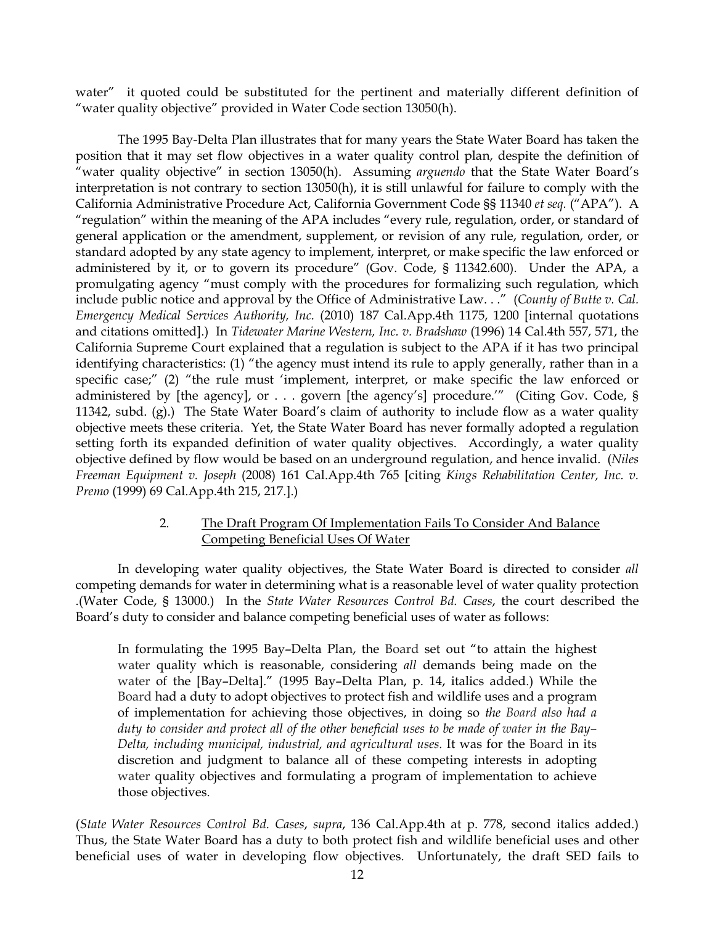water" it quoted could be substituted for the pertinent and materially different definition of "water quality objective" provided in Water Code section 13050(h).

The 1995 Bay-Delta Plan illustrates that for many years the State Water Board has taken the position that it may set flow objectives in a water quality control plan, despite the definition of "water quality objective" in section 13050(h). Assuming *arguendo* that the State Water Board's interpretation is not contrary to section 13050(h), it is still unlawful for failure to comply with the California Administrative Procedure Act, California Government Code §§ 11340 *et seq.* ("APA"). A "regulation" within the meaning of the APA includes "every rule, regulation, order, or standard of general application or the amendment, supplement, or revision of any rule, regulation, order, or standard adopted by any state agency to implement, interpret, or make specific the law enforced or administered by it, or to govern its procedure" (Gov. Code, § 11342.600). Under the APA, a promulgating agency "must comply with the procedures for formalizing such regulation, which include public notice and approval by the Office of Administrative Law. . ." (*County of Butte v. Cal. Emergency Medical Services Authority, Inc.* (2010) 187 Cal.App.4th 1175, 1200 [internal quotations and citations omitted].) In *Tidewater Marine Western, Inc. v. Bradshaw* (1996) 14 Cal.4th 557, 571, the California Supreme Court explained that a regulation is subject to the APA if it has two principal identifying characteristics: (1) "the agency must intend its rule to apply generally, rather than in a specific case;" (2) "the rule must 'implement, interpret, or make specific the law enforced or administered by [the agency], or . . . govern [the agency's] procedure.'" (Citing Gov. Code, § 11342, subd. (g).) The State Water Board's claim of authority to include flow as a water quality objective meets these criteria. Yet, the State Water Board has never formally adopted a regulation setting forth its expanded definition of water quality objectives. Accordingly, a water quality objective defined by flow would be based on an underground regulation, and hence invalid. (*Niles Freeman Equipment v. Joseph* (2008) 161 Cal.App.4th 765 [citing *Kings Rehabilitation Center, Inc. v. Premo* (1999) 69 Cal.App.4th 215, 217.].)

## 2. The Draft Program Of Implementation Fails To Consider And Balance Competing Beneficial Uses Of Water

In developing water quality objectives, the State Water Board is directed to consider *all*  competing demands for water in determining what is a reasonable level of water quality protection .(Water Code, § 13000.) In the *State Water Resources Control Bd. Cases*, the court described the Board's duty to consider and balance competing beneficial uses of water as follows:

In formulating the 1995 Bay–Delta Plan, the Board set out "to attain the highest water quality which is reasonable, considering *all* demands being made on the water of the [Bay–Delta]." (1995 Bay–Delta Plan, p. 14, italics added.) While the Board had a duty to adopt objectives to protect fish and wildlife uses and a program of implementation for achieving those objectives, in doing so *the Board also had a duty to consider and protect all of the other beneficial uses to be made of water in the Bay– Delta, including municipal, industrial, and agricultural uses.* It was for the Board in its discretion and judgment to balance all of these competing interests in adopting water quality objectives and formulating a program of implementation to achieve those objectives.

(*State Water Resources Control Bd. Cases*, *supra*, 136 Cal.App.4th at p. 778, second italics added.) Thus, the State Water Board has a duty to both protect fish and wildlife beneficial uses and other beneficial uses of water in developing flow objectives. Unfortunately, the draft SED fails to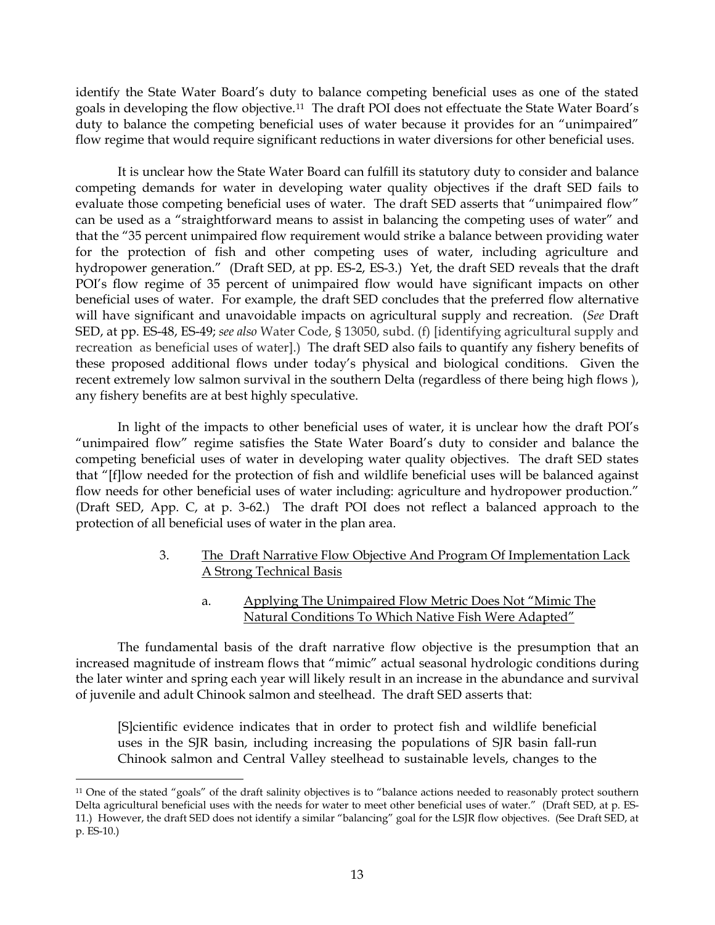identify the State Water Board's duty to balance competing beneficial uses as one of the stated goals in developing the flow objective.[11](#page-28-0) The draft POI does not effectuate the State Water Board's duty to balance the competing beneficial uses of water because it provides for an "unimpaired" flow regime that would require significant reductions in water diversions for other beneficial uses.

It is unclear how the State Water Board can fulfill its statutory duty to consider and balance competing demands for water in developing water quality objectives if the draft SED fails to evaluate those competing beneficial uses of water. The draft SED asserts that "unimpaired flow" can be used as a "straightforward means to assist in balancing the competing uses of water" and that the "35 percent unimpaired flow requirement would strike a balance between providing water for the protection of fish and other competing uses of water, including agriculture and hydropower generation." (Draft SED, at pp. ES-2, ES-3.) Yet, the draft SED reveals that the draft POI's flow regime of 35 percent of unimpaired flow would have significant impacts on other beneficial uses of water. For example, the draft SED concludes that the preferred flow alternative will have significant and unavoidable impacts on agricultural supply and recreation. (*See* Draft SED, at pp. ES-48, ES-49; *see also* Water Code, § 13050, subd. (f) [identifying agricultural supply and recreation as beneficial uses of water].) The draft SED also fails to quantify any fishery benefits of these proposed additional flows under today's physical and biological conditions. Given the recent extremely low salmon survival in the southern Delta (regardless of there being high flows ), any fishery benefits are at best highly speculative.

In light of the impacts to other beneficial uses of water, it is unclear how the draft POI's "unimpaired flow" regime satisfies the State Water Board's duty to consider and balance the competing beneficial uses of water in developing water quality objectives. The draft SED states that "[f]low needed for the protection of fish and wildlife beneficial uses will be balanced against flow needs for other beneficial uses of water including: agriculture and hydropower production." (Draft SED, App. C, at p. 3-62.) The draft POI does not reflect a balanced approach to the protection of all beneficial uses of water in the plan area.

- 3. The Draft Narrative Flow Objective And Program Of Implementation Lack A Strong Technical Basis
	- a. Applying The Unimpaired Flow Metric Does Not "Mimic The Natural Conditions To Which Native Fish Were Adapted"

The fundamental basis of the draft narrative flow objective is the presumption that an increased magnitude of instream flows that "mimic" actual seasonal hydrologic conditions during the later winter and spring each year will likely result in an increase in the abundance and survival of juvenile and adult Chinook salmon and steelhead. The draft SED asserts that:

[S]cientific evidence indicates that in order to protect fish and wildlife beneficial uses in the SJR basin, including increasing the populations of SJR basin fall-run Chinook salmon and Central Valley steelhead to sustainable levels, changes to the

 $\overline{a}$ 

<span id="page-28-0"></span><sup>11</sup> One of the stated "goals" of the draft salinity objectives is to "balance actions needed to reasonably protect southern Delta agricultural beneficial uses with the needs for water to meet other beneficial uses of water." (Draft SED, at p. ES-11.) However, the draft SED does not identify a similar "balancing" goal for the LSJR flow objectives. (See Draft SED, at p. ES-10.)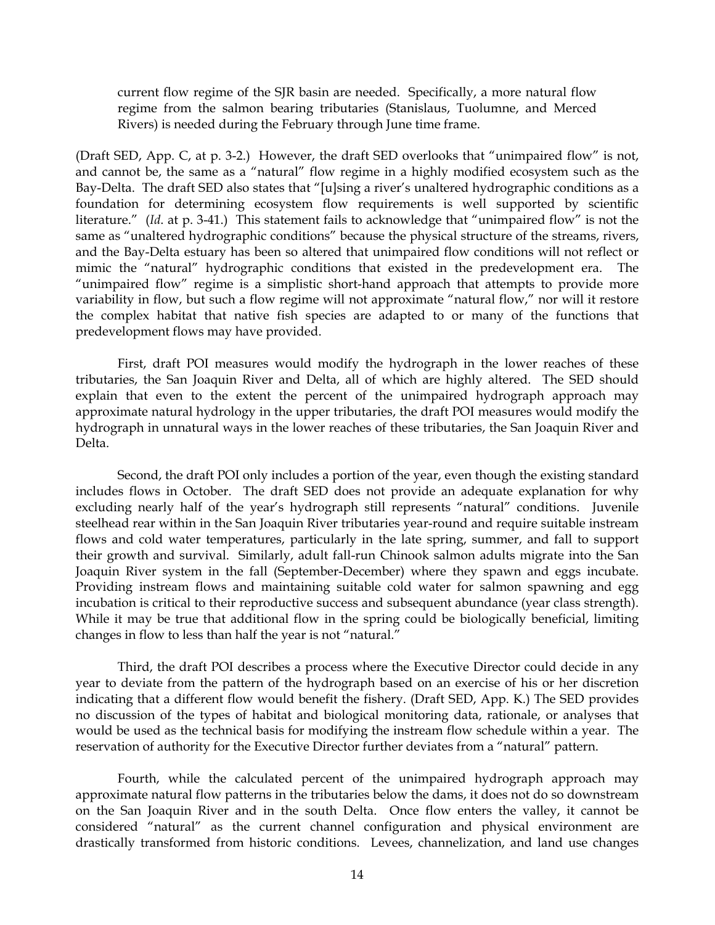current flow regime of the SJR basin are needed. Specifically, a more natural flow regime from the salmon bearing tributaries (Stanislaus, Tuolumne, and Merced Rivers) is needed during the February through June time frame.

(Draft SED, App. C, at p. 3-2.) However, the draft SED overlooks that "unimpaired flow" is not, and cannot be, the same as a "natural" flow regime in a highly modified ecosystem such as the Bay-Delta. The draft SED also states that "[u]sing a river's unaltered hydrographic conditions as a foundation for determining ecosystem flow requirements is well supported by scientific literature." (*Id*. at p. 3-41.) This statement fails to acknowledge that "unimpaired flow" is not the same as "unaltered hydrographic conditions" because the physical structure of the streams, rivers, and the Bay-Delta estuary has been so altered that unimpaired flow conditions will not reflect or mimic the "natural" hydrographic conditions that existed in the predevelopment era. The "unimpaired flow" regime is a simplistic short-hand approach that attempts to provide more variability in flow, but such a flow regime will not approximate "natural flow," nor will it restore the complex habitat that native fish species are adapted to or many of the functions that predevelopment flows may have provided.

First, draft POI measures would modify the hydrograph in the lower reaches of these tributaries, the San Joaquin River and Delta, all of which are highly altered. The SED should explain that even to the extent the percent of the unimpaired hydrograph approach may approximate natural hydrology in the upper tributaries, the draft POI measures would modify the hydrograph in unnatural ways in the lower reaches of these tributaries, the San Joaquin River and Delta.

Second, the draft POI only includes a portion of the year, even though the existing standard includes flows in October. The draft SED does not provide an adequate explanation for why excluding nearly half of the year's hydrograph still represents "natural" conditions. Juvenile steelhead rear within in the San Joaquin River tributaries year-round and require suitable instream flows and cold water temperatures, particularly in the late spring, summer, and fall to support their growth and survival. Similarly, adult fall-run Chinook salmon adults migrate into the San Joaquin River system in the fall (September-December) where they spawn and eggs incubate. Providing instream flows and maintaining suitable cold water for salmon spawning and egg incubation is critical to their reproductive success and subsequent abundance (year class strength). While it may be true that additional flow in the spring could be biologically beneficial, limiting changes in flow to less than half the year is not "natural."

Third, the draft POI describes a process where the Executive Director could decide in any year to deviate from the pattern of the hydrograph based on an exercise of his or her discretion indicating that a different flow would benefit the fishery. (Draft SED, App. K.) The SED provides no discussion of the types of habitat and biological monitoring data, rationale, or analyses that would be used as the technical basis for modifying the instream flow schedule within a year. The reservation of authority for the Executive Director further deviates from a "natural" pattern.

Fourth, while the calculated percent of the unimpaired hydrograph approach may approximate natural flow patterns in the tributaries below the dams, it does not do so downstream on the San Joaquin River and in the south Delta. Once flow enters the valley, it cannot be considered "natural" as the current channel configuration and physical environment are drastically transformed from historic conditions. Levees, channelization, and land use changes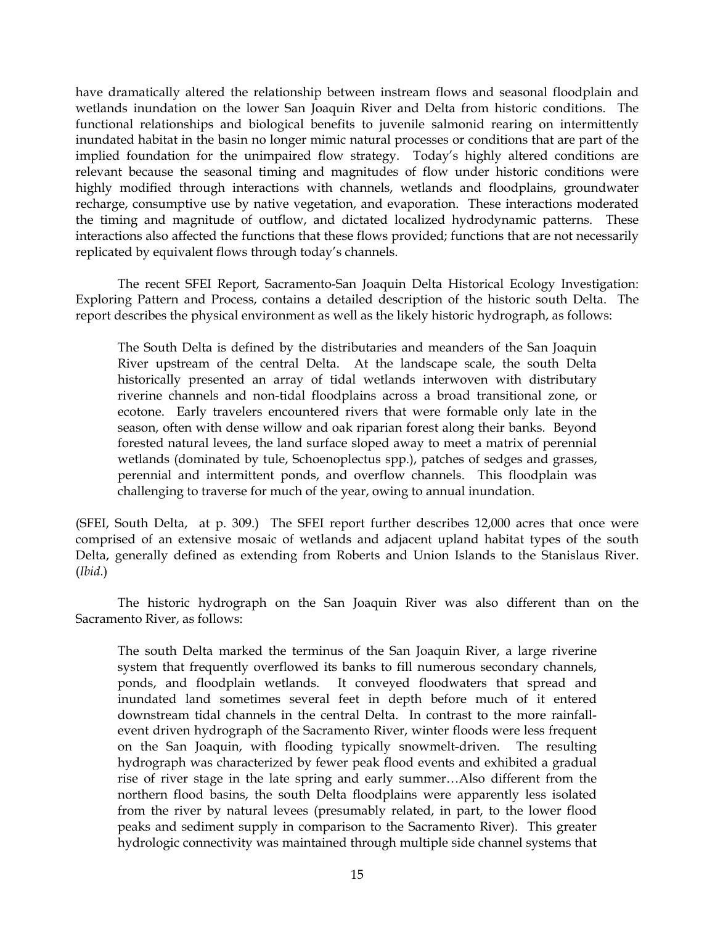have dramatically altered the relationship between instream flows and seasonal floodplain and wetlands inundation on the lower San Joaquin River and Delta from historic conditions. The functional relationships and biological benefits to juvenile salmonid rearing on intermittently inundated habitat in the basin no longer mimic natural processes or conditions that are part of the implied foundation for the unimpaired flow strategy. Today's highly altered conditions are relevant because the seasonal timing and magnitudes of flow under historic conditions were highly modified through interactions with channels, wetlands and floodplains, groundwater recharge, consumptive use by native vegetation, and evaporation. These interactions moderated the timing and magnitude of outflow, and dictated localized hydrodynamic patterns. These interactions also affected the functions that these flows provided; functions that are not necessarily replicated by equivalent flows through today's channels.

The recent SFEI Report, Sacramento-San Joaquin Delta Historical Ecology Investigation: Exploring Pattern and Process, contains a detailed description of the historic south Delta. The report describes the physical environment as well as the likely historic hydrograph, as follows:

The South Delta is defined by the distributaries and meanders of the San Joaquin River upstream of the central Delta. At the landscape scale, the south Delta historically presented an array of tidal wetlands interwoven with distributary riverine channels and non-tidal floodplains across a broad transitional zone, or ecotone. Early travelers encountered rivers that were formable only late in the season, often with dense willow and oak riparian forest along their banks. Beyond forested natural levees, the land surface sloped away to meet a matrix of perennial wetlands (dominated by tule, Schoenoplectus spp.), patches of sedges and grasses, perennial and intermittent ponds, and overflow channels. This floodplain was challenging to traverse for much of the year, owing to annual inundation.

(SFEI, South Delta, at p. 309.) The SFEI report further describes 12,000 acres that once were comprised of an extensive mosaic of wetlands and adjacent upland habitat types of the south Delta, generally defined as extending from Roberts and Union Islands to the Stanislaus River. (*Ibid*.)

The historic hydrograph on the San Joaquin River was also different than on the Sacramento River, as follows:

The south Delta marked the terminus of the San Joaquin River, a large riverine system that frequently overflowed its banks to fill numerous secondary channels, ponds, and floodplain wetlands. It conveyed floodwaters that spread and inundated land sometimes several feet in depth before much of it entered downstream tidal channels in the central Delta. In contrast to the more rainfallevent driven hydrograph of the Sacramento River, winter floods were less frequent on the San Joaquin, with flooding typically snowmelt-driven. The resulting hydrograph was characterized by fewer peak flood events and exhibited a gradual rise of river stage in the late spring and early summer…Also different from the northern flood basins, the south Delta floodplains were apparently less isolated from the river by natural levees (presumably related, in part, to the lower flood peaks and sediment supply in comparison to the Sacramento River). This greater hydrologic connectivity was maintained through multiple side channel systems that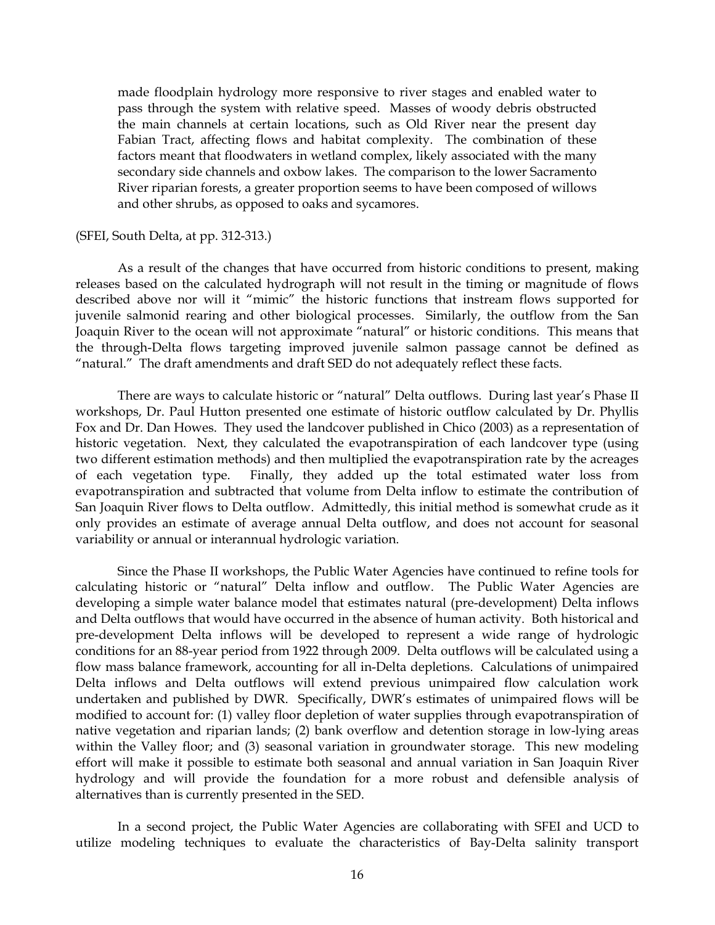made floodplain hydrology more responsive to river stages and enabled water to pass through the system with relative speed. Masses of woody debris obstructed the main channels at certain locations, such as Old River near the present day Fabian Tract, affecting flows and habitat complexity. The combination of these factors meant that floodwaters in wetland complex, likely associated with the many secondary side channels and oxbow lakes. The comparison to the lower Sacramento River riparian forests, a greater proportion seems to have been composed of willows and other shrubs, as opposed to oaks and sycamores.

#### (SFEI, South Delta, at pp. 312-313.)

As a result of the changes that have occurred from historic conditions to present, making releases based on the calculated hydrograph will not result in the timing or magnitude of flows described above nor will it "mimic" the historic functions that instream flows supported for juvenile salmonid rearing and other biological processes. Similarly, the outflow from the San Joaquin River to the ocean will not approximate "natural" or historic conditions. This means that the through-Delta flows targeting improved juvenile salmon passage cannot be defined as "natural." The draft amendments and draft SED do not adequately reflect these facts.

There are ways to calculate historic or "natural" Delta outflows. During last year's Phase II workshops, Dr. Paul Hutton presented one estimate of historic outflow calculated by Dr. Phyllis Fox and Dr. Dan Howes. They used the landcover published in Chico (2003) as a representation of historic vegetation. Next, they calculated the evapotranspiration of each landcover type (using two different estimation methods) and then multiplied the evapotranspiration rate by the acreages of each vegetation type. Finally, they added up the total estimated water loss from evapotranspiration and subtracted that volume from Delta inflow to estimate the contribution of San Joaquin River flows to Delta outflow. Admittedly, this initial method is somewhat crude as it only provides an estimate of average annual Delta outflow, and does not account for seasonal variability or annual or interannual hydrologic variation.

Since the Phase II workshops, the Public Water Agencies have continued to refine tools for calculating historic or "natural" Delta inflow and outflow. The Public Water Agencies are developing a simple water balance model that estimates natural (pre-development) Delta inflows and Delta outflows that would have occurred in the absence of human activity. Both historical and pre-development Delta inflows will be developed to represent a wide range of hydrologic conditions for an 88-year period from 1922 through 2009. Delta outflows will be calculated using a flow mass balance framework, accounting for all in-Delta depletions. Calculations of unimpaired Delta inflows and Delta outflows will extend previous unimpaired flow calculation work undertaken and published by DWR. Specifically, DWR's estimates of unimpaired flows will be modified to account for: (1) valley floor depletion of water supplies through evapotranspiration of native vegetation and riparian lands; (2) bank overflow and detention storage in low-lying areas within the Valley floor; and (3) seasonal variation in groundwater storage. This new modeling effort will make it possible to estimate both seasonal and annual variation in San Joaquin River hydrology and will provide the foundation for a more robust and defensible analysis of alternatives than is currently presented in the SED.

In a second project, the Public Water Agencies are collaborating with SFEI and UCD to utilize modeling techniques to evaluate the characteristics of Bay-Delta salinity transport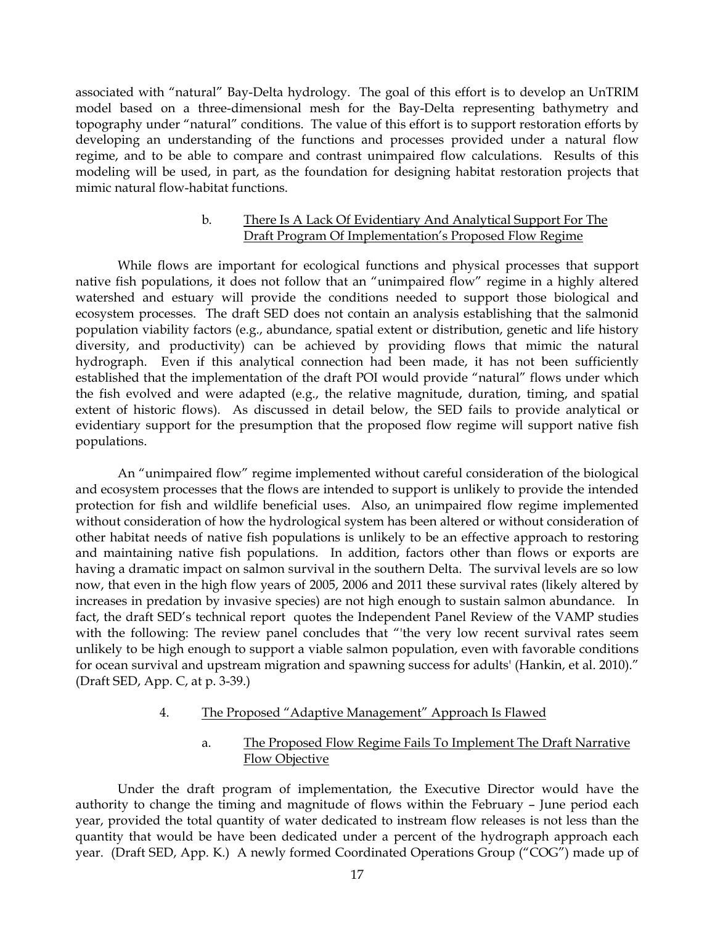associated with "natural" Bay-Delta hydrology. The goal of this effort is to develop an UnTRIM model based on a three-dimensional mesh for the Bay-Delta representing bathymetry and topography under "natural" conditions. The value of this effort is to support restoration efforts by developing an understanding of the functions and processes provided under a natural flow regime, and to be able to compare and contrast unimpaired flow calculations. Results of this modeling will be used, in part, as the foundation for designing habitat restoration projects that mimic natural flow-habitat functions.

#### b. There Is A Lack Of Evidentiary And Analytical Support For The Draft Program Of Implementation's Proposed Flow Regime

While flows are important for ecological functions and physical processes that support native fish populations, it does not follow that an "unimpaired flow" regime in a highly altered watershed and estuary will provide the conditions needed to support those biological and ecosystem processes. The draft SED does not contain an analysis establishing that the salmonid population viability factors (e.g., abundance, spatial extent or distribution, genetic and life history diversity, and productivity) can be achieved by providing flows that mimic the natural hydrograph. Even if this analytical connection had been made, it has not been sufficiently established that the implementation of the draft POI would provide "natural" flows under which the fish evolved and were adapted (e.g., the relative magnitude, duration, timing, and spatial extent of historic flows). As discussed in detail below, the SED fails to provide analytical or evidentiary support for the presumption that the proposed flow regime will support native fish populations.

An "unimpaired flow" regime implemented without careful consideration of the biological and ecosystem processes that the flows are intended to support is unlikely to provide the intended protection for fish and wildlife beneficial uses. Also, an unimpaired flow regime implemented without consideration of how the hydrological system has been altered or without consideration of other habitat needs of native fish populations is unlikely to be an effective approach to restoring and maintaining native fish populations. In addition, factors other than flows or exports are having a dramatic impact on salmon survival in the southern Delta. The survival levels are so low now, that even in the high flow years of 2005, 2006 and 2011 these survival rates (likely altered by increases in predation by invasive species) are not high enough to sustain salmon abundance. In fact, the draft SED's technical report quotes the Independent Panel Review of the VAMP studies with the following: The review panel concludes that "the very low recent survival rates seem unlikely to be high enough to support a viable salmon population, even with favorable conditions for ocean survival and upstream migration and spawning success for adults' (Hankin, et al. 2010)." (Draft SED, App. C, at p. 3-39.)

## 4. The Proposed "Adaptive Management" Approach Is Flawed

#### a. The Proposed Flow Regime Fails To Implement The Draft Narrative Flow Objective

Under the draft program of implementation, the Executive Director would have the authority to change the timing and magnitude of flows within the February – June period each year, provided the total quantity of water dedicated to instream flow releases is not less than the quantity that would be have been dedicated under a percent of the hydrograph approach each year. (Draft SED, App. K.) A newly formed Coordinated Operations Group ("COG") made up of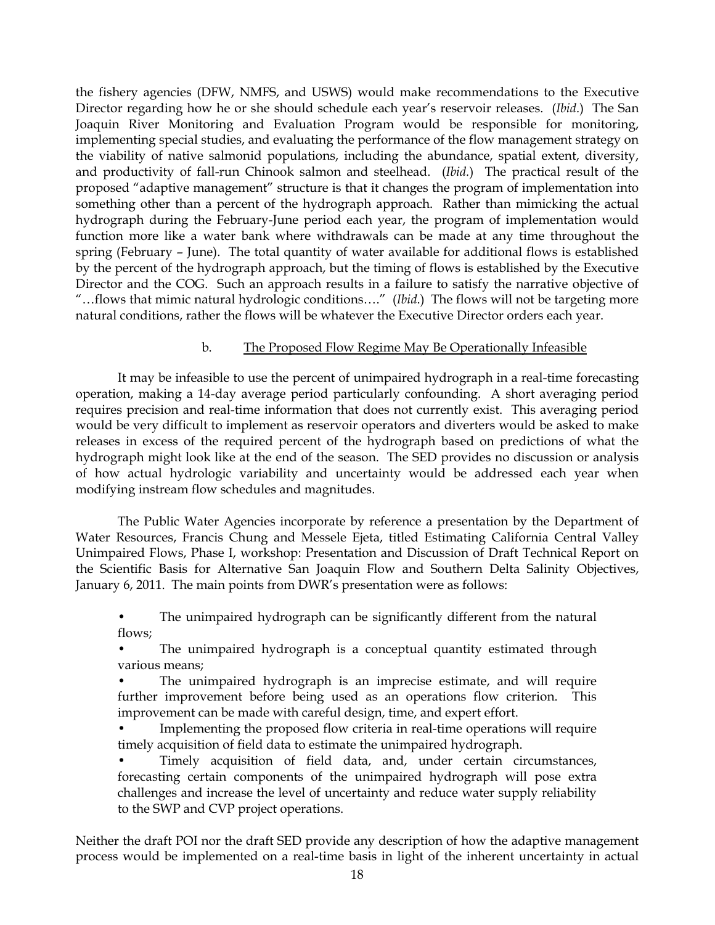the fishery agencies (DFW, NMFS, and USWS) would make recommendations to the Executive Director regarding how he or she should schedule each year's reservoir releases. (*Ibid*.) The San Joaquin River Monitoring and Evaluation Program would be responsible for monitoring, implementing special studies, and evaluating the performance of the flow management strategy on the viability of native salmonid populations, including the abundance, spatial extent, diversity, and productivity of fall-run Chinook salmon and steelhead. (*Ibid.*) The practical result of the proposed "adaptive management" structure is that it changes the program of implementation into something other than a percent of the hydrograph approach. Rather than mimicking the actual hydrograph during the February-June period each year, the program of implementation would function more like a water bank where withdrawals can be made at any time throughout the spring (February – June). The total quantity of water available for additional flows is established by the percent of the hydrograph approach, but the timing of flows is established by the Executive Director and the COG. Such an approach results in a failure to satisfy the narrative objective of "…flows that mimic natural hydrologic conditions…." (*Ibid*.) The flows will not be targeting more natural conditions, rather the flows will be whatever the Executive Director orders each year.

## b. The Proposed Flow Regime May Be Operationally Infeasible

It may be infeasible to use the percent of unimpaired hydrograph in a real-time forecasting operation, making a 14-day average period particularly confounding. A short averaging period requires precision and real-time information that does not currently exist. This averaging period would be very difficult to implement as reservoir operators and diverters would be asked to make releases in excess of the required percent of the hydrograph based on predictions of what the hydrograph might look like at the end of the season. The SED provides no discussion or analysis of how actual hydrologic variability and uncertainty would be addressed each year when modifying instream flow schedules and magnitudes.

The Public Water Agencies incorporate by reference a presentation by the Department of Water Resources, Francis Chung and Messele Ejeta, titled Estimating California Central Valley Unimpaired Flows, Phase I, workshop: Presentation and Discussion of Draft Technical Report on the Scientific Basis for Alternative San Joaquin Flow and Southern Delta Salinity Objectives, January 6, 2011. The main points from DWR's presentation were as follows:

The unimpaired hydrograph can be significantly different from the natural flows;

The unimpaired hydrograph is a conceptual quantity estimated through various means;

The unimpaired hydrograph is an imprecise estimate, and will require further improvement before being used as an operations flow criterion. This improvement can be made with careful design, time, and expert effort.

• Implementing the proposed flow criteria in real-time operations will require timely acquisition of field data to estimate the unimpaired hydrograph.

Timely acquisition of field data, and, under certain circumstances, forecasting certain components of the unimpaired hydrograph will pose extra challenges and increase the level of uncertainty and reduce water supply reliability to the SWP and CVP project operations.

Neither the draft POI nor the draft SED provide any description of how the adaptive management process would be implemented on a real-time basis in light of the inherent uncertainty in actual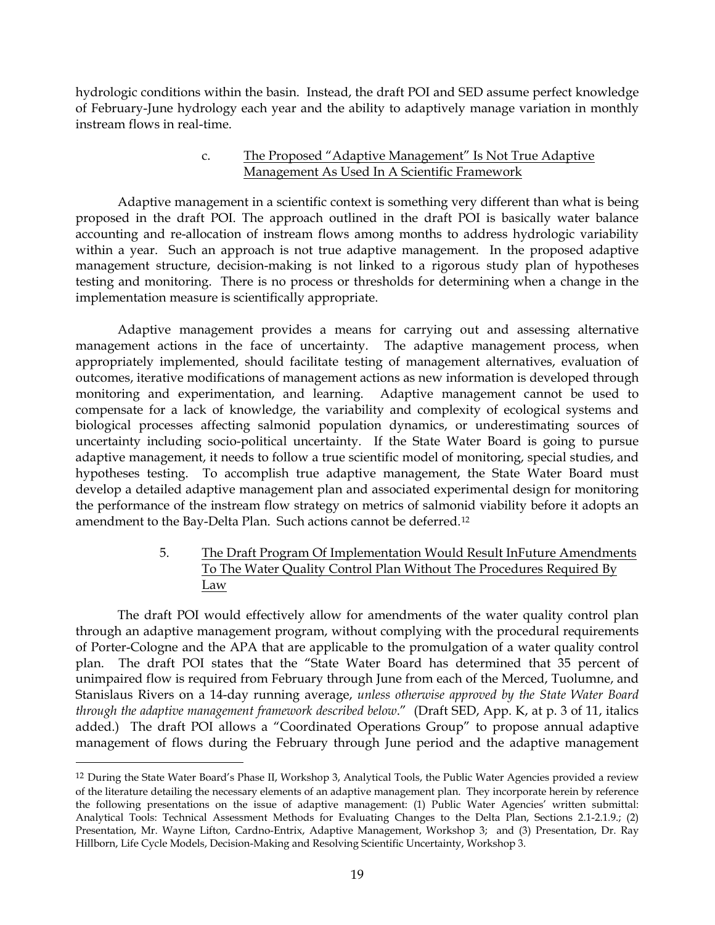hydrologic conditions within the basin. Instead, the draft POI and SED assume perfect knowledge of February-June hydrology each year and the ability to adaptively manage variation in monthly instream flows in real-time.

## c. The Proposed "Adaptive Management" Is Not True Adaptive Management As Used In A Scientific Framework

Adaptive management in a scientific context is something very different than what is being proposed in the draft POI. The approach outlined in the draft POI is basically water balance accounting and re-allocation of instream flows among months to address hydrologic variability within a year. Such an approach is not true adaptive management. In the proposed adaptive management structure, decision-making is not linked to a rigorous study plan of hypotheses testing and monitoring. There is no process or thresholds for determining when a change in the implementation measure is scientifically appropriate.

Adaptive management provides a means for carrying out and assessing alternative management actions in the face of uncertainty. The adaptive management process, when appropriately implemented, should facilitate testing of management alternatives, evaluation of outcomes, iterative modifications of management actions as new information is developed through monitoring and experimentation, and learning. Adaptive management cannot be used to compensate for a lack of knowledge, the variability and complexity of ecological systems and biological processes affecting salmonid population dynamics, or underestimating sources of uncertainty including socio-political uncertainty. If the State Water Board is going to pursue adaptive management, it needs to follow a true scientific model of monitoring, special studies, and hypotheses testing. To accomplish true adaptive management, the State Water Board must develop a detailed adaptive management plan and associated experimental design for monitoring the performance of the instream flow strategy on metrics of salmonid viability before it adopts an amendment to the Bay-Delta Plan. Such actions cannot be deferred.[12](#page-34-0)

## 5. The Draft Program Of Implementation Would Result InFuture Amendments To The Water Quality Control Plan Without The Procedures Required By Law

 The draft POI would effectively allow for amendments of the water quality control plan through an adaptive management program, without complying with the procedural requirements of Porter-Cologne and the APA that are applicable to the promulgation of a water quality control plan. The draft POI states that the "State Water Board has determined that 35 percent of unimpaired flow is required from February through June from each of the Merced, Tuolumne, and Stanislaus Rivers on a 14-day running average, *unless otherwise approved by the State Water Board through the adaptive management framework described below*." (Draft SED, App. K, at p. 3 of 11, italics added.) The draft POI allows a "Coordinated Operations Group" to propose annual adaptive management of flows during the February through June period and the adaptive management

 $\overline{a}$ 

<span id="page-34-0"></span><sup>&</sup>lt;sup>12</sup> During the State Water Board's Phase II, Workshop 3, Analytical Tools, the Public Water Agencies provided a review of the literature detailing the necessary elements of an adaptive management plan. They incorporate herein by reference the following presentations on the issue of adaptive management: (1) Public Water Agencies' written submittal: Analytical Tools: Technical Assessment Methods for Evaluating Changes to the Delta Plan, Sections 2.1-2.1.9.; (2) Presentation, Mr. Wayne Lifton, Cardno-Entrix, Adaptive Management, Workshop 3; and (3) Presentation, Dr. Ray Hillborn, Life Cycle Models, Decision-Making and Resolving Scientific Uncertainty, Workshop 3.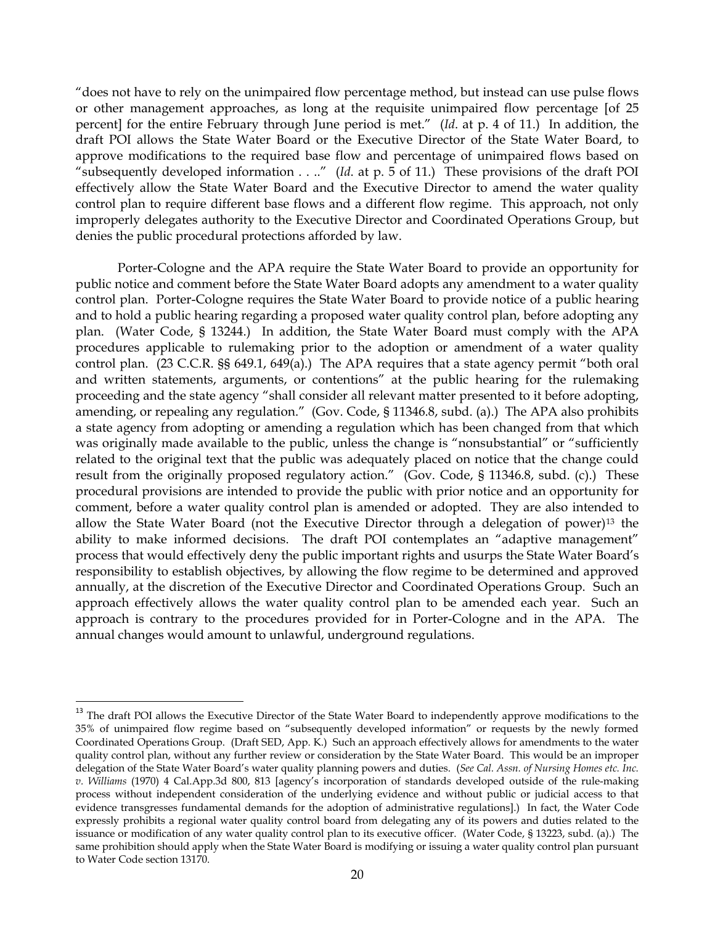"does not have to rely on the unimpaired flow percentage method, but instead can use pulse flows or other management approaches, as long at the requisite unimpaired flow percentage [of 25 percent] for the entire February through June period is met." (*Id*. at p. 4 of 11.) In addition, the draft POI allows the State Water Board or the Executive Director of the State Water Board, to approve modifications to the required base flow and percentage of unimpaired flows based on "subsequently developed information . . .." (*Id*. at p. 5 of 11.) These provisions of the draft POI effectively allow the State Water Board and the Executive Director to amend the water quality control plan to require different base flows and a different flow regime. This approach, not only improperly delegates authority to the Executive Director and Coordinated Operations Group, but denies the public procedural protections afforded by law.

Porter-Cologne and the APA require the State Water Board to provide an opportunity for public notice and comment before the State Water Board adopts any amendment to a water quality control plan. Porter-Cologne requires the State Water Board to provide notice of a public hearing and to hold a public hearing regarding a proposed water quality control plan, before adopting any plan. (Water Code, § 13244.) In addition, the State Water Board must comply with the APA procedures applicable to rulemaking prior to the adoption or amendment of a water quality control plan. (23 C.C.R. §§ 649.1, 649(a).) The APA requires that a state agency permit "both oral and written statements, arguments, or contentions" at the public hearing for the rulemaking proceeding and the state agency "shall consider all relevant matter presented to it before adopting, amending, or repealing any regulation." (Gov. Code, § 11346.8, subd. (a).) The APA also prohibits a state agency from adopting or amending a regulation which has been changed from that which was originally made available to the public, unless the change is "nonsubstantial" or "sufficiently related to the original text that the public was adequately placed on notice that the change could result from the originally proposed regulatory action." (Gov. Code, § 11346.8, subd. (c).) These procedural provisions are intended to provide the public with prior notice and an opportunity for comment, before a water quality control plan is amended or adopted. They are also intended to allow the State Water Board (not the Executive Director through a delegation of power)<sup>[13](#page-35-0)</sup> the ability to make informed decisions. The draft POI contemplates an "adaptive management" process that would effectively deny the public important rights and usurps the State Water Board's responsibility to establish objectives, by allowing the flow regime to be determined and approved annually, at the discretion of the Executive Director and Coordinated Operations Group. Such an approach effectively allows the water quality control plan to be amended each year. Such an approach is contrary to the procedures provided for in Porter-Cologne and in the APA. The annual changes would amount to unlawful, underground regulations.

 $\overline{a}$ 

<span id="page-35-0"></span><sup>&</sup>lt;sup>13</sup> The draft POI allows the Executive Director of the State Water Board to independently approve modifications to the 35% of unimpaired flow regime based on "subsequently developed information" or requests by the newly formed Coordinated Operations Group. (Draft SED, App. K.) Such an approach effectively allows for amendments to the water quality control plan, without any further review or consideration by the State Water Board. This would be an improper delegation of the State Water Board's water quality planning powers and duties. (*See Cal. Assn. of Nursing Homes etc. Inc. v. Williams* (1970) 4 Cal.App.3d 800, 813 [agency's incorporation of standards developed outside of the rule-making process without independent consideration of the underlying evidence and without public or judicial access to that evidence transgresses fundamental demands for the adoption of administrative regulations].) In fact, the Water Code expressly prohibits a regional water quality control board from delegating any of its powers and duties related to the issuance or modification of any water quality control plan to its executive officer. (Water Code, § 13223, subd. (a).) The same prohibition should apply when the State Water Board is modifying or issuing a water quality control plan pursuant to Water Code section 13170.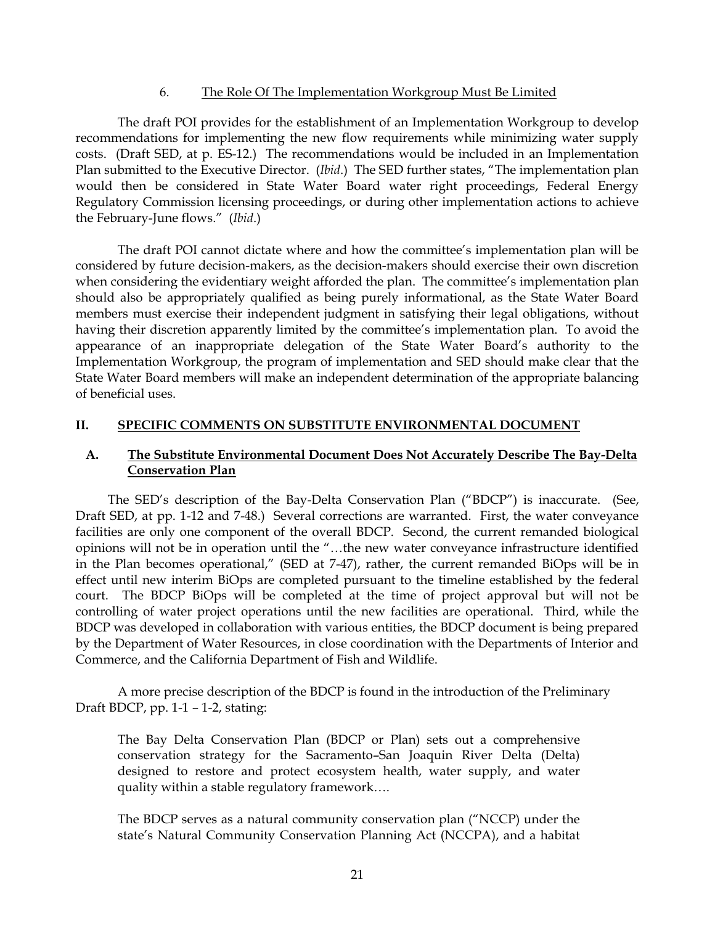### 6. The Role Of The Implementation Workgroup Must Be Limited

The draft POI provides for the establishment of an Implementation Workgroup to develop recommendations for implementing the new flow requirements while minimizing water supply costs. (Draft SED, at p. ES-12.) The recommendations would be included in an Implementation Plan submitted to the Executive Director. (*Ibid*.) The SED further states, "The implementation plan would then be considered in State Water Board water right proceedings, Federal Energy Regulatory Commission licensing proceedings, or during other implementation actions to achieve the February-June flows." (*Ibid*.)

The draft POI cannot dictate where and how the committee's implementation plan will be considered by future decision-makers, as the decision-makers should exercise their own discretion when considering the evidentiary weight afforded the plan. The committee's implementation plan should also be appropriately qualified as being purely informational, as the State Water Board members must exercise their independent judgment in satisfying their legal obligations, without having their discretion apparently limited by the committee's implementation plan. To avoid the appearance of an inappropriate delegation of the State Water Board's authority to the Implementation Workgroup, the program of implementation and SED should make clear that the State Water Board members will make an independent determination of the appropriate balancing of beneficial uses.

## **II. SPECIFIC COMMENTS ON SUBSTITUTE ENVIRONMENTAL DOCUMENT**

## **A. The Substitute Environmental Document Does Not Accurately Describe The Bay-Delta Conservation Plan**

The SED's description of the Bay-Delta Conservation Plan ("BDCP") is inaccurate. (See, Draft SED, at pp. 1-12 and 7-48.) Several corrections are warranted. First, the water conveyance facilities are only one component of the overall BDCP. Second, the current remanded biological opinions will not be in operation until the "…the new water conveyance infrastructure identified in the Plan becomes operational," (SED at 7-47), rather, the current remanded BiOps will be in effect until new interim BiOps are completed pursuant to the timeline established by the federal court. The BDCP BiOps will be completed at the time of project approval but will not be controlling of water project operations until the new facilities are operational. Third, while the BDCP was developed in collaboration with various entities, the BDCP document is being prepared by the Department of Water Resources, in close coordination with the Departments of Interior and Commerce, and the California Department of Fish and Wildlife.

 A more precise description of the BDCP is found in the introduction of the Preliminary Draft BDCP, pp. 1-1 – 1-2, stating:

The Bay Delta Conservation Plan (BDCP or Plan) sets out a comprehensive conservation strategy for the Sacramento–San Joaquin River Delta (Delta) designed to restore and protect ecosystem health, water supply, and water quality within a stable regulatory framework….

The BDCP serves as a natural community conservation plan ("NCCP) under the state's Natural Community Conservation Planning Act (NCCPA), and a habitat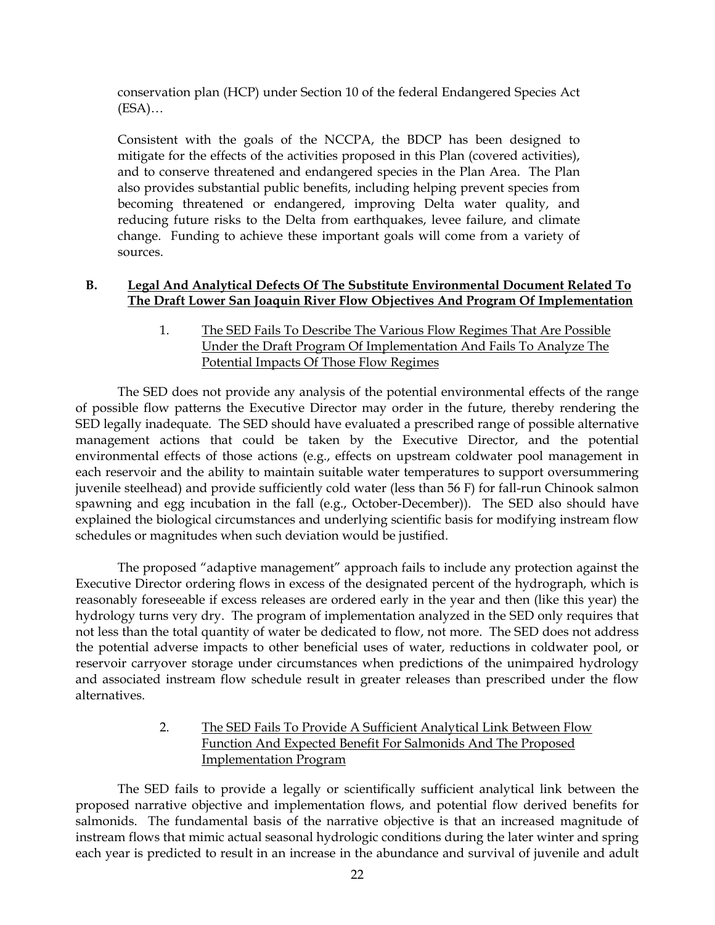conservation plan (HCP) under Section 10 of the federal Endangered Species Act  $(ESA)$ ...

Consistent with the goals of the NCCPA, the BDCP has been designed to mitigate for the effects of the activities proposed in this Plan (covered activities), and to conserve threatened and endangered species in the Plan Area. The Plan also provides substantial public benefits, including helping prevent species from becoming threatened or endangered, improving Delta water quality, and reducing future risks to the Delta from earthquakes, levee failure, and climate change. Funding to achieve these important goals will come from a variety of sources.

# **B. Legal And Analytical Defects Of The Substitute Environmental Document Related To The Draft Lower San Joaquin River Flow Objectives And Program Of Implementation**

1. The SED Fails To Describe The Various Flow Regimes That Are Possible Under the Draft Program Of Implementation And Fails To Analyze The Potential Impacts Of Those Flow Regimes

The SED does not provide any analysis of the potential environmental effects of the range of possible flow patterns the Executive Director may order in the future, thereby rendering the SED legally inadequate. The SED should have evaluated a prescribed range of possible alternative management actions that could be taken by the Executive Director, and the potential environmental effects of those actions (e.g., effects on upstream coldwater pool management in each reservoir and the ability to maintain suitable water temperatures to support oversummering juvenile steelhead) and provide sufficiently cold water (less than 56 F) for fall-run Chinook salmon spawning and egg incubation in the fall (e.g., October-December)). The SED also should have explained the biological circumstances and underlying scientific basis for modifying instream flow schedules or magnitudes when such deviation would be justified.

The proposed "adaptive management" approach fails to include any protection against the Executive Director ordering flows in excess of the designated percent of the hydrograph, which is reasonably foreseeable if excess releases are ordered early in the year and then (like this year) the hydrology turns very dry. The program of implementation analyzed in the SED only requires that not less than the total quantity of water be dedicated to flow, not more. The SED does not address the potential adverse impacts to other beneficial uses of water, reductions in coldwater pool, or reservoir carryover storage under circumstances when predictions of the unimpaired hydrology and associated instream flow schedule result in greater releases than prescribed under the flow alternatives.

# 2. The SED Fails To Provide A Sufficient Analytical Link Between Flow Function And Expected Benefit For Salmonids And The Proposed Implementation Program

The SED fails to provide a legally or scientifically sufficient analytical link between the proposed narrative objective and implementation flows, and potential flow derived benefits for salmonids. The fundamental basis of the narrative objective is that an increased magnitude of instream flows that mimic actual seasonal hydrologic conditions during the later winter and spring each year is predicted to result in an increase in the abundance and survival of juvenile and adult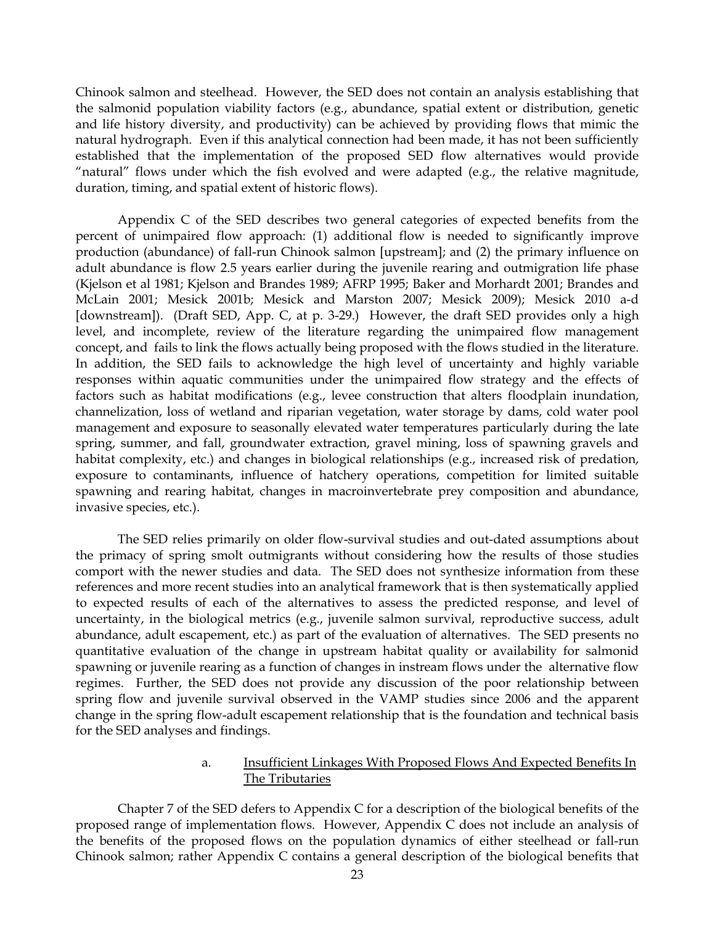Chinook salmon and steelhead. However, the SED does not contain an analysis establishing that the salmonid population viability factors (e.g., abundance, spatial extent or distribution, genetic and life history diversity, and productivity) can be achieved by providing flows that mimic the natural hydrograph. Even if this analytical connection had been made, it has not been sufficiently established that the implementation of the proposed SED flow alternatives would provide "natural" flows under which the fish evolved and were adapted (e.g., the relative magnitude, duration, timing, and spatial extent of historic flows).

Appendix C of the SED describes two general categories of expected benefits from the percent of unimpaired flow approach: (1) additional flow is needed to significantly improve production (abundance) of fall-run Chinook salmon [upstream]; and (2) the primary influence on adult abundance is flow 2.5 years earlier during the juvenile rearing and outmigration life phase (Kjelson et al 1981; Kjelson and Brandes 1989; AFRP 1995; Baker and Morhardt 2001; Brandes and McLain 2001; Mesick 2001b; Mesick and Marston 2007; Mesick 2009); Mesick 2010 a-d [downstream]). (Draft SED, App. C, at p. 3-29.) However, the draft SED provides only a high level, and incomplete, review of the literature regarding the unimpaired flow management concept, and fails to link the flows actually being proposed with the flows studied in the literature. In addition, the SED fails to acknowledge the high level of uncertainty and highly variable responses within aquatic communities under the unimpaired flow strategy and the effects of factors such as habitat modifications (e.g., levee construction that alters floodplain inundation, channelization, loss of wetland and riparian vegetation, water storage by dams, cold water pool management and exposure to seasonally elevated water temperatures particularly during the late spring, summer, and fall, groundwater extraction, gravel mining, loss of spawning gravels and habitat complexity, etc.) and changes in biological relationships (e.g., increased risk of predation, exposure to contaminants, influence of hatchery operations, competition for limited suitable spawning and rearing habitat, changes in macroinvertebrate prey composition and abundance, invasive species, etc.).

The SED relies primarily on older flow-survival studies and out-dated assumptions about the primacy of spring smolt outmigrants without considering how the results of those studies comport with the newer studies and data. The SED does not synthesize information from these references and more recent studies into an analytical framework that is then systematically applied to expected results of each of the alternatives to assess the predicted response, and level of uncertainty, in the biological metrics (e.g., juvenile salmon survival, reproductive success, adult abundance, adult escapement, etc.) as part of the evaluation of alternatives. The SED presents no quantitative evaluation of the change in upstream habitat quality or availability for salmonid spawning or juvenile rearing as a function of changes in instream flows under the alternative flow regimes. Further, the SED does not provide any discussion of the poor relationship between spring flow and juvenile survival observed in the VAMP studies since 2006 and the apparent change in the spring flow-adult escapement relationship that is the foundation and technical basis for the SED analyses and findings.

### a. Insufficient Linkages With Proposed Flows And Expected Benefits In The Tributaries

Chapter 7 of the SED defers to Appendix C for a description of the biological benefits of the proposed range of implementation flows. However, Appendix C does not include an analysis of the benefits of the proposed flows on the population dynamics of either steelhead or fall-run Chinook salmon; rather Appendix C contains a general description of the biological benefits that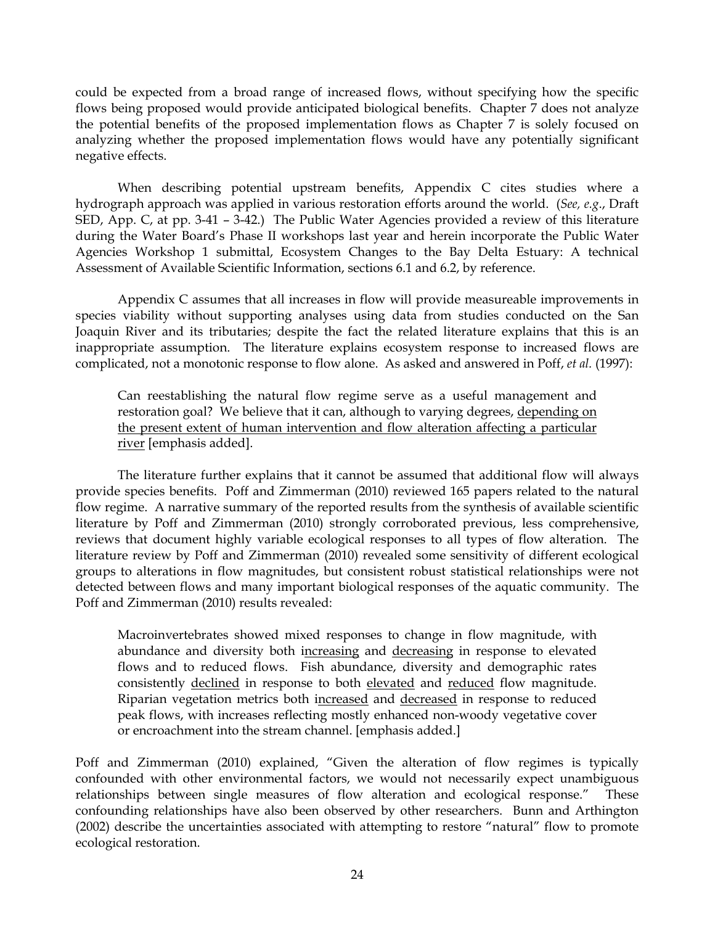could be expected from a broad range of increased flows, without specifying how the specific flows being proposed would provide anticipated biological benefits. Chapter 7 does not analyze the potential benefits of the proposed implementation flows as Chapter 7 is solely focused on analyzing whether the proposed implementation flows would have any potentially significant negative effects.

When describing potential upstream benefits, Appendix C cites studies where a hydrograph approach was applied in various restoration efforts around the world. (*See, e.g*., Draft SED, App. C, at pp. 3-41 – 3-42.) The Public Water Agencies provided a review of this literature during the Water Board's Phase II workshops last year and herein incorporate the Public Water Agencies Workshop 1 submittal, Ecosystem Changes to the Bay Delta Estuary: A technical Assessment of Available Scientific Information, sections 6.1 and 6.2, by reference.

Appendix C assumes that all increases in flow will provide measureable improvements in species viability without supporting analyses using data from studies conducted on the San Joaquin River and its tributaries; despite the fact the related literature explains that this is an inappropriate assumption. The literature explains ecosystem response to increased flows are complicated, not a monotonic response to flow alone. As asked and answered in Poff, *et al.* (1997):

Can reestablishing the natural flow regime serve as a useful management and restoration goal? We believe that it can, although to varying degrees, depending on the present extent of human intervention and flow alteration affecting a particular river [emphasis added].

The literature further explains that it cannot be assumed that additional flow will always provide species benefits. Poff and Zimmerman (2010) reviewed 165 papers related to the natural flow regime. A narrative summary of the reported results from the synthesis of available scientific literature by Poff and Zimmerman (2010) strongly corroborated previous, less comprehensive, reviews that document highly variable ecological responses to all types of flow alteration. The literature review by Poff and Zimmerman (2010) revealed some sensitivity of different ecological groups to alterations in flow magnitudes, but consistent robust statistical relationships were not detected between flows and many important biological responses of the aquatic community. The Poff and Zimmerman (2010) results revealed:

Macroinvertebrates showed mixed responses to change in flow magnitude, with abundance and diversity both increasing and decreasing in response to elevated flows and to reduced flows. Fish abundance, diversity and demographic rates consistently declined in response to both elevated and reduced flow magnitude. Riparian vegetation metrics both increased and decreased in response to reduced peak flows, with increases reflecting mostly enhanced non-woody vegetative cover or encroachment into the stream channel. [emphasis added.]

Poff and Zimmerman (2010) explained, "Given the alteration of flow regimes is typically confounded with other environmental factors, we would not necessarily expect unambiguous relationships between single measures of flow alteration and ecological response." These confounding relationships have also been observed by other researchers. Bunn and Arthington (2002) describe the uncertainties associated with attempting to restore "natural" flow to promote ecological restoration.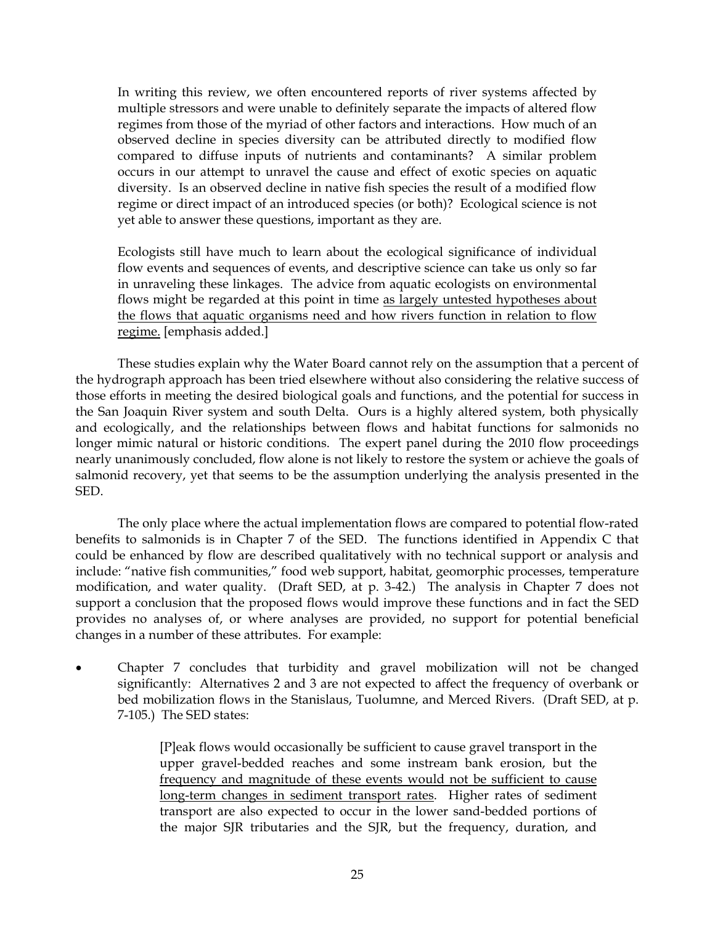In writing this review, we often encountered reports of river systems affected by multiple stressors and were unable to definitely separate the impacts of altered flow regimes from those of the myriad of other factors and interactions. How much of an observed decline in species diversity can be attributed directly to modified flow compared to diffuse inputs of nutrients and contaminants? A similar problem occurs in our attempt to unravel the cause and effect of exotic species on aquatic diversity. Is an observed decline in native fish species the result of a modified flow regime or direct impact of an introduced species (or both)? Ecological science is not yet able to answer these questions, important as they are.

Ecologists still have much to learn about the ecological significance of individual flow events and sequences of events, and descriptive science can take us only so far in unraveling these linkages. The advice from aquatic ecologists on environmental flows might be regarded at this point in time as largely untested hypotheses about the flows that aquatic organisms need and how rivers function in relation to flow regime. [emphasis added.]

These studies explain why the Water Board cannot rely on the assumption that a percent of the hydrograph approach has been tried elsewhere without also considering the relative success of those efforts in meeting the desired biological goals and functions, and the potential for success in the San Joaquin River system and south Delta. Ours is a highly altered system, both physically and ecologically, and the relationships between flows and habitat functions for salmonids no longer mimic natural or historic conditions. The expert panel during the 2010 flow proceedings nearly unanimously concluded, flow alone is not likely to restore the system or achieve the goals of salmonid recovery, yet that seems to be the assumption underlying the analysis presented in the SED.

The only place where the actual implementation flows are compared to potential flow-rated benefits to salmonids is in Chapter 7 of the SED. The functions identified in Appendix C that could be enhanced by flow are described qualitatively with no technical support or analysis and include: "native fish communities," food web support, habitat, geomorphic processes, temperature modification, and water quality. (Draft SED, at p. 3-42.) The analysis in Chapter 7 does not support a conclusion that the proposed flows would improve these functions and in fact the SED provides no analyses of, or where analyses are provided, no support for potential beneficial changes in a number of these attributes. For example:

 Chapter 7 concludes that turbidity and gravel mobilization will not be changed significantly: Alternatives 2 and 3 are not expected to affect the frequency of overbank or bed mobilization flows in the Stanislaus, Tuolumne, and Merced Rivers. (Draft SED, at p. 7-105.) The SED states:

> [P]eak flows would occasionally be sufficient to cause gravel transport in the upper gravel-bedded reaches and some instream bank erosion, but the frequency and magnitude of these events would not be sufficient to cause long-term changes in sediment transport rates. Higher rates of sediment transport are also expected to occur in the lower sand-bedded portions of the major SJR tributaries and the SJR, but the frequency, duration, and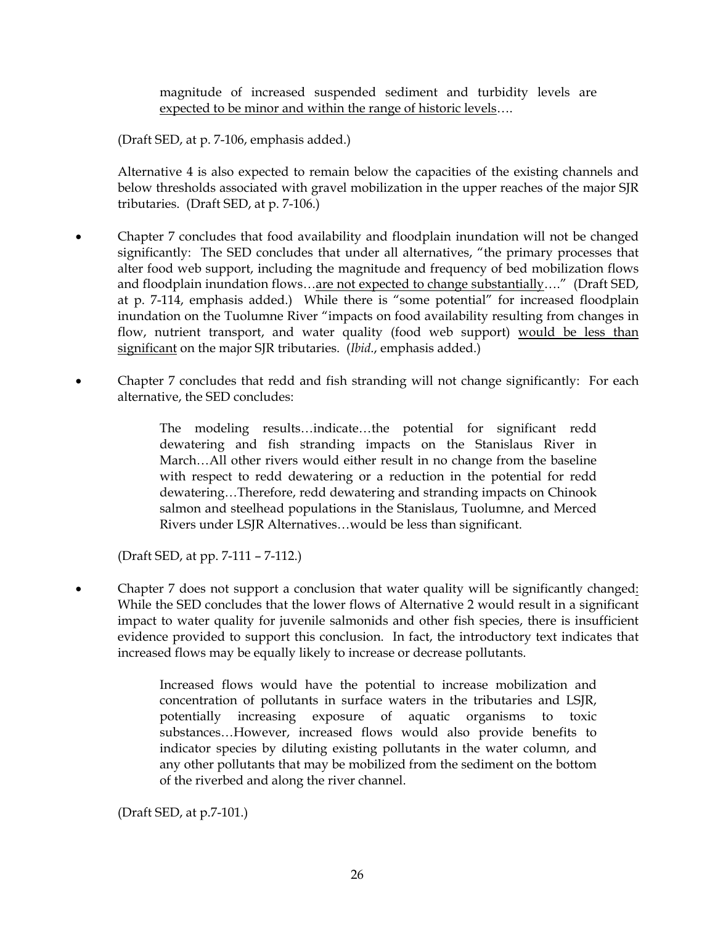magnitude of increased suspended sediment and turbidity levels are expected to be minor and within the range of historic levels….

(Draft SED, at p. 7-106, emphasis added.)

 Alternative 4 is also expected to remain below the capacities of the existing channels and below thresholds associated with gravel mobilization in the upper reaches of the major SJR tributaries. (Draft SED, at p. 7-106.)

- Chapter 7 concludes that food availability and floodplain inundation will not be changed significantly: The SED concludes that under all alternatives, "the primary processes that alter food web support, including the magnitude and frequency of bed mobilization flows and floodplain inundation flows…are not expected to change substantially…." (Draft SED, at p. 7-114, emphasis added.) While there is "some potential" for increased floodplain inundation on the Tuolumne River "impacts on food availability resulting from changes in flow, nutrient transport, and water quality (food web support) would be less than significant on the major SJR tributaries. (*Ibid*., emphasis added.)
- Chapter 7 concludes that redd and fish stranding will not change significantly: For each alternative, the SED concludes:

The modeling results…indicate…the potential for significant redd dewatering and fish stranding impacts on the Stanislaus River in March…All other rivers would either result in no change from the baseline with respect to redd dewatering or a reduction in the potential for redd dewatering…Therefore, redd dewatering and stranding impacts on Chinook salmon and steelhead populations in the Stanislaus, Tuolumne, and Merced Rivers under LSJR Alternatives…would be less than significant.

(Draft SED, at pp. 7-111 – 7-112.)

 Chapter 7 does not support a conclusion that water quality will be significantly changed: While the SED concludes that the lower flows of Alternative 2 would result in a significant impact to water quality for juvenile salmonids and other fish species, there is insufficient evidence provided to support this conclusion. In fact, the introductory text indicates that increased flows may be equally likely to increase or decrease pollutants.

> Increased flows would have the potential to increase mobilization and concentration of pollutants in surface waters in the tributaries and LSJR, potentially increasing exposure of aquatic organisms to toxic substances…However, increased flows would also provide benefits to indicator species by diluting existing pollutants in the water column, and any other pollutants that may be mobilized from the sediment on the bottom of the riverbed and along the river channel.

(Draft SED, at p.7-101.)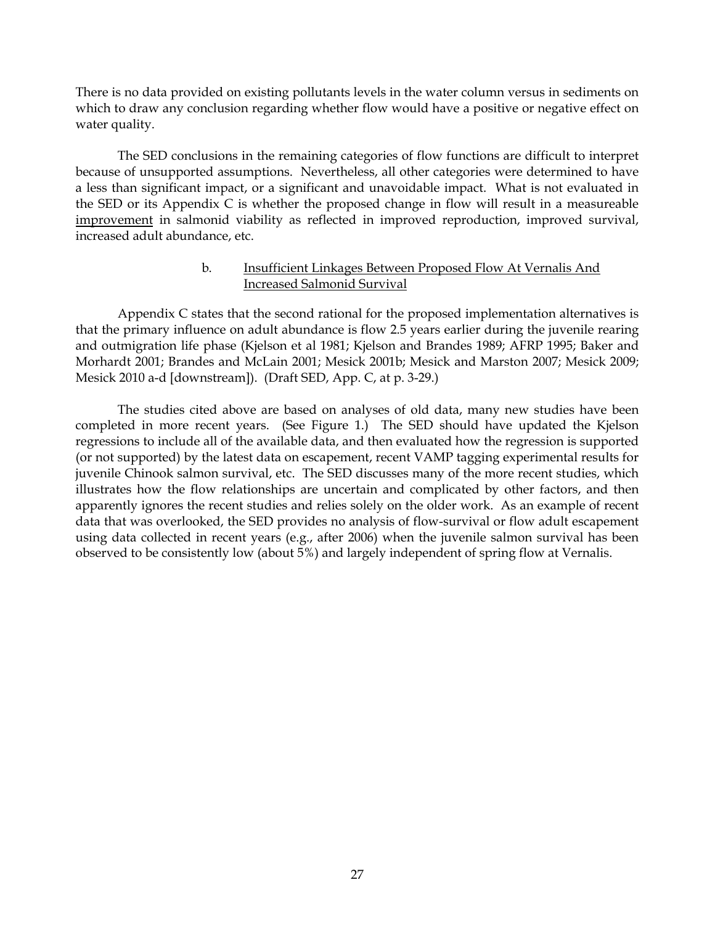There is no data provided on existing pollutants levels in the water column versus in sediments on which to draw any conclusion regarding whether flow would have a positive or negative effect on water quality.

 The SED conclusions in the remaining categories of flow functions are difficult to interpret because of unsupported assumptions. Nevertheless, all other categories were determined to have a less than significant impact, or a significant and unavoidable impact. What is not evaluated in the SED or its Appendix C is whether the proposed change in flow will result in a measureable improvement in salmonid viability as reflected in improved reproduction, improved survival, increased adult abundance, etc.

## b. Insufficient Linkages Between Proposed Flow At Vernalis And Increased Salmonid Survival

Appendix C states that the second rational for the proposed implementation alternatives is that the primary influence on adult abundance is flow 2.5 years earlier during the juvenile rearing and outmigration life phase (Kjelson et al 1981; Kjelson and Brandes 1989; AFRP 1995; Baker and Morhardt 2001; Brandes and McLain 2001; Mesick 2001b; Mesick and Marston 2007; Mesick 2009; Mesick 2010 a-d [downstream]). (Draft SED, App. C, at p. 3-29.)

The studies cited above are based on analyses of old data, many new studies have been completed in more recent years. (See Figure 1.) The SED should have updated the Kjelson regressions to include all of the available data, and then evaluated how the regression is supported (or not supported) by the latest data on escapement, recent VAMP tagging experimental results for juvenile Chinook salmon survival, etc. The SED discusses many of the more recent studies, which illustrates how the flow relationships are uncertain and complicated by other factors, and then apparently ignores the recent studies and relies solely on the older work. As an example of recent data that was overlooked, the SED provides no analysis of flow-survival or flow adult escapement using data collected in recent years (e.g., after 2006) when the juvenile salmon survival has been observed to be consistently low (about 5%) and largely independent of spring flow at Vernalis.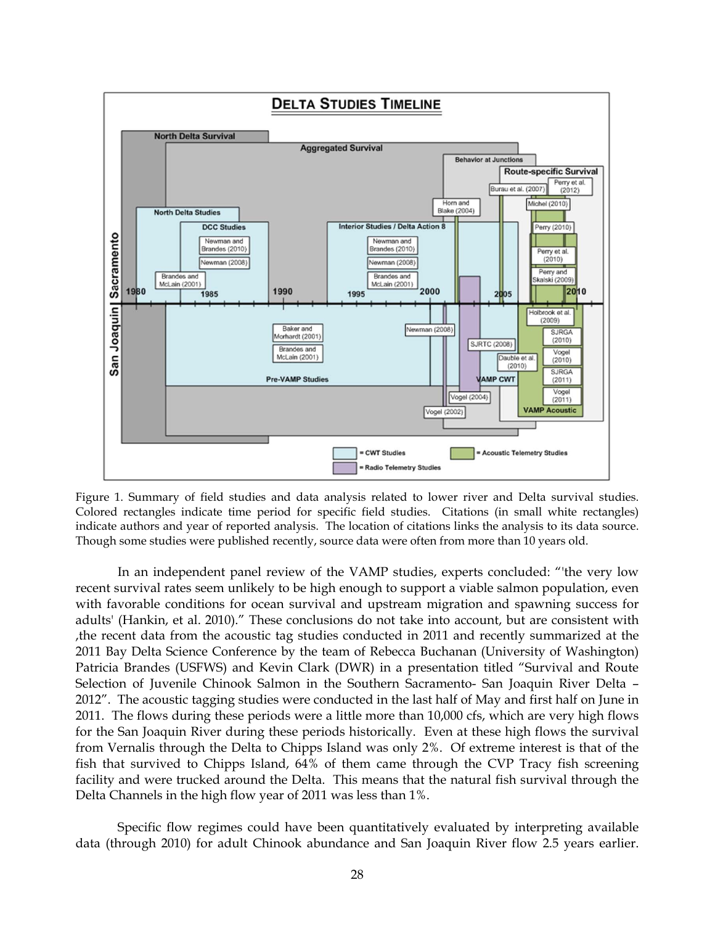

Figure 1. Summary of field studies and data analysis related to lower river and Delta survival studies. Colored rectangles indicate time period for specific field studies. Citations (in small white rectangles) indicate authors and year of reported analysis. The location of citations links the analysis to its data source. Though some studies were published recently, source data were often from more than 10 years old.

In an independent panel review of the VAMP studies, experts concluded: "'the very low recent survival rates seem unlikely to be high enough to support a viable salmon population, even with favorable conditions for ocean survival and upstream migration and spawning success for adults' (Hankin, et al. 2010)." These conclusions do not take into account, but are consistent with ,the recent data from the acoustic tag studies conducted in 2011 and recently summarized at the 2011 Bay Delta Science Conference by the team of Rebecca Buchanan (University of Washington) Patricia Brandes (USFWS) and Kevin Clark (DWR) in a presentation titled "Survival and Route Selection of Juvenile Chinook Salmon in the Southern Sacramento- San Joaquin River Delta – 2012". The acoustic tagging studies were conducted in the last half of May and first half on June in 2011. The flows during these periods were a little more than 10,000 cfs, which are very high flows for the San Joaquin River during these periods historically. Even at these high flows the survival from Vernalis through the Delta to Chipps Island was only 2%. Of extreme interest is that of the fish that survived to Chipps Island, 64% of them came through the CVP Tracy fish screening facility and were trucked around the Delta. This means that the natural fish survival through the Delta Channels in the high flow year of 2011 was less than 1%.

Specific flow regimes could have been quantitatively evaluated by interpreting available data (through 2010) for adult Chinook abundance and San Joaquin River flow 2.5 years earlier.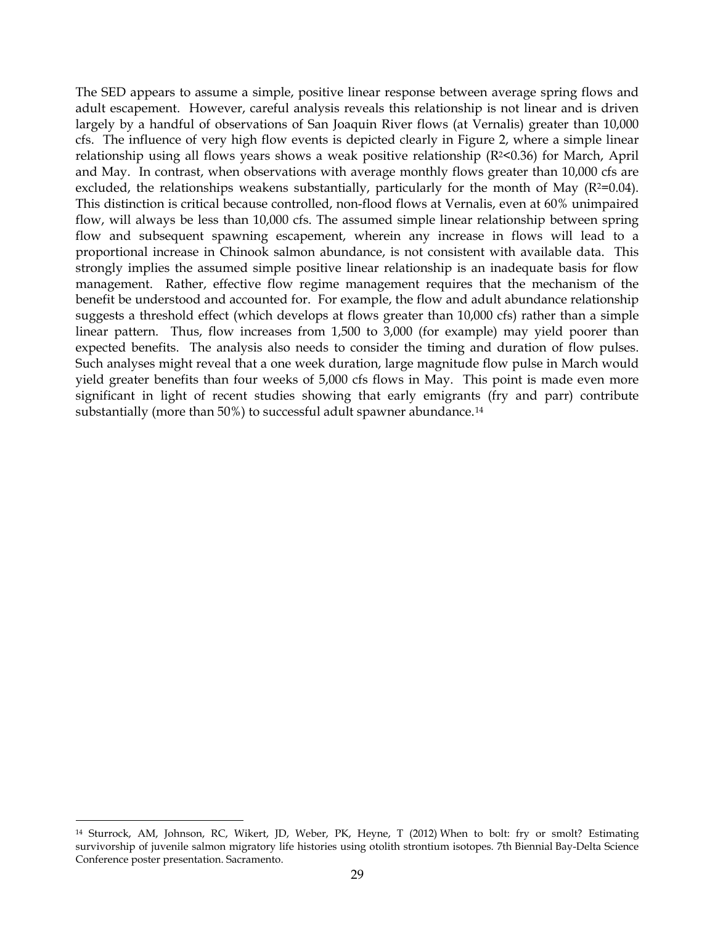The SED appears to assume a simple, positive linear response between average spring flows and adult escapement. However, careful analysis reveals this relationship is not linear and is driven largely by a handful of observations of San Joaquin River flows (at Vernalis) greater than 10,000 cfs. The influence of very high flow events is depicted clearly in Figure 2, where a simple linear relationship using all flows years shows a weak positive relationship (R<sup>2</sup><0.36) for March, April and May. In contrast, when observations with average monthly flows greater than 10,000 cfs are excluded, the relationships weakens substantially, particularly for the month of May ( $R^{2}=0.04$ ). This distinction is critical because controlled, non-flood flows at Vernalis, even at 60% unimpaired flow, will always be less than 10,000 cfs. The assumed simple linear relationship between spring flow and subsequent spawning escapement, wherein any increase in flows will lead to a proportional increase in Chinook salmon abundance, is not consistent with available data. This strongly implies the assumed simple positive linear relationship is an inadequate basis for flow management. Rather, effective flow regime management requires that the mechanism of the benefit be understood and accounted for. For example, the flow and adult abundance relationship suggests a threshold effect (which develops at flows greater than 10,000 cfs) rather than a simple linear pattern. Thus, flow increases from 1,500 to 3,000 (for example) may yield poorer than expected benefits. The analysis also needs to consider the timing and duration of flow pulses. Such analyses might reveal that a one week duration, large magnitude flow pulse in March would yield greater benefits than four weeks of 5,000 cfs flows in May. This point is made even more significant in light of recent studies showing that early emigrants (fry and parr) contribute substantially (more than 50%) to successful adult spawner abundance.<sup>[14](#page-44-0)</sup>

 $\overline{a}$ 

<span id="page-44-0"></span><sup>14</sup> Sturrock, AM, Johnson, RC, Wikert, JD, Weber, PK, Heyne, T (2012) When to bolt: fry or smolt? Estimating survivorship of juvenile salmon migratory life histories using otolith strontium isotopes. 7th Biennial Bay-Delta Science Conference poster presentation. Sacramento.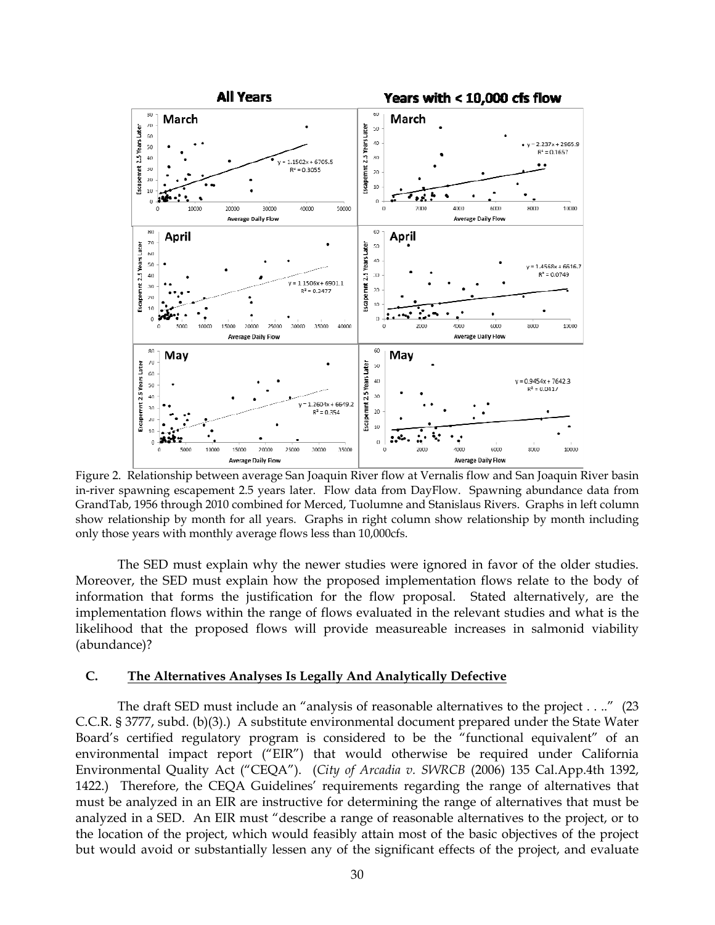

Figure 2. Relationship between average San Joaquin River flow at Vernalis flow and San Joaquin River basin in-river spawning escapement 2.5 years later. Flow data from DayFlow. Spawning abundance data from GrandTab, 1956 through 2010 combined for Merced, Tuolumne and Stanislaus Rivers. Graphs in left column show relationship by month for all years. Graphs in right column show relationship by month including only those years with monthly average flows less than 10,000cfs.

The SED must explain why the newer studies were ignored in favor of the older studies. Moreover, the SED must explain how the proposed implementation flows relate to the body of information that forms the justification for the flow proposal. Stated alternatively, are the implementation flows within the range of flows evaluated in the relevant studies and what is the likelihood that the proposed flows will provide measureable increases in salmonid viability (abundance)?

### **C. The Alternatives Analyses Is Legally And Analytically Defective**

The draft SED must include an "analysis of reasonable alternatives to the project . . .." (23 C.C.R. § 3777, subd. (b)(3).) A substitute environmental document prepared under the State Water Board's certified regulatory program is considered to be the "functional equivalent" of an environmental impact report ("EIR") that would otherwise be required under California Environmental Quality Act ("CEQA"). (*City of Arcadia v. SWRCB* (2006) 135 Cal.App.4th 1392, 1422.) Therefore, the CEQA Guidelines' requirements regarding the range of alternatives that must be analyzed in an EIR are instructive for determining the range of alternatives that must be analyzed in a SED. An EIR must "describe a range of reasonable alternatives to the project, or to the location of the project, which would feasibly attain most of the basic objectives of the project but would avoid or substantially lessen any of the significant effects of the project, and evaluate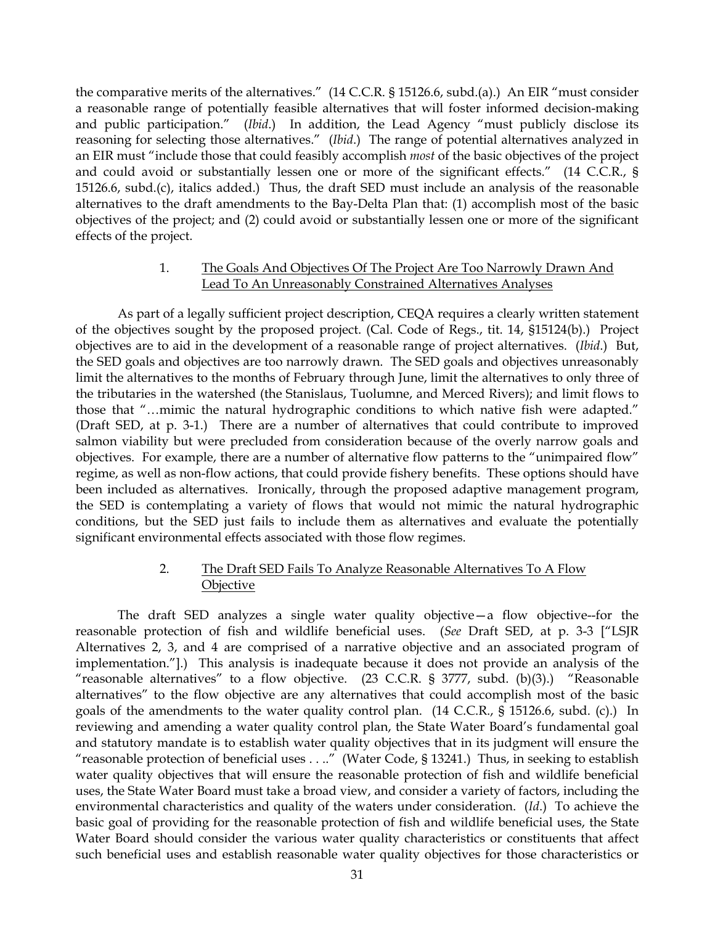the comparative merits of the alternatives." (14 C.C.R. § 15126.6, subd.(a).) An EIR "must consider a reasonable range of potentially feasible alternatives that will foster informed decision-making and public participation." (*Ibid*.) In addition, the Lead Agency "must publicly disclose its reasoning for selecting those alternatives." (*Ibid*.) The range of potential alternatives analyzed in an EIR must "include those that could feasibly accomplish *most* of the basic objectives of the project and could avoid or substantially lessen one or more of the significant effects." (14 C.C.R., § 15126.6, subd.(c), italics added.) Thus, the draft SED must include an analysis of the reasonable alternatives to the draft amendments to the Bay-Delta Plan that: (1) accomplish most of the basic objectives of the project; and (2) could avoid or substantially lessen one or more of the significant effects of the project.

## 1. The Goals And Objectives Of The Project Are Too Narrowly Drawn And Lead To An Unreasonably Constrained Alternatives Analyses

As part of a legally sufficient project description, CEQA requires a clearly written statement of the objectives sought by the proposed project. (Cal. Code of Regs., tit. 14, §15124(b).) Project objectives are to aid in the development of a reasonable range of project alternatives. (*Ibid*.) But, the SED goals and objectives are too narrowly drawn. The SED goals and objectives unreasonably limit the alternatives to the months of February through June, limit the alternatives to only three of the tributaries in the watershed (the Stanislaus, Tuolumne, and Merced Rivers); and limit flows to those that "…mimic the natural hydrographic conditions to which native fish were adapted." (Draft SED, at p. 3-1.) There are a number of alternatives that could contribute to improved salmon viability but were precluded from consideration because of the overly narrow goals and objectives. For example, there are a number of alternative flow patterns to the "unimpaired flow" regime, as well as non-flow actions, that could provide fishery benefits. These options should have been included as alternatives. Ironically, through the proposed adaptive management program, the SED is contemplating a variety of flows that would not mimic the natural hydrographic conditions, but the SED just fails to include them as alternatives and evaluate the potentially significant environmental effects associated with those flow regimes.

## 2. The Draft SED Fails To Analyze Reasonable Alternatives To A Flow **Objective**

 The draft SED analyzes a single water quality objective—a flow objective--for the reasonable protection of fish and wildlife beneficial uses. (*See* Draft SED, at p. 3-3 ["LSJR Alternatives 2, 3, and 4 are comprised of a narrative objective and an associated program of implementation."].) This analysis is inadequate because it does not provide an analysis of the "reasonable alternatives" to a flow objective. (23 C.C.R. § 3777, subd. (b)(3).) "Reasonable alternatives" to the flow objective are any alternatives that could accomplish most of the basic goals of the amendments to the water quality control plan. (14 C.C.R., § 15126.6, subd. (c).) In reviewing and amending a water quality control plan, the State Water Board's fundamental goal and statutory mandate is to establish water quality objectives that in its judgment will ensure the "reasonable protection of beneficial uses . . .." (Water Code, § 13241.) Thus, in seeking to establish water quality objectives that will ensure the reasonable protection of fish and wildlife beneficial uses, the State Water Board must take a broad view, and consider a variety of factors, including the environmental characteristics and quality of the waters under consideration. (*Id*.) To achieve the basic goal of providing for the reasonable protection of fish and wildlife beneficial uses, the State Water Board should consider the various water quality characteristics or constituents that affect such beneficial uses and establish reasonable water quality objectives for those characteristics or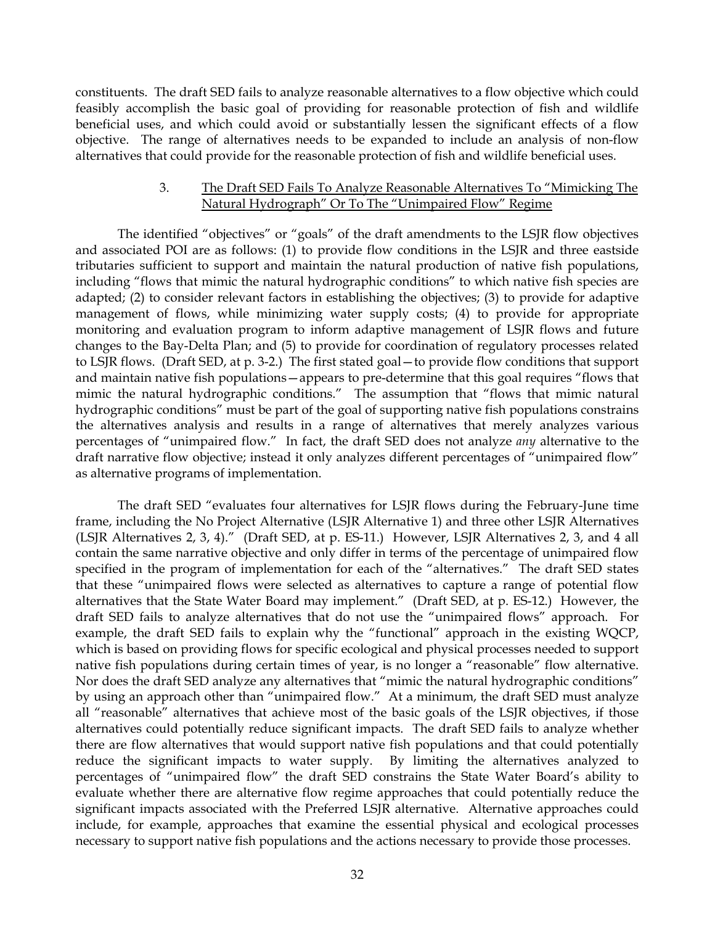constituents. The draft SED fails to analyze reasonable alternatives to a flow objective which could feasibly accomplish the basic goal of providing for reasonable protection of fish and wildlife beneficial uses, and which could avoid or substantially lessen the significant effects of a flow objective. The range of alternatives needs to be expanded to include an analysis of non-flow alternatives that could provide for the reasonable protection of fish and wildlife beneficial uses.

## 3. The Draft SED Fails To Analyze Reasonable Alternatives To "Mimicking The Natural Hydrograph" Or To The "Unimpaired Flow" Regime

The identified "objectives" or "goals" of the draft amendments to the LSJR flow objectives and associated POI are as follows: (1) to provide flow conditions in the LSJR and three eastside tributaries sufficient to support and maintain the natural production of native fish populations, including "flows that mimic the natural hydrographic conditions" to which native fish species are adapted; (2) to consider relevant factors in establishing the objectives; (3) to provide for adaptive management of flows, while minimizing water supply costs; (4) to provide for appropriate monitoring and evaluation program to inform adaptive management of LSJR flows and future changes to the Bay-Delta Plan; and (5) to provide for coordination of regulatory processes related to LSJR flows. (Draft SED, at p. 3-2.) The first stated goal—to provide flow conditions that support and maintain native fish populations—appears to pre-determine that this goal requires "flows that mimic the natural hydrographic conditions." The assumption that "flows that mimic natural hydrographic conditions" must be part of the goal of supporting native fish populations constrains the alternatives analysis and results in a range of alternatives that merely analyzes various percentages of "unimpaired flow." In fact, the draft SED does not analyze *any* alternative to the draft narrative flow objective; instead it only analyzes different percentages of "unimpaired flow" as alternative programs of implementation.

The draft SED "evaluates four alternatives for LSJR flows during the February-June time frame, including the No Project Alternative (LSJR Alternative 1) and three other LSJR Alternatives (LSJR Alternatives 2, 3, 4)." (Draft SED, at p. ES-11.) However, LSJR Alternatives 2, 3, and 4 all contain the same narrative objective and only differ in terms of the percentage of unimpaired flow specified in the program of implementation for each of the "alternatives." The draft SED states that these "unimpaired flows were selected as alternatives to capture a range of potential flow alternatives that the State Water Board may implement." (Draft SED, at p. ES-12.) However, the draft SED fails to analyze alternatives that do not use the "unimpaired flows" approach. For example, the draft SED fails to explain why the "functional" approach in the existing WQCP, which is based on providing flows for specific ecological and physical processes needed to support native fish populations during certain times of year, is no longer a "reasonable" flow alternative. Nor does the draft SED analyze any alternatives that "mimic the natural hydrographic conditions" by using an approach other than "unimpaired flow." At a minimum, the draft SED must analyze all "reasonable" alternatives that achieve most of the basic goals of the LSJR objectives, if those alternatives could potentially reduce significant impacts. The draft SED fails to analyze whether there are flow alternatives that would support native fish populations and that could potentially reduce the significant impacts to water supply. By limiting the alternatives analyzed to percentages of "unimpaired flow" the draft SED constrains the State Water Board's ability to evaluate whether there are alternative flow regime approaches that could potentially reduce the significant impacts associated with the Preferred LSJR alternative. Alternative approaches could include, for example, approaches that examine the essential physical and ecological processes necessary to support native fish populations and the actions necessary to provide those processes.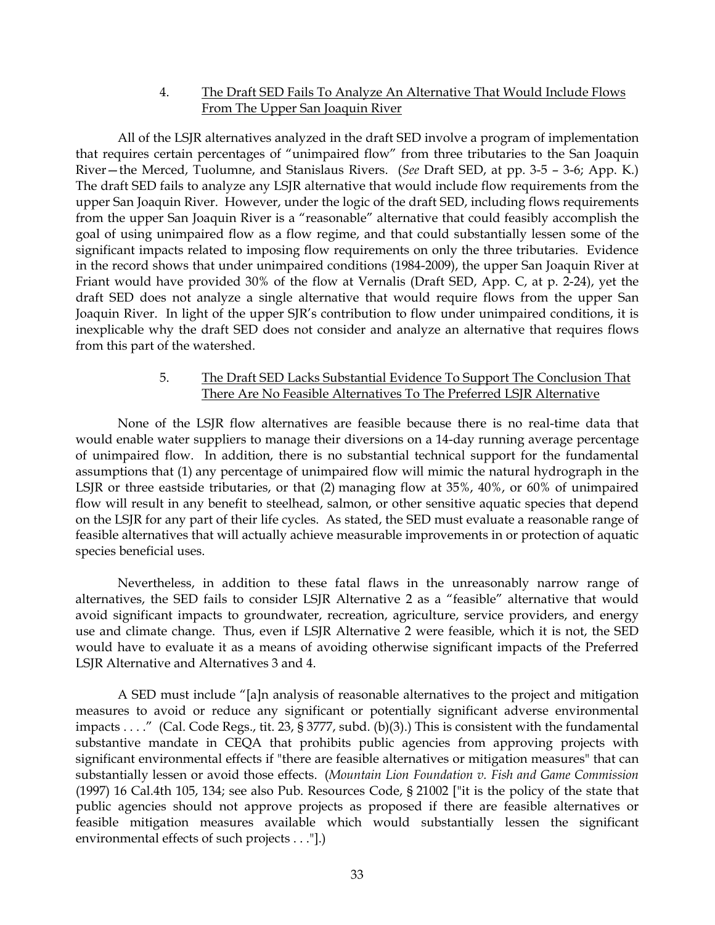### 4. The Draft SED Fails To Analyze An Alternative That Would Include Flows From The Upper San Joaquin River

 All of the LSJR alternatives analyzed in the draft SED involve a program of implementation that requires certain percentages of "unimpaired flow" from three tributaries to the San Joaquin River—the Merced, Tuolumne, and Stanislaus Rivers. (*See* Draft SED, at pp. 3-5 – 3-6; App. K.) The draft SED fails to analyze any LSJR alternative that would include flow requirements from the upper San Joaquin River. However, under the logic of the draft SED, including flows requirements from the upper San Joaquin River is a "reasonable" alternative that could feasibly accomplish the goal of using unimpaired flow as a flow regime, and that could substantially lessen some of the significant impacts related to imposing flow requirements on only the three tributaries. Evidence in the record shows that under unimpaired conditions (1984-2009), the upper San Joaquin River at Friant would have provided 30% of the flow at Vernalis (Draft SED, App. C, at p. 2-24), yet the draft SED does not analyze a single alternative that would require flows from the upper San Joaquin River. In light of the upper SJR's contribution to flow under unimpaired conditions, it is inexplicable why the draft SED does not consider and analyze an alternative that requires flows from this part of the watershed.

## 5. The Draft SED Lacks Substantial Evidence To Support The Conclusion That There Are No Feasible Alternatives To The Preferred LSJR Alternative

None of the LSJR flow alternatives are feasible because there is no real-time data that would enable water suppliers to manage their diversions on a 14-day running average percentage of unimpaired flow. In addition, there is no substantial technical support for the fundamental assumptions that (1) any percentage of unimpaired flow will mimic the natural hydrograph in the LSJR or three eastside tributaries, or that (2) managing flow at 35%, 40%, or 60% of unimpaired flow will result in any benefit to steelhead, salmon, or other sensitive aquatic species that depend on the LSJR for any part of their life cycles. As stated, the SED must evaluate a reasonable range of feasible alternatives that will actually achieve measurable improvements in or protection of aquatic species beneficial uses.

Nevertheless, in addition to these fatal flaws in the unreasonably narrow range of alternatives, the SED fails to consider LSJR Alternative 2 as a "feasible" alternative that would avoid significant impacts to groundwater, recreation, agriculture, service providers, and energy use and climate change. Thus, even if LSJR Alternative 2 were feasible, which it is not, the SED would have to evaluate it as a means of avoiding otherwise significant impacts of the Preferred LSJR Alternative and Alternatives 3 and 4.

A SED must include "[a]n analysis of reasonable alternatives to the project and mitigation measures to avoid or reduce any significant or potentially significant adverse environmental impacts . . . ." (Cal. Code Regs., tit. 23, § 3777, subd. (b)(3).) This is consistent with the fundamental substantive mandate in CEQA that prohibits public agencies from approving projects with significant environmental effects if "there are feasible alternatives or mitigation measures" that can substantially lessen or avoid those effects. (*Mountain Lion Foundation v. Fish and Game Commission* (1997) 16 Cal.4th 105, 134; see also Pub. Resources Code, § 21002 ["it is the policy of the state that public agencies should not approve projects as proposed if there are feasible alternatives or feasible mitigation measures available which would substantially lessen the significant environmental effects of such projects . . ."].)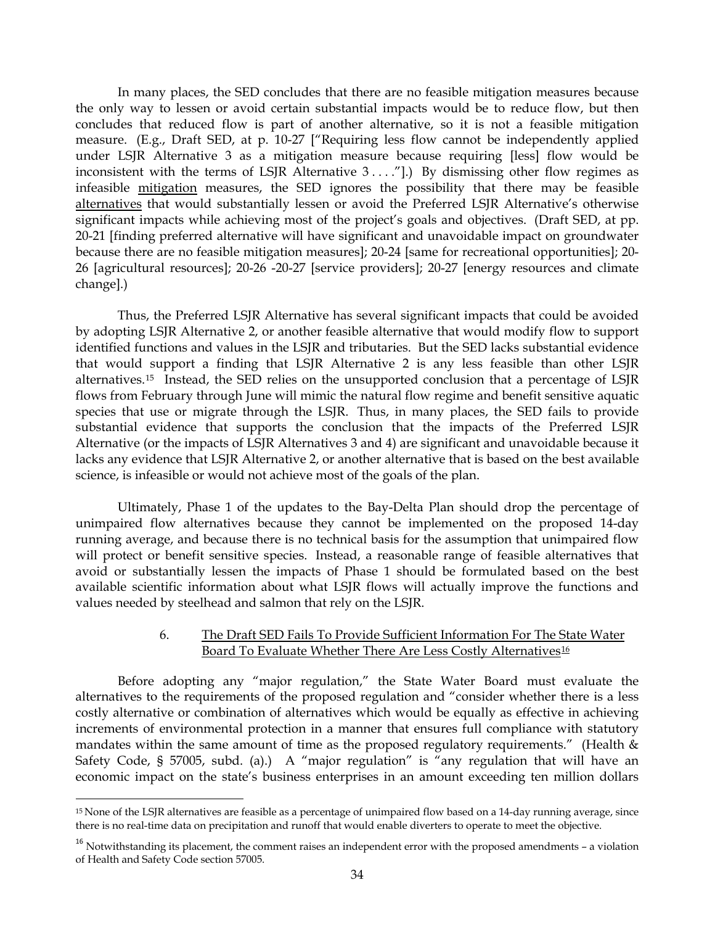In many places, the SED concludes that there are no feasible mitigation measures because the only way to lessen or avoid certain substantial impacts would be to reduce flow, but then concludes that reduced flow is part of another alternative, so it is not a feasible mitigation measure. (E.g., Draft SED, at p. 10-27 ["Requiring less flow cannot be independently applied under LSJR Alternative 3 as a mitigation measure because requiring [less] flow would be inconsistent with the terms of LSJR Alternative 3 . . . ."].) By dismissing other flow regimes as infeasible mitigation measures, the SED ignores the possibility that there may be feasible alternatives that would substantially lessen or avoid the Preferred LSJR Alternative's otherwise significant impacts while achieving most of the project's goals and objectives. (Draft SED, at pp. 20-21 [finding preferred alternative will have significant and unavoidable impact on groundwater because there are no feasible mitigation measures]; 20-24 [same for recreational opportunities]; 20- 26 [agricultural resources]; 20-26 -20-27 [service providers]; 20-27 [energy resources and climate change].)

Thus, the Preferred LSJR Alternative has several significant impacts that could be avoided by adopting LSJR Alternative 2, or another feasible alternative that would modify flow to support identified functions and values in the LSJR and tributaries. But the SED lacks substantial evidence that would support a finding that LSJR Alternative 2 is any less feasible than other LSJR alternatives.[15](#page-49-0) Instead, the SED relies on the unsupported conclusion that a percentage of LSJR flows from February through June will mimic the natural flow regime and benefit sensitive aquatic species that use or migrate through the LSJR. Thus, in many places, the SED fails to provide substantial evidence that supports the conclusion that the impacts of the Preferred LSJR Alternative (or the impacts of LSJR Alternatives 3 and 4) are significant and unavoidable because it lacks any evidence that LSJR Alternative 2, or another alternative that is based on the best available science, is infeasible or would not achieve most of the goals of the plan.

Ultimately, Phase 1 of the updates to the Bay-Delta Plan should drop the percentage of unimpaired flow alternatives because they cannot be implemented on the proposed 14-day running average, and because there is no technical basis for the assumption that unimpaired flow will protect or benefit sensitive species. Instead, a reasonable range of feasible alternatives that avoid or substantially lessen the impacts of Phase 1 should be formulated based on the best available scientific information about what LSJR flows will actually improve the functions and values needed by steelhead and salmon that rely on the LSJR.

## 6. The Draft SED Fails To Provide Sufficient Information For The State Water Board To Evaluate Whether There Are Less Costly Alternatives<sup>[16](#page-49-1)</sup>

 Before adopting any "major regulation," the State Water Board must evaluate the alternatives to the requirements of the proposed regulation and "consider whether there is a less costly alternative or combination of alternatives which would be equally as effective in achieving increments of environmental protection in a manner that ensures full compliance with statutory mandates within the same amount of time as the proposed regulatory requirements." (Health & Safety Code, § 57005, subd. (a).) A "major regulation" is "any regulation that will have an economic impact on the state's business enterprises in an amount exceeding ten million dollars

 $\overline{a}$ 

<span id="page-49-0"></span><sup>15</sup> None of the LSJR alternatives are feasible as a percentage of unimpaired flow based on a 14-day running average, since there is no real-time data on precipitation and runoff that would enable diverters to operate to meet the objective.

<span id="page-49-1"></span> $16$  Notwithstanding its placement, the comment raises an independent error with the proposed amendments – a violation of Health and Safety Code section 57005.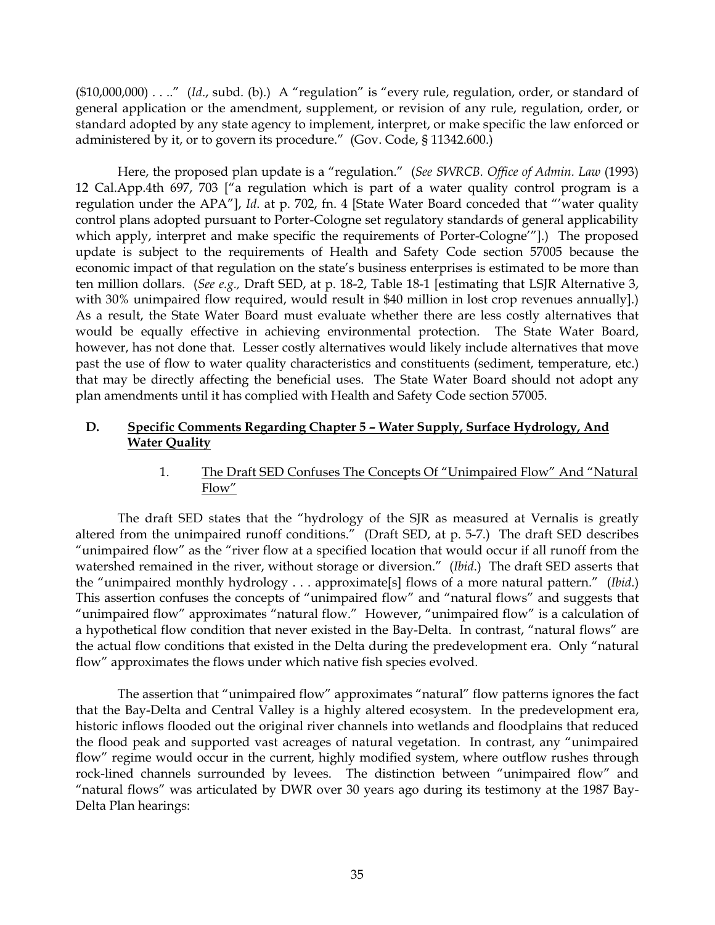(\$10,000,000) . . .." (*Id*., subd. (b).) A "regulation" is "every rule, regulation, order, or standard of general application or the amendment, supplement, or revision of any rule, regulation, order, or standard adopted by any state agency to implement, interpret, or make specific the law enforced or administered by it, or to govern its procedure." (Gov. Code, § 11342.600.)

Here, the proposed plan update is a "regulation." (*See SWRCB. Office of Admin. Law* (1993) 12 Cal.App.4th 697, 703 ["a regulation which is part of a water quality control program is a regulation under the APA"], *Id*. at p. 702, fn. 4 [State Water Board conceded that "'water quality control plans adopted pursuant to Porter-Cologne set regulatory standards of general applicability which apply, interpret and make specific the requirements of Porter-Cologne'"].) The proposed update is subject to the requirements of Health and Safety Code section 57005 because the economic impact of that regulation on the state's business enterprises is estimated to be more than ten million dollars. (*See e.g.,* Draft SED, at p. 18-2, Table 18-1 [estimating that LSJR Alternative 3, with 30% unimpaired flow required, would result in \$40 million in lost crop revenues annually].) As a result, the State Water Board must evaluate whether there are less costly alternatives that would be equally effective in achieving environmental protection. The State Water Board, however, has not done that. Lesser costly alternatives would likely include alternatives that move past the use of flow to water quality characteristics and constituents (sediment, temperature, etc.) that may be directly affecting the beneficial uses. The State Water Board should not adopt any plan amendments until it has complied with Health and Safety Code section 57005.

# **D. Specific Comments Regarding Chapter 5 – Water Supply, Surface Hydrology, And Water Quality**

# 1. The Draft SED Confuses The Concepts Of "Unimpaired Flow" And "Natural Flow"

The draft SED states that the "hydrology of the SJR as measured at Vernalis is greatly altered from the unimpaired runoff conditions." (Draft SED, at p. 5-7.) The draft SED describes "unimpaired flow" as the "river flow at a specified location that would occur if all runoff from the watershed remained in the river, without storage or diversion." (*Ibid*.) The draft SED asserts that the "unimpaired monthly hydrology . . . approximate[s] flows of a more natural pattern." (*Ibid*.) This assertion confuses the concepts of "unimpaired flow" and "natural flows" and suggests that "unimpaired flow" approximates "natural flow." However, "unimpaired flow" is a calculation of a hypothetical flow condition that never existed in the Bay-Delta. In contrast, "natural flows" are the actual flow conditions that existed in the Delta during the predevelopment era. Only "natural flow" approximates the flows under which native fish species evolved.

The assertion that "unimpaired flow" approximates "natural" flow patterns ignores the fact that the Bay-Delta and Central Valley is a highly altered ecosystem. In the predevelopment era, historic inflows flooded out the original river channels into wetlands and floodplains that reduced the flood peak and supported vast acreages of natural vegetation. In contrast, any "unimpaired flow" regime would occur in the current, highly modified system, where outflow rushes through rock-lined channels surrounded by levees. The distinction between "unimpaired flow" and "natural flows" was articulated by DWR over 30 years ago during its testimony at the 1987 Bay-Delta Plan hearings: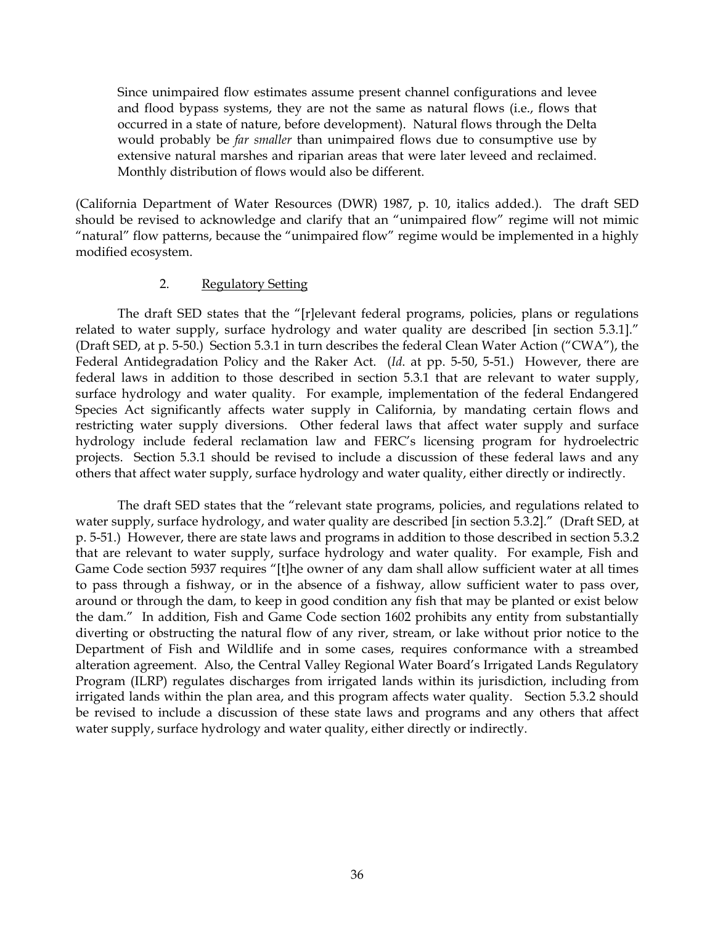Since unimpaired flow estimates assume present channel configurations and levee and flood bypass systems, they are not the same as natural flows (i.e., flows that occurred in a state of nature, before development). Natural flows through the Delta would probably be *far smaller* than unimpaired flows due to consumptive use by extensive natural marshes and riparian areas that were later leveed and reclaimed. Monthly distribution of flows would also be different.

(California Department of Water Resources (DWR) 1987, p. 10, italics added.). The draft SED should be revised to acknowledge and clarify that an "unimpaired flow" regime will not mimic "natural" flow patterns, because the "unimpaired flow" regime would be implemented in a highly modified ecosystem.

## 2. Regulatory Setting

The draft SED states that the "[r]elevant federal programs, policies, plans or regulations related to water supply, surface hydrology and water quality are described [in section 5.3.1]." (Draft SED, at p. 5-50.) Section 5.3.1 in turn describes the federal Clean Water Action ("CWA"), the Federal Antidegradation Policy and the Raker Act. (*Id*. at pp. 5-50, 5-51.) However, there are federal laws in addition to those described in section 5.3.1 that are relevant to water supply, surface hydrology and water quality. For example, implementation of the federal Endangered Species Act significantly affects water supply in California, by mandating certain flows and restricting water supply diversions. Other federal laws that affect water supply and surface hydrology include federal reclamation law and FERC's licensing program for hydroelectric projects. Section 5.3.1 should be revised to include a discussion of these federal laws and any others that affect water supply, surface hydrology and water quality, either directly or indirectly.

The draft SED states that the "relevant state programs, policies, and regulations related to water supply, surface hydrology, and water quality are described [in section 5.3.2]." (Draft SED, at p. 5-51.) However, there are state laws and programs in addition to those described in section 5.3.2 that are relevant to water supply, surface hydrology and water quality. For example, Fish and Game Code section 5937 requires "[t]he owner of any dam shall allow sufficient water at all times to pass through a fishway, or in the absence of a fishway, allow sufficient water to pass over, around or through the dam, to keep in good condition any fish that may be planted or exist below the dam." In addition, Fish and Game Code section 1602 prohibits any entity from substantially diverting or obstructing the natural flow of any river, stream, or lake without prior notice to the Department of Fish and Wildlife and in some cases, requires conformance with a streambed alteration agreement. Also, the Central Valley Regional Water Board's Irrigated Lands Regulatory Program (ILRP) regulates discharges from irrigated lands within its jurisdiction, including from irrigated lands within the plan area, and this program affects water quality. Section 5.3.2 should be revised to include a discussion of these state laws and programs and any others that affect water supply, surface hydrology and water quality, either directly or indirectly.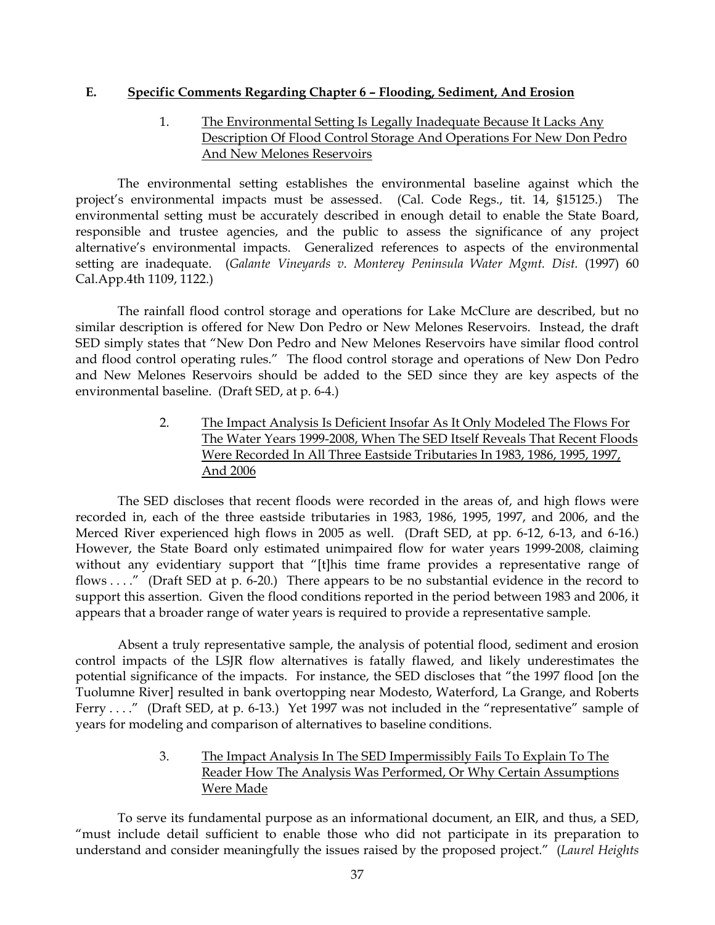### **E. Specific Comments Regarding Chapter 6 – Flooding, Sediment, And Erosion**

# 1. The Environmental Setting Is Legally Inadequate Because It Lacks Any Description Of Flood Control Storage And Operations For New Don Pedro And New Melones Reservoirs

The environmental setting establishes the environmental baseline against which the project's environmental impacts must be assessed. (Cal. Code Regs., tit. 14, §15125.) The environmental setting must be accurately described in enough detail to enable the State Board, responsible and trustee agencies, and the public to assess the significance of any project alternative's environmental impacts. Generalized references to aspects of the environmental setting are inadequate. (*Galante Vineyards v. Monterey Peninsula Water Mgmt. Dist.* (1997) 60 Cal.App.4th 1109, 1122.)

The rainfall flood control storage and operations for Lake McClure are described, but no similar description is offered for New Don Pedro or New Melones Reservoirs. Instead, the draft SED simply states that "New Don Pedro and New Melones Reservoirs have similar flood control and flood control operating rules." The flood control storage and operations of New Don Pedro and New Melones Reservoirs should be added to the SED since they are key aspects of the environmental baseline. (Draft SED, at p. 6-4.)

> 2. The Impact Analysis Is Deficient Insofar As It Only Modeled The Flows For The Water Years 1999-2008, When The SED Itself Reveals That Recent Floods Were Recorded In All Three Eastside Tributaries In 1983, 1986, 1995, 1997, And 2006

The SED discloses that recent floods were recorded in the areas of, and high flows were recorded in, each of the three eastside tributaries in 1983, 1986, 1995, 1997, and 2006, and the Merced River experienced high flows in 2005 as well. (Draft SED, at pp. 6-12, 6-13, and 6-16.) However, the State Board only estimated unimpaired flow for water years 1999-2008, claiming without any evidentiary support that "[t]his time frame provides a representative range of flows . . . ." (Draft SED at p. 6-20.) There appears to be no substantial evidence in the record to support this assertion. Given the flood conditions reported in the period between 1983 and 2006, it appears that a broader range of water years is required to provide a representative sample.

Absent a truly representative sample, the analysis of potential flood, sediment and erosion control impacts of the LSJR flow alternatives is fatally flawed, and likely underestimates the potential significance of the impacts. For instance, the SED discloses that "the 1997 flood [on the Tuolumne River] resulted in bank overtopping near Modesto, Waterford, La Grange, and Roberts Ferry ...." (Draft SED, at p. 6-13.) Yet 1997 was not included in the "representative" sample of years for modeling and comparison of alternatives to baseline conditions.

# 3. The Impact Analysis In The SED Impermissibly Fails To Explain To The Reader How The Analysis Was Performed, Or Why Certain Assumptions Were Made

To serve its fundamental purpose as an informational document, an EIR, and thus, a SED, "must include detail sufficient to enable those who did not participate in its preparation to understand and consider meaningfully the issues raised by the proposed project." (*Laurel Heights*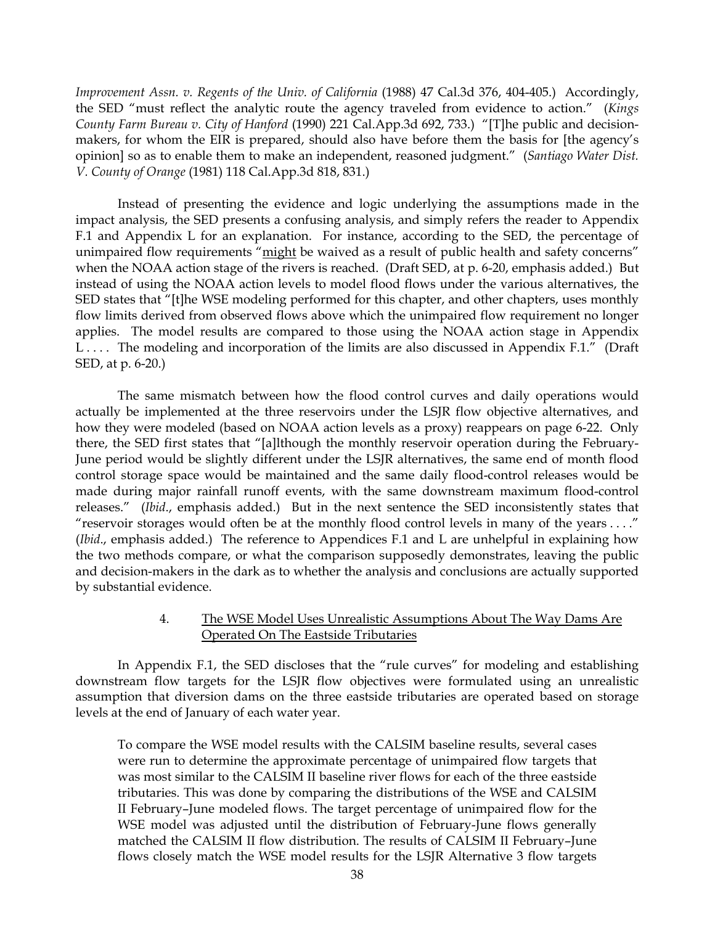*Improvement Assn. v. Regents of the Univ. of California* (1988) 47 Cal.3d 376, 404-405.) Accordingly, the SED "must reflect the analytic route the agency traveled from evidence to action." (*Kings County Farm Bureau v. City of Hanford* (1990) 221 Cal.App.3d 692, 733.) "[T]he public and decisionmakers, for whom the EIR is prepared, should also have before them the basis for [the agency's opinion] so as to enable them to make an independent, reasoned judgment." (*Santiago Water Dist. V. County of Orange* (1981) 118 Cal.App.3d 818, 831.)

Instead of presenting the evidence and logic underlying the assumptions made in the impact analysis, the SED presents a confusing analysis, and simply refers the reader to Appendix F.1 and Appendix L for an explanation. For instance, according to the SED, the percentage of unimpaired flow requirements "might be waived as a result of public health and safety concerns" when the NOAA action stage of the rivers is reached. (Draft SED, at p. 6-20, emphasis added.) But instead of using the NOAA action levels to model flood flows under the various alternatives, the SED states that "[t]he WSE modeling performed for this chapter, and other chapters, uses monthly flow limits derived from observed flows above which the unimpaired flow requirement no longer applies. The model results are compared to those using the NOAA action stage in Appendix L .... The modeling and incorporation of the limits are also discussed in Appendix F.1." (Draft SED, at p. 6-20.)

The same mismatch between how the flood control curves and daily operations would actually be implemented at the three reservoirs under the LSJR flow objective alternatives, and how they were modeled (based on NOAA action levels as a proxy) reappears on page 6-22. Only there, the SED first states that "[a]lthough the monthly reservoir operation during the February-June period would be slightly different under the LSJR alternatives, the same end of month flood control storage space would be maintained and the same daily flood-control releases would be made during major rainfall runoff events, with the same downstream maximum flood-control releases." (*Ibid*., emphasis added.) But in the next sentence the SED inconsistently states that "reservoir storages would often be at the monthly flood control levels in many of the years . . . ." (*Ibid*., emphasis added.) The reference to Appendices F.1 and L are unhelpful in explaining how the two methods compare, or what the comparison supposedly demonstrates, leaving the public and decision-makers in the dark as to whether the analysis and conclusions are actually supported by substantial evidence.

## 4. The WSE Model Uses Unrealistic Assumptions About The Way Dams Are Operated On The Eastside Tributaries

In Appendix F.1, the SED discloses that the "rule curves" for modeling and establishing downstream flow targets for the LSJR flow objectives were formulated using an unrealistic assumption that diversion dams on the three eastside tributaries are operated based on storage levels at the end of January of each water year.

To compare the WSE model results with the CALSIM baseline results, several cases were run to determine the approximate percentage of unimpaired flow targets that was most similar to the CALSIM II baseline river flows for each of the three eastside tributaries. This was done by comparing the distributions of the WSE and CALSIM II February–June modeled flows. The target percentage of unimpaired flow for the WSE model was adjusted until the distribution of February-June flows generally matched the CALSIM II flow distribution. The results of CALSIM II February–June flows closely match the WSE model results for the LSJR Alternative 3 flow targets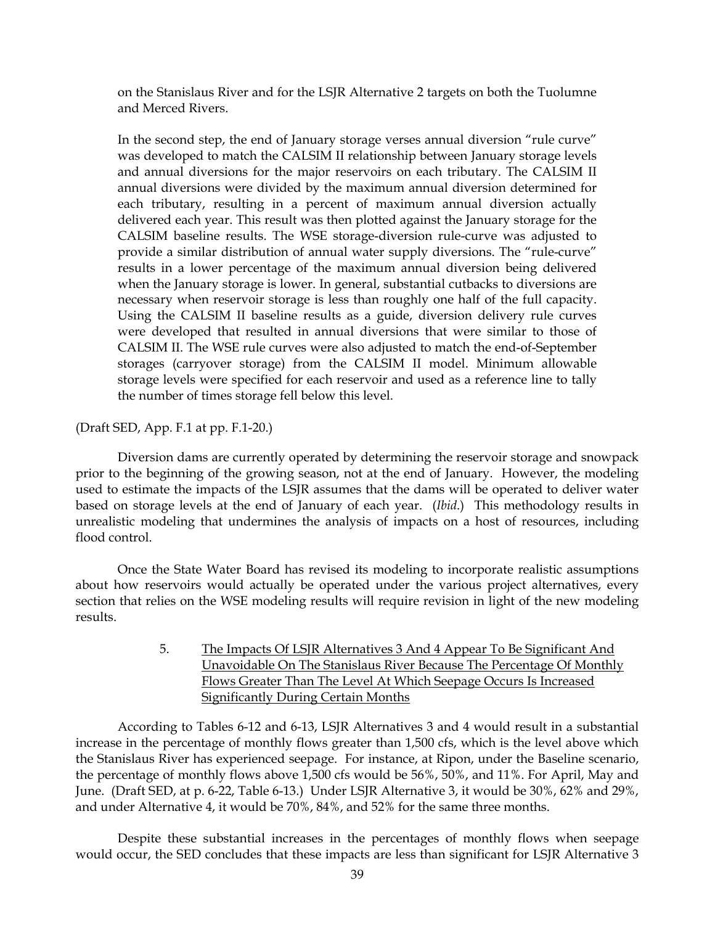on the Stanislaus River and for the LSJR Alternative 2 targets on both the Tuolumne and Merced Rivers.

In the second step, the end of January storage verses annual diversion "rule curve" was developed to match the CALSIM II relationship between January storage levels and annual diversions for the major reservoirs on each tributary. The CALSIM II annual diversions were divided by the maximum annual diversion determined for each tributary, resulting in a percent of maximum annual diversion actually delivered each year. This result was then plotted against the January storage for the CALSIM baseline results. The WSE storage-diversion rule-curve was adjusted to provide a similar distribution of annual water supply diversions. The "rule-curve" results in a lower percentage of the maximum annual diversion being delivered when the January storage is lower. In general, substantial cutbacks to diversions are necessary when reservoir storage is less than roughly one half of the full capacity. Using the CALSIM II baseline results as a guide, diversion delivery rule curves were developed that resulted in annual diversions that were similar to those of CALSIM II. The WSE rule curves were also adjusted to match the end-of-September storages (carryover storage) from the CALSIM II model. Minimum allowable storage levels were specified for each reservoir and used as a reference line to tally the number of times storage fell below this level.

(Draft SED, App. F.1 at pp. F.1-20.)

Diversion dams are currently operated by determining the reservoir storage and snowpack prior to the beginning of the growing season, not at the end of January. However, the modeling used to estimate the impacts of the LSJR assumes that the dams will be operated to deliver water based on storage levels at the end of January of each year. (*Ibid*.) This methodology results in unrealistic modeling that undermines the analysis of impacts on a host of resources, including flood control.

Once the State Water Board has revised its modeling to incorporate realistic assumptions about how reservoirs would actually be operated under the various project alternatives, every section that relies on the WSE modeling results will require revision in light of the new modeling results.

> 5. The Impacts Of LSJR Alternatives 3 And 4 Appear To Be Significant And Unavoidable On The Stanislaus River Because The Percentage Of Monthly Flows Greater Than The Level At Which Seepage Occurs Is Increased Significantly During Certain Months

According to Tables 6-12 and 6-13, LSJR Alternatives 3 and 4 would result in a substantial increase in the percentage of monthly flows greater than 1,500 cfs, which is the level above which the Stanislaus River has experienced seepage. For instance, at Ripon, under the Baseline scenario, the percentage of monthly flows above 1,500 cfs would be 56%, 50%, and 11%. For April, May and June. (Draft SED, at p. 6-22, Table 6-13.) Under LSJR Alternative 3, it would be 30%, 62% and 29%, and under Alternative 4, it would be 70%, 84%, and 52% for the same three months.

Despite these substantial increases in the percentages of monthly flows when seepage would occur, the SED concludes that these impacts are less than significant for LSJR Alternative 3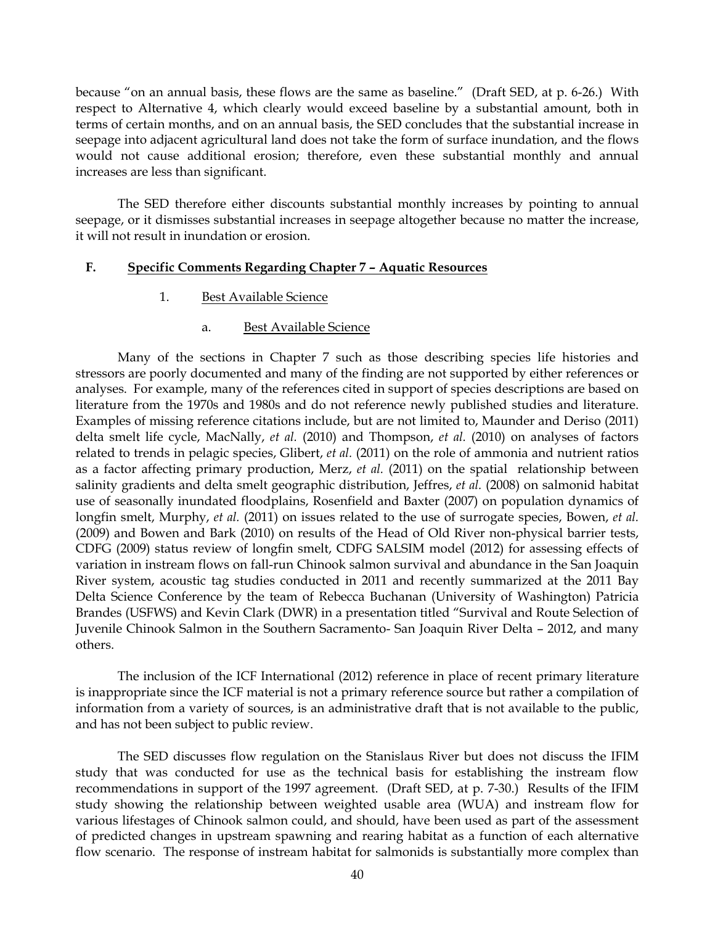because "on an annual basis, these flows are the same as baseline." (Draft SED, at p. 6-26.) With respect to Alternative 4, which clearly would exceed baseline by a substantial amount, both in terms of certain months, and on an annual basis, the SED concludes that the substantial increase in seepage into adjacent agricultural land does not take the form of surface inundation, and the flows would not cause additional erosion; therefore, even these substantial monthly and annual increases are less than significant.

The SED therefore either discounts substantial monthly increases by pointing to annual seepage, or it dismisses substantial increases in seepage altogether because no matter the increase, it will not result in inundation or erosion.

## **F. Specific Comments Regarding Chapter 7 – Aquatic Resources**

- 1. Best Available Science
	- a. Best Available Science

Many of the sections in Chapter 7 such as those describing species life histories and stressors are poorly documented and many of the finding are not supported by either references or analyses. For example, many of the references cited in support of species descriptions are based on literature from the 1970s and 1980s and do not reference newly published studies and literature. Examples of missing reference citations include, but are not limited to, Maunder and Deriso (2011) delta smelt life cycle, MacNally, *et al.* (2010) and Thompson, *et al.* (2010) on analyses of factors related to trends in pelagic species, Glibert, *et al.* (2011) on the role of ammonia and nutrient ratios as a factor affecting primary production, Merz, *et al.* (2011) on the spatial relationship between salinity gradients and delta smelt geographic distribution, Jeffres, *et al.* (2008) on salmonid habitat use of seasonally inundated floodplains, Rosenfield and Baxter (2007) on population dynamics of longfin smelt, Murphy, *et al.* (2011) on issues related to the use of surrogate species, Bowen, *et al.* (2009) and Bowen and Bark (2010) on results of the Head of Old River non-physical barrier tests, CDFG (2009) status review of longfin smelt, CDFG SALSIM model (2012) for assessing effects of variation in instream flows on fall-run Chinook salmon survival and abundance in the San Joaquin River system, acoustic tag studies conducted in 2011 and recently summarized at the 2011 Bay Delta Science Conference by the team of Rebecca Buchanan (University of Washington) Patricia Brandes (USFWS) and Kevin Clark (DWR) in a presentation titled "Survival and Route Selection of Juvenile Chinook Salmon in the Southern Sacramento- San Joaquin River Delta – 2012, and many others.

The inclusion of the ICF International (2012) reference in place of recent primary literature is inappropriate since the ICF material is not a primary reference source but rather a compilation of information from a variety of sources, is an administrative draft that is not available to the public, and has not been subject to public review.

The SED discusses flow regulation on the Stanislaus River but does not discuss the IFIM study that was conducted for use as the technical basis for establishing the instream flow recommendations in support of the 1997 agreement. (Draft SED, at p. 7-30.) Results of the IFIM study showing the relationship between weighted usable area (WUA) and instream flow for various lifestages of Chinook salmon could, and should, have been used as part of the assessment of predicted changes in upstream spawning and rearing habitat as a function of each alternative flow scenario. The response of instream habitat for salmonids is substantially more complex than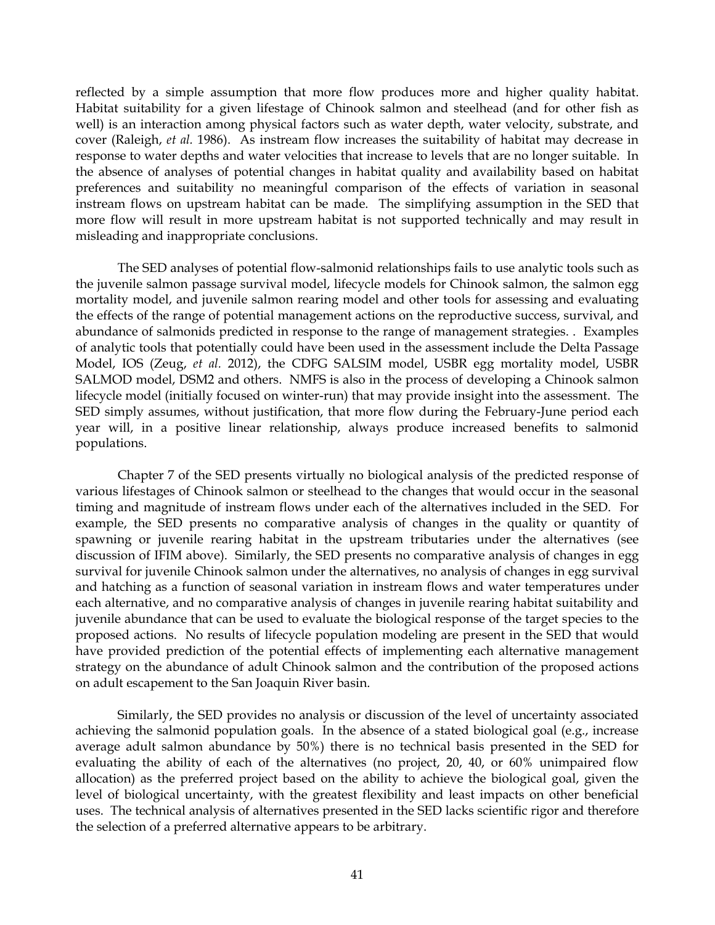reflected by a simple assumption that more flow produces more and higher quality habitat. Habitat suitability for a given lifestage of Chinook salmon and steelhead (and for other fish as well) is an interaction among physical factors such as water depth, water velocity, substrate, and cover (Raleigh, *et al.* 1986). As instream flow increases the suitability of habitat may decrease in response to water depths and water velocities that increase to levels that are no longer suitable. In the absence of analyses of potential changes in habitat quality and availability based on habitat preferences and suitability no meaningful comparison of the effects of variation in seasonal instream flows on upstream habitat can be made. The simplifying assumption in the SED that more flow will result in more upstream habitat is not supported technically and may result in misleading and inappropriate conclusions.

The SED analyses of potential flow-salmonid relationships fails to use analytic tools such as the juvenile salmon passage survival model, lifecycle models for Chinook salmon, the salmon egg mortality model, and juvenile salmon rearing model and other tools for assessing and evaluating the effects of the range of potential management actions on the reproductive success, survival, and abundance of salmonids predicted in response to the range of management strategies. . Examples of analytic tools that potentially could have been used in the assessment include the Delta Passage Model, IOS (Zeug, *et al.* 2012), the CDFG SALSIM model, USBR egg mortality model, USBR SALMOD model, DSM2 and others. NMFS is also in the process of developing a Chinook salmon lifecycle model (initially focused on winter-run) that may provide insight into the assessment. The SED simply assumes, without justification, that more flow during the February-June period each year will, in a positive linear relationship, always produce increased benefits to salmonid populations.

Chapter 7 of the SED presents virtually no biological analysis of the predicted response of various lifestages of Chinook salmon or steelhead to the changes that would occur in the seasonal timing and magnitude of instream flows under each of the alternatives included in the SED. For example, the SED presents no comparative analysis of changes in the quality or quantity of spawning or juvenile rearing habitat in the upstream tributaries under the alternatives (see discussion of IFIM above). Similarly, the SED presents no comparative analysis of changes in egg survival for juvenile Chinook salmon under the alternatives, no analysis of changes in egg survival and hatching as a function of seasonal variation in instream flows and water temperatures under each alternative, and no comparative analysis of changes in juvenile rearing habitat suitability and juvenile abundance that can be used to evaluate the biological response of the target species to the proposed actions. No results of lifecycle population modeling are present in the SED that would have provided prediction of the potential effects of implementing each alternative management strategy on the abundance of adult Chinook salmon and the contribution of the proposed actions on adult escapement to the San Joaquin River basin.

Similarly, the SED provides no analysis or discussion of the level of uncertainty associated achieving the salmonid population goals. In the absence of a stated biological goal (e.g., increase average adult salmon abundance by 50%) there is no technical basis presented in the SED for evaluating the ability of each of the alternatives (no project, 20, 40, or 60% unimpaired flow allocation) as the preferred project based on the ability to achieve the biological goal, given the level of biological uncertainty, with the greatest flexibility and least impacts on other beneficial uses. The technical analysis of alternatives presented in the SED lacks scientific rigor and therefore the selection of a preferred alternative appears to be arbitrary.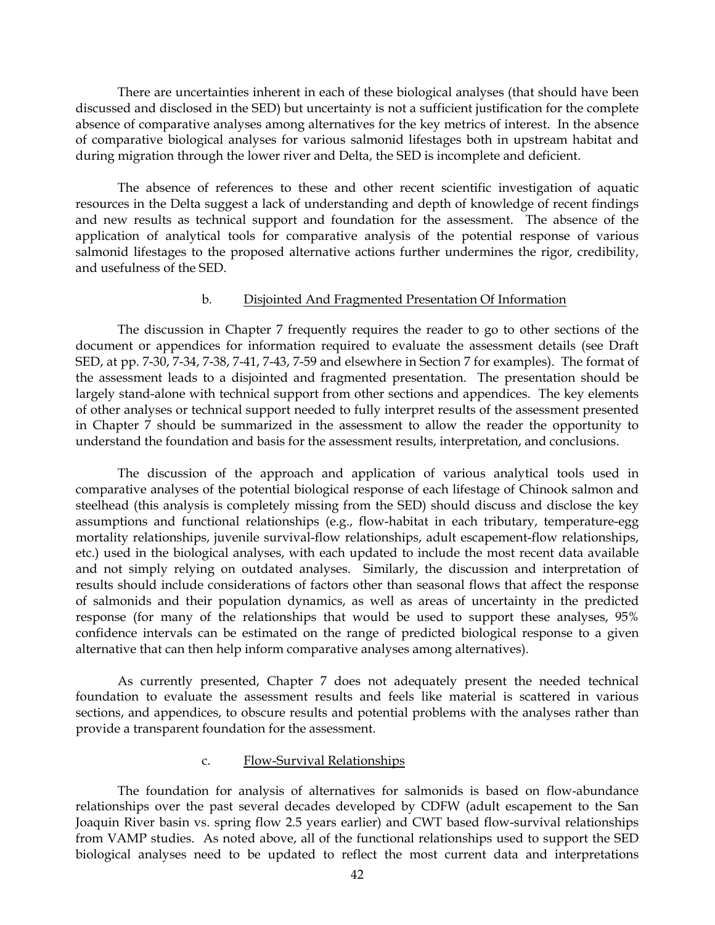There are uncertainties inherent in each of these biological analyses (that should have been discussed and disclosed in the SED) but uncertainty is not a sufficient justification for the complete absence of comparative analyses among alternatives for the key metrics of interest. In the absence of comparative biological analyses for various salmonid lifestages both in upstream habitat and during migration through the lower river and Delta, the SED is incomplete and deficient.

The absence of references to these and other recent scientific investigation of aquatic resources in the Delta suggest a lack of understanding and depth of knowledge of recent findings and new results as technical support and foundation for the assessment. The absence of the application of analytical tools for comparative analysis of the potential response of various salmonid lifestages to the proposed alternative actions further undermines the rigor, credibility, and usefulness of the SED.

### b. Disjointed And Fragmented Presentation Of Information

The discussion in Chapter 7 frequently requires the reader to go to other sections of the document or appendices for information required to evaluate the assessment details (see Draft SED, at pp. 7-30, 7-34, 7-38, 7-41, 7-43, 7-59 and elsewhere in Section 7 for examples). The format of the assessment leads to a disjointed and fragmented presentation. The presentation should be largely stand-alone with technical support from other sections and appendices. The key elements of other analyses or technical support needed to fully interpret results of the assessment presented in Chapter 7 should be summarized in the assessment to allow the reader the opportunity to understand the foundation and basis for the assessment results, interpretation, and conclusions.

The discussion of the approach and application of various analytical tools used in comparative analyses of the potential biological response of each lifestage of Chinook salmon and steelhead (this analysis is completely missing from the SED) should discuss and disclose the key assumptions and functional relationships (e.g., flow-habitat in each tributary, temperature-egg mortality relationships, juvenile survival-flow relationships, adult escapement-flow relationships, etc.) used in the biological analyses, with each updated to include the most recent data available and not simply relying on outdated analyses. Similarly, the discussion and interpretation of results should include considerations of factors other than seasonal flows that affect the response of salmonids and their population dynamics, as well as areas of uncertainty in the predicted response (for many of the relationships that would be used to support these analyses, 95% confidence intervals can be estimated on the range of predicted biological response to a given alternative that can then help inform comparative analyses among alternatives).

As currently presented, Chapter 7 does not adequately present the needed technical foundation to evaluate the assessment results and feels like material is scattered in various sections, and appendices, to obscure results and potential problems with the analyses rather than provide a transparent foundation for the assessment.

### c. Flow-Survival Relationships

The foundation for analysis of alternatives for salmonids is based on flow-abundance relationships over the past several decades developed by CDFW (adult escapement to the San Joaquin River basin vs. spring flow 2.5 years earlier) and CWT based flow-survival relationships from VAMP studies. As noted above, all of the functional relationships used to support the SED biological analyses need to be updated to reflect the most current data and interpretations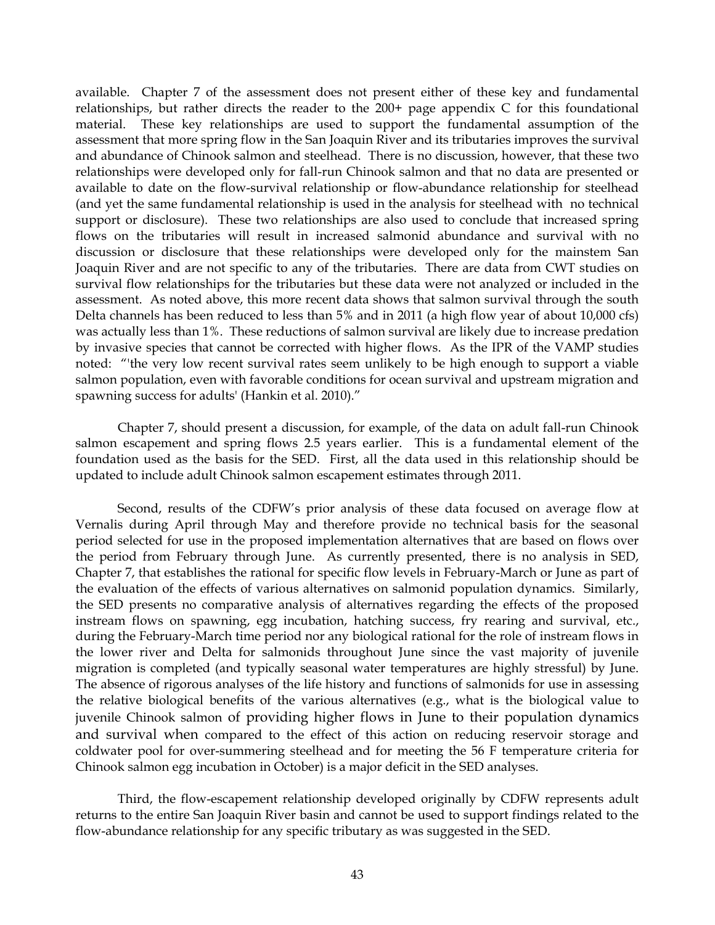available. Chapter 7 of the assessment does not present either of these key and fundamental relationships, but rather directs the reader to the 200+ page appendix C for this foundational material. These key relationships are used to support the fundamental assumption of the assessment that more spring flow in the San Joaquin River and its tributaries improves the survival and abundance of Chinook salmon and steelhead. There is no discussion, however, that these two relationships were developed only for fall-run Chinook salmon and that no data are presented or available to date on the flow-survival relationship or flow-abundance relationship for steelhead (and yet the same fundamental relationship is used in the analysis for steelhead with no technical support or disclosure). These two relationships are also used to conclude that increased spring flows on the tributaries will result in increased salmonid abundance and survival with no discussion or disclosure that these relationships were developed only for the mainstem San Joaquin River and are not specific to any of the tributaries. There are data from CWT studies on survival flow relationships for the tributaries but these data were not analyzed or included in the assessment. As noted above, this more recent data shows that salmon survival through the south Delta channels has been reduced to less than 5% and in 2011 (a high flow year of about 10,000 cfs) was actually less than 1%. These reductions of salmon survival are likely due to increase predation by invasive species that cannot be corrected with higher flows. As the IPR of the VAMP studies noted: "'the very low recent survival rates seem unlikely to be high enough to support a viable salmon population, even with favorable conditions for ocean survival and upstream migration and spawning success for adults' (Hankin et al. 2010)."

Chapter 7, should present a discussion, for example, of the data on adult fall-run Chinook salmon escapement and spring flows 2.5 years earlier. This is a fundamental element of the foundation used as the basis for the SED. First, all the data used in this relationship should be updated to include adult Chinook salmon escapement estimates through 2011.

Second, results of the CDFW's prior analysis of these data focused on average flow at Vernalis during April through May and therefore provide no technical basis for the seasonal period selected for use in the proposed implementation alternatives that are based on flows over the period from February through June. As currently presented, there is no analysis in SED, Chapter 7, that establishes the rational for specific flow levels in February-March or June as part of the evaluation of the effects of various alternatives on salmonid population dynamics. Similarly, the SED presents no comparative analysis of alternatives regarding the effects of the proposed instream flows on spawning, egg incubation, hatching success, fry rearing and survival, etc., during the February-March time period nor any biological rational for the role of instream flows in the lower river and Delta for salmonids throughout June since the vast majority of juvenile migration is completed (and typically seasonal water temperatures are highly stressful) by June. The absence of rigorous analyses of the life history and functions of salmonids for use in assessing the relative biological benefits of the various alternatives (e.g., what is the biological value to juvenile Chinook salmon of providing higher flows in June to their population dynamics and survival when compared to the effect of this action on reducing reservoir storage and coldwater pool for over-summering steelhead and for meeting the 56 F temperature criteria for Chinook salmon egg incubation in October) is a major deficit in the SED analyses.

Third, the flow-escapement relationship developed originally by CDFW represents adult returns to the entire San Joaquin River basin and cannot be used to support findings related to the flow-abundance relationship for any specific tributary as was suggested in the SED.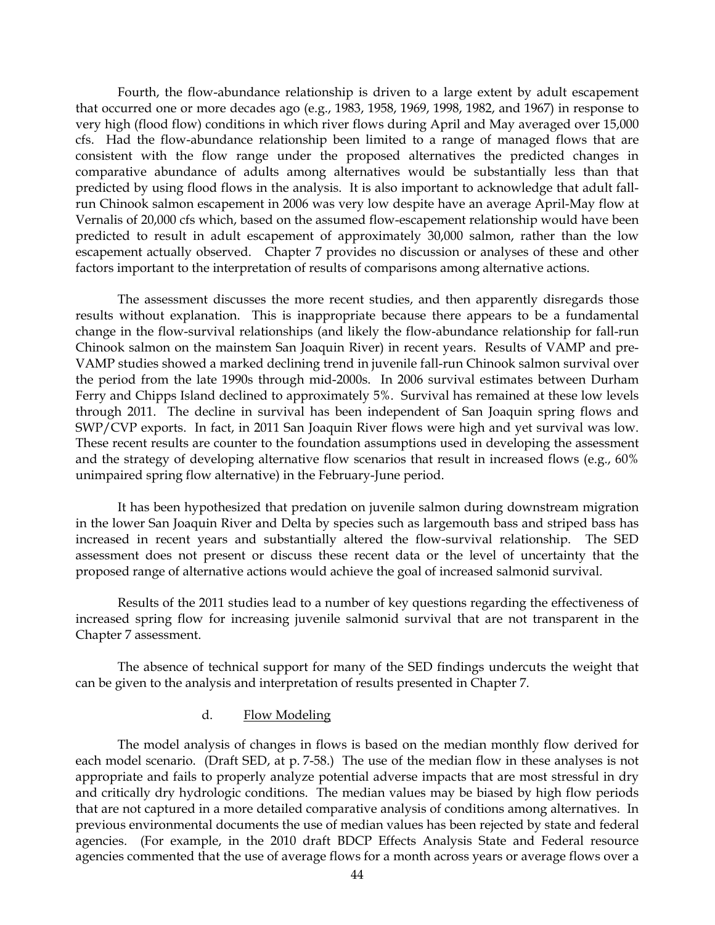Fourth, the flow-abundance relationship is driven to a large extent by adult escapement that occurred one or more decades ago (e.g., 1983, 1958, 1969, 1998, 1982, and 1967) in response to very high (flood flow) conditions in which river flows during April and May averaged over 15,000 cfs. Had the flow-abundance relationship been limited to a range of managed flows that are consistent with the flow range under the proposed alternatives the predicted changes in comparative abundance of adults among alternatives would be substantially less than that predicted by using flood flows in the analysis. It is also important to acknowledge that adult fallrun Chinook salmon escapement in 2006 was very low despite have an average April-May flow at Vernalis of 20,000 cfs which, based on the assumed flow-escapement relationship would have been predicted to result in adult escapement of approximately 30,000 salmon, rather than the low escapement actually observed. Chapter 7 provides no discussion or analyses of these and other factors important to the interpretation of results of comparisons among alternative actions.

The assessment discusses the more recent studies, and then apparently disregards those results without explanation. This is inappropriate because there appears to be a fundamental change in the flow-survival relationships (and likely the flow-abundance relationship for fall-run Chinook salmon on the mainstem San Joaquin River) in recent years. Results of VAMP and pre-VAMP studies showed a marked declining trend in juvenile fall-run Chinook salmon survival over the period from the late 1990s through mid-2000s. In 2006 survival estimates between Durham Ferry and Chipps Island declined to approximately 5%. Survival has remained at these low levels through 2011. The decline in survival has been independent of San Joaquin spring flows and SWP/CVP exports. In fact, in 2011 San Joaquin River flows were high and yet survival was low. These recent results are counter to the foundation assumptions used in developing the assessment and the strategy of developing alternative flow scenarios that result in increased flows (e.g.,  $60\%$ ) unimpaired spring flow alternative) in the February-June period.

It has been hypothesized that predation on juvenile salmon during downstream migration in the lower San Joaquin River and Delta by species such as largemouth bass and striped bass has increased in recent years and substantially altered the flow-survival relationship. The SED assessment does not present or discuss these recent data or the level of uncertainty that the proposed range of alternative actions would achieve the goal of increased salmonid survival.

Results of the 2011 studies lead to a number of key questions regarding the effectiveness of increased spring flow for increasing juvenile salmonid survival that are not transparent in the Chapter 7 assessment.

The absence of technical support for many of the SED findings undercuts the weight that can be given to the analysis and interpretation of results presented in Chapter 7.

## d. Flow Modeling

The model analysis of changes in flows is based on the median monthly flow derived for each model scenario. (Draft SED, at p. 7-58.) The use of the median flow in these analyses is not appropriate and fails to properly analyze potential adverse impacts that are most stressful in dry and critically dry hydrologic conditions. The median values may be biased by high flow periods that are not captured in a more detailed comparative analysis of conditions among alternatives. In previous environmental documents the use of median values has been rejected by state and federal agencies. (For example, in the 2010 draft BDCP Effects Analysis State and Federal resource agencies commented that the use of average flows for a month across years or average flows over a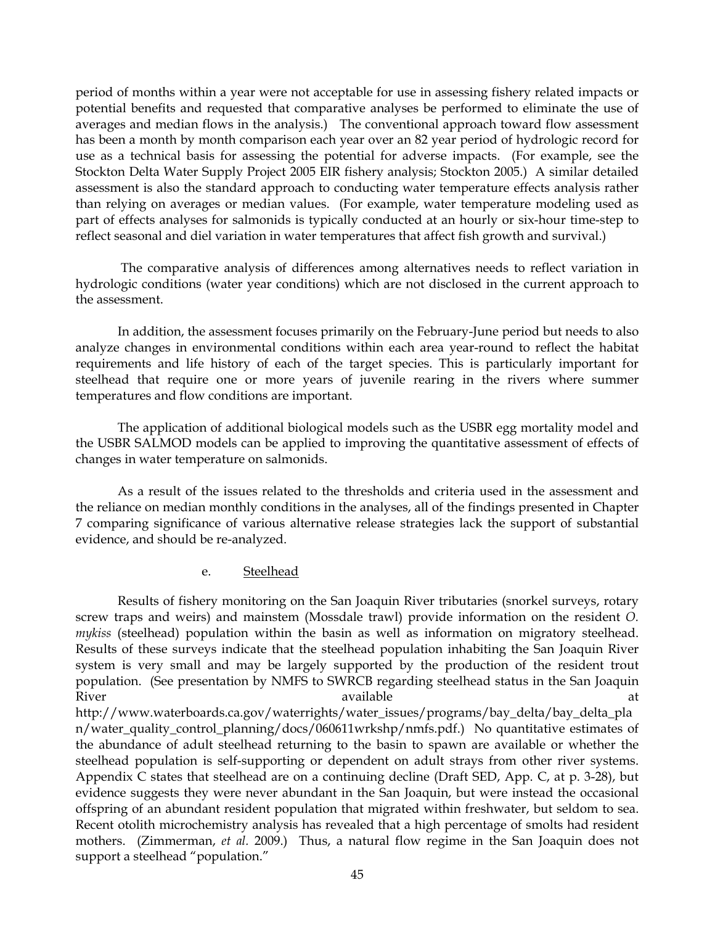period of months within a year were not acceptable for use in assessing fishery related impacts or potential benefits and requested that comparative analyses be performed to eliminate the use of averages and median flows in the analysis.) The conventional approach toward flow assessment has been a month by month comparison each year over an 82 year period of hydrologic record for use as a technical basis for assessing the potential for adverse impacts. (For example, see the Stockton Delta Water Supply Project 2005 EIR fishery analysis; Stockton 2005.) A similar detailed assessment is also the standard approach to conducting water temperature effects analysis rather than relying on averages or median values. (For example, water temperature modeling used as part of effects analyses for salmonids is typically conducted at an hourly or six-hour time-step to reflect seasonal and diel variation in water temperatures that affect fish growth and survival.)

 The comparative analysis of differences among alternatives needs to reflect variation in hydrologic conditions (water year conditions) which are not disclosed in the current approach to the assessment.

In addition, the assessment focuses primarily on the February-June period but needs to also analyze changes in environmental conditions within each area year-round to reflect the habitat requirements and life history of each of the target species. This is particularly important for steelhead that require one or more years of juvenile rearing in the rivers where summer temperatures and flow conditions are important.

The application of additional biological models such as the USBR egg mortality model and the USBR SALMOD models can be applied to improving the quantitative assessment of effects of changes in water temperature on salmonids.

As a result of the issues related to the thresholds and criteria used in the assessment and the reliance on median monthly conditions in the analyses, all of the findings presented in Chapter 7 comparing significance of various alternative release strategies lack the support of substantial evidence, and should be re-analyzed.

### e. Steelhead

Results of fishery monitoring on the San Joaquin River tributaries (snorkel surveys, rotary screw traps and weirs) and mainstem (Mossdale trawl) provide information on the resident *O. mykiss* (steelhead) population within the basin as well as information on migratory steelhead. Results of these surveys indicate that the steelhead population inhabiting the San Joaquin River system is very small and may be largely supported by the production of the resident trout population. (See presentation by NMFS to SWRCB regarding steelhead status in the San Joaquin River available and  $\alpha$  available at  $\alpha$ 

http://www.waterboards.ca.gov/waterrights/water\_issues/programs/bay\_delta/bay\_delta\_pla n/water\_quality\_control\_planning/docs/060611wrkshp/nmfs.pdf.) No quantitative estimates of the abundance of adult steelhead returning to the basin to spawn are available or whether the steelhead population is self-supporting or dependent on adult strays from other river systems. Appendix C states that steelhead are on a continuing decline (Draft SED, App. C, at p. 3-28), but evidence suggests they were never abundant in the San Joaquin, but were instead the occasional offspring of an abundant resident population that migrated within freshwater, but seldom to sea. Recent otolith microchemistry analysis has revealed that a high percentage of smolts had resident mothers. (Zimmerman, *et al.* 2009.) Thus, a natural flow regime in the San Joaquin does not support a steelhead "population."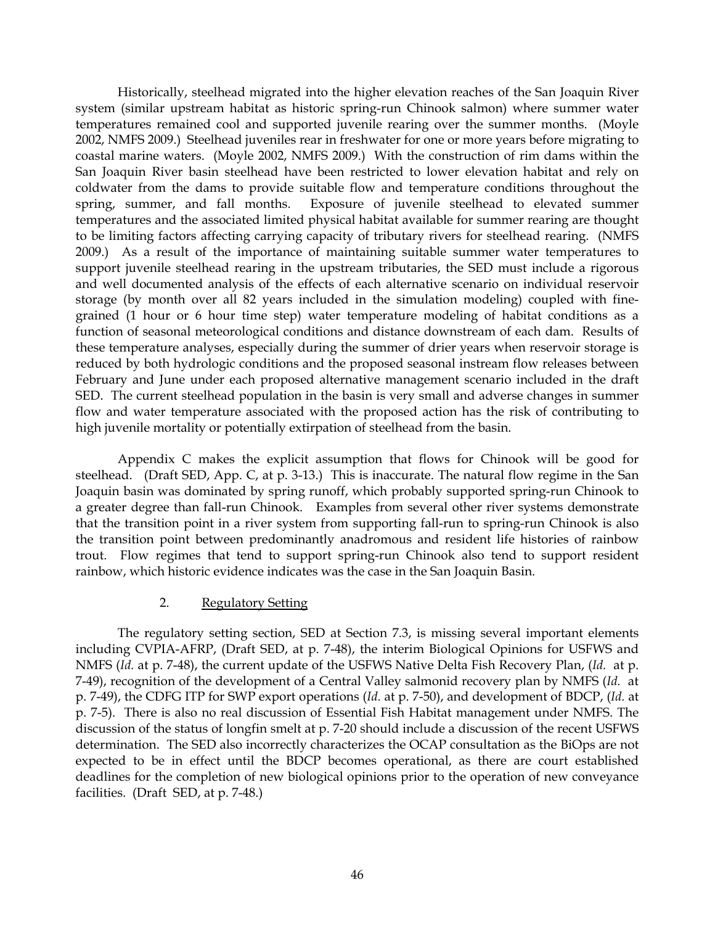Historically, steelhead migrated into the higher elevation reaches of the San Joaquin River system (similar upstream habitat as historic spring-run Chinook salmon) where summer water temperatures remained cool and supported juvenile rearing over the summer months. (Moyle 2002, NMFS 2009.) Steelhead juveniles rear in freshwater for one or more years before migrating to coastal marine waters. (Moyle 2002, NMFS 2009.) With the construction of rim dams within the San Joaquin River basin steelhead have been restricted to lower elevation habitat and rely on coldwater from the dams to provide suitable flow and temperature conditions throughout the spring, summer, and fall months. Exposure of juvenile steelhead to elevated summer temperatures and the associated limited physical habitat available for summer rearing are thought to be limiting factors affecting carrying capacity of tributary rivers for steelhead rearing. (NMFS 2009.) As a result of the importance of maintaining suitable summer water temperatures to support juvenile steelhead rearing in the upstream tributaries, the SED must include a rigorous and well documented analysis of the effects of each alternative scenario on individual reservoir storage (by month over all 82 years included in the simulation modeling) coupled with finegrained (1 hour or 6 hour time step) water temperature modeling of habitat conditions as a function of seasonal meteorological conditions and distance downstream of each dam. Results of these temperature analyses, especially during the summer of drier years when reservoir storage is reduced by both hydrologic conditions and the proposed seasonal instream flow releases between February and June under each proposed alternative management scenario included in the draft SED. The current steelhead population in the basin is very small and adverse changes in summer flow and water temperature associated with the proposed action has the risk of contributing to high juvenile mortality or potentially extirpation of steelhead from the basin.

Appendix C makes the explicit assumption that flows for Chinook will be good for steelhead. (Draft SED, App. C, at p. 3-13.) This is inaccurate. The natural flow regime in the San Joaquin basin was dominated by spring runoff, which probably supported spring-run Chinook to a greater degree than fall-run Chinook. Examples from several other river systems demonstrate that the transition point in a river system from supporting fall-run to spring-run Chinook is also the transition point between predominantly anadromous and resident life histories of rainbow trout. Flow regimes that tend to support spring-run Chinook also tend to support resident rainbow, which historic evidence indicates was the case in the San Joaquin Basin.

#### 2. Regulatory Setting

The regulatory setting section, SED at Section 7.3, is missing several important elements including CVPIA-AFRP, (Draft SED, at p. 7-48), the interim Biological Opinions for USFWS and NMFS (*Id.* at p. 7-48), the current update of the USFWS Native Delta Fish Recovery Plan, (*Id.* at p. 7-49), recognition of the development of a Central Valley salmonid recovery plan by NMFS (*Id.* at p. 7-49), the CDFG ITP for SWP export operations (*Id.* at p. 7-50), and development of BDCP, (*Id.* at p. 7-5). There is also no real discussion of Essential Fish Habitat management under NMFS. The discussion of the status of longfin smelt at p. 7-20 should include a discussion of the recent USFWS determination. The SED also incorrectly characterizes the OCAP consultation as the BiOps are not expected to be in effect until the BDCP becomes operational, as there are court established deadlines for the completion of new biological opinions prior to the operation of new conveyance facilities. (Draft SED, at p. 7-48.)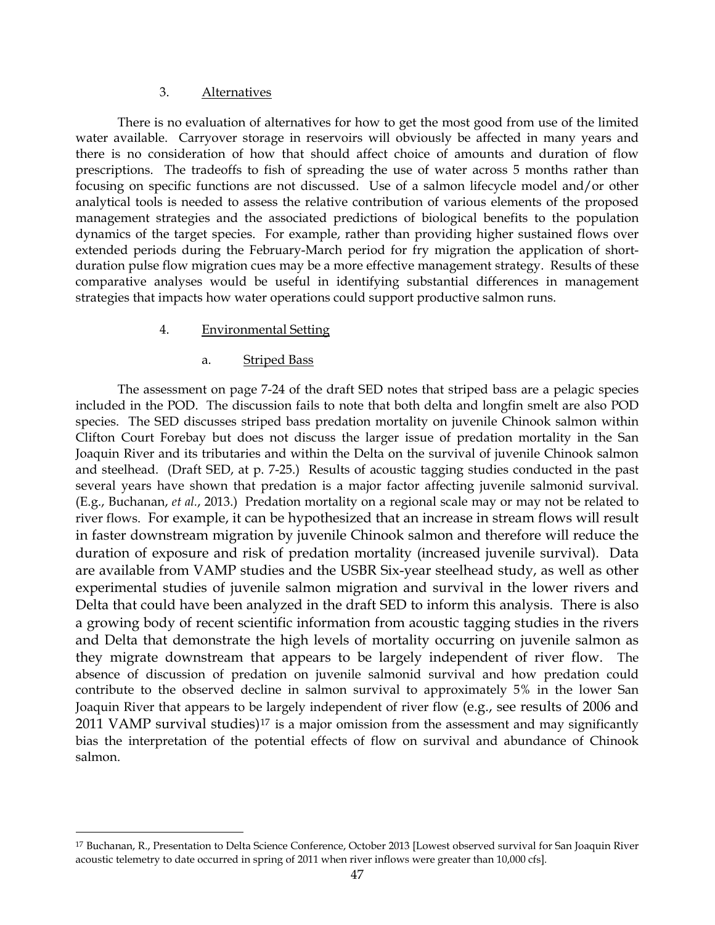### 3. Alternatives

There is no evaluation of alternatives for how to get the most good from use of the limited water available. Carryover storage in reservoirs will obviously be affected in many years and there is no consideration of how that should affect choice of amounts and duration of flow prescriptions. The tradeoffs to fish of spreading the use of water across 5 months rather than focusing on specific functions are not discussed. Use of a salmon lifecycle model and/or other analytical tools is needed to assess the relative contribution of various elements of the proposed management strategies and the associated predictions of biological benefits to the population dynamics of the target species. For example, rather than providing higher sustained flows over extended periods during the February-March period for fry migration the application of shortduration pulse flow migration cues may be a more effective management strategy. Results of these comparative analyses would be useful in identifying substantial differences in management strategies that impacts how water operations could support productive salmon runs.

### 4. Environmental Setting

 $\overline{a}$ 

### a. Striped Bass

The assessment on page 7-24 of the draft SED notes that striped bass are a pelagic species included in the POD. The discussion fails to note that both delta and longfin smelt are also POD species. The SED discusses striped bass predation mortality on juvenile Chinook salmon within Clifton Court Forebay but does not discuss the larger issue of predation mortality in the San Joaquin River and its tributaries and within the Delta on the survival of juvenile Chinook salmon and steelhead. (Draft SED, at p. 7-25.) Results of acoustic tagging studies conducted in the past several years have shown that predation is a major factor affecting juvenile salmonid survival. (E.g., Buchanan, *et al.*, 2013.) Predation mortality on a regional scale may or may not be related to river flows. For example, it can be hypothesized that an increase in stream flows will result in faster downstream migration by juvenile Chinook salmon and therefore will reduce the duration of exposure and risk of predation mortality (increased juvenile survival). Data are available from VAMP studies and the USBR Six-year steelhead study, as well as other experimental studies of juvenile salmon migration and survival in the lower rivers and Delta that could have been analyzed in the draft SED to inform this analysis. There is also a growing body of recent scientific information from acoustic tagging studies in the rivers and Delta that demonstrate the high levels of mortality occurring on juvenile salmon as they migrate downstream that appears to be largely independent of river flow. The absence of discussion of predation on juvenile salmonid survival and how predation could contribute to the observed decline in salmon survival to approximately 5% in the lower San Joaquin River that appears to be largely independent of river flow (e.g., see results of 2006 and 2011 VAMP survival studies)<sup>[17](#page-62-0)</sup> is a major omission from the assessment and may significantly bias the interpretation of the potential effects of flow on survival and abundance of Chinook salmon.

<span id="page-62-0"></span><sup>17</sup> Buchanan, R., Presentation to Delta Science Conference, October 2013 [Lowest observed survival for San Joaquin River acoustic telemetry to date occurred in spring of 2011 when river inflows were greater than 10,000 cfs].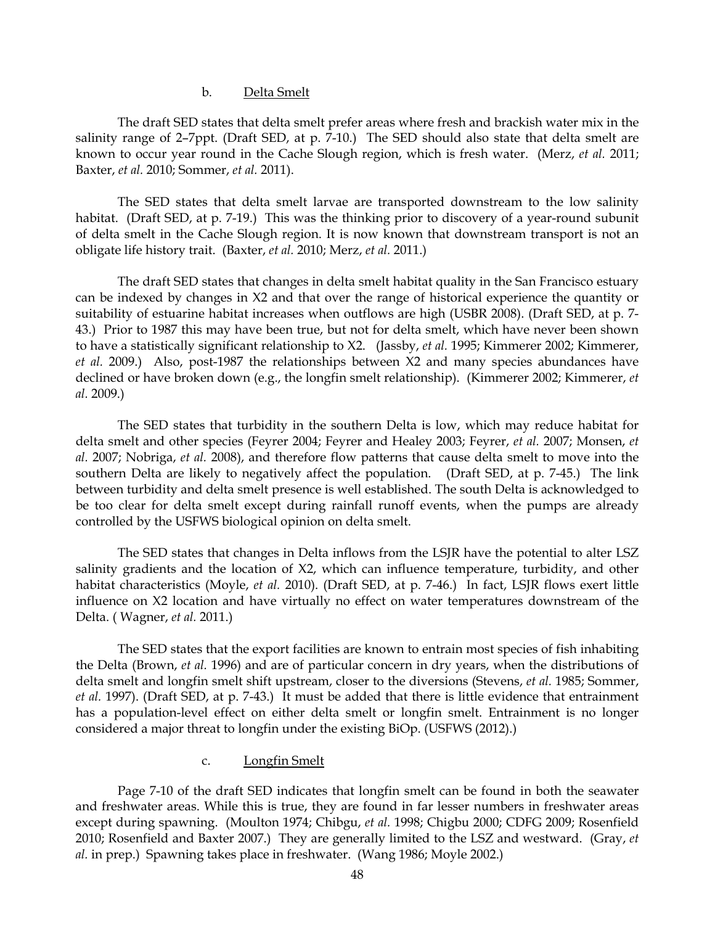### b. Delta Smelt

The draft SED states that delta smelt prefer areas where fresh and brackish water mix in the salinity range of 2–7ppt. (Draft SED, at p. 7-10.) The SED should also state that delta smelt are known to occur year round in the Cache Slough region, which is fresh water. (Merz, *et al.* 2011; Baxter, *et al.* 2010; Sommer, *et al.* 2011).

The SED states that delta smelt larvae are transported downstream to the low salinity habitat. (Draft SED, at p. 7-19.) This was the thinking prior to discovery of a year-round subunit of delta smelt in the Cache Slough region. It is now known that downstream transport is not an obligate life history trait. (Baxter, *et al.* 2010; Merz, *et al.* 2011.)

The draft SED states that changes in delta smelt habitat quality in the San Francisco estuary can be indexed by changes in X2 and that over the range of historical experience the quantity or suitability of estuarine habitat increases when outflows are high (USBR 2008). (Draft SED, at p. 7- 43.) Prior to 1987 this may have been true, but not for delta smelt, which have never been shown to have a statistically significant relationship to X2. (Jassby, *et al.* 1995; Kimmerer 2002; Kimmerer, *et al.* 2009.) Also, post-1987 the relationships between X2 and many species abundances have declined or have broken down (e.g., the longfin smelt relationship). (Kimmerer 2002; Kimmerer, *et al.* 2009.)

The SED states that turbidity in the southern Delta is low, which may reduce habitat for delta smelt and other species (Feyrer 2004; Feyrer and Healey 2003; Feyrer, *et al.* 2007; Monsen, *et al.* 2007; Nobriga, *et al.* 2008), and therefore flow patterns that cause delta smelt to move into the southern Delta are likely to negatively affect the population. (Draft SED, at p. 7-45.) The link between turbidity and delta smelt presence is well established. The south Delta is acknowledged to be too clear for delta smelt except during rainfall runoff events, when the pumps are already controlled by the USFWS biological opinion on delta smelt.

The SED states that changes in Delta inflows from the LSJR have the potential to alter LSZ salinity gradients and the location of X2, which can influence temperature, turbidity, and other habitat characteristics (Moyle, *et al.* 2010). (Draft SED, at p. 7-46.) In fact, LSJR flows exert little influence on X2 location and have virtually no effect on water temperatures downstream of the Delta. ( Wagner, *et al.* 2011.)

The SED states that the export facilities are known to entrain most species of fish inhabiting the Delta (Brown, *et al.* 1996) and are of particular concern in dry years, when the distributions of delta smelt and longfin smelt shift upstream, closer to the diversions (Stevens, *et al.* 1985; Sommer, *et al.* 1997). (Draft SED, at p. 7-43.) It must be added that there is little evidence that entrainment has a population-level effect on either delta smelt or longfin smelt. Entrainment is no longer considered a major threat to longfin under the existing BiOp. (USFWS (2012).)

### c. Longfin Smelt

Page 7-10 of the draft SED indicates that longfin smelt can be found in both the seawater and freshwater areas. While this is true, they are found in far lesser numbers in freshwater areas except during spawning. (Moulton 1974; Chibgu, *et al.* 1998; Chigbu 2000; CDFG 2009; Rosenfield 2010; Rosenfield and Baxter 2007.) They are generally limited to the LSZ and westward. (Gray, *et al.* in prep.) Spawning takes place in freshwater. (Wang 1986; Moyle 2002.)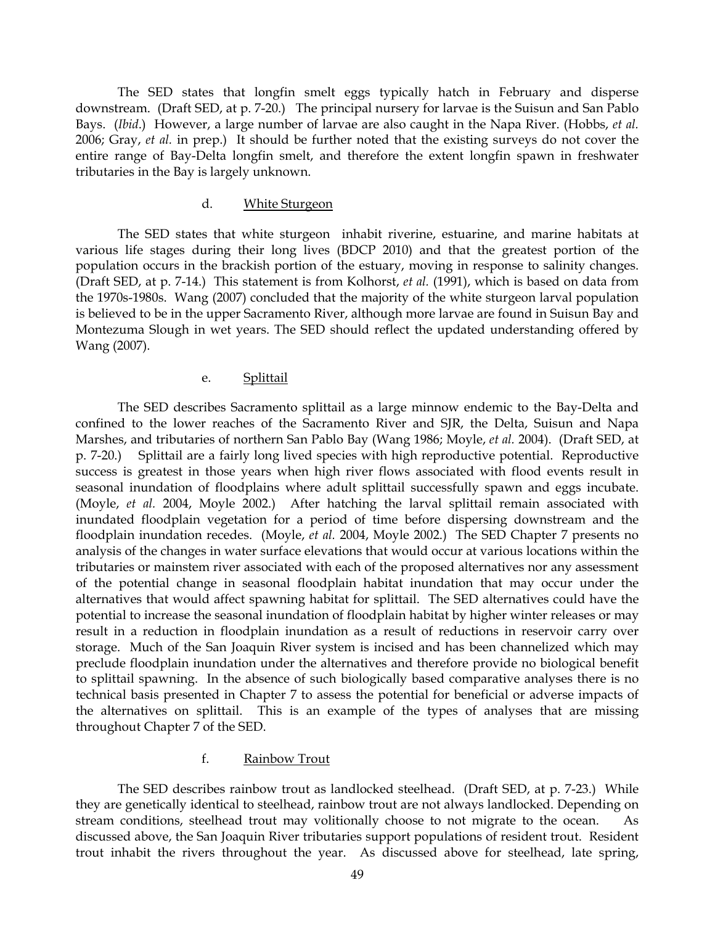The SED states that longfin smelt eggs typically hatch in February and disperse downstream. (Draft SED, at p. 7-20.) The principal nursery for larvae is the Suisun and San Pablo Bays. (*Ibid*.) However, a large number of larvae are also caught in the Napa River. (Hobbs, *et al.* 2006; Gray, *et al.* in prep.) It should be further noted that the existing surveys do not cover the entire range of Bay-Delta longfin smelt, and therefore the extent longfin spawn in freshwater tributaries in the Bay is largely unknown.

#### d. White Sturgeon

The SED states that white sturgeon inhabit riverine, estuarine, and marine habitats at various life stages during their long lives (BDCP 2010) and that the greatest portion of the population occurs in the brackish portion of the estuary, moving in response to salinity changes. (Draft SED, at p. 7-14.) This statement is from Kolhorst, *et al.* (1991), which is based on data from the 1970s-1980s. Wang (2007) concluded that the majority of the white sturgeon larval population is believed to be in the upper Sacramento River, although more larvae are found in Suisun Bay and Montezuma Slough in wet years. The SED should reflect the updated understanding offered by Wang (2007).

#### e. Splittail

The SED describes Sacramento splittail as a large minnow endemic to the Bay-Delta and confined to the lower reaches of the Sacramento River and SJR, the Delta, Suisun and Napa Marshes, and tributaries of northern San Pablo Bay (Wang 1986; Moyle, *et al.* 2004). (Draft SED, at p. 7-20.) Splittail are a fairly long lived species with high reproductive potential. Reproductive success is greatest in those years when high river flows associated with flood events result in seasonal inundation of floodplains where adult splittail successfully spawn and eggs incubate. (Moyle, *et al.* 2004, Moyle 2002.) After hatching the larval splittail remain associated with inundated floodplain vegetation for a period of time before dispersing downstream and the floodplain inundation recedes. (Moyle, *et al.* 2004, Moyle 2002.) The SED Chapter 7 presents no analysis of the changes in water surface elevations that would occur at various locations within the tributaries or mainstem river associated with each of the proposed alternatives nor any assessment of the potential change in seasonal floodplain habitat inundation that may occur under the alternatives that would affect spawning habitat for splittail. The SED alternatives could have the potential to increase the seasonal inundation of floodplain habitat by higher winter releases or may result in a reduction in floodplain inundation as a result of reductions in reservoir carry over storage. Much of the San Joaquin River system is incised and has been channelized which may preclude floodplain inundation under the alternatives and therefore provide no biological benefit to splittail spawning. In the absence of such biologically based comparative analyses there is no technical basis presented in Chapter 7 to assess the potential for beneficial or adverse impacts of the alternatives on splittail. This is an example of the types of analyses that are missing throughout Chapter 7 of the SED.

## f. Rainbow Trout

The SED describes rainbow trout as landlocked steelhead. (Draft SED, at p. 7-23.) While they are genetically identical to steelhead, rainbow trout are not always landlocked. Depending on stream conditions, steelhead trout may volitionally choose to not migrate to the ocean. As discussed above, the San Joaquin River tributaries support populations of resident trout. Resident trout inhabit the rivers throughout the year. As discussed above for steelhead, late spring,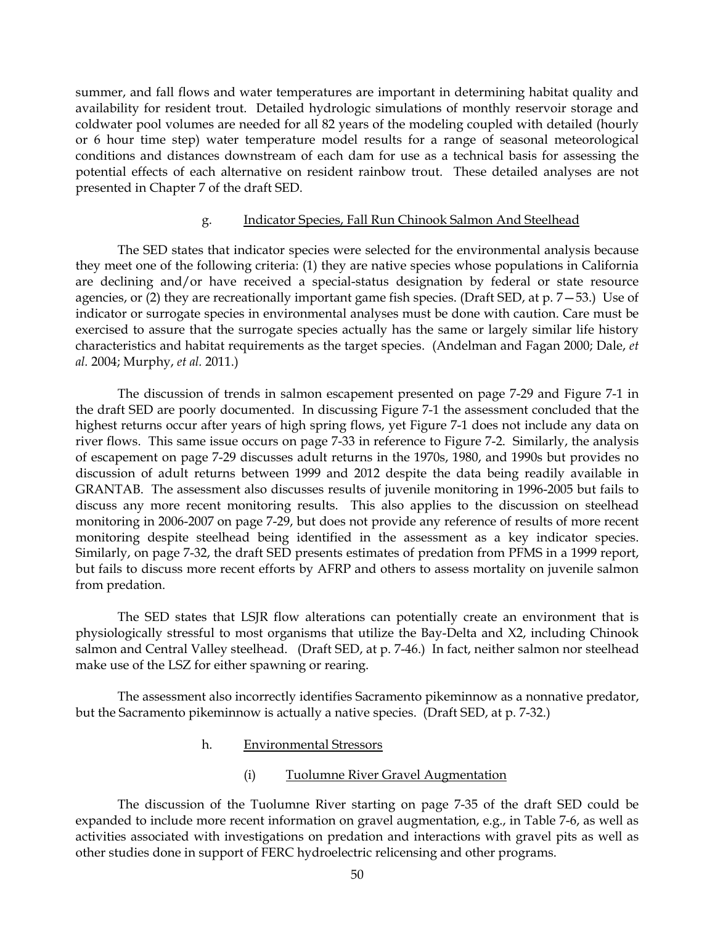summer, and fall flows and water temperatures are important in determining habitat quality and availability for resident trout. Detailed hydrologic simulations of monthly reservoir storage and coldwater pool volumes are needed for all 82 years of the modeling coupled with detailed (hourly or 6 hour time step) water temperature model results for a range of seasonal meteorological conditions and distances downstream of each dam for use as a technical basis for assessing the potential effects of each alternative on resident rainbow trout. These detailed analyses are not presented in Chapter 7 of the draft SED.

### g. Indicator Species, Fall Run Chinook Salmon And Steelhead

The SED states that indicator species were selected for the environmental analysis because they meet one of the following criteria: (1) they are native species whose populations in California are declining and/or have received a special-status designation by federal or state resource agencies, or (2) they are recreationally important game fish species. (Draft SED, at p. 7—53.) Use of indicator or surrogate species in environmental analyses must be done with caution. Care must be exercised to assure that the surrogate species actually has the same or largely similar life history characteristics and habitat requirements as the target species. (Andelman and Fagan 2000; Dale, *et al.* 2004; Murphy, *et al.* 2011.)

The discussion of trends in salmon escapement presented on page 7-29 and Figure 7-1 in the draft SED are poorly documented. In discussing Figure 7-1 the assessment concluded that the highest returns occur after years of high spring flows, yet Figure 7-1 does not include any data on river flows. This same issue occurs on page 7-33 in reference to Figure 7-2. Similarly, the analysis of escapement on page 7-29 discusses adult returns in the 1970s, 1980, and 1990s but provides no discussion of adult returns between 1999 and 2012 despite the data being readily available in GRANTAB. The assessment also discusses results of juvenile monitoring in 1996-2005 but fails to discuss any more recent monitoring results. This also applies to the discussion on steelhead monitoring in 2006-2007 on page 7-29, but does not provide any reference of results of more recent monitoring despite steelhead being identified in the assessment as a key indicator species. Similarly, on page 7-32, the draft SED presents estimates of predation from PFMS in a 1999 report, but fails to discuss more recent efforts by AFRP and others to assess mortality on juvenile salmon from predation.

The SED states that LSJR flow alterations can potentially create an environment that is physiologically stressful to most organisms that utilize the Bay-Delta and X2, including Chinook salmon and Central Valley steelhead. (Draft SED, at p. 7-46.) In fact, neither salmon nor steelhead make use of the LSZ for either spawning or rearing.

The assessment also incorrectly identifies Sacramento pikeminnow as a nonnative predator, but the Sacramento pikeminnow is actually a native species. (Draft SED, at p. 7-32.)

- h. Environmental Stressors
	- (i) Tuolumne River Gravel Augmentation

The discussion of the Tuolumne River starting on page 7-35 of the draft SED could be expanded to include more recent information on gravel augmentation, e.g., in Table 7-6, as well as activities associated with investigations on predation and interactions with gravel pits as well as other studies done in support of FERC hydroelectric relicensing and other programs.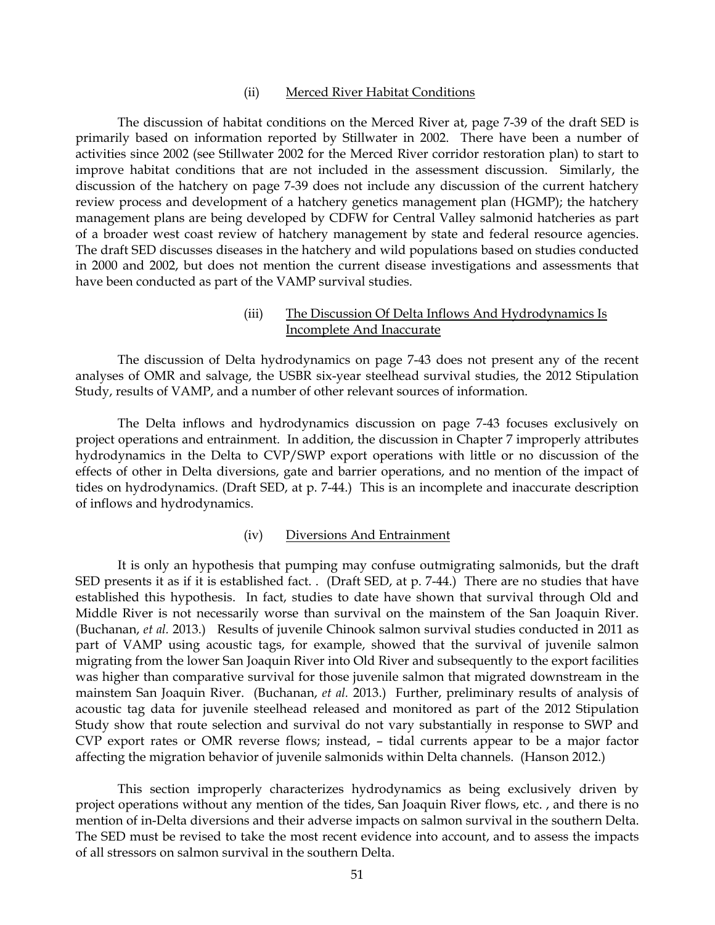#### (ii) Merced River Habitat Conditions

The discussion of habitat conditions on the Merced River at, page 7-39 of the draft SED is primarily based on information reported by Stillwater in 2002. There have been a number of activities since 2002 (see Stillwater 2002 for the Merced River corridor restoration plan) to start to improve habitat conditions that are not included in the assessment discussion. Similarly, the discussion of the hatchery on page 7-39 does not include any discussion of the current hatchery review process and development of a hatchery genetics management plan (HGMP); the hatchery management plans are being developed by CDFW for Central Valley salmonid hatcheries as part of a broader west coast review of hatchery management by state and federal resource agencies. The draft SED discusses diseases in the hatchery and wild populations based on studies conducted in 2000 and 2002, but does not mention the current disease investigations and assessments that have been conducted as part of the VAMP survival studies.

### (iii) The Discussion Of Delta Inflows And Hydrodynamics Is Incomplete And Inaccurate

The discussion of Delta hydrodynamics on page 7-43 does not present any of the recent analyses of OMR and salvage, the USBR six-year steelhead survival studies, the 2012 Stipulation Study, results of VAMP, and a number of other relevant sources of information.

The Delta inflows and hydrodynamics discussion on page 7-43 focuses exclusively on project operations and entrainment. In addition, the discussion in Chapter 7 improperly attributes hydrodynamics in the Delta to CVP/SWP export operations with little or no discussion of the effects of other in Delta diversions, gate and barrier operations, and no mention of the impact of tides on hydrodynamics. (Draft SED, at p. 7-44.) This is an incomplete and inaccurate description of inflows and hydrodynamics.

#### (iv) Diversions And Entrainment

It is only an hypothesis that pumping may confuse outmigrating salmonids, but the draft SED presents it as if it is established fact. . (Draft SED, at p. 7-44.) There are no studies that have established this hypothesis. In fact, studies to date have shown that survival through Old and Middle River is not necessarily worse than survival on the mainstem of the San Joaquin River. (Buchanan, *et al.* 2013.) Results of juvenile Chinook salmon survival studies conducted in 2011 as part of VAMP using acoustic tags, for example, showed that the survival of juvenile salmon migrating from the lower San Joaquin River into Old River and subsequently to the export facilities was higher than comparative survival for those juvenile salmon that migrated downstream in the mainstem San Joaquin River. (Buchanan, *et al.* 2013.) Further, preliminary results of analysis of acoustic tag data for juvenile steelhead released and monitored as part of the 2012 Stipulation Study show that route selection and survival do not vary substantially in response to SWP and CVP export rates or OMR reverse flows; instead, – tidal currents appear to be a major factor affecting the migration behavior of juvenile salmonids within Delta channels. (Hanson 2012.)

This section improperly characterizes hydrodynamics as being exclusively driven by project operations without any mention of the tides, San Joaquin River flows, etc. , and there is no mention of in-Delta diversions and their adverse impacts on salmon survival in the southern Delta. The SED must be revised to take the most recent evidence into account, and to assess the impacts of all stressors on salmon survival in the southern Delta.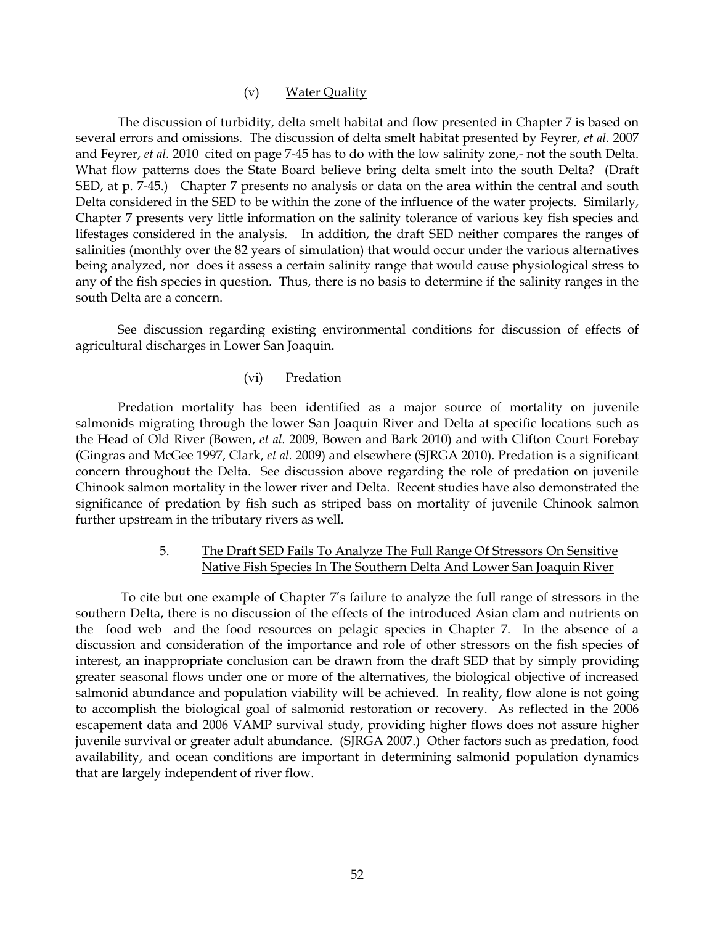### (v) Water Quality

The discussion of turbidity, delta smelt habitat and flow presented in Chapter 7 is based on several errors and omissions. The discussion of delta smelt habitat presented by Feyrer, *et al.* 2007 and Feyrer, *et al.* 2010 cited on page 7-45 has to do with the low salinity zone,- not the south Delta. What flow patterns does the State Board believe bring delta smelt into the south Delta? (Draft SED, at p. 7-45.) Chapter 7 presents no analysis or data on the area within the central and south Delta considered in the SED to be within the zone of the influence of the water projects. Similarly, Chapter 7 presents very little information on the salinity tolerance of various key fish species and lifestages considered in the analysis. In addition, the draft SED neither compares the ranges of salinities (monthly over the 82 years of simulation) that would occur under the various alternatives being analyzed, nor does it assess a certain salinity range that would cause physiological stress to any of the fish species in question. Thus, there is no basis to determine if the salinity ranges in the south Delta are a concern.

See discussion regarding existing environmental conditions for discussion of effects of agricultural discharges in Lower San Joaquin.

### (vi) Predation

Predation mortality has been identified as a major source of mortality on juvenile salmonids migrating through the lower San Joaquin River and Delta at specific locations such as the Head of Old River (Bowen, *et al.* 2009, Bowen and Bark 2010) and with Clifton Court Forebay (Gingras and McGee 1997, Clark, *et al.* 2009) and elsewhere (SJRGA 2010). Predation is a significant concern throughout the Delta. See discussion above regarding the role of predation on juvenile Chinook salmon mortality in the lower river and Delta. Recent studies have also demonstrated the significance of predation by fish such as striped bass on mortality of juvenile Chinook salmon further upstream in the tributary rivers as well.

### 5. The Draft SED Fails To Analyze The Full Range Of Stressors On Sensitive Native Fish Species In The Southern Delta And Lower San Joaquin River

 To cite but one example of Chapter 7's failure to analyze the full range of stressors in the southern Delta, there is no discussion of the effects of the introduced Asian clam and nutrients on the food web and the food resources on pelagic species in Chapter 7. In the absence of a discussion and consideration of the importance and role of other stressors on the fish species of interest, an inappropriate conclusion can be drawn from the draft SED that by simply providing greater seasonal flows under one or more of the alternatives, the biological objective of increased salmonid abundance and population viability will be achieved. In reality, flow alone is not going to accomplish the biological goal of salmonid restoration or recovery. As reflected in the 2006 escapement data and 2006 VAMP survival study, providing higher flows does not assure higher juvenile survival or greater adult abundance. (SJRGA 2007.) Other factors such as predation, food availability, and ocean conditions are important in determining salmonid population dynamics that are largely independent of river flow.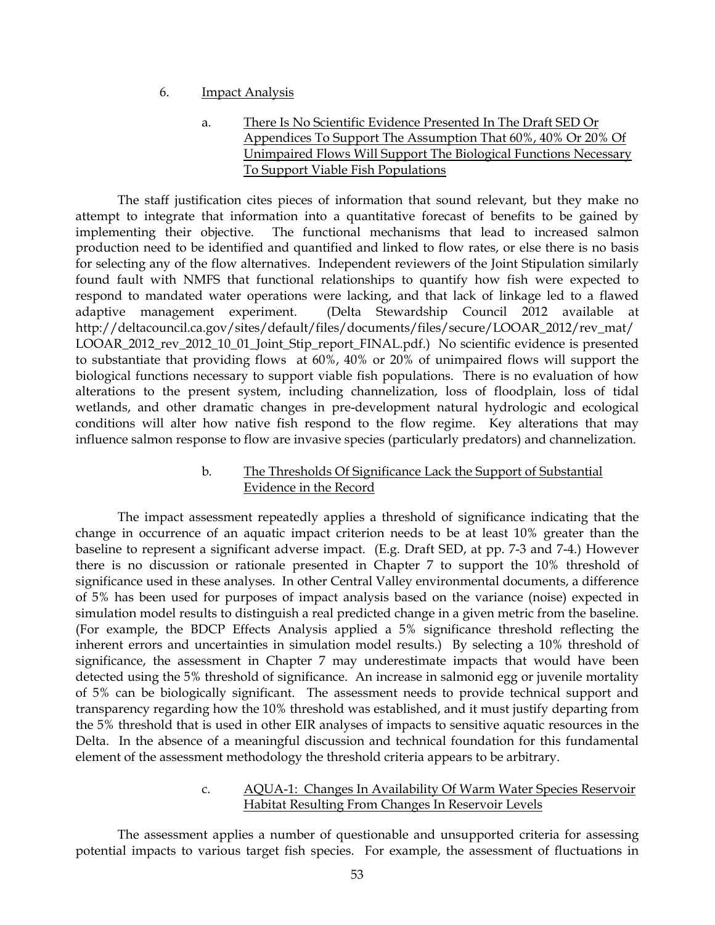- 6. Impact Analysis
	- a. There Is No Scientific Evidence Presented In The Draft SED Or Appendices To Support The Assumption That 60%, 40% Or 20% Of Unimpaired Flows Will Support The Biological Functions Necessary To Support Viable Fish Populations

The staff justification cites pieces of information that sound relevant, but they make no attempt to integrate that information into a quantitative forecast of benefits to be gained by implementing their objective. The functional mechanisms that lead to increased salmon production need to be identified and quantified and linked to flow rates, or else there is no basis for selecting any of the flow alternatives. Independent reviewers of the Joint Stipulation similarly found fault with NMFS that functional relationships to quantify how fish were expected to respond to mandated water operations were lacking, and that lack of linkage led to a flawed adaptive management experiment. (Delta Stewardship Council 2012 available at http://deltacouncil.ca.gov/sites/default/files/documents/files/secure/LOOAR\_2012/rev\_mat/ LOOAR\_2012\_rev\_2012\_10\_01\_Joint\_Stip\_report\_FINAL.pdf.) No scientific evidence is presented to substantiate that providing flows at 60%, 40% or 20% of unimpaired flows will support the biological functions necessary to support viable fish populations. There is no evaluation of how alterations to the present system, including channelization, loss of floodplain, loss of tidal wetlands, and other dramatic changes in pre-development natural hydrologic and ecological conditions will alter how native fish respond to the flow regime. Key alterations that may influence salmon response to flow are invasive species (particularly predators) and channelization.

## b. The Thresholds Of Significance Lack the Support of Substantial Evidence in the Record

The impact assessment repeatedly applies a threshold of significance indicating that the change in occurrence of an aquatic impact criterion needs to be at least 10% greater than the baseline to represent a significant adverse impact. (E.g. Draft SED, at pp. 7-3 and 7-4.) However there is no discussion or rationale presented in Chapter 7 to support the 10% threshold of significance used in these analyses. In other Central Valley environmental documents, a difference of 5% has been used for purposes of impact analysis based on the variance (noise) expected in simulation model results to distinguish a real predicted change in a given metric from the baseline. (For example, the BDCP Effects Analysis applied a 5% significance threshold reflecting the inherent errors and uncertainties in simulation model results.)By selecting a 10% threshold of significance, the assessment in Chapter 7 may underestimate impacts that would have been detected using the 5% threshold of significance. An increase in salmonid egg or juvenile mortality of 5% can be biologically significant. The assessment needs to provide technical support and transparency regarding how the 10% threshold was established, and it must justify departing from the 5% threshold that is used in other EIR analyses of impacts to sensitive aquatic resources in the Delta. In the absence of a meaningful discussion and technical foundation for this fundamental element of the assessment methodology the threshold criteria appears to be arbitrary.

## c. AQUA-1: Changes In Availability Of Warm Water Species Reservoir Habitat Resulting From Changes In Reservoir Levels

The assessment applies a number of questionable and unsupported criteria for assessing potential impacts to various target fish species. For example, the assessment of fluctuations in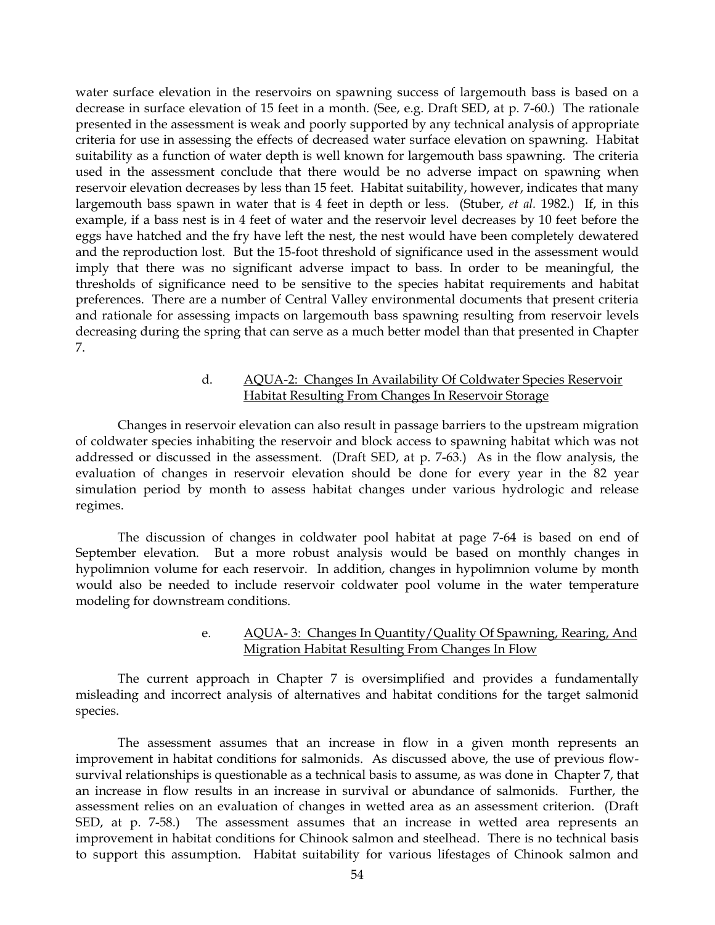water surface elevation in the reservoirs on spawning success of largemouth bass is based on a decrease in surface elevation of 15 feet in a month. (See, e.g. Draft SED, at p. 7-60.) The rationale presented in the assessment is weak and poorly supported by any technical analysis of appropriate criteria for use in assessing the effects of decreased water surface elevation on spawning. Habitat suitability as a function of water depth is well known for largemouth bass spawning. The criteria used in the assessment conclude that there would be no adverse impact on spawning when reservoir elevation decreases by less than 15 feet. Habitat suitability, however, indicates that many largemouth bass spawn in water that is 4 feet in depth or less. (Stuber, *et al.* 1982.) If, in this example, if a bass nest is in 4 feet of water and the reservoir level decreases by 10 feet before the eggs have hatched and the fry have left the nest, the nest would have been completely dewatered and the reproduction lost. But the 15-foot threshold of significance used in the assessment would imply that there was no significant adverse impact to bass. In order to be meaningful, the thresholds of significance need to be sensitive to the species habitat requirements and habitat preferences. There are a number of Central Valley environmental documents that present criteria and rationale for assessing impacts on largemouth bass spawning resulting from reservoir levels decreasing during the spring that can serve as a much better model than that presented in Chapter 7.

## d. AQUA-2: Changes In Availability Of Coldwater Species Reservoir Habitat Resulting From Changes In Reservoir Storage

Changes in reservoir elevation can also result in passage barriers to the upstream migration of coldwater species inhabiting the reservoir and block access to spawning habitat which was not addressed or discussed in the assessment. (Draft SED, at p. 7-63.) As in the flow analysis, the evaluation of changes in reservoir elevation should be done for every year in the 82 year simulation period by month to assess habitat changes under various hydrologic and release regimes.

The discussion of changes in coldwater pool habitat at page 7-64 is based on end of September elevation. But a more robust analysis would be based on monthly changes in hypolimnion volume for each reservoir. In addition, changes in hypolimnion volume by month would also be needed to include reservoir coldwater pool volume in the water temperature modeling for downstream conditions.

### e. AQUA- 3: Changes In Quantity/Quality Of Spawning, Rearing, And Migration Habitat Resulting From Changes In Flow

The current approach in Chapter 7 is oversimplified and provides a fundamentally misleading and incorrect analysis of alternatives and habitat conditions for the target salmonid species.

The assessment assumes that an increase in flow in a given month represents an improvement in habitat conditions for salmonids. As discussed above, the use of previous flowsurvival relationships is questionable as a technical basis to assume, as was done in Chapter 7, that an increase in flow results in an increase in survival or abundance of salmonids. Further, the assessment relies on an evaluation of changes in wetted area as an assessment criterion. (Draft SED, at p. 7-58.) The assessment assumes that an increase in wetted area represents an improvement in habitat conditions for Chinook salmon and steelhead. There is no technical basis to support this assumption. Habitat suitability for various lifestages of Chinook salmon and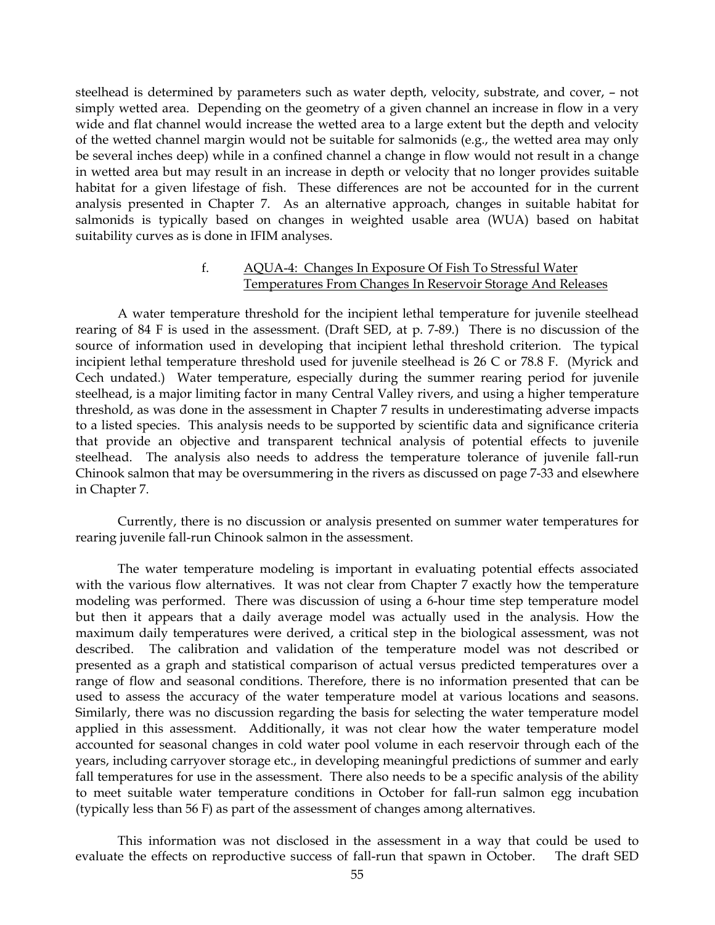steelhead is determined by parameters such as water depth, velocity, substrate, and cover, – not simply wetted area. Depending on the geometry of a given channel an increase in flow in a very wide and flat channel would increase the wetted area to a large extent but the depth and velocity of the wetted channel margin would not be suitable for salmonids (e.g., the wetted area may only be several inches deep) while in a confined channel a change in flow would not result in a change in wetted area but may result in an increase in depth or velocity that no longer provides suitable habitat for a given lifestage of fish. These differences are not be accounted for in the current analysis presented in Chapter 7. As an alternative approach, changes in suitable habitat for salmonids is typically based on changes in weighted usable area (WUA) based on habitat suitability curves as is done in IFIM analyses.

### f. AQUA-4: Changes In Exposure Of Fish To Stressful Water Temperatures From Changes In Reservoir Storage And Releases

A water temperature threshold for the incipient lethal temperature for juvenile steelhead rearing of 84 F is used in the assessment. (Draft SED, at p. 7-89.) There is no discussion of the source of information used in developing that incipient lethal threshold criterion. The typical incipient lethal temperature threshold used for juvenile steelhead is 26 C or 78.8 F. (Myrick and Cech undated.) Water temperature, especially during the summer rearing period for juvenile steelhead, is a major limiting factor in many Central Valley rivers, and using a higher temperature threshold, as was done in the assessment in Chapter 7 results in underestimating adverse impacts to a listed species. This analysis needs to be supported by scientific data and significance criteria that provide an objective and transparent technical analysis of potential effects to juvenile steelhead. The analysis also needs to address the temperature tolerance of juvenile fall-run Chinook salmon that may be oversummering in the rivers as discussed on page 7-33 and elsewhere in Chapter 7.

Currently, there is no discussion or analysis presented on summer water temperatures for rearing juvenile fall-run Chinook salmon in the assessment.

The water temperature modeling is important in evaluating potential effects associated with the various flow alternatives. It was not clear from Chapter 7 exactly how the temperature modeling was performed. There was discussion of using a 6-hour time step temperature model but then it appears that a daily average model was actually used in the analysis. How the maximum daily temperatures were derived, a critical step in the biological assessment, was not described. The calibration and validation of the temperature model was not described or presented as a graph and statistical comparison of actual versus predicted temperatures over a range of flow and seasonal conditions. Therefore, there is no information presented that can be used to assess the accuracy of the water temperature model at various locations and seasons. Similarly, there was no discussion regarding the basis for selecting the water temperature model applied in this assessment. Additionally, it was not clear how the water temperature model accounted for seasonal changes in cold water pool volume in each reservoir through each of the years, including carryover storage etc., in developing meaningful predictions of summer and early fall temperatures for use in the assessment. There also needs to be a specific analysis of the ability to meet suitable water temperature conditions in October for fall-run salmon egg incubation (typically less than 56 F) as part of the assessment of changes among alternatives.

This information was not disclosed in the assessment in a way that could be used to evaluate the effects on reproductive success of fall-run that spawn in October. The draft SED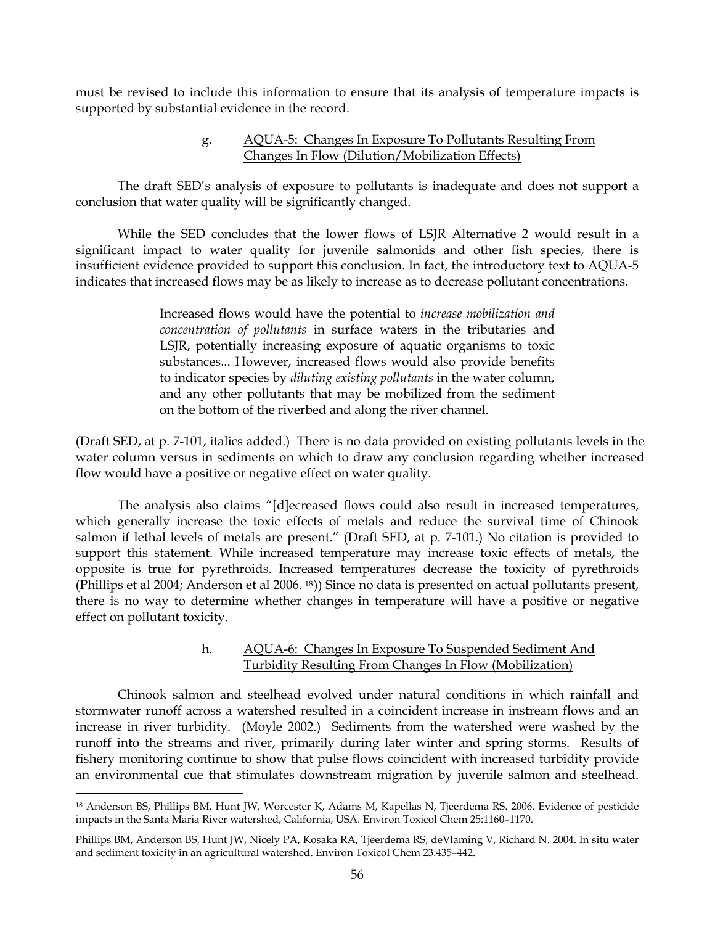must be revised to include this information to ensure that its analysis of temperature impacts is supported by substantial evidence in the record.

## g. AQUA-5: Changes In Exposure To Pollutants Resulting From Changes In Flow (Dilution/Mobilization Effects)

The draft SED's analysis of exposure to pollutants is inadequate and does not support a conclusion that water quality will be significantly changed.

While the SED concludes that the lower flows of LSJR Alternative 2 would result in a significant impact to water quality for juvenile salmonids and other fish species, there is insufficient evidence provided to support this conclusion. In fact, the introductory text to AQUA-5 indicates that increased flows may be as likely to increase as to decrease pollutant concentrations.

> Increased flows would have the potential to *increase mobilization and concentration of pollutants* in surface waters in the tributaries and LSJR, potentially increasing exposure of aquatic organisms to toxic substances... However, increased flows would also provide benefits to indicator species by *diluting existing pollutants* in the water column, and any other pollutants that may be mobilized from the sediment on the bottom of the riverbed and along the river channel.

(Draft SED, at p. 7-101, italics added.) There is no data provided on existing pollutants levels in the water column versus in sediments on which to draw any conclusion regarding whether increased flow would have a positive or negative effect on water quality.

The analysis also claims "[d]ecreased flows could also result in increased temperatures, which generally increase the toxic effects of metals and reduce the survival time of Chinook salmon if lethal levels of metals are present." (Draft SED, at p. 7-101.) No citation is provided to support this statement. While increased temperature may increase toxic effects of metals, the opposite is true for pyrethroids. Increased temperatures decrease the toxicity of pyrethroids (Phillips et al 2004; Anderson et al 2006. [18](#page-71-0))) Since no data is presented on actual pollutants present, there is no way to determine whether changes in temperature will have a positive or negative effect on pollutant toxicity.

## h. AQUA-6: Changes In Exposure To Suspended Sediment And Turbidity Resulting From Changes In Flow (Mobilization)

Chinook salmon and steelhead evolved under natural conditions in which rainfall and stormwater runoff across a watershed resulted in a coincident increase in instream flows and an increase in river turbidity. (Moyle 2002.) Sediments from the watershed were washed by the runoff into the streams and river, primarily during later winter and spring storms. Results of fishery monitoring continue to show that pulse flows coincident with increased turbidity provide an environmental cue that stimulates downstream migration by juvenile salmon and steelhead.

 $\overline{a}$ 

<span id="page-71-0"></span><sup>18</sup> Anderson BS, Phillips BM, Hunt JW, Worcester K, Adams M, Kapellas N, Tjeerdema RS. 2006. Evidence of pesticide impacts in the Santa Maria River watershed, California, USA. Environ Toxicol Chem 25:1160–1170.

Phillips BM, Anderson BS, Hunt JW, Nicely PA, Kosaka RA, Tjeerdema RS, deVlaming V, Richard N. 2004. In situ water and sediment toxicity in an agricultural watershed. Environ Toxicol Chem 23:435–442.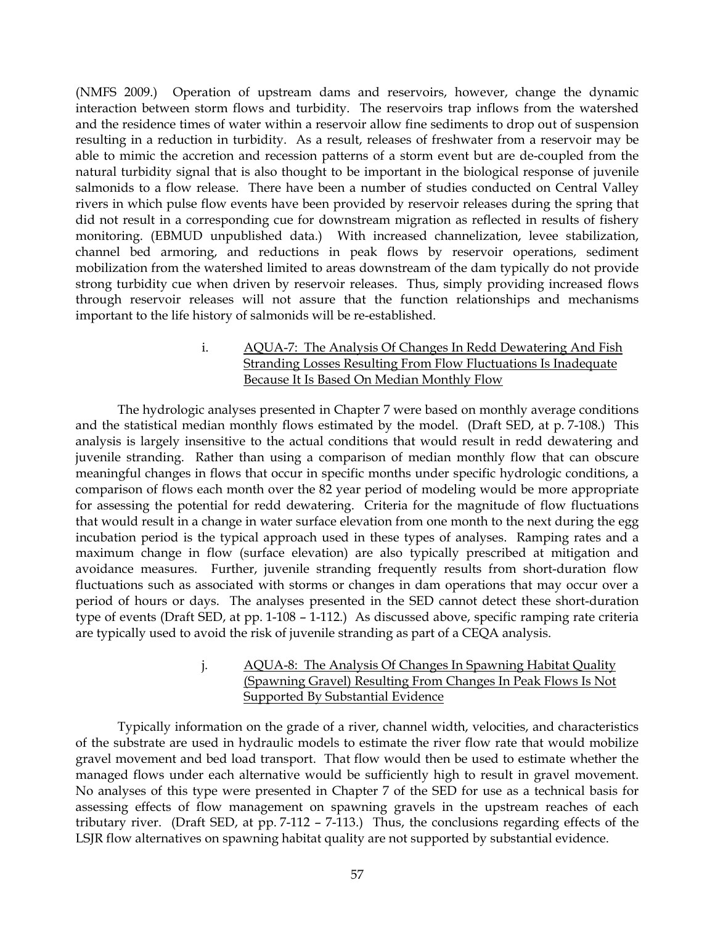(NMFS 2009.) Operation of upstream dams and reservoirs, however, change the dynamic interaction between storm flows and turbidity. The reservoirs trap inflows from the watershed and the residence times of water within a reservoir allow fine sediments to drop out of suspension resulting in a reduction in turbidity. As a result, releases of freshwater from a reservoir may be able to mimic the accretion and recession patterns of a storm event but are de-coupled from the natural turbidity signal that is also thought to be important in the biological response of juvenile salmonids to a flow release. There have been a number of studies conducted on Central Valley rivers in which pulse flow events have been provided by reservoir releases during the spring that did not result in a corresponding cue for downstream migration as reflected in results of fishery monitoring. (EBMUD unpublished data.) With increased channelization, levee stabilization, channel bed armoring, and reductions in peak flows by reservoir operations, sediment mobilization from the watershed limited to areas downstream of the dam typically do not provide strong turbidity cue when driven by reservoir releases. Thus, simply providing increased flows through reservoir releases will not assure that the function relationships and mechanisms important to the life history of salmonids will be re-established.

#### i. AQUA-7: The Analysis Of Changes In Redd Dewatering And Fish Stranding Losses Resulting From Flow Fluctuations Is Inadequate Because It Is Based On Median Monthly Flow

The hydrologic analyses presented in Chapter 7 were based on monthly average conditions and the statistical median monthly flows estimated by the model. (Draft SED, at p. 7-108.) This analysis is largely insensitive to the actual conditions that would result in redd dewatering and juvenile stranding. Rather than using a comparison of median monthly flow that can obscure meaningful changes in flows that occur in specific months under specific hydrologic conditions, a comparison of flows each month over the 82 year period of modeling would be more appropriate for assessing the potential for redd dewatering. Criteria for the magnitude of flow fluctuations that would result in a change in water surface elevation from one month to the next during the egg incubation period is the typical approach used in these types of analyses. Ramping rates and a maximum change in flow (surface elevation) are also typically prescribed at mitigation and avoidance measures. Further, juvenile stranding frequently results from short-duration flow fluctuations such as associated with storms or changes in dam operations that may occur over a period of hours or days. The analyses presented in the SED cannot detect these short-duration type of events (Draft SED, at pp. 1-108 – 1-112.) As discussed above, specific ramping rate criteria are typically used to avoid the risk of juvenile stranding as part of a CEQA analysis.

#### j. AQUA-8: The Analysis Of Changes In Spawning Habitat Quality (Spawning Gravel) Resulting From Changes In Peak Flows Is Not Supported By Substantial Evidence

Typically information on the grade of a river, channel width, velocities, and characteristics of the substrate are used in hydraulic models to estimate the river flow rate that would mobilize gravel movement and bed load transport. That flow would then be used to estimate whether the managed flows under each alternative would be sufficiently high to result in gravel movement. No analyses of this type were presented in Chapter 7 of the SED for use as a technical basis for assessing effects of flow management on spawning gravels in the upstream reaches of each tributary river. (Draft SED, at pp. 7-112 – 7-113.) Thus, the conclusions regarding effects of the LSJR flow alternatives on spawning habitat quality are not supported by substantial evidence.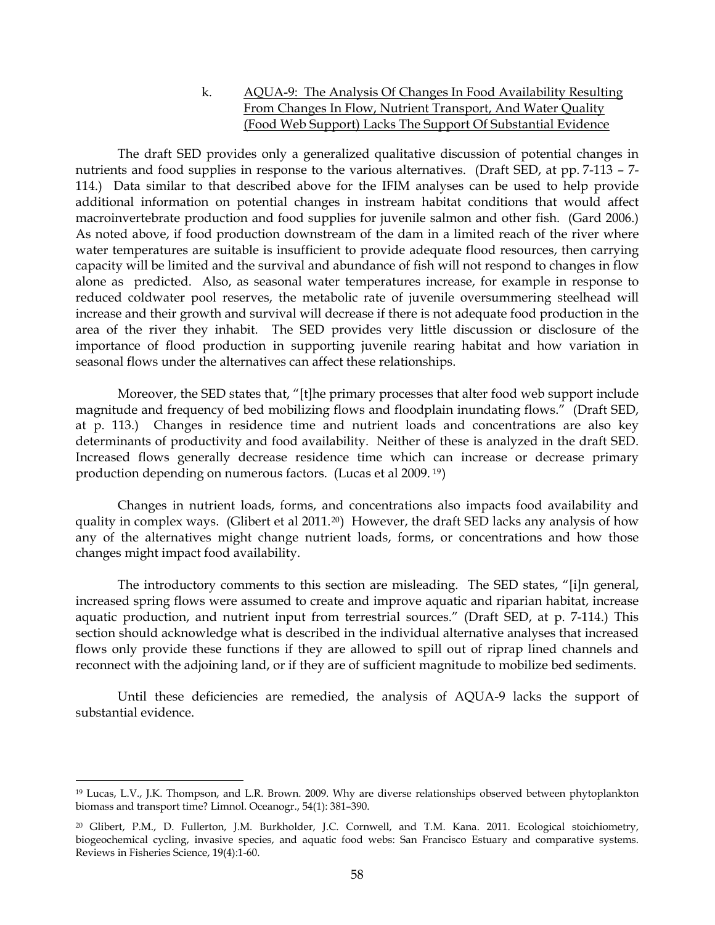#### k. AQUA-9: The Analysis Of Changes In Food Availability Resulting From Changes In Flow, Nutrient Transport, And Water Quality (Food Web Support) Lacks The Support Of Substantial Evidence

The draft SED provides only a generalized qualitative discussion of potential changes in nutrients and food supplies in response to the various alternatives. (Draft SED, at pp. 7-113 – 7- 114.) Data similar to that described above for the IFIM analyses can be used to help provide additional information on potential changes in instream habitat conditions that would affect macroinvertebrate production and food supplies for juvenile salmon and other fish. (Gard 2006.) As noted above, if food production downstream of the dam in a limited reach of the river where water temperatures are suitable is insufficient to provide adequate flood resources, then carrying capacity will be limited and the survival and abundance of fish will not respond to changes in flow alone as predicted. Also, as seasonal water temperatures increase, for example in response to reduced coldwater pool reserves, the metabolic rate of juvenile oversummering steelhead will increase and their growth and survival will decrease if there is not adequate food production in the area of the river they inhabit. The SED provides very little discussion or disclosure of the importance of flood production in supporting juvenile rearing habitat and how variation in seasonal flows under the alternatives can affect these relationships.

Moreover, the SED states that, "[t]he primary processes that alter food web support include magnitude and frequency of bed mobilizing flows and floodplain inundating flows." (Draft SED, at p. 113.) Changes in residence time and nutrient loads and concentrations are also key determinants of productivity and food availability. Neither of these is analyzed in the draft SED. Increased flows generally decrease residence time which can increase or decrease primary production depending on numerous factors. (Lucas et al 2009. [19](#page-73-0))

Changes in nutrient loads, forms, and concentrations also impacts food availability and quality in complex ways. (Glibert et al [20](#page-73-1)11.<sup>20</sup>) However, the draft SED lacks any analysis of how any of the alternatives might change nutrient loads, forms, or concentrations and how those changes might impact food availability.

The introductory comments to this section are misleading. The SED states, "[i]n general, increased spring flows were assumed to create and improve aquatic and riparian habitat, increase aquatic production, and nutrient input from terrestrial sources." (Draft SED, at p. 7-114.) This section should acknowledge what is described in the individual alternative analyses that increased flows only provide these functions if they are allowed to spill out of riprap lined channels and reconnect with the adjoining land, or if they are of sufficient magnitude to mobilize bed sediments.

Until these deficiencies are remedied, the analysis of AQUA-9 lacks the support of substantial evidence.

 $\ddot{ }$ 

<span id="page-73-0"></span><sup>19</sup> Lucas, L.V., J.K. Thompson, and L.R. Brown. 2009. Why are diverse relationships observed between phytoplankton biomass and transport time? Limnol. Oceanogr., 54(1): 381–390.

<span id="page-73-1"></span><sup>20</sup> Glibert, P.M., D. Fullerton, J.M. Burkholder, J.C. Cornwell, and T.M. Kana. 2011. Ecological stoichiometry, biogeochemical cycling, invasive species, and aquatic food webs: San Francisco Estuary and comparative systems. Reviews in Fisheries Science, 19(4):1-60.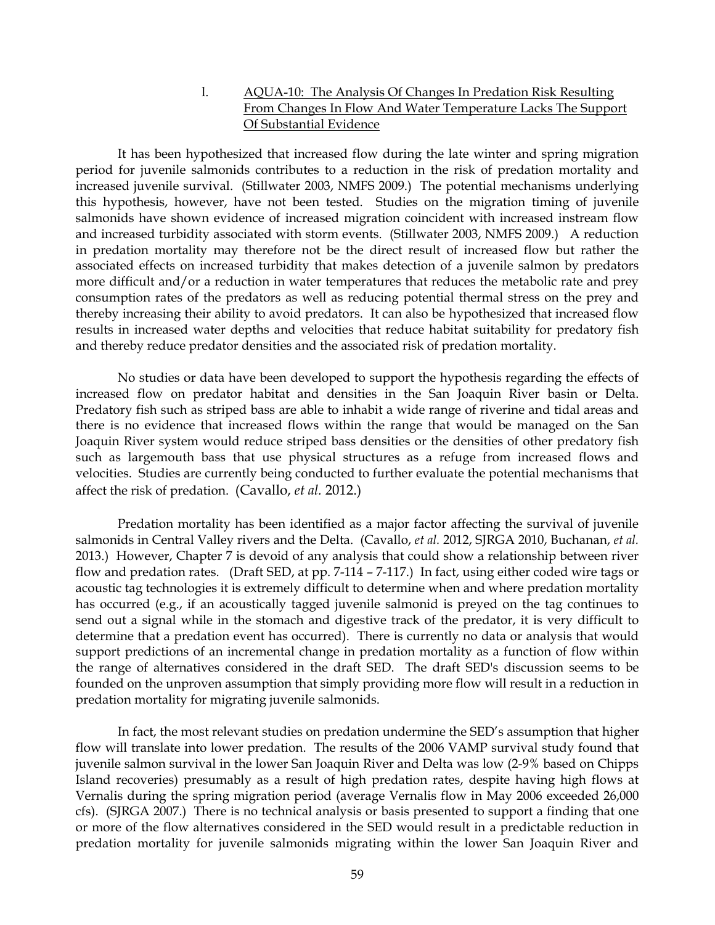## l. AQUA-10: The Analysis Of Changes In Predation Risk Resulting From Changes In Flow And Water Temperature Lacks The Support Of Substantial Evidence

It has been hypothesized that increased flow during the late winter and spring migration period for juvenile salmonids contributes to a reduction in the risk of predation mortality and increased juvenile survival. (Stillwater 2003, NMFS 2009.) The potential mechanisms underlying this hypothesis, however, have not been tested. Studies on the migration timing of juvenile salmonids have shown evidence of increased migration coincident with increased instream flow and increased turbidity associated with storm events. (Stillwater 2003, NMFS 2009.) A reduction in predation mortality may therefore not be the direct result of increased flow but rather the associated effects on increased turbidity that makes detection of a juvenile salmon by predators more difficult and/or a reduction in water temperatures that reduces the metabolic rate and prey consumption rates of the predators as well as reducing potential thermal stress on the prey and thereby increasing their ability to avoid predators. It can also be hypothesized that increased flow results in increased water depths and velocities that reduce habitat suitability for predatory fish and thereby reduce predator densities and the associated risk of predation mortality.

No studies or data have been developed to support the hypothesis regarding the effects of increased flow on predator habitat and densities in the San Joaquin River basin or Delta. Predatory fish such as striped bass are able to inhabit a wide range of riverine and tidal areas and there is no evidence that increased flows within the range that would be managed on the San Joaquin River system would reduce striped bass densities or the densities of other predatory fish such as largemouth bass that use physical structures as a refuge from increased flows and velocities. Studies are currently being conducted to further evaluate the potential mechanisms that affect the risk of predation. (Cavallo, *et al.* 2012.)

Predation mortality has been identified as a major factor affecting the survival of juvenile salmonids in Central Valley rivers and the Delta. (Cavallo, *et al.* 2012, SJRGA 2010, Buchanan, *et al.* 2013.) However, Chapter 7 is devoid of any analysis that could show a relationship between river flow and predation rates. (Draft SED, at pp. 7-114 – 7-117.) In fact, using either coded wire tags or acoustic tag technologies it is extremely difficult to determine when and where predation mortality has occurred (e.g., if an acoustically tagged juvenile salmonid is preyed on the tag continues to send out a signal while in the stomach and digestive track of the predator, it is very difficult to determine that a predation event has occurred). There is currently no data or analysis that would support predictions of an incremental change in predation mortality as a function of flow within the range of alternatives considered in the draft SED. The draft SED's discussion seems to be founded on the unproven assumption that simply providing more flow will result in a reduction in predation mortality for migrating juvenile salmonids.

In fact, the most relevant studies on predation undermine the SED's assumption that higher flow will translate into lower predation. The results of the 2006 VAMP survival study found that juvenile salmon survival in the lower San Joaquin River and Delta was low (2-9% based on Chipps Island recoveries) presumably as a result of high predation rates, despite having high flows at Vernalis during the spring migration period (average Vernalis flow in May 2006 exceeded 26,000 cfs). (SJRGA 2007.) There is no technical analysis or basis presented to support a finding that one or more of the flow alternatives considered in the SED would result in a predictable reduction in predation mortality for juvenile salmonids migrating within the lower San Joaquin River and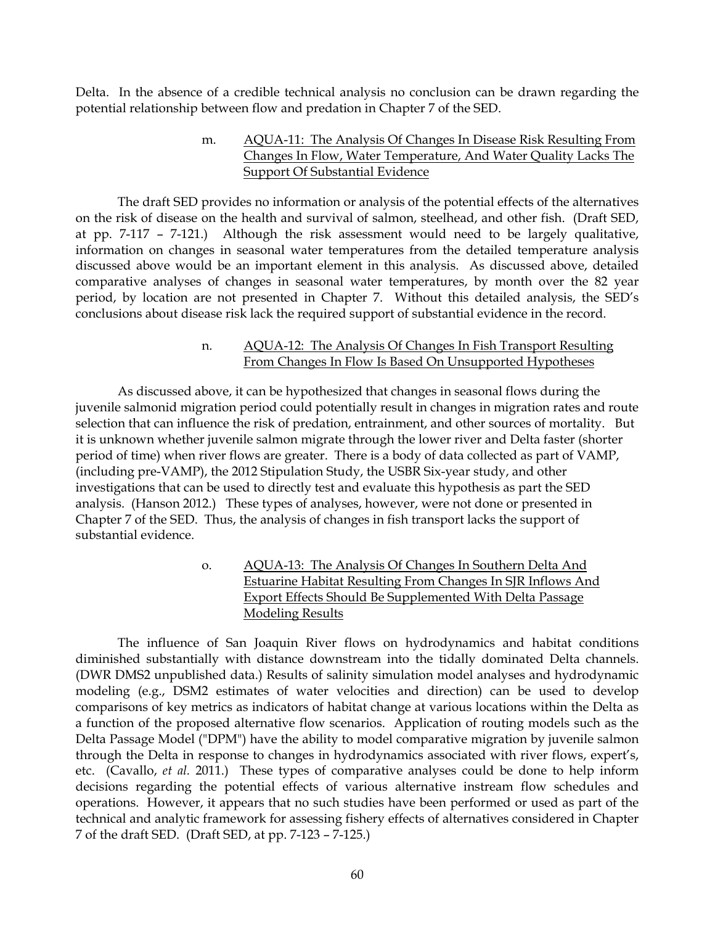Delta. In the absence of a credible technical analysis no conclusion can be drawn regarding the potential relationship between flow and predation in Chapter 7 of the SED.

#### m. AQUA-11: The Analysis Of Changes In Disease Risk Resulting From Changes In Flow, Water Temperature, And Water Quality Lacks The Support Of Substantial Evidence

The draft SED provides no information or analysis of the potential effects of the alternatives on the risk of disease on the health and survival of salmon, steelhead, and other fish. (Draft SED, at pp. 7-117 – 7-121.) Although the risk assessment would need to be largely qualitative, information on changes in seasonal water temperatures from the detailed temperature analysis discussed above would be an important element in this analysis. As discussed above, detailed comparative analyses of changes in seasonal water temperatures, by month over the 82 year period, by location are not presented in Chapter 7. Without this detailed analysis, the SED's conclusions about disease risk lack the required support of substantial evidence in the record.

#### n. AQUA-12: The Analysis Of Changes In Fish Transport Resulting From Changes In Flow Is Based On Unsupported Hypotheses

As discussed above, it can be hypothesized that changes in seasonal flows during the juvenile salmonid migration period could potentially result in changes in migration rates and route selection that can influence the risk of predation, entrainment, and other sources of mortality. But it is unknown whether juvenile salmon migrate through the lower river and Delta faster (shorter period of time) when river flows are greater. There is a body of data collected as part of VAMP, (including pre-VAMP), the 2012 Stipulation Study, the USBR Six-year study, and other investigations that can be used to directly test and evaluate this hypothesis as part the SED analysis. (Hanson 2012.) These types of analyses, however, were not done or presented in Chapter 7 of the SED. Thus, the analysis of changes in fish transport lacks the support of substantial evidence.

# o. AQUA-13: The Analysis Of Changes In Southern Delta And Estuarine Habitat Resulting From Changes In SJR Inflows And Export Effects Should Be Supplemented With Delta Passage Modeling Results

The influence of San Joaquin River flows on hydrodynamics and habitat conditions diminished substantially with distance downstream into the tidally dominated Delta channels. (DWR DMS2 unpublished data.) Results of salinity simulation model analyses and hydrodynamic modeling (e.g., DSM2 estimates of water velocities and direction) can be used to develop comparisons of key metrics as indicators of habitat change at various locations within the Delta as a function of the proposed alternative flow scenarios. Application of routing models such as the Delta Passage Model ("DPM") have the ability to model comparative migration by juvenile salmon through the Delta in response to changes in hydrodynamics associated with river flows, expert's, etc. (Cavallo, *et al.* 2011.) These types of comparative analyses could be done to help inform decisions regarding the potential effects of various alternative instream flow schedules and operations. However, it appears that no such studies have been performed or used as part of the technical and analytic framework for assessing fishery effects of alternatives considered in Chapter 7 of the draft SED. (Draft SED, at pp. 7-123 – 7-125.)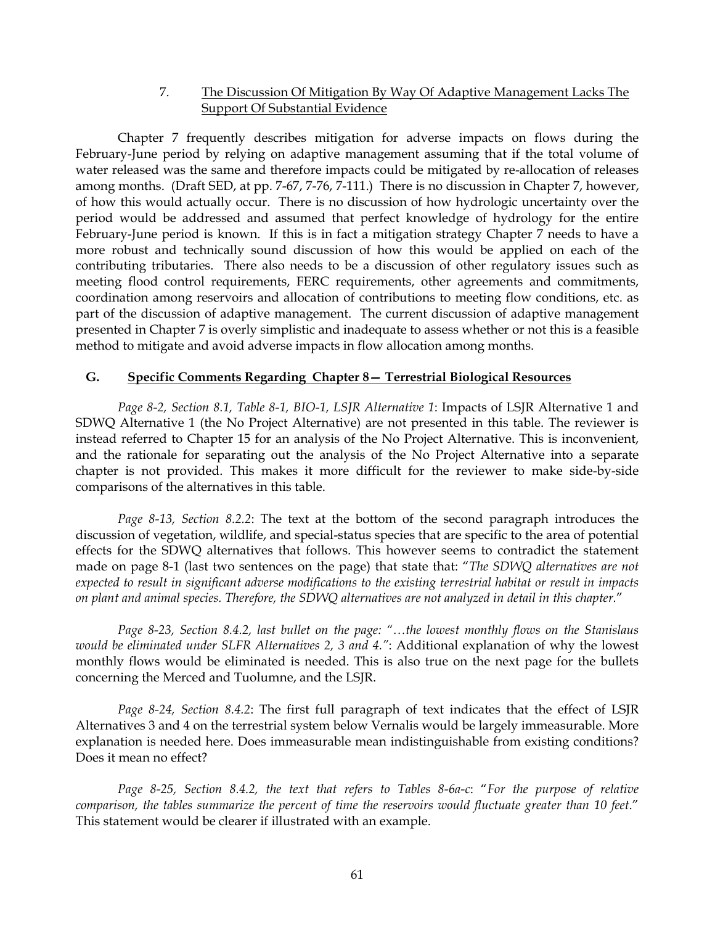#### 7. The Discussion Of Mitigation By Way Of Adaptive Management Lacks The Support Of Substantial Evidence

Chapter 7 frequently describes mitigation for adverse impacts on flows during the February-June period by relying on adaptive management assuming that if the total volume of water released was the same and therefore impacts could be mitigated by re-allocation of releases among months. (Draft SED, at pp. 7-67, 7-76, 7-111.) There is no discussion in Chapter 7, however, of how this would actually occur. There is no discussion of how hydrologic uncertainty over the period would be addressed and assumed that perfect knowledge of hydrology for the entire February-June period is known. If this is in fact a mitigation strategy Chapter 7 needs to have a more robust and technically sound discussion of how this would be applied on each of the contributing tributaries. There also needs to be a discussion of other regulatory issues such as meeting flood control requirements, FERC requirements, other agreements and commitments, coordination among reservoirs and allocation of contributions to meeting flow conditions, etc. as part of the discussion of adaptive management. The current discussion of adaptive management presented in Chapter 7 is overly simplistic and inadequate to assess whether or not this is a feasible method to mitigate and avoid adverse impacts in flow allocation among months.

#### **G. Specific Comments Regarding Chapter 8— Terrestrial Biological Resources**

*Page 8-2, Section 8.1, Table 8-1, BIO-1, LSJR Alternative 1*: Impacts of LSJR Alternative 1 and SDWQ Alternative 1 (the No Project Alternative) are not presented in this table. The reviewer is instead referred to Chapter 15 for an analysis of the No Project Alternative. This is inconvenient, and the rationale for separating out the analysis of the No Project Alternative into a separate chapter is not provided. This makes it more difficult for the reviewer to make side-by-side comparisons of the alternatives in this table.

*Page 8-13, Section 8.2.2*: The text at the bottom of the second paragraph introduces the discussion of vegetation, wildlife, and special-status species that are specific to the area of potential effects for the SDWQ alternatives that follows. This however seems to contradict the statement made on page 8-1 (last two sentences on the page) that state that: "*The SDWQ alternatives are not expected to result in significant adverse modifications to the existing terrestrial habitat or result in impacts on plant and animal species. Therefore, the SDWQ alternatives are not analyzed in detail in this chapter.*"

*Page 8-23, Section 8.4.2, last bullet on the page: "…the lowest monthly flows on the Stanislaus would be eliminated under SLFR Alternatives 2, 3 and 4."*: Additional explanation of why the lowest monthly flows would be eliminated is needed. This is also true on the next page for the bullets concerning the Merced and Tuolumne, and the LSJR.

*Page 8-24, Section 8.4.2*: The first full paragraph of text indicates that the effect of LSJR Alternatives 3 and 4 on the terrestrial system below Vernalis would be largely immeasurable. More explanation is needed here. Does immeasurable mean indistinguishable from existing conditions? Does it mean no effect?

*Page 8-25, Section 8.4.2, the text that refers to Tables 8-6a-c*: "*For the purpose of relative comparison, the tables summarize the percent of time the reservoirs would fluctuate greater than 10 feet*." This statement would be clearer if illustrated with an example.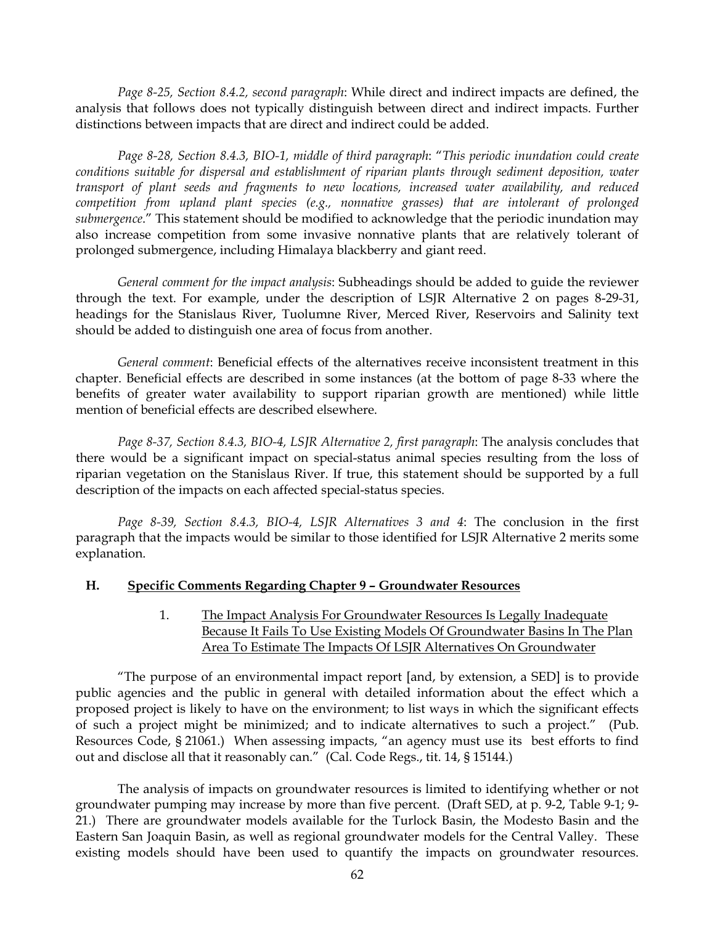*Page 8-25, Section 8.4.2, second paragraph*: While direct and indirect impacts are defined, the analysis that follows does not typically distinguish between direct and indirect impacts. Further distinctions between impacts that are direct and indirect could be added.

*Page 8-28, Section 8.4.3, BIO-1, middle of third paragraph*: "*This periodic inundation could create conditions suitable for dispersal and establishment of riparian plants through sediment deposition, water transport of plant seeds and fragments to new locations, increased water availability, and reduced competition from upland plant species (e.g., nonnative grasses) that are intolerant of prolonged submergence*." This statement should be modified to acknowledge that the periodic inundation may also increase competition from some invasive nonnative plants that are relatively tolerant of prolonged submergence, including Himalaya blackberry and giant reed.

*General comment for the impact analysis*: Subheadings should be added to guide the reviewer through the text. For example, under the description of LSJR Alternative 2 on pages 8-29-31, headings for the Stanislaus River, Tuolumne River, Merced River, Reservoirs and Salinity text should be added to distinguish one area of focus from another.

*General comment*: Beneficial effects of the alternatives receive inconsistent treatment in this chapter. Beneficial effects are described in some instances (at the bottom of page 8-33 where the benefits of greater water availability to support riparian growth are mentioned) while little mention of beneficial effects are described elsewhere.

*Page 8-37, Section 8.4.3, BIO-4, LSJR Alternative 2, first paragraph*: The analysis concludes that there would be a significant impact on special-status animal species resulting from the loss of riparian vegetation on the Stanislaus River. If true, this statement should be supported by a full description of the impacts on each affected special-status species.

*Page 8-39, Section 8.4.3, BIO-4, LSJR Alternatives 3 and 4*: The conclusion in the first paragraph that the impacts would be similar to those identified for LSJR Alternative 2 merits some explanation.

#### **H. Specific Comments Regarding Chapter 9 – Groundwater Resources**

1. The Impact Analysis For Groundwater Resources Is Legally Inadequate Because It Fails To Use Existing Models Of Groundwater Basins In The Plan Area To Estimate The Impacts Of LSJR Alternatives On Groundwater

"The purpose of an environmental impact report [and, by extension, a SED] is to provide public agencies and the public in general with detailed information about the effect which a proposed project is likely to have on the environment; to list ways in which the significant effects of such a project might be minimized; and to indicate alternatives to such a project." (Pub. Resources Code, § 21061.) When assessing impacts, "an agency must use its best efforts to find out and disclose all that it reasonably can." (Cal. Code Regs., tit. 14, § 15144.)

The analysis of impacts on groundwater resources is limited to identifying whether or not groundwater pumping may increase by more than five percent. (Draft SED, at p. 9-2, Table 9-1; 9- 21.) There are groundwater models available for the Turlock Basin, the Modesto Basin and the Eastern San Joaquin Basin, as well as regional groundwater models for the Central Valley. These existing models should have been used to quantify the impacts on groundwater resources.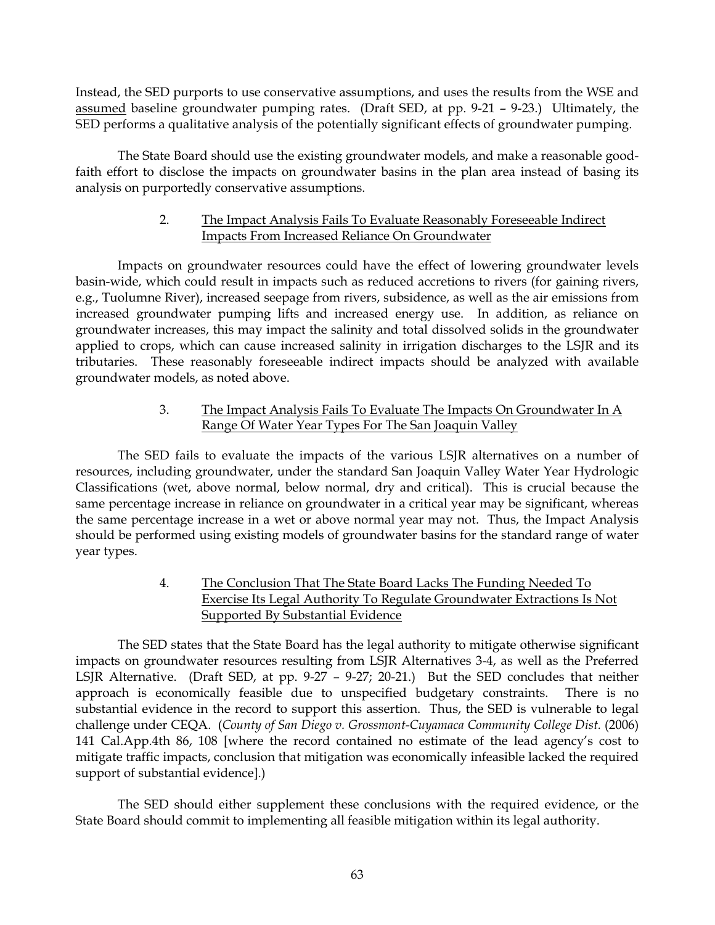Instead, the SED purports to use conservative assumptions, and uses the results from the WSE and assumed baseline groundwater pumping rates. (Draft SED, at pp. 9-21 – 9-23.) Ultimately, the SED performs a qualitative analysis of the potentially significant effects of groundwater pumping.

The State Board should use the existing groundwater models, and make a reasonable goodfaith effort to disclose the impacts on groundwater basins in the plan area instead of basing its analysis on purportedly conservative assumptions.

### 2. The Impact Analysis Fails To Evaluate Reasonably Foreseeable Indirect Impacts From Increased Reliance On Groundwater

Impacts on groundwater resources could have the effect of lowering groundwater levels basin-wide, which could result in impacts such as reduced accretions to rivers (for gaining rivers, e.g., Tuolumne River), increased seepage from rivers, subsidence, as well as the air emissions from increased groundwater pumping lifts and increased energy use. In addition, as reliance on groundwater increases, this may impact the salinity and total dissolved solids in the groundwater applied to crops, which can cause increased salinity in irrigation discharges to the LSJR and its tributaries. These reasonably foreseeable indirect impacts should be analyzed with available groundwater models, as noted above.

# 3. The Impact Analysis Fails To Evaluate The Impacts On Groundwater In A Range Of Water Year Types For The San Joaquin Valley

The SED fails to evaluate the impacts of the various LSJR alternatives on a number of resources, including groundwater, under the standard San Joaquin Valley Water Year Hydrologic Classifications (wet, above normal, below normal, dry and critical). This is crucial because the same percentage increase in reliance on groundwater in a critical year may be significant, whereas the same percentage increase in a wet or above normal year may not. Thus, the Impact Analysis should be performed using existing models of groundwater basins for the standard range of water year types.

# 4. The Conclusion That The State Board Lacks The Funding Needed To Exercise Its Legal Authority To Regulate Groundwater Extractions Is Not Supported By Substantial Evidence

The SED states that the State Board has the legal authority to mitigate otherwise significant impacts on groundwater resources resulting from LSJR Alternatives 3-4, as well as the Preferred LSJR Alternative. (Draft SED, at pp. 9-27 – 9-27; 20-21.) But the SED concludes that neither approach is economically feasible due to unspecified budgetary constraints. There is no substantial evidence in the record to support this assertion. Thus, the SED is vulnerable to legal challenge under CEQA. (*County of San Diego v. Grossmont-Cuyamaca Community College Dist.* (2006) 141 Cal.App.4th 86, 108 [where the record contained no estimate of the lead agency's cost to mitigate traffic impacts, conclusion that mitigation was economically infeasible lacked the required support of substantial evidence].)

The SED should either supplement these conclusions with the required evidence, or the State Board should commit to implementing all feasible mitigation within its legal authority.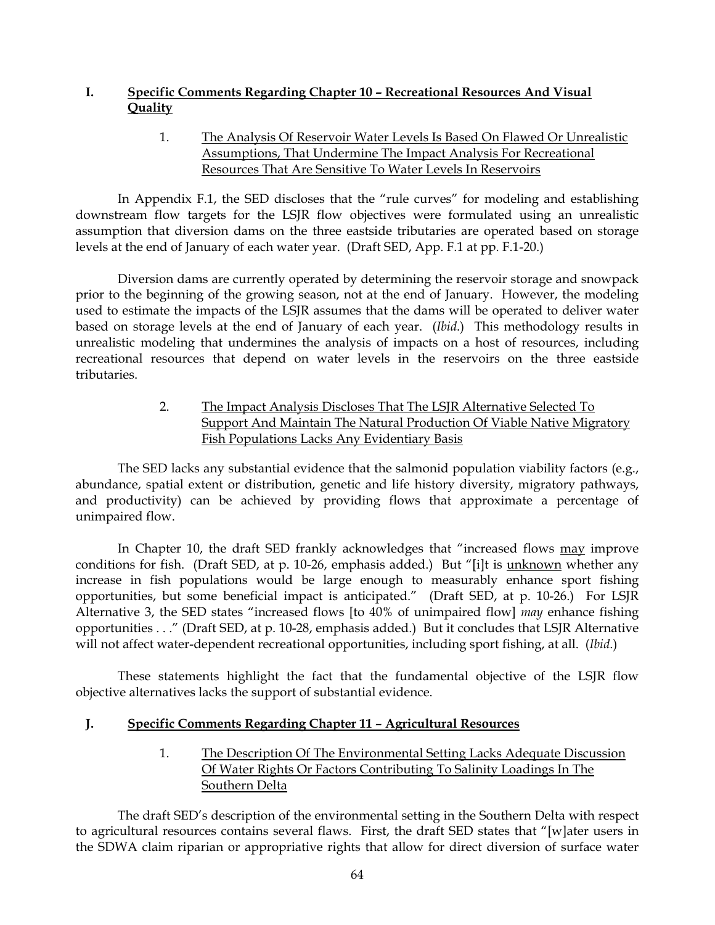## **I. Specific Comments Regarding Chapter 10 – Recreational Resources And Visual Quality**

#### 1. The Analysis Of Reservoir Water Levels Is Based On Flawed Or Unrealistic Assumptions, That Undermine The Impact Analysis For Recreational Resources That Are Sensitive To Water Levels In Reservoirs

In Appendix F.1, the SED discloses that the "rule curves" for modeling and establishing downstream flow targets for the LSJR flow objectives were formulated using an unrealistic assumption that diversion dams on the three eastside tributaries are operated based on storage levels at the end of January of each water year. (Draft SED, App. F.1 at pp. F.1-20.)

Diversion dams are currently operated by determining the reservoir storage and snowpack prior to the beginning of the growing season, not at the end of January. However, the modeling used to estimate the impacts of the LSJR assumes that the dams will be operated to deliver water based on storage levels at the end of January of each year. (*Ibid*.) This methodology results in unrealistic modeling that undermines the analysis of impacts on a host of resources, including recreational resources that depend on water levels in the reservoirs on the three eastside tributaries.

# 2. The Impact Analysis Discloses That The LSJR Alternative Selected To Support And Maintain The Natural Production Of Viable Native Migratory Fish Populations Lacks Any Evidentiary Basis

The SED lacks any substantial evidence that the salmonid population viability factors (e.g., abundance, spatial extent or distribution, genetic and life history diversity, migratory pathways, and productivity) can be achieved by providing flows that approximate a percentage of unimpaired flow.

In Chapter 10, the draft SED frankly acknowledges that "increased flows may improve conditions for fish. (Draft SED, at p. 10-26, emphasis added.) But "[i]t is unknown whether any increase in fish populations would be large enough to measurably enhance sport fishing opportunities, but some beneficial impact is anticipated." (Draft SED, at p. 10-26.) For LSJR Alternative 3, the SED states "increased flows [to 40% of unimpaired flow] *may* enhance fishing opportunities . . ." (Draft SED, at p. 10-28, emphasis added.) But it concludes that LSJR Alternative will not affect water-dependent recreational opportunities, including sport fishing, at all. (*Ibid*.)

These statements highlight the fact that the fundamental objective of the LSJR flow objective alternatives lacks the support of substantial evidence.

# **J. Specific Comments Regarding Chapter 11 – Agricultural Resources**

# 1. The Description Of The Environmental Setting Lacks Adequate Discussion Of Water Rights Or Factors Contributing To Salinity Loadings In The Southern Delta

The draft SED's description of the environmental setting in the Southern Delta with respect to agricultural resources contains several flaws. First, the draft SED states that "[w]ater users in the SDWA claim riparian or appropriative rights that allow for direct diversion of surface water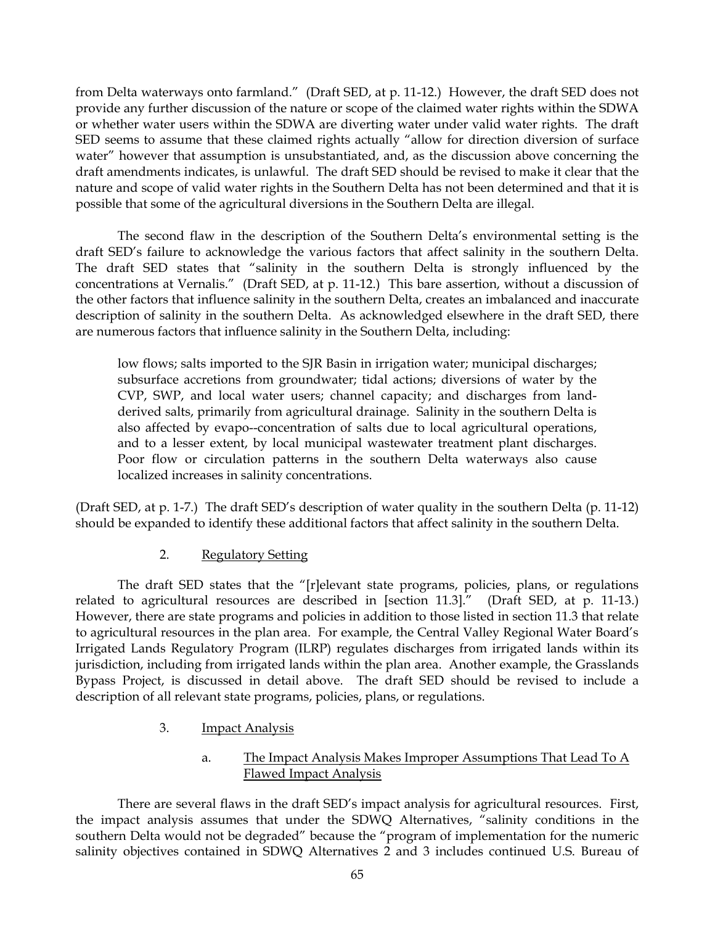from Delta waterways onto farmland." (Draft SED, at p. 11-12.) However, the draft SED does not provide any further discussion of the nature or scope of the claimed water rights within the SDWA or whether water users within the SDWA are diverting water under valid water rights. The draft SED seems to assume that these claimed rights actually "allow for direction diversion of surface water" however that assumption is unsubstantiated, and, as the discussion above concerning the draft amendments indicates, is unlawful. The draft SED should be revised to make it clear that the nature and scope of valid water rights in the Southern Delta has not been determined and that it is possible that some of the agricultural diversions in the Southern Delta are illegal.

The second flaw in the description of the Southern Delta's environmental setting is the draft SED's failure to acknowledge the various factors that affect salinity in the southern Delta. The draft SED states that "salinity in the southern Delta is strongly influenced by the concentrations at Vernalis." (Draft SED, at p. 11-12.) This bare assertion, without a discussion of the other factors that influence salinity in the southern Delta, creates an imbalanced and inaccurate description of salinity in the southern Delta. As acknowledged elsewhere in the draft SED, there are numerous factors that influence salinity in the Southern Delta, including:

low flows; salts imported to the SJR Basin in irrigation water; municipal discharges; subsurface accretions from groundwater; tidal actions; diversions of water by the CVP, SWP, and local water users; channel capacity; and discharges from landderived salts, primarily from agricultural drainage. Salinity in the southern Delta is also affected by evapo--concentration of salts due to local agricultural operations, and to a lesser extent, by local municipal wastewater treatment plant discharges. Poor flow or circulation patterns in the southern Delta waterways also cause localized increases in salinity concentrations.

(Draft SED, at p. 1-7.) The draft SED's description of water quality in the southern Delta (p. 11-12) should be expanded to identify these additional factors that affect salinity in the southern Delta.

#### 2. Regulatory Setting

The draft SED states that the "[r]elevant state programs, policies, plans, or regulations related to agricultural resources are described in [section 11.3]." (Draft SED, at p. 11-13.) However, there are state programs and policies in addition to those listed in section 11.3 that relate to agricultural resources in the plan area. For example, the Central Valley Regional Water Board's Irrigated Lands Regulatory Program (ILRP) regulates discharges from irrigated lands within its jurisdiction, including from irrigated lands within the plan area. Another example, the Grasslands Bypass Project, is discussed in detail above. The draft SED should be revised to include a description of all relevant state programs, policies, plans, or regulations.

3. Impact Analysis

# a. The Impact Analysis Makes Improper Assumptions That Lead To A Flawed Impact Analysis

There are several flaws in the draft SED's impact analysis for agricultural resources. First, the impact analysis assumes that under the SDWQ Alternatives, "salinity conditions in the southern Delta would not be degraded" because the "program of implementation for the numeric salinity objectives contained in SDWQ Alternatives 2 and 3 includes continued U.S. Bureau of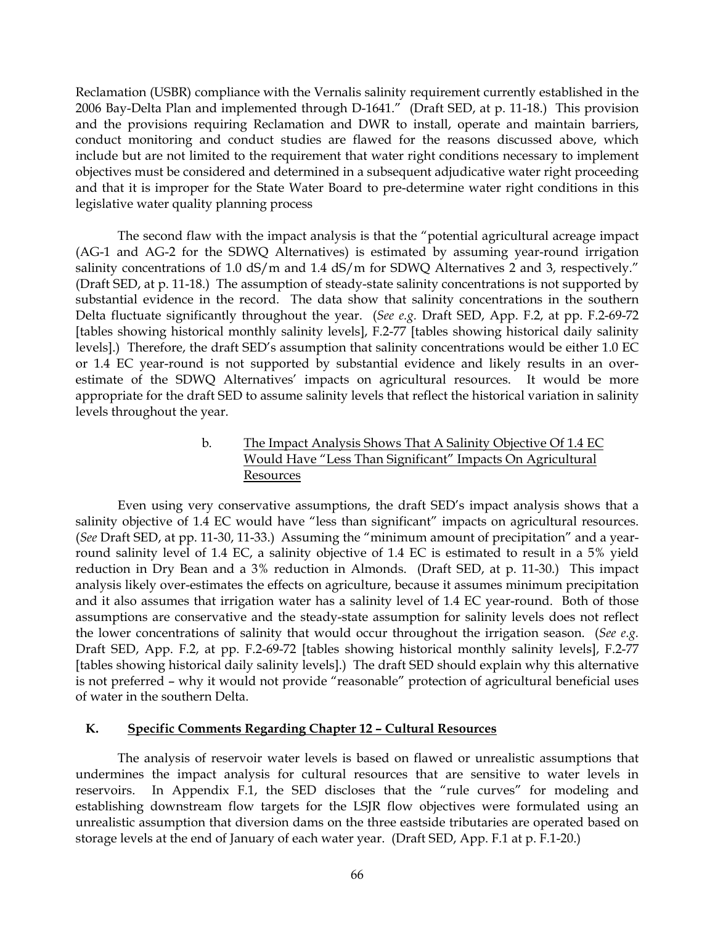Reclamation (USBR) compliance with the Vernalis salinity requirement currently established in the 2006 Bay-Delta Plan and implemented through D-1641." (Draft SED, at p. 11-18.) This provision and the provisions requiring Reclamation and DWR to install, operate and maintain barriers, conduct monitoring and conduct studies are flawed for the reasons discussed above, which include but are not limited to the requirement that water right conditions necessary to implement objectives must be considered and determined in a subsequent adjudicative water right proceeding and that it is improper for the State Water Board to pre-determine water right conditions in this legislative water quality planning process

The second flaw with the impact analysis is that the "potential agricultural acreage impact (AG-1 and AG-2 for the SDWQ Alternatives) is estimated by assuming year-round irrigation salinity concentrations of 1.0 dS/m and 1.4 dS/m for SDWQ Alternatives 2 and 3, respectively." (Draft SED, at p. 11-18.) The assumption of steady-state salinity concentrations is not supported by substantial evidence in the record. The data show that salinity concentrations in the southern Delta fluctuate significantly throughout the year. (*See e.g.* Draft SED, App. F.2, at pp. F.2-69-72 [tables showing historical monthly salinity levels], F.2-77 [tables showing historical daily salinity levels].) Therefore, the draft SED's assumption that salinity concentrations would be either 1.0 EC or 1.4 EC year-round is not supported by substantial evidence and likely results in an overestimate of the SDWQ Alternatives' impacts on agricultural resources. It would be more appropriate for the draft SED to assume salinity levels that reflect the historical variation in salinity levels throughout the year.

## b. The Impact Analysis Shows That A Salinity Objective Of 1.4 EC Would Have "Less Than Significant" Impacts On Agricultural Resources

Even using very conservative assumptions, the draft SED's impact analysis shows that a salinity objective of 1.4 EC would have "less than significant" impacts on agricultural resources. (*See* Draft SED, at pp. 11-30, 11-33.) Assuming the "minimum amount of precipitation" and a yearround salinity level of 1.4 EC, a salinity objective of 1.4 EC is estimated to result in a 5% yield reduction in Dry Bean and a 3% reduction in Almonds. (Draft SED, at p. 11-30.) This impact analysis likely over-estimates the effects on agriculture, because it assumes minimum precipitation and it also assumes that irrigation water has a salinity level of 1.4 EC year-round. Both of those assumptions are conservative and the steady-state assumption for salinity levels does not reflect the lower concentrations of salinity that would occur throughout the irrigation season. (*See e.g.* Draft SED, App. F.2, at pp. F.2-69-72 [tables showing historical monthly salinity levels], F.2-77 [tables showing historical daily salinity levels].) The draft SED should explain why this alternative is not preferred – why it would not provide "reasonable" protection of agricultural beneficial uses of water in the southern Delta.

#### **K. Specific Comments Regarding Chapter 12 – Cultural Resources**

The analysis of reservoir water levels is based on flawed or unrealistic assumptions that undermines the impact analysis for cultural resources that are sensitive to water levels in reservoirs. In Appendix F.1, the SED discloses that the "rule curves" for modeling and establishing downstream flow targets for the LSJR flow objectives were formulated using an unrealistic assumption that diversion dams on the three eastside tributaries are operated based on storage levels at the end of January of each water year. (Draft SED, App. F.1 at p. F.1-20.)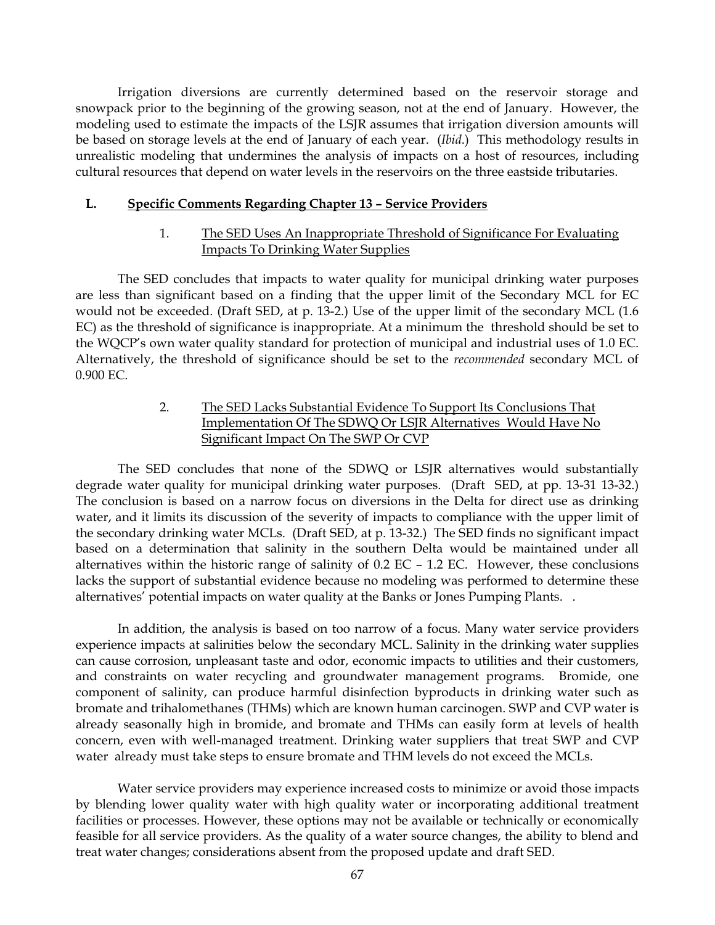Irrigation diversions are currently determined based on the reservoir storage and snowpack prior to the beginning of the growing season, not at the end of January. However, the modeling used to estimate the impacts of the LSJR assumes that irrigation diversion amounts will be based on storage levels at the end of January of each year. (*Ibid*.) This methodology results in unrealistic modeling that undermines the analysis of impacts on a host of resources, including cultural resources that depend on water levels in the reservoirs on the three eastside tributaries.

#### **L. Specific Comments Regarding Chapter 13 – Service Providers**

# 1. The SED Uses An Inappropriate Threshold of Significance For Evaluating Impacts To Drinking Water Supplies

 The SED concludes that impacts to water quality for municipal drinking water purposes are less than significant based on a finding that the upper limit of the Secondary MCL for EC would not be exceeded. (Draft SED, at p. 13-2.) Use of the upper limit of the secondary MCL (1.6 EC) as the threshold of significance is inappropriate. At a minimum the threshold should be set to the WQCP's own water quality standard for protection of municipal and industrial uses of 1.0 EC. Alternatively, the threshold of significance should be set to the *recommended* secondary MCL of 0.900 EC.

# 2. The SED Lacks Substantial Evidence To Support Its Conclusions That Implementation Of The SDWQ Or LSJR Alternatives Would Have No Significant Impact On The SWP Or CVP

The SED concludes that none of the SDWQ or LSJR alternatives would substantially degrade water quality for municipal drinking water purposes. (Draft SED, at pp. 13-31 13-32.) The conclusion is based on a narrow focus on diversions in the Delta for direct use as drinking water, and it limits its discussion of the severity of impacts to compliance with the upper limit of the secondary drinking water MCLs. (Draft SED, at p. 13-32.) The SED finds no significant impact based on a determination that salinity in the southern Delta would be maintained under all alternatives within the historic range of salinity of 0.2 EC – 1.2 EC. However, these conclusions lacks the support of substantial evidence because no modeling was performed to determine these alternatives' potential impacts on water quality at the Banks or Jones Pumping Plants. .

In addition, the analysis is based on too narrow of a focus. Many water service providers experience impacts at salinities below the secondary MCL. Salinity in the drinking water supplies can cause corrosion, unpleasant taste and odor, economic impacts to utilities and their customers, and constraints on water recycling and groundwater management programs. Bromide, one component of salinity, can produce harmful disinfection byproducts in drinking water such as bromate and trihalomethanes (THMs) which are known human carcinogen. SWP and CVP water is already seasonally high in bromide, and bromate and THMs can easily form at levels of health concern, even with well-managed treatment. Drinking water suppliers that treat SWP and CVP water already must take steps to ensure bromate and THM levels do not exceed the MCLs.

Water service providers may experience increased costs to minimize or avoid those impacts by blending lower quality water with high quality water or incorporating additional treatment facilities or processes. However, these options may not be available or technically or economically feasible for all service providers. As the quality of a water source changes, the ability to blend and treat water changes; considerations absent from the proposed update and draft SED.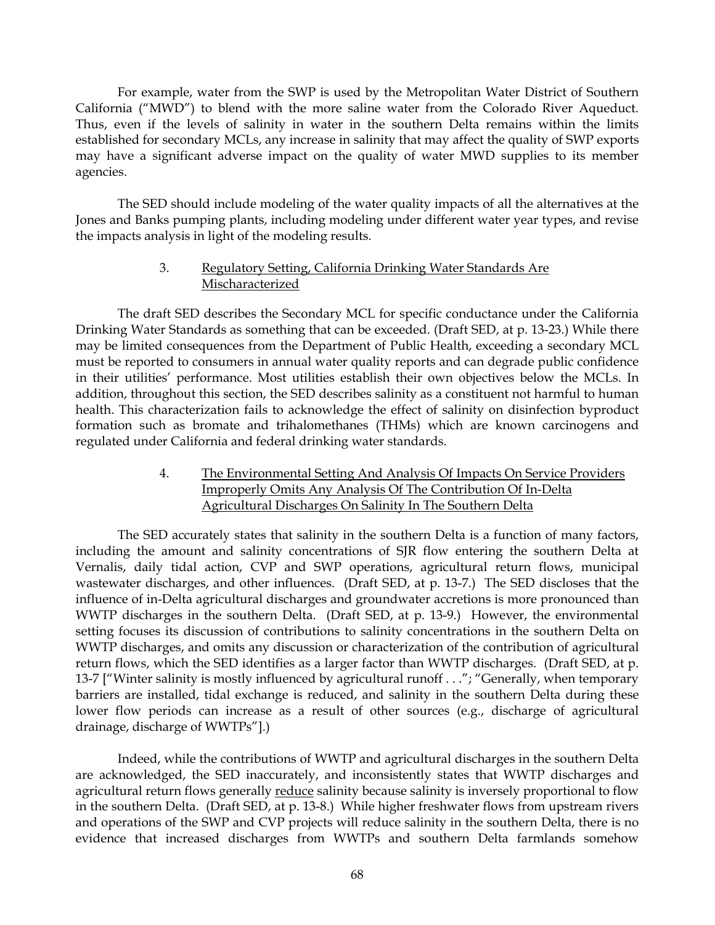For example, water from the SWP is used by the Metropolitan Water District of Southern California ("MWD") to blend with the more saline water from the Colorado River Aqueduct. Thus, even if the levels of salinity in water in the southern Delta remains within the limits established for secondary MCLs, any increase in salinity that may affect the quality of SWP exports may have a significant adverse impact on the quality of water MWD supplies to its member agencies.

The SED should include modeling of the water quality impacts of all the alternatives at the Jones and Banks pumping plants, including modeling under different water year types, and revise the impacts analysis in light of the modeling results.

## 3. Regulatory Setting, California Drinking Water Standards Are Mischaracterized

The draft SED describes the Secondary MCL for specific conductance under the California Drinking Water Standards as something that can be exceeded. (Draft SED, at p. 13-23.) While there may be limited consequences from the Department of Public Health, exceeding a secondary MCL must be reported to consumers in annual water quality reports and can degrade public confidence in their utilities' performance. Most utilities establish their own objectives below the MCLs. In addition, throughout this section, the SED describes salinity as a constituent not harmful to human health. This characterization fails to acknowledge the effect of salinity on disinfection byproduct formation such as bromate and trihalomethanes (THMs) which are known carcinogens and regulated under California and federal drinking water standards.

# 4. The Environmental Setting And Analysis Of Impacts On Service Providers Improperly Omits Any Analysis Of The Contribution Of In-Delta Agricultural Discharges On Salinity In The Southern Delta

The SED accurately states that salinity in the southern Delta is a function of many factors, including the amount and salinity concentrations of SJR flow entering the southern Delta at Vernalis, daily tidal action, CVP and SWP operations, agricultural return flows, municipal wastewater discharges, and other influences. (Draft SED, at p. 13-7.) The SED discloses that the influence of in-Delta agricultural discharges and groundwater accretions is more pronounced than WWTP discharges in the southern Delta. (Draft SED, at p. 13-9.) However, the environmental setting focuses its discussion of contributions to salinity concentrations in the southern Delta on WWTP discharges, and omits any discussion or characterization of the contribution of agricultural return flows, which the SED identifies as a larger factor than WWTP discharges. (Draft SED, at p. 13-7 ["Winter salinity is mostly influenced by agricultural runoff . . ."; "Generally, when temporary barriers are installed, tidal exchange is reduced, and salinity in the southern Delta during these lower flow periods can increase as a result of other sources (e.g., discharge of agricultural drainage, discharge of WWTPs"].)

 Indeed, while the contributions of WWTP and agricultural discharges in the southern Delta are acknowledged, the SED inaccurately, and inconsistently states that WWTP discharges and agricultural return flows generally reduce salinity because salinity is inversely proportional to flow in the southern Delta. (Draft SED, at p. 13-8.) While higher freshwater flows from upstream rivers and operations of the SWP and CVP projects will reduce salinity in the southern Delta, there is no evidence that increased discharges from WWTPs and southern Delta farmlands somehow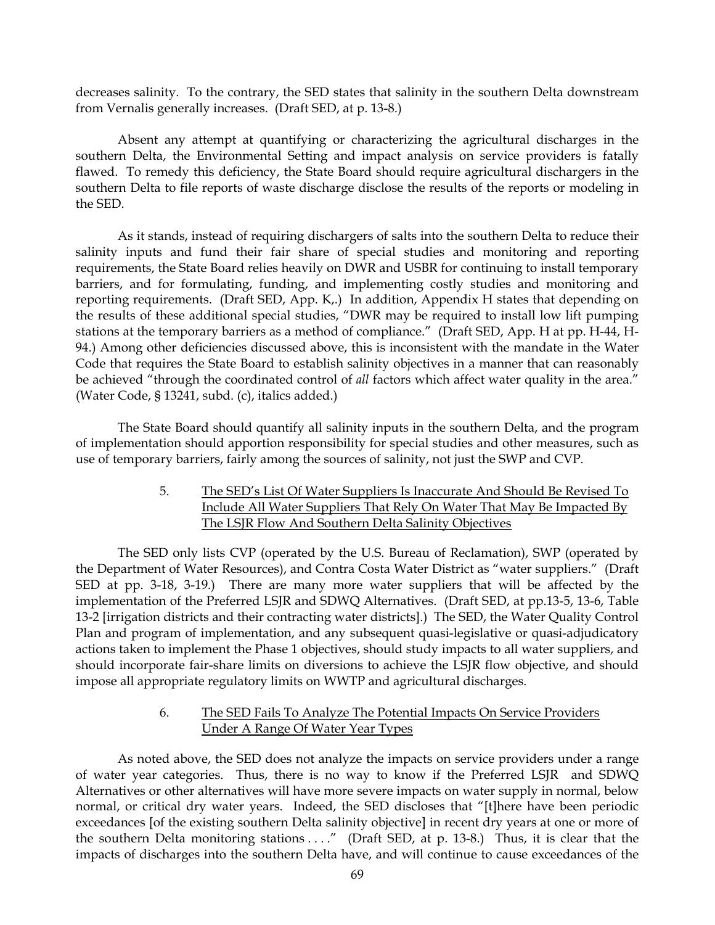decreases salinity. To the contrary, the SED states that salinity in the southern Delta downstream from Vernalis generally increases. (Draft SED, at p. 13-8.)

Absent any attempt at quantifying or characterizing the agricultural discharges in the southern Delta, the Environmental Setting and impact analysis on service providers is fatally flawed. To remedy this deficiency, the State Board should require agricultural dischargers in the southern Delta to file reports of waste discharge disclose the results of the reports or modeling in the SED.

As it stands, instead of requiring dischargers of salts into the southern Delta to reduce their salinity inputs and fund their fair share of special studies and monitoring and reporting requirements, the State Board relies heavily on DWR and USBR for continuing to install temporary barriers, and for formulating, funding, and implementing costly studies and monitoring and reporting requirements. (Draft SED, App. K,.) In addition, Appendix H states that depending on the results of these additional special studies, "DWR may be required to install low lift pumping stations at the temporary barriers as a method of compliance." (Draft SED, App. H at pp. H-44, H-94.) Among other deficiencies discussed above, this is inconsistent with the mandate in the Water Code that requires the State Board to establish salinity objectives in a manner that can reasonably be achieved "through the coordinated control of *all* factors which affect water quality in the area." (Water Code, § 13241, subd. (c), italics added.)

The State Board should quantify all salinity inputs in the southern Delta, and the program of implementation should apportion responsibility for special studies and other measures, such as use of temporary barriers, fairly among the sources of salinity, not just the SWP and CVP.

> 5. The SED's List Of Water Suppliers Is Inaccurate And Should Be Revised To Include All Water Suppliers That Rely On Water That May Be Impacted By The LSJR Flow And Southern Delta Salinity Objectives

The SED only lists CVP (operated by the U.S. Bureau of Reclamation), SWP (operated by the Department of Water Resources), and Contra Costa Water District as "water suppliers." (Draft SED at pp. 3-18, 3-19.) There are many more water suppliers that will be affected by the implementation of the Preferred LSJR and SDWQ Alternatives. (Draft SED, at pp.13-5, 13-6, Table 13-2 [irrigation districts and their contracting water districts].) The SED, the Water Quality Control Plan and program of implementation, and any subsequent quasi-legislative or quasi-adjudicatory actions taken to implement the Phase 1 objectives, should study impacts to all water suppliers, and should incorporate fair-share limits on diversions to achieve the LSJR flow objective, and should impose all appropriate regulatory limits on WWTP and agricultural discharges.

#### 6. The SED Fails To Analyze The Potential Impacts On Service Providers Under A Range Of Water Year Types

As noted above, the SED does not analyze the impacts on service providers under a range of water year categories. Thus, there is no way to know if the Preferred LSJR and SDWQ Alternatives or other alternatives will have more severe impacts on water supply in normal, below normal, or critical dry water years. Indeed, the SED discloses that "[t]here have been periodic exceedances [of the existing southern Delta salinity objective] in recent dry years at one or more of the southern Delta monitoring stations . . . ." (Draft SED, at p. 13-8.) Thus, it is clear that the impacts of discharges into the southern Delta have, and will continue to cause exceedances of the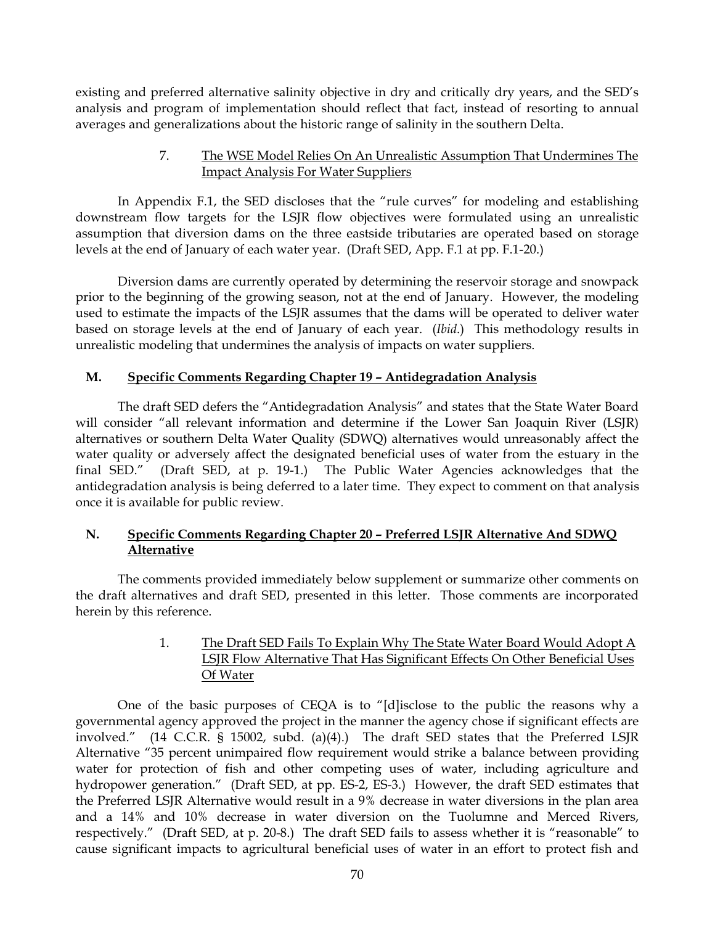existing and preferred alternative salinity objective in dry and critically dry years, and the SED's analysis and program of implementation should reflect that fact, instead of resorting to annual averages and generalizations about the historic range of salinity in the southern Delta.

# 7. The WSE Model Relies On An Unrealistic Assumption That Undermines The Impact Analysis For Water Suppliers

In Appendix F.1, the SED discloses that the "rule curves" for modeling and establishing downstream flow targets for the LSJR flow objectives were formulated using an unrealistic assumption that diversion dams on the three eastside tributaries are operated based on storage levels at the end of January of each water year. (Draft SED, App. F.1 at pp. F.1-20.)

Diversion dams are currently operated by determining the reservoir storage and snowpack prior to the beginning of the growing season, not at the end of January. However, the modeling used to estimate the impacts of the LSJR assumes that the dams will be operated to deliver water based on storage levels at the end of January of each year. (*Ibid*.) This methodology results in unrealistic modeling that undermines the analysis of impacts on water suppliers.

# **M. Specific Comments Regarding Chapter 19 – Antidegradation Analysis**

The draft SED defers the "Antidegradation Analysis" and states that the State Water Board will consider "all relevant information and determine if the Lower San Joaquin River (LSJR) alternatives or southern Delta Water Quality (SDWQ) alternatives would unreasonably affect the water quality or adversely affect the designated beneficial uses of water from the estuary in the final SED." (Draft SED, at p. 19-1.) The Public Water Agencies acknowledges that the antidegradation analysis is being deferred to a later time. They expect to comment on that analysis once it is available for public review.

# **N. Specific Comments Regarding Chapter 20 – Preferred LSJR Alternative And SDWQ Alternative**

The comments provided immediately below supplement or summarize other comments on the draft alternatives and draft SED, presented in this letter. Those comments are incorporated herein by this reference.

# 1. The Draft SED Fails To Explain Why The State Water Board Would Adopt A LSJR Flow Alternative That Has Significant Effects On Other Beneficial Uses Of Water

One of the basic purposes of CEQA is to "[d]isclose to the public the reasons why a governmental agency approved the project in the manner the agency chose if significant effects are involved." (14 C.C.R. § 15002, subd. (a)(4).) The draft SED states that the Preferred LSJR Alternative "35 percent unimpaired flow requirement would strike a balance between providing water for protection of fish and other competing uses of water, including agriculture and hydropower generation." (Draft SED, at pp. ES-2, ES-3.) However, the draft SED estimates that the Preferred LSJR Alternative would result in a 9% decrease in water diversions in the plan area and a 14% and 10% decrease in water diversion on the Tuolumne and Merced Rivers, respectively." (Draft SED, at p. 20-8.) The draft SED fails to assess whether it is "reasonable" to cause significant impacts to agricultural beneficial uses of water in an effort to protect fish and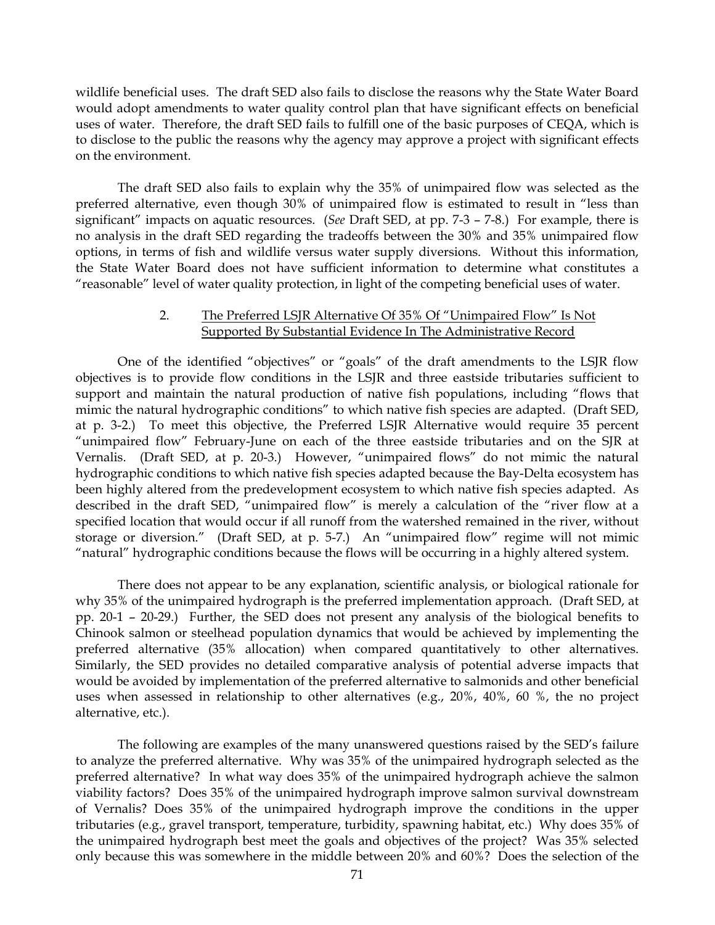wildlife beneficial uses. The draft SED also fails to disclose the reasons why the State Water Board would adopt amendments to water quality control plan that have significant effects on beneficial uses of water. Therefore, the draft SED fails to fulfill one of the basic purposes of CEQA, which is to disclose to the public the reasons why the agency may approve a project with significant effects on the environment.

The draft SED also fails to explain why the 35% of unimpaired flow was selected as the preferred alternative, even though 30% of unimpaired flow is estimated to result in "less than significant" impacts on aquatic resources. (*See* Draft SED, at pp. 7-3 – 7-8.) For example, there is no analysis in the draft SED regarding the tradeoffs between the 30% and 35% unimpaired flow options, in terms of fish and wildlife versus water supply diversions. Without this information, the State Water Board does not have sufficient information to determine what constitutes a "reasonable" level of water quality protection, in light of the competing beneficial uses of water.

#### 2. The Preferred LSJR Alternative Of 35% Of "Unimpaired Flow" Is Not Supported By Substantial Evidence In The Administrative Record

One of the identified "objectives" or "goals" of the draft amendments to the LSJR flow objectives is to provide flow conditions in the LSJR and three eastside tributaries sufficient to support and maintain the natural production of native fish populations, including "flows that mimic the natural hydrographic conditions" to which native fish species are adapted. (Draft SED, at p. 3-2.) To meet this objective, the Preferred LSJR Alternative would require 35 percent "unimpaired flow" February-June on each of the three eastside tributaries and on the SJR at Vernalis. (Draft SED, at p. 20-3.) However, "unimpaired flows" do not mimic the natural hydrographic conditions to which native fish species adapted because the Bay-Delta ecosystem has been highly altered from the predevelopment ecosystem to which native fish species adapted. As described in the draft SED, "unimpaired flow" is merely a calculation of the "river flow at a specified location that would occur if all runoff from the watershed remained in the river, without storage or diversion." (Draft SED, at p. 5-7.) An "unimpaired flow" regime will not mimic "natural" hydrographic conditions because the flows will be occurring in a highly altered system.

There does not appear to be any explanation, scientific analysis, or biological rationale for why 35% of the unimpaired hydrograph is the preferred implementation approach. (Draft SED, at pp. 20-1 – 20-29.) Further, the SED does not present any analysis of the biological benefits to Chinook salmon or steelhead population dynamics that would be achieved by implementing the preferred alternative (35% allocation) when compared quantitatively to other alternatives. Similarly, the SED provides no detailed comparative analysis of potential adverse impacts that would be avoided by implementation of the preferred alternative to salmonids and other beneficial uses when assessed in relationship to other alternatives (e.g., 20%, 40%, 60 %, the no project alternative, etc.).

The following are examples of the many unanswered questions raised by the SED's failure to analyze the preferred alternative. Why was 35% of the unimpaired hydrograph selected as the preferred alternative? In what way does 35% of the unimpaired hydrograph achieve the salmon viability factors? Does 35% of the unimpaired hydrograph improve salmon survival downstream of Vernalis? Does 35% of the unimpaired hydrograph improve the conditions in the upper tributaries (e.g., gravel transport, temperature, turbidity, spawning habitat, etc.) Why does 35% of the unimpaired hydrograph best meet the goals and objectives of the project? Was 35% selected only because this was somewhere in the middle between 20% and 60%? Does the selection of the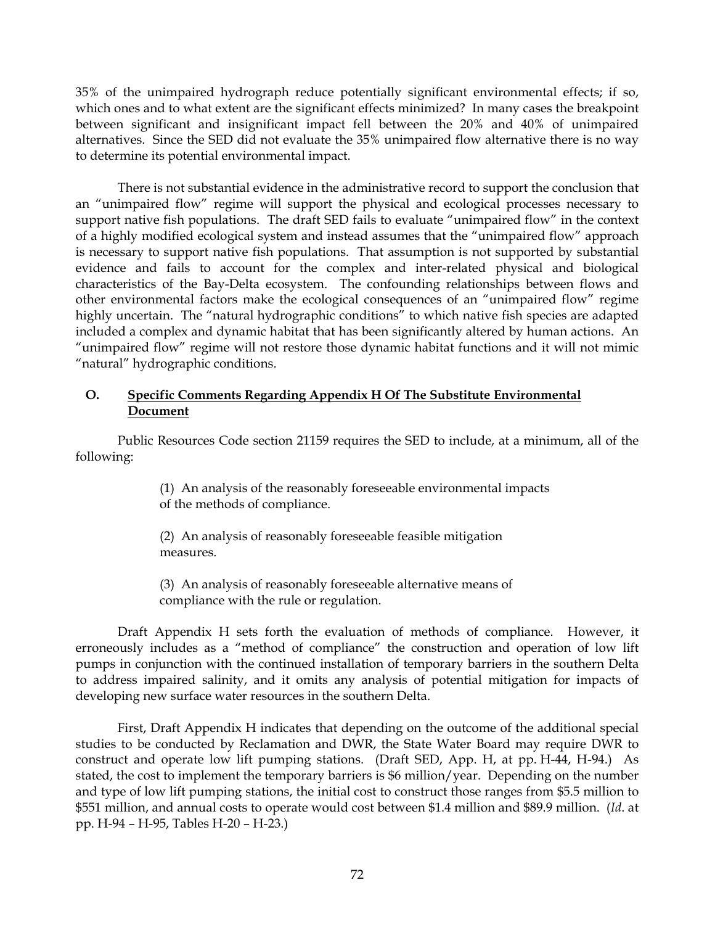35% of the unimpaired hydrograph reduce potentially significant environmental effects; if so, which ones and to what extent are the significant effects minimized? In many cases the breakpoint between significant and insignificant impact fell between the 20% and 40% of unimpaired alternatives. Since the SED did not evaluate the 35% unimpaired flow alternative there is no way to determine its potential environmental impact.

There is not substantial evidence in the administrative record to support the conclusion that an "unimpaired flow" regime will support the physical and ecological processes necessary to support native fish populations. The draft SED fails to evaluate "unimpaired flow" in the context of a highly modified ecological system and instead assumes that the "unimpaired flow" approach is necessary to support native fish populations. That assumption is not supported by substantial evidence and fails to account for the complex and inter-related physical and biological characteristics of the Bay-Delta ecosystem. The confounding relationships between flows and other environmental factors make the ecological consequences of an "unimpaired flow" regime highly uncertain. The "natural hydrographic conditions" to which native fish species are adapted included a complex and dynamic habitat that has been significantly altered by human actions. An "unimpaired flow" regime will not restore those dynamic habitat functions and it will not mimic "natural" hydrographic conditions.

## **O. Specific Comments Regarding Appendix H Of The Substitute Environmental Document**

Public Resources Code section 21159 requires the SED to include, at a minimum, all of the following:

> (1) An analysis of the reasonably foreseeable environmental impacts of the methods of compliance.

(2) An analysis of reasonably foreseeable feasible mitigation measures.

(3) An analysis of reasonably foreseeable alternative means of compliance with the rule or regulation.

Draft Appendix H sets forth the evaluation of methods of compliance. However, it erroneously includes as a "method of compliance" the construction and operation of low lift pumps in conjunction with the continued installation of temporary barriers in the southern Delta to address impaired salinity, and it omits any analysis of potential mitigation for impacts of developing new surface water resources in the southern Delta.

First, Draft Appendix H indicates that depending on the outcome of the additional special studies to be conducted by Reclamation and DWR, the State Water Board may require DWR to construct and operate low lift pumping stations. (Draft SED, App. H, at pp. H-44, H-94.) As stated, the cost to implement the temporary barriers is \$6 million/year. Depending on the number and type of low lift pumping stations, the initial cost to construct those ranges from \$5.5 million to \$551 million, and annual costs to operate would cost between \$1.4 million and \$89.9 million. (*Id*. at pp. H-94 – H-95, Tables H-20 – H-23.)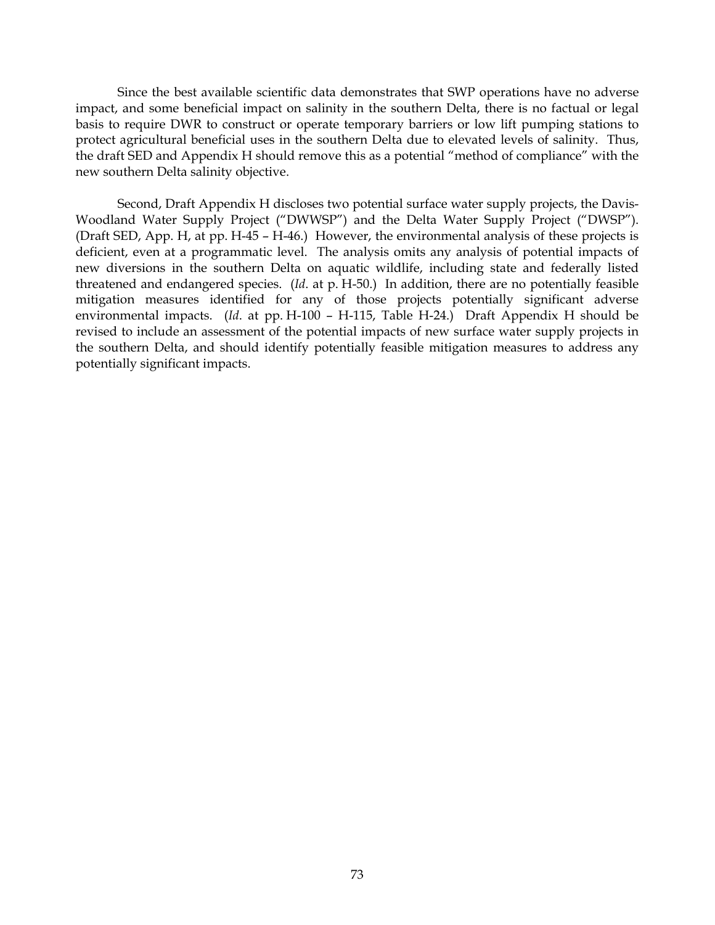Since the best available scientific data demonstrates that SWP operations have no adverse impact, and some beneficial impact on salinity in the southern Delta, there is no factual or legal basis to require DWR to construct or operate temporary barriers or low lift pumping stations to protect agricultural beneficial uses in the southern Delta due to elevated levels of salinity. Thus, the draft SED and Appendix H should remove this as a potential "method of compliance" with the new southern Delta salinity objective.

Second, Draft Appendix H discloses two potential surface water supply projects, the Davis-Woodland Water Supply Project ("DWWSP") and the Delta Water Supply Project ("DWSP"). (Draft SED, App. H, at pp. H-45 – H-46.) However, the environmental analysis of these projects is deficient, even at a programmatic level. The analysis omits any analysis of potential impacts of new diversions in the southern Delta on aquatic wildlife, including state and federally listed threatened and endangered species. (*Id*. at p. H-50.) In addition, there are no potentially feasible mitigation measures identified for any of those projects potentially significant adverse environmental impacts. (*Id*. at pp. H-100 – H-115, Table H-24.) Draft Appendix H should be revised to include an assessment of the potential impacts of new surface water supply projects in the southern Delta, and should identify potentially feasible mitigation measures to address any potentially significant impacts.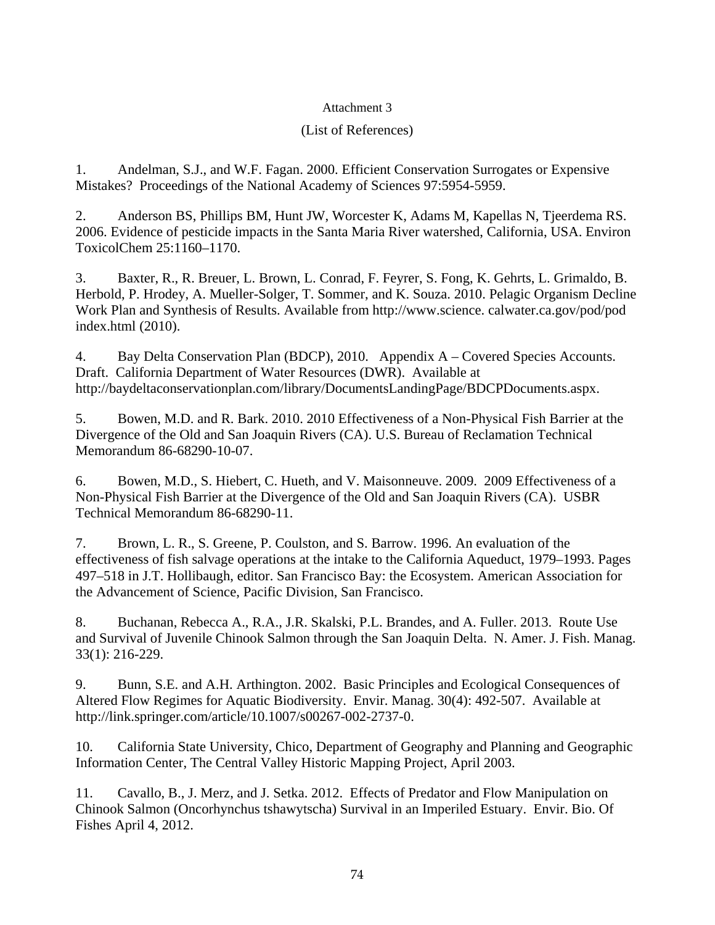## Attachment 3

# (List of References)

1. Andelman, S.J., and W.F. Fagan. 2000. Efficient Conservation Surrogates or Expensive Mistakes? Proceedings of the National Academy of Sciences 97:5954-5959.

2. Anderson BS, Phillips BM, Hunt JW, Worcester K, Adams M, Kapellas N, Tjeerdema RS. 2006. Evidence of pesticide impacts in the Santa Maria River watershed, California, USA. Environ ToxicolChem 25:1160–1170.

3. Baxter, R., R. Breuer, L. Brown, L. Conrad, F. Feyrer, S. Fong, K. Gehrts, L. Grimaldo, B. Herbold, P. Hrodey, A. Mueller-Solger, T. Sommer, and K. Souza. 2010. Pelagic Organism Decline Work Plan and Synthesis of Results. Available from http://www.science. calwater.ca.gov/pod/pod index.html (2010).

4. Bay Delta Conservation Plan (BDCP), 2010. Appendix A – Covered Species Accounts. Draft. California Department of Water Resources (DWR). Available at http://baydeltaconservationplan.com/library/DocumentsLandingPage/BDCPDocuments.aspx.

5. Bowen, M.D. and R. Bark. 2010. 2010 Effectiveness of a Non-Physical Fish Barrier at the Divergence of the Old and San Joaquin Rivers (CA). U.S. Bureau of Reclamation Technical Memorandum 86-68290-10-07.

6. Bowen, M.D., S. Hiebert, C. Hueth, and V. Maisonneuve. 2009. 2009 Effectiveness of a Non-Physical Fish Barrier at the Divergence of the Old and San Joaquin Rivers (CA). USBR Technical Memorandum 86-68290-11.

7. Brown, L. R., S. Greene, P. Coulston, and S. Barrow. 1996. An evaluation of the effectiveness of fish salvage operations at the intake to the California Aqueduct, 1979–1993. Pages 497–518 in J.T. Hollibaugh, editor. San Francisco Bay: the Ecosystem. American Association for the Advancement of Science, Pacific Division, San Francisco.

8. Buchanan, Rebecca A., R.A., J.R. Skalski, P.L. Brandes, and A. Fuller. 2013. Route Use and Survival of Juvenile Chinook Salmon through the San Joaquin Delta. N. Amer. J. Fish. Manag. 33(1): 216-229.

9. Bunn, S.E. and A.H. Arthington. 2002. Basic Principles and Ecological Consequences of Altered Flow Regimes for Aquatic Biodiversity. Envir. Manag. 30(4): 492-507. Available at http://link.springer.com/article/10.1007/s00267-002-2737-0.

10. California State University, Chico, Department of Geography and Planning and Geographic Information Center, The Central Valley Historic Mapping Project, April 2003.

11. Cavallo, B., J. Merz, and J. Setka. 2012. Effects of Predator and Flow Manipulation on Chinook Salmon (Oncorhynchus tshawytscha) Survival in an Imperiled Estuary. Envir. Bio. Of Fishes April 4, 2012.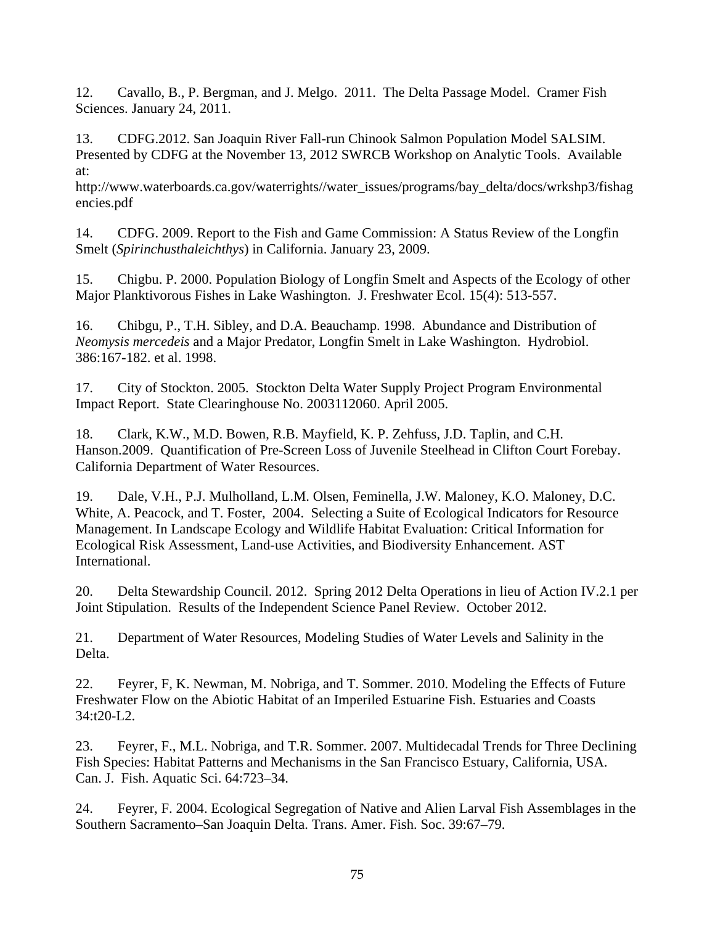12. Cavallo, B., P. Bergman, and J. Melgo. 2011. The Delta Passage Model. Cramer Fish Sciences. January 24, 2011.

13. CDFG.2012. San Joaquin River Fall-run Chinook Salmon Population Model SALSIM. Presented by CDFG at the November 13, 2012 SWRCB Workshop on Analytic Tools. Available at:

http://www.waterboards.ca.gov/waterrights//water\_issues/programs/bay\_delta/docs/wrkshp3/fishag encies.pdf

14. CDFG. 2009. Report to the Fish and Game Commission: A Status Review of the Longfin Smelt (*Spirinchusthaleichthys*) in California. January 23, 2009.

15. Chigbu. P. 2000. Population Biology of Longfin Smelt and Aspects of the Ecology of other Major Planktivorous Fishes in Lake Washington. J. Freshwater Ecol. 15(4): 513-557.

16. Chibgu, P., T.H. Sibley, and D.A. Beauchamp. 1998. Abundance and Distribution of *Neomysis mercedeis* and a Major Predator, Longfin Smelt in Lake Washington. Hydrobiol. 386:167-182. et al. 1998.

17. City of Stockton. 2005. Stockton Delta Water Supply Project Program Environmental Impact Report. State Clearinghouse No. 2003112060. April 2005.

18. Clark, K.W., M.D. Bowen, R.B. Mayfield, K. P. Zehfuss, J.D. Taplin, and C.H. Hanson.2009. Quantification of Pre-Screen Loss of Juvenile Steelhead in Clifton Court Forebay. California Department of Water Resources.

19. Dale, V.H., P.J. Mulholland, L.M. Olsen, Feminella, J.W. Maloney, K.O. Maloney, D.C. White, A. Peacock, and T. Foster, 2004. Selecting a Suite of Ecological Indicators for Resource Management. In Landscape Ecology and Wildlife Habitat Evaluation: Critical Information for Ecological Risk Assessment, Land-use Activities, and Biodiversity Enhancement. AST International.

20. Delta Stewardship Council. 2012. Spring 2012 Delta Operations in lieu of Action IV.2.1 per Joint Stipulation. Results of the Independent Science Panel Review. October 2012.

21. Department of Water Resources, Modeling Studies of Water Levels and Salinity in the Delta.

22. Feyrer, F, K. Newman, M. Nobriga, and T. Sommer. 2010. Modeling the Effects of Future Freshwater Flow on the Abiotic Habitat of an Imperiled Estuarine Fish. Estuaries and Coasts 34:t20-L2.

23. Feyrer, F., M.L. Nobriga, and T.R. Sommer. 2007. Multidecadal Trends for Three Declining Fish Species: Habitat Patterns and Mechanisms in the San Francisco Estuary, California, USA. Can. J. Fish. Aquatic Sci. 64:723–34.

24. Feyrer, F. 2004. Ecological Segregation of Native and Alien Larval Fish Assemblages in the Southern Sacramento–San Joaquin Delta. Trans. Amer. Fish. Soc. 39:67–79.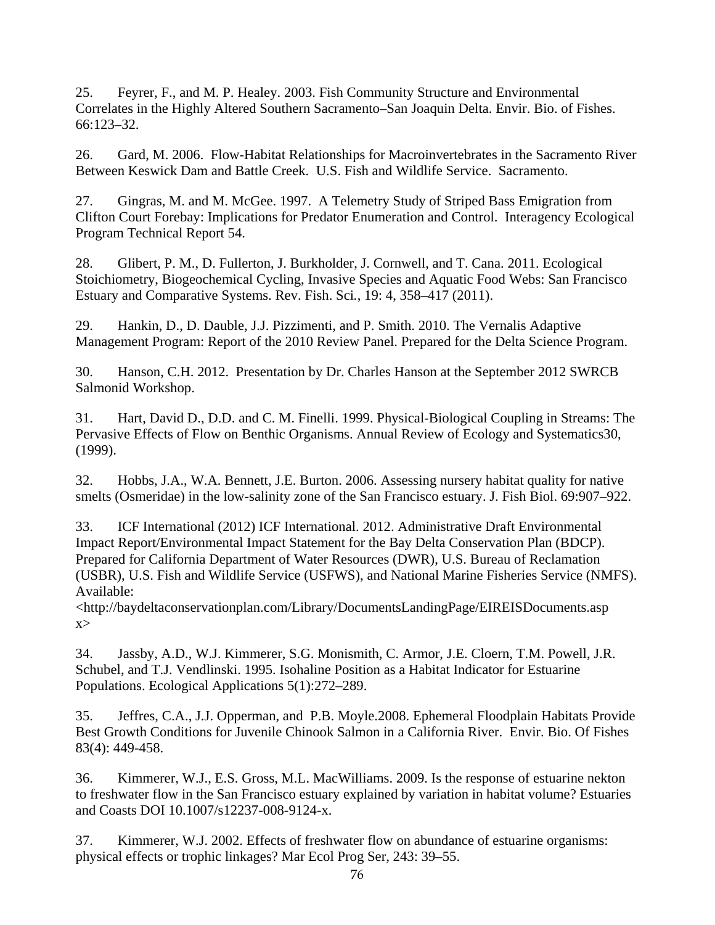25. Feyrer, F., and M. P. Healey. 2003. Fish Community Structure and Environmental Correlates in the Highly Altered Southern Sacramento–San Joaquin Delta. Envir. Bio. of Fishes. 66:123–32.

26. Gard, M. 2006. Flow-Habitat Relationships for Macroinvertebrates in the Sacramento River Between Keswick Dam and Battle Creek. U.S. Fish and Wildlife Service. Sacramento.

27. Gingras, M. and M. McGee. 1997. A Telemetry Study of Striped Bass Emigration from Clifton Court Forebay: Implications for Predator Enumeration and Control. Interagency Ecological Program Technical Report 54.

28. Glibert, P. M., D. Fullerton, J. Burkholder, J. Cornwell, and T. Cana. 2011. Ecological Stoichiometry, Biogeochemical Cycling, Invasive Species and Aquatic Food Webs: San Francisco Estuary and Comparative Systems. Rev. Fish. Sci*.*, 19: 4, 358–417 (2011).

29. Hankin, D., D. Dauble, J.J. Pizzimenti, and P. Smith. 2010. The Vernalis Adaptive Management Program: Report of the 2010 Review Panel. Prepared for the Delta Science Program.

30. Hanson, C.H. 2012. Presentation by Dr. Charles Hanson at the September 2012 SWRCB Salmonid Workshop.

31. Hart, David D., D.D. and C. M. Finelli. 1999. Physical-Biological Coupling in Streams: The Pervasive Effects of Flow on Benthic Organisms. Annual Review of Ecology and Systematics30, (1999).

32. Hobbs, J.A., W.A. Bennett, J.E. Burton. 2006. Assessing nursery habitat quality for native smelts (Osmeridae) in the low-salinity zone of the San Francisco estuary. J. Fish Biol. 69:907–922.

33. ICF International (2012) ICF International. 2012. Administrative Draft Environmental Impact Report/Environmental Impact Statement for the Bay Delta Conservation Plan (BDCP). Prepared for California Department of Water Resources (DWR), U.S. Bureau of Reclamation (USBR), U.S. Fish and Wildlife Service (USFWS), and National Marine Fisheries Service (NMFS). Available:

<http://baydeltaconservationplan.com/Library/DocumentsLandingPage/EIREISDocuments.asp  $x >$ 

34. Jassby, A.D., W.J. Kimmerer, S.G. Monismith, C. Armor, J.E. Cloern, T.M. Powell, J.R. Schubel, and T.J. Vendlinski. 1995. Isohaline Position as a Habitat Indicator for Estuarine Populations. Ecological Applications 5(1):272–289.

35. Jeffres, C.A., J.J. Opperman, and P.B. Moyle.2008. Ephemeral Floodplain Habitats Provide Best Growth Conditions for Juvenile Chinook Salmon in a California River. Envir. Bio. Of Fishes 83(4): 449-458.

36. Kimmerer, W.J., E.S. Gross, M.L. MacWilliams. 2009. Is the response of estuarine nekton to freshwater flow in the San Francisco estuary explained by variation in habitat volume? Estuaries and Coasts DOI 10.1007/s12237-008-9124-x.

37. Kimmerer, W.J. 2002. Effects of freshwater flow on abundance of estuarine organisms: physical effects or trophic linkages? Mar Ecol Prog Ser, 243: 39–55.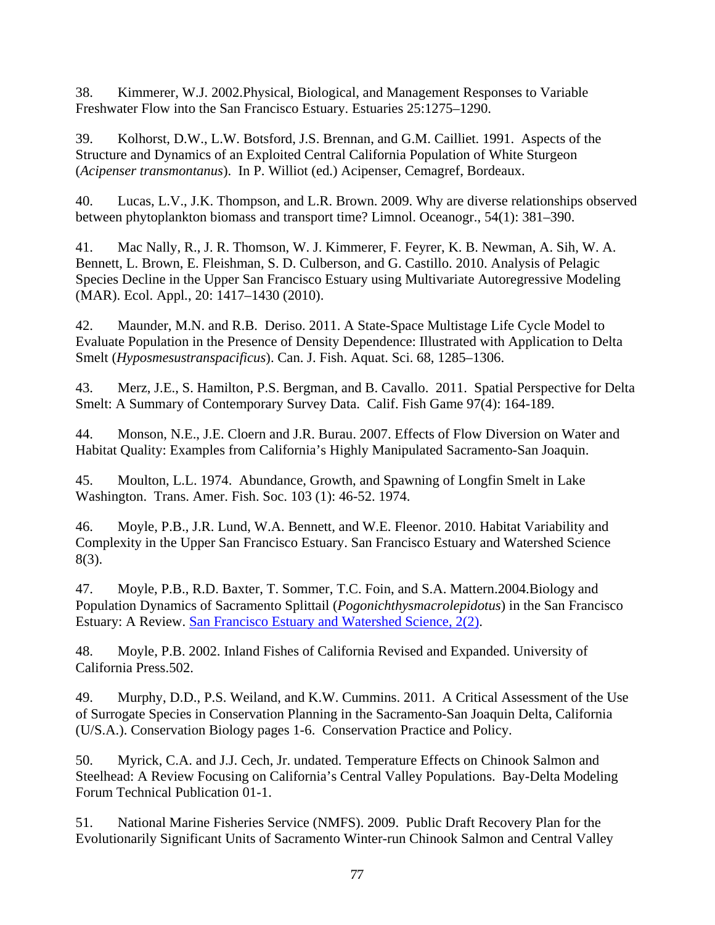38. Kimmerer, W.J. 2002.Physical, Biological, and Management Responses to Variable Freshwater Flow into the San Francisco Estuary. Estuaries 25:1275–1290.

39. Kolhorst, D.W., L.W. Botsford, J.S. Brennan, and G.M. Cailliet. 1991. Aspects of the Structure and Dynamics of an Exploited Central California Population of White Sturgeon (*Acipenser transmontanus*). In P. Williot (ed.) Acipenser, Cemagref, Bordeaux.

40. Lucas, L.V., J.K. Thompson, and L.R. Brown. 2009. Why are diverse relationships observed between phytoplankton biomass and transport time? Limnol. Oceanogr., 54(1): 381–390.

41. Mac Nally, R., J. R. Thomson, W. J. Kimmerer, F. Feyrer, K. B. Newman, A. Sih, W. A. Bennett, L. Brown, E. Fleishman, S. D. Culberson, and G. Castillo. 2010. Analysis of Pelagic Species Decline in the Upper San Francisco Estuary using Multivariate Autoregressive Modeling (MAR). Ecol. Appl*.*, 20: 1417–1430 (2010).

42. Maunder, M.N. and R.B. Deriso. 2011. A State-Space Multistage Life Cycle Model to Evaluate Population in the Presence of Density Dependence: Illustrated with Application to Delta Smelt (*Hyposmesustranspacificus*). Can. J. Fish. Aquat. Sci. 68, 1285–1306.

43. Merz, J.E., S. Hamilton, P.S. Bergman, and B. Cavallo. 2011. Spatial Perspective for Delta Smelt: A Summary of Contemporary Survey Data. Calif. Fish Game 97(4): 164-189.

44. Monson, N.E., J.E. Cloern and J.R. Burau. 2007. Effects of Flow Diversion on Water and Habitat Quality: Examples from California's Highly Manipulated Sacramento-San Joaquin.

45. Moulton, L.L. 1974. Abundance, Growth, and Spawning of Longfin Smelt in Lake Washington. Trans. Amer. Fish. Soc. 103 (1): 46-52. 1974.

46. Moyle, P.B., J.R. Lund, W.A. Bennett, and W.E. Fleenor. 2010. Habitat Variability and Complexity in the Upper San Francisco Estuary. San Francisco Estuary and Watershed Science 8(3).

47. Moyle, P.B., R.D. Baxter, T. Sommer, T.C. Foin, and S.A. Mattern.2004.Biology and Population Dynamics of Sacramento Splittail (*Pogonichthysmacrolepidotus*) in the San Francisco Estuary: A Review. [San Francisco Estuary and Watershed Science, 2\(2\)](http://escholarship.org/uc/jmie_sfews?volume=2;issue=2).

48. Moyle, P.B. 2002. Inland Fishes of California Revised and Expanded. University of California Press.502.

49. Murphy, D.D., P.S. Weiland, and K.W. Cummins. 2011. A Critical Assessment of the Use of Surrogate Species in Conservation Planning in the Sacramento-San Joaquin Delta, California (U/S.A.). Conservation Biology pages 1-6. Conservation Practice and Policy.

50. Myrick, C.A. and J.J. Cech, Jr. undated. Temperature Effects on Chinook Salmon and Steelhead: A Review Focusing on California's Central Valley Populations. Bay-Delta Modeling Forum Technical Publication 01-1.

51. National Marine Fisheries Service (NMFS). 2009. Public Draft Recovery Plan for the Evolutionarily Significant Units of Sacramento Winter-run Chinook Salmon and Central Valley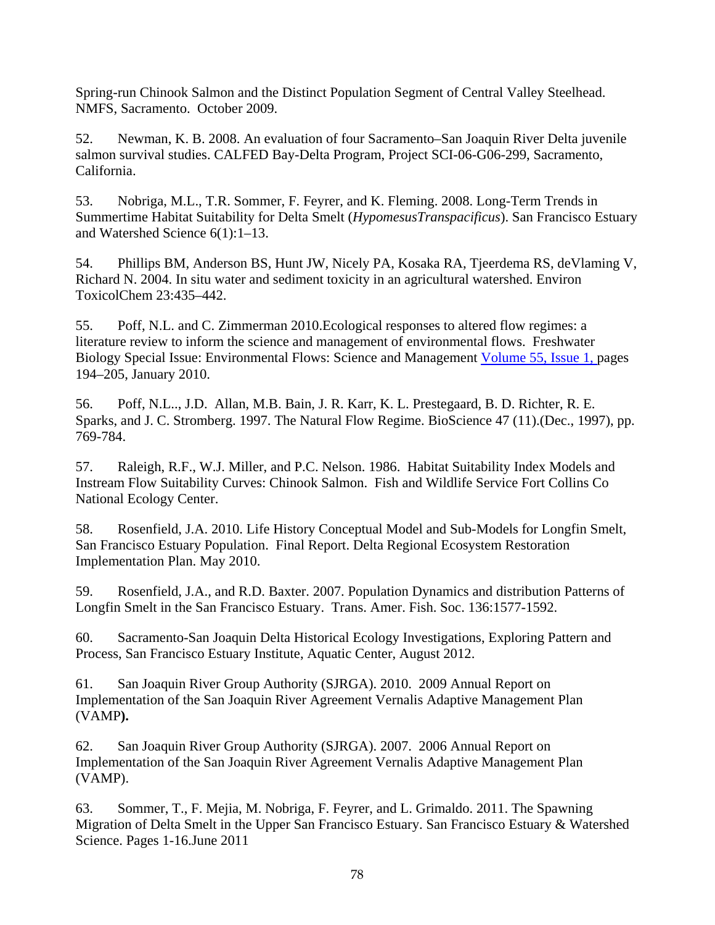Spring-run Chinook Salmon and the Distinct Population Segment of Central Valley Steelhead. NMFS, Sacramento. October 2009.

52. Newman, K. B. 2008. An evaluation of four Sacramento–San Joaquin River Delta juvenile salmon survival studies. CALFED Bay-Delta Program, Project SCI-06-G06-299, Sacramento, California.

53. Nobriga, M.L., T.R. Sommer, F. Feyrer, and K. Fleming. 2008. Long-Term Trends in Summertime Habitat Suitability for Delta Smelt (*HypomesusTranspacificus*). San Francisco Estuary and Watershed Science 6(1):1–13.

54. Phillips BM, Anderson BS, Hunt JW, Nicely PA, Kosaka RA, Tjeerdema RS, deVlaming V, Richard N. 2004. In situ water and sediment toxicity in an agricultural watershed. Environ ToxicolChem 23:435–442.

55. Poff, N.L. and C. Zimmerman 2010.Ecological responses to altered flow regimes: a literature review to inform the science and management of environmental flows. Freshwater Biology Special Issue: Environmental Flows: Science and Management [Volume 55, Issue 1,](http://onlinelibrary.wiley.com/doi/10.1111/fwb.2009.55.issue-1/issuetoc) pages 194–205, January 2010.

56. Poff, N.L.., J.D. Allan, M.B. Bain, J. R. Karr, K. L. Prestegaard, B. D. Richter, R. E. Sparks, and J. C. Stromberg. 1997. The Natural Flow Regime. BioScience 47 (11).(Dec., 1997), pp. 769-784.

57. Raleigh, R.F., W.J. Miller, and P.C. Nelson. 1986. Habitat Suitability Index Models and Instream Flow Suitability Curves: Chinook Salmon. Fish and Wildlife Service Fort Collins Co National Ecology Center.

58. Rosenfield, J.A. 2010. Life History Conceptual Model and Sub-Models for Longfin Smelt, San Francisco Estuary Population. Final Report. Delta Regional Ecosystem Restoration Implementation Plan. May 2010.

59. Rosenfield, J.A., and R.D. Baxter. 2007. Population Dynamics and distribution Patterns of Longfin Smelt in the San Francisco Estuary. Trans. Amer. Fish. Soc. 136:1577-1592.

60. Sacramento-San Joaquin Delta Historical Ecology Investigations, Exploring Pattern and Process, San Francisco Estuary Institute, Aquatic Center, August 2012.

61. San Joaquin River Group Authority (SJRGA). 2010. 2009 Annual Report on Implementation of the San Joaquin River Agreement Vernalis Adaptive Management Plan (VAMP**).** 

62. San Joaquin River Group Authority (SJRGA). 2007. 2006 Annual Report on Implementation of the San Joaquin River Agreement Vernalis Adaptive Management Plan (VAMP).

63. Sommer, T., F. Mejia, M. Nobriga, F. Feyrer, and L. Grimaldo. 2011. The Spawning Migration of Delta Smelt in the Upper San Francisco Estuary. San Francisco Estuary & Watershed Science. Pages 1-16.June 2011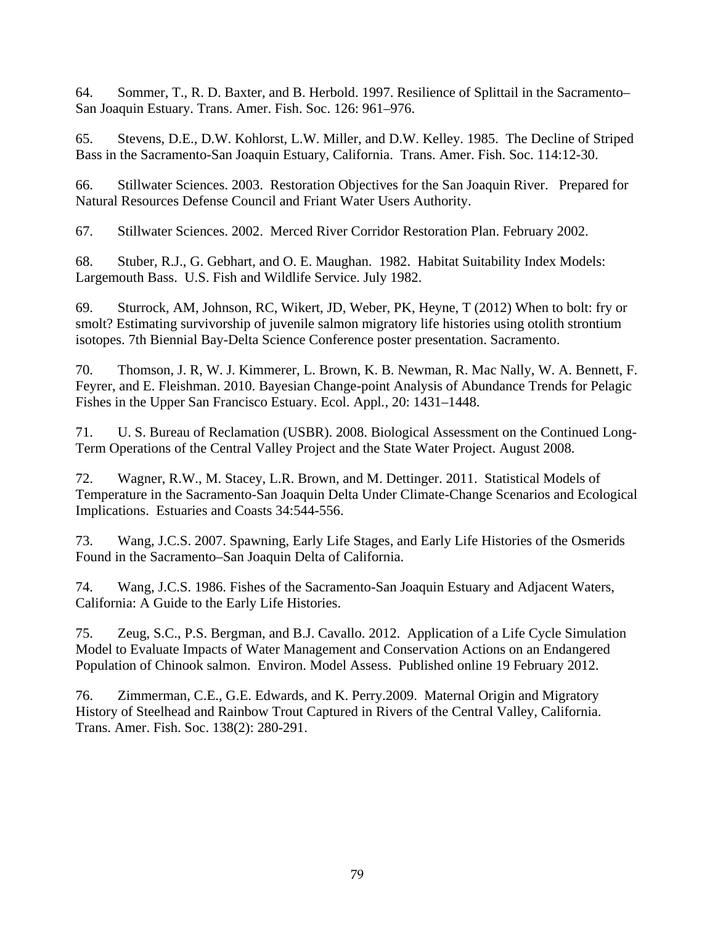64. Sommer, T., R. D. Baxter, and B. Herbold. 1997. Resilience of Splittail in the Sacramento– San Joaquin Estuary. Trans. Amer. Fish. Soc. 126: 961–976.

65. Stevens, D.E., D.W. Kohlorst, L.W. Miller, and D.W. Kelley. 1985. The Decline of Striped Bass in the Sacramento-San Joaquin Estuary, California. Trans. Amer. Fish. Soc. 114:12-30.

66. Stillwater Sciences. 2003. Restoration Objectives for the San Joaquin River. Prepared for Natural Resources Defense Council and Friant Water Users Authority.

67. Stillwater Sciences. 2002. Merced River Corridor Restoration Plan. February 2002.

68. Stuber, R.J., G. Gebhart, and O. E. Maughan. 1982. Habitat Suitability Index Models: Largemouth Bass. U.S. Fish and Wildlife Service. July 1982.

69. Sturrock, AM, Johnson, RC, Wikert, JD, Weber, PK, Heyne, T (2012) When to bolt: fry or smolt? Estimating survivorship of juvenile salmon migratory life histories using otolith strontium isotopes. 7th Biennial Bay-Delta Science Conference poster presentation. Sacramento.

70. Thomson, J. R, W. J. Kimmerer, L. Brown, K. B. Newman, R. Mac Nally, W. A. Bennett, F. Feyrer, and E. Fleishman. 2010. Bayesian Change-point Analysis of Abundance Trends for Pelagic Fishes in the Upper San Francisco Estuary. Ecol. Appl*.*, 20: 1431–1448.

71. U. S. Bureau of Reclamation (USBR). 2008. Biological Assessment on the Continued Long-Term Operations of the Central Valley Project and the State Water Project. August 2008.

72. Wagner, R.W., M. Stacey, L.R. Brown, and M. Dettinger. 2011. Statistical Models of Temperature in the Sacramento-San Joaquin Delta Under Climate-Change Scenarios and Ecological Implications. Estuaries and Coasts 34:544-556.

73. Wang, J.C.S. 2007. Spawning, Early Life Stages, and Early Life Histories of the Osmerids Found in the Sacramento–San Joaquin Delta of California.

74. Wang, J.C.S. 1986. Fishes of the Sacramento-San Joaquin Estuary and Adjacent Waters, California: A Guide to the Early Life Histories.

75. Zeug, S.C., P.S. Bergman, and B.J. Cavallo. 2012. Application of a Life Cycle Simulation Model to Evaluate Impacts of Water Management and Conservation Actions on an Endangered Population of Chinook salmon. Environ. Model Assess. Published online 19 February 2012.

76. Zimmerman, C.E., G.E. Edwards, and K. Perry.2009. Maternal Origin and Migratory History of Steelhead and Rainbow Trout Captured in Rivers of the Central Valley, California. Trans. Amer. Fish. Soc. 138(2): 280-291.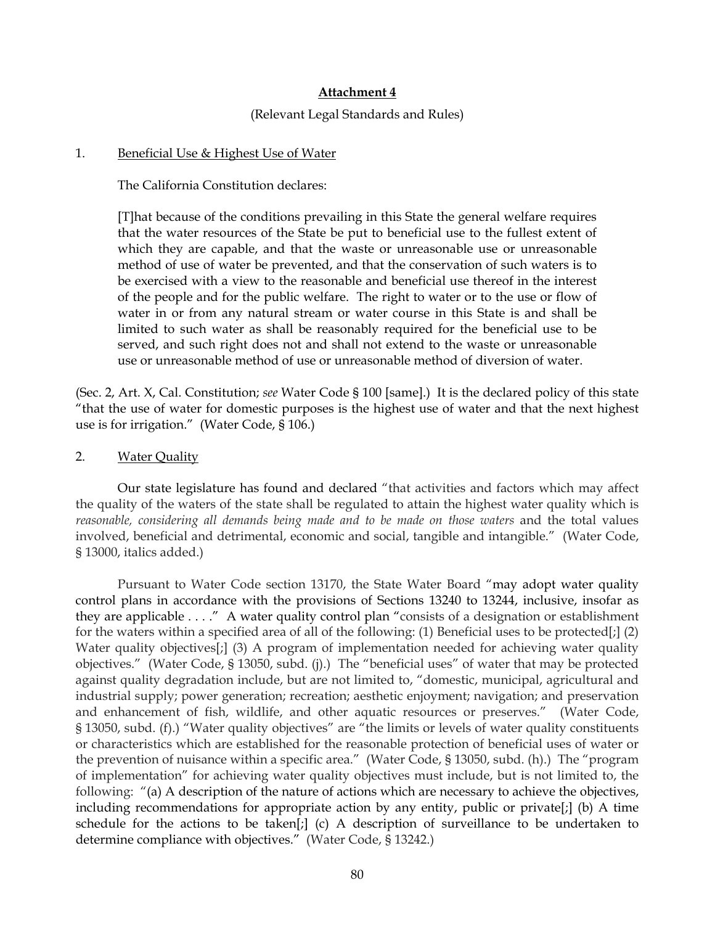#### **Attachment 4**

#### (Relevant Legal Standards and Rules)

#### 1. Beneficial Use & Highest Use of Water

The California Constitution declares:

[T]hat because of the conditions prevailing in this State the general welfare requires that the water resources of the State be put to beneficial use to the fullest extent of which they are capable, and that the waste or unreasonable use or unreasonable method of use of water be prevented, and that the conservation of such waters is to be exercised with a view to the reasonable and beneficial use thereof in the interest of the people and for the public welfare. The right to water or to the use or flow of water in or from any natural stream or water course in this State is and shall be limited to such water as shall be reasonably required for the beneficial use to be served, and such right does not and shall not extend to the waste or unreasonable use or unreasonable method of use or unreasonable method of diversion of water.

(Sec. 2, Art. X, Cal. Constitution; *see* Water Code § 100 [same].) It is the declared policy of this state "that the use of water for domestic purposes is the highest use of water and that the next highest use is for irrigation." (Water Code, § 106.)

#### 2. Water Quality

Our state legislature has found and declared "that activities and factors which may affect the quality of the waters of the state shall be regulated to attain the highest water quality which is *reasonable, considering all demands being made and to be made on those waters* and the total values involved, beneficial and detrimental, economic and social, tangible and intangible." (Water Code, § 13000, italics added.)

Pursuant to Water Code section 13170, the State Water Board "may adopt water quality control plans in accordance with the provisions of Sections 13240 to 13244, inclusive, insofar as they are applicable . . . ." A water quality control plan "consists of a designation or establishment for the waters within a specified area of all of the following: (1) Beneficial uses to be protected[;] (2) Water quality objectives[;] (3) A program of implementation needed for achieving water quality objectives." (Water Code, § 13050, subd. (j).) The "beneficial uses" of water that may be protected against quality degradation include, but are not limited to, "domestic, municipal, agricultural and industrial supply; power generation; recreation; aesthetic enjoyment; navigation; and preservation and enhancement of fish, wildlife, and other aquatic resources or preserves." (Water Code, § 13050, subd. (f).) "Water quality objectives" are "the limits or levels of water quality constituents or characteristics which are established for the reasonable protection of beneficial uses of water or the prevention of nuisance within a specific area." (Water Code, § 13050, subd. (h).) The "program of implementation" for achieving water quality objectives must include, but is not limited to, the following: "(a) A description of the nature of actions which are necessary to achieve the objectives, including recommendations for appropriate action by any entity, public or private  $[\cdot]$  (b) A time schedule for the actions to be taken $[j]$  (c) A description of surveillance to be undertaken to determine compliance with objectives." (Water Code, § 13242.)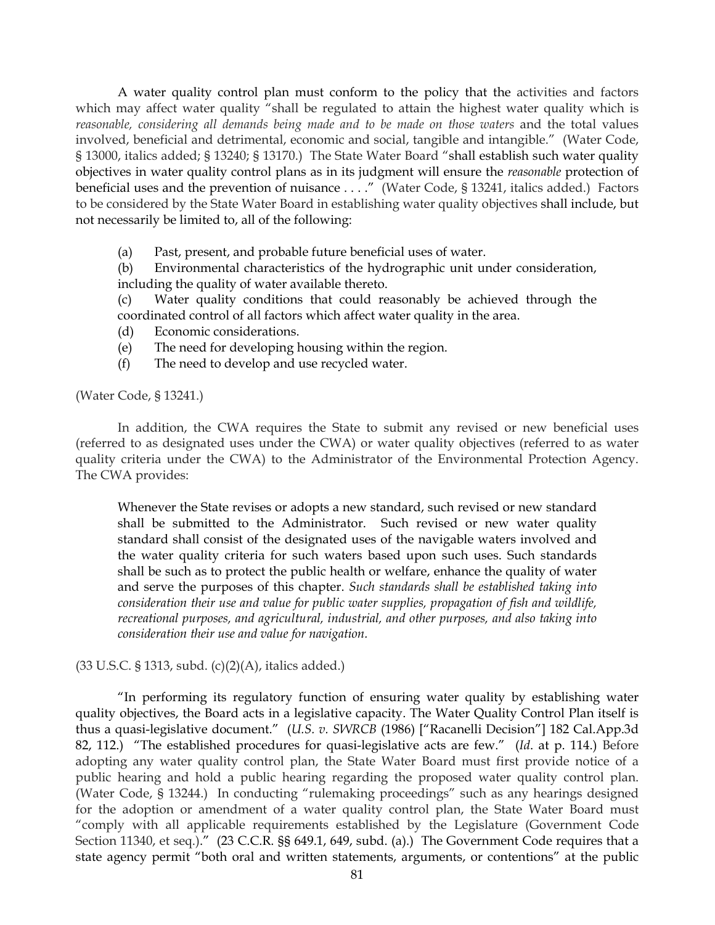A water quality control plan must conform to the policy that the activities and factors which may affect water quality "shall be regulated to attain the highest water quality which is *reasonable, considering all demands being made and to be made on those waters* and the total values involved, beneficial and detrimental, economic and social, tangible and intangible." (Water Code, § 13000, italics added; § 13240; § 13170.) The State Water Board "shall establish such water quality objectives in water quality control plans as in its judgment will ensure the *reasonable* protection of beneficial uses and the prevention of nuisance . . . ." (Water Code, § 13241, italics added.) Factors to be considered by the State Water Board in establishing water quality objectives shall include, but not necessarily be limited to, all of the following:

(a) Past, present, and probable future beneficial uses of water.

(b) Environmental characteristics of the hydrographic unit under consideration, including the quality of water available thereto.

(c) Water quality conditions that could reasonably be achieved through the coordinated control of all factors which affect water quality in the area.

- (d) Economic considerations.
- (e) The need for developing housing within the region.
- (f) The need to develop and use recycled water.

(Water Code, § 13241.)

In addition, the CWA requires the State to submit any revised or new beneficial uses (referred to as designated uses under the CWA) or water quality objectives (referred to as water quality criteria under the CWA) to the Administrator of the Environmental Protection Agency. The CWA provides:

Whenever the State revises or adopts a new standard, such revised or new standard shall be submitted to the Administrator. Such revised or new water quality standard shall consist of the designated uses of the navigable waters involved and the water quality criteria for such waters based upon such uses. Such standards shall be such as to protect the public health or welfare, enhance the quality of water and serve the purposes of this chapter. *Such standards shall be established taking into consideration their use and value for public water supplies, propagation of fish and wildlife, recreational purposes, and agricultural, industrial, and other purposes, and also taking into consideration their use and value for navigation.*

(33 U.S.C. § 1313, subd. (c)(2)(A), italics added.)

"In performing its regulatory function of ensuring water quality by establishing water quality objectives, the Board acts in a legislative capacity. The Water Quality Control Plan itself is thus a quasi-legislative document." (*U.S. v. SWRCB* (1986) ["Racanelli Decision"] 182 Cal.App.3d 82, 112.) "The established procedures for quasi-legislative acts are few." (*Id*. at p. 114.) Before adopting any water quality control plan, the State Water Board must first provide notice of a public hearing and hold a public hearing regarding the proposed water quality control plan. (Water Code, § 13244.) In conducting "rulemaking proceedings" such as any hearings designed for the adoption or amendment of a water quality control plan, the State Water Board must "comply with all applicable requirements established by the Legislature (Government Code Section 11340, et seq.)." (23 C.C.R. §§ 649.1, 649, subd. (a).) The Government Code requires that a state agency permit "both oral and written statements, arguments, or contentions" at the public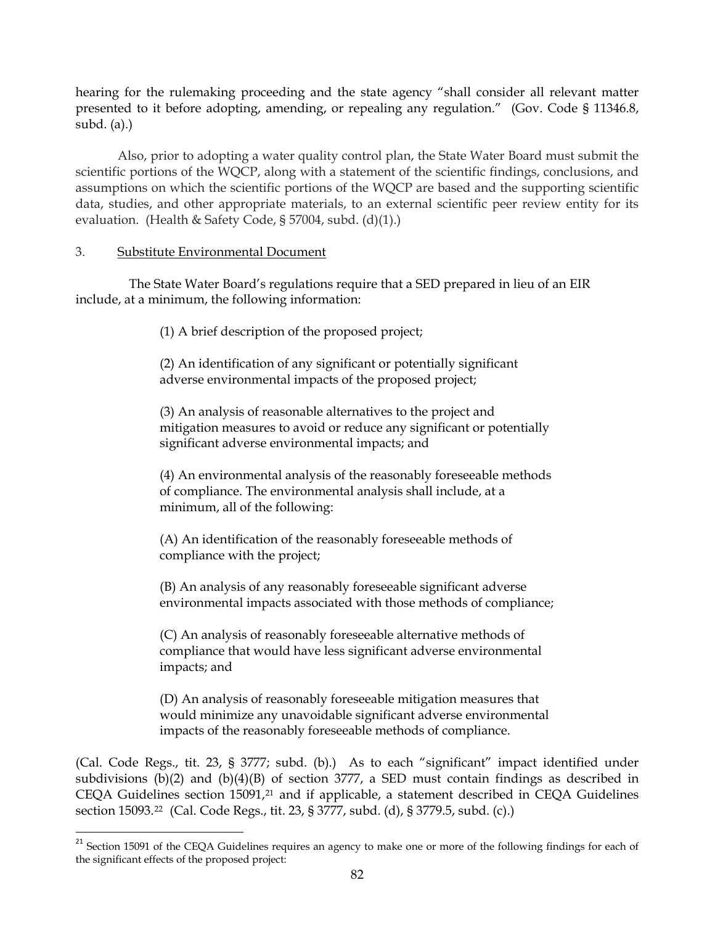hearing for the rulemaking proceeding and the state agency "shall consider all relevant matter presented to it before adopting, amending, or repealing any regulation." (Gov. Code § 11346.8, subd. (a).)

Also, prior to adopting a water quality control plan, the State Water Board must submit the scientific portions of the WQCP, along with a statement of the scientific findings, conclusions, and assumptions on which the scientific portions of the WQCP are based and the supporting scientific data, studies, and other appropriate materials, to an external scientific peer review entity for its evaluation. (Health & Safety Code, § 57004, subd. (d)(1).)

#### 3. Substitute Environmental Document

 $\overline{a}$ 

 The State Water Board's regulations require that a SED prepared in lieu of an EIR include, at a minimum, the following information:

(1) A brief description of the proposed project;

(2) An identification of any significant or potentially significant adverse environmental impacts of the proposed project;

(3) An analysis of reasonable alternatives to the project and mitigation measures to avoid or reduce any significant or potentially significant adverse environmental impacts; and

(4) An environmental analysis of the reasonably foreseeable methods of compliance. The environmental analysis shall include, at a minimum, all of the following:

(A) An identification of the reasonably foreseeable methods of compliance with the project;

<span id="page-97-1"></span>(B) An analysis of any reasonably foreseeable significant adverse environmental impacts associated with those methods of compliance;

(C) An analysis of reasonably foreseeable alternative methods of compliance that would have less significant adverse environmental impacts; and

(D) An analysis of reasonably foreseeable mitigation measures that would minimize any unavoidable significant adverse environmental impacts of the reasonably foreseeable methods of compliance.

(Cal. Code Regs., tit. 23, § 3777; subd. (b).) As to each "significant" impact identified under subdivisions (b)(2) and (b)(4)(B) of section 3777, a SED must contain findings as described in CEQA Guidelines section 15091[,21](#page-97-0) and if applicable, a statement described in CEQA Guidelines section 15093.<sup>[22](#page-97-1)</sup> (Cal. Code Regs., tit. 23, § 3777, subd. (d), § 3779.5, subd. (c).)

<span id="page-97-0"></span><sup>&</sup>lt;sup>21</sup> Section 15091 of the CEQA Guidelines requires an agency to make one or more of the following findings for each of the significant effects of the proposed project: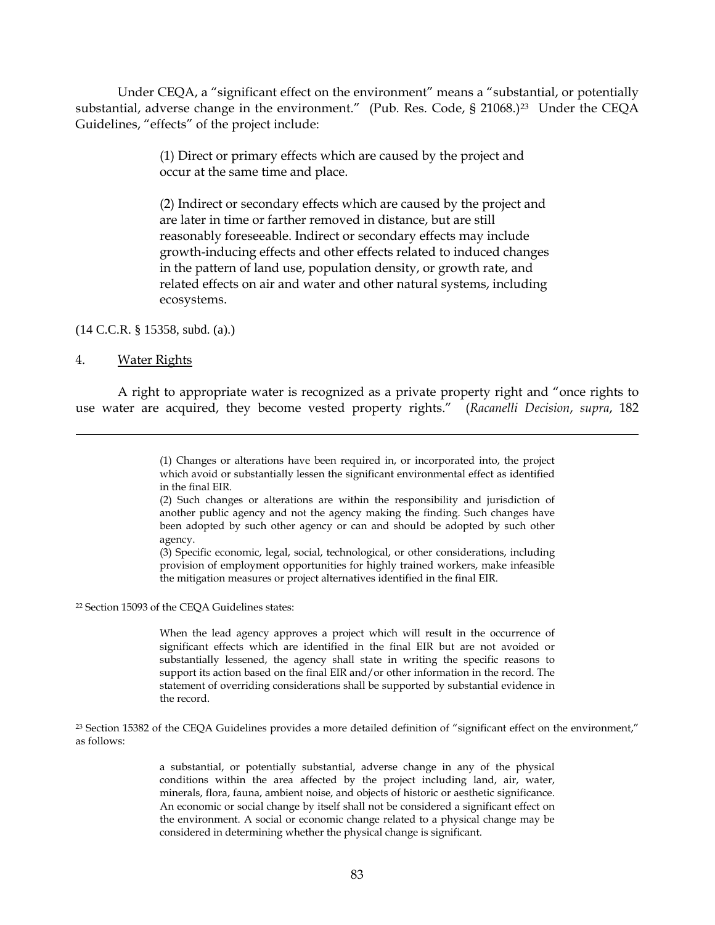Under CEQA, a "significant effect on the environment" means a "substantial, or potentially substantial, adverse change in the environment." (Pub. Res. Code, § 21068.)<sup>[23](#page-98-0)</sup> Under the CEQA Guidelines, "effects" of the project include:

> (1) Direct or primary effects which are caused by the project and occur at the same time and place.

(2) Indirect or secondary effects which are caused by the project and are later in time or farther removed in distance, but are still reasonably foreseeable. Indirect or secondary effects may include growth-inducing effects and other effects related to induced changes in the pattern of land use, population density, or growth rate, and related effects on air and water and other natural systems, including ecosystems.

(14 C.C.R. § 15358, subd. (a).)

#### 4. Water Rights

<u>.</u>

A right to appropriate water is recognized as a private property right and "once rights to use water are acquired, they become vested property rights." (*Racanelli Decision*, *supra*, 182

22 Section 15093 of the CEQA Guidelines states:

When the lead agency approves a project which will result in the occurrence of significant effects which are identified in the final EIR but are not avoided or substantially lessened, the agency shall state in writing the specific reasons to support its action based on the final EIR and/or other information in the record. The statement of overriding considerations shall be supported by substantial evidence in the record.

<span id="page-98-0"></span>23 Section 15382 of the CEQA Guidelines provides a more detailed definition of "significant effect on the environment," as follows:

> a substantial, or potentially substantial, adverse change in any of the physical conditions within the area affected by the project including land, air, water, minerals, flora, fauna, ambient noise, and objects of historic or aesthetic significance. An economic or social change by itself shall not be considered a significant effect on the environment. A social or economic change related to a physical change may be considered in determining whether the physical change is significant.

<sup>(1)</sup> Changes or alterations have been required in, or incorporated into, the project which avoid or substantially lessen the significant environmental effect as identified in the final EIR.

<sup>(2)</sup> Such changes or alterations are within the responsibility and jurisdiction of another public agency and not the agency making the finding. Such changes have been adopted by such other agency or can and should be adopted by such other agency.

<sup>(3)</sup> Specific economic, legal, social, technological, or other considerations, including provision of employment opportunities for highly trained workers, make infeasible the mitigation measures or project alternatives identified in the final EIR.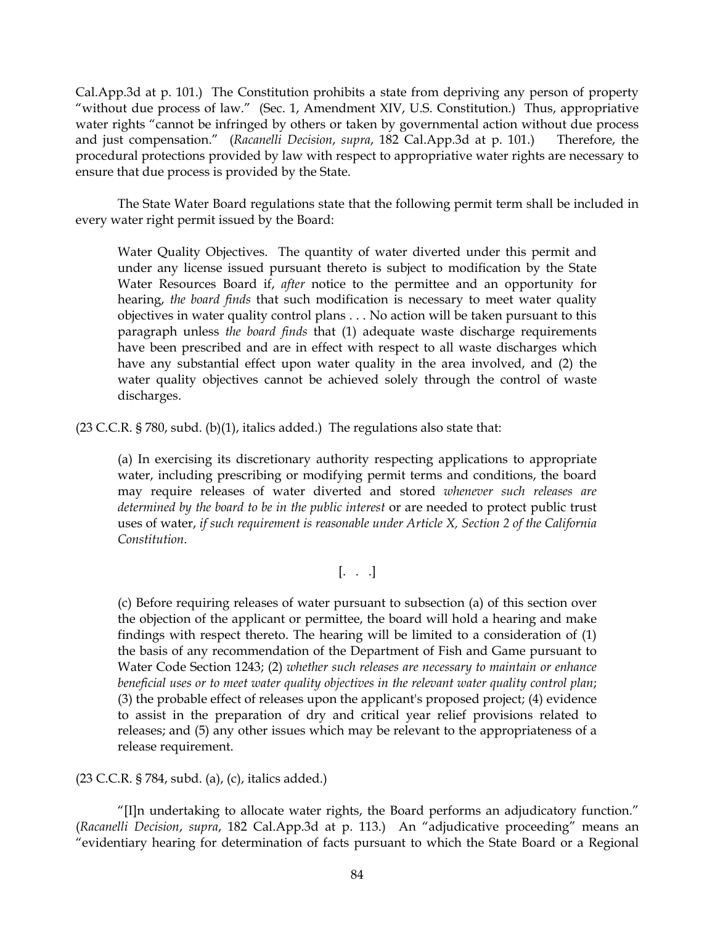Cal.App.3d at p. 101.) The Constitution prohibits a state from depriving any person of property "without due process of law." (Sec. 1, Amendment XIV, U.S. Constitution.) Thus, appropriative water rights "cannot be infringed by others or taken by governmental action without due process and just compensation." (*Racanelli Decision*, *supra*, 182 Cal.App.3d at p. 101.) Therefore, the procedural protections provided by law with respect to appropriative water rights are necessary to ensure that due process is provided by the State.

The State Water Board regulations state that the following permit term shall be included in every water right permit issued by the Board:

Water Quality Objectives. The quantity of water diverted under this permit and under any license issued pursuant thereto is subject to modification by the State Water Resources Board if, *after* notice to the permittee and an opportunity for hearing, *the board finds* that such modification is necessary to meet water quality objectives in water quality control plans . . . No action will be taken pursuant to this paragraph unless *the board finds* that (1) adequate waste discharge requirements have been prescribed and are in effect with respect to all waste discharges which have any substantial effect upon water quality in the area involved, and (2) the water quality objectives cannot be achieved solely through the control of waste discharges.

(23 C.C.R. § 780, subd. (b)(1), italics added.) The regulations also state that:

(a) In exercising its discretionary authority respecting applications to appropriate water, including prescribing or modifying permit terms and conditions, the board may require releases of water diverted and stored *whenever such releases are determined by the board to be in the public interest* or are needed to protect public trust uses of water, *if such requirement is reasonable under Article X, Section 2 of the California Constitution*.

[. . .]

(c) Before requiring releases of water pursuant to subsection (a) of this section over the objection of the applicant or permittee, the board will hold a hearing and make findings with respect thereto. The hearing will be limited to a consideration of (1) the basis of any recommendation of the Department of Fish and Game pursuant to Water Code Section 1243; (2) *whether such releases are necessary to maintain or enhance beneficial uses or to meet water quality objectives in the relevant water quality control plan*; (3) the probable effect of releases upon the applicant's proposed project; (4) evidence to assist in the preparation of dry and critical year relief provisions related to releases; and (5) any other issues which may be relevant to the appropriateness of a release requirement.

(23 C.C.R. § 784, subd. (a), (c), italics added.)

"[I]n undertaking to allocate water rights, the Board performs an adjudicatory function." (*Racanelli Decision*, *supra*, 182 Cal.App.3d at p. 113.) An "adjudicative proceeding" means an "evidentiary hearing for determination of facts pursuant to which the State Board or a Regional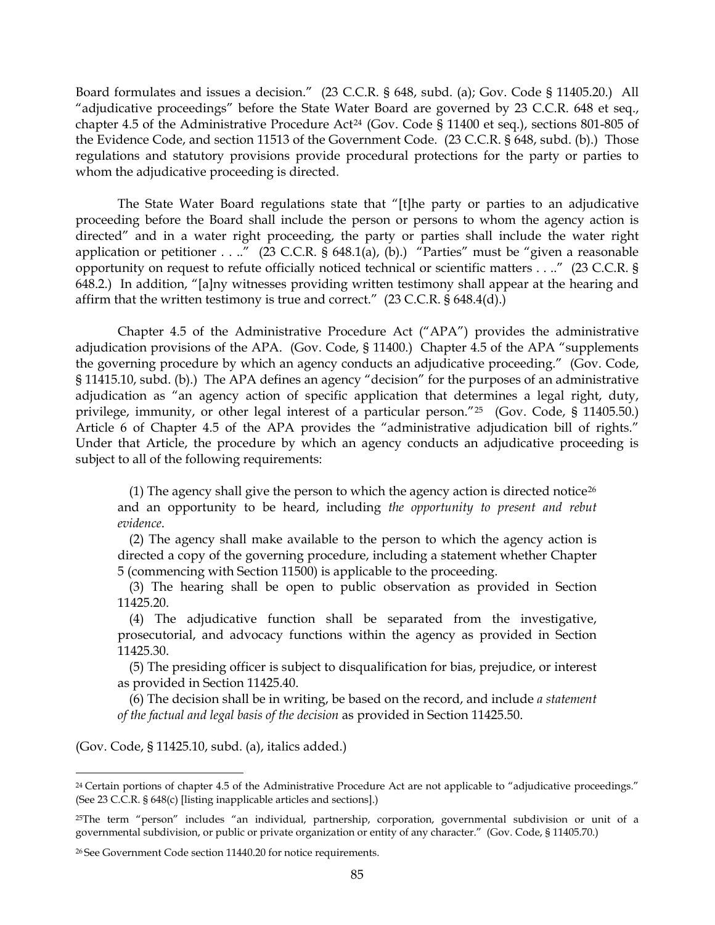Board formulates and issues a decision." (23 C.C.R. § 648, subd. (a); Gov. Code § 11405.20.) All "adjudicative proceedings" before the State Water Board are governed by 23 C.C.R. 648 et seq., chapter 4.5 of the Administrative Procedure Act<sup>[24](#page-100-0)</sup> (Gov. Code § 11400 et seq.), sections 801-805 of the Evidence Code, and section 11513 of the Government Code. (23 C.C.R. § 648, subd. (b).) Those regulations and statutory provisions provide procedural protections for the party or parties to whom the adjudicative proceeding is directed.

The State Water Board regulations state that "[t]he party or parties to an adjudicative proceeding before the Board shall include the person or persons to whom the agency action is directed" and in a water right proceeding, the party or parties shall include the water right application or petitioner  $\dots$ ." (23 C.C.R. § 648.1(a), (b).) "Parties" must be "given a reasonable opportunity on request to refute officially noticed technical or scientific matters . . .." (23 C.C.R. § 648.2.) In addition, "[a]ny witnesses providing written testimony shall appear at the hearing and affirm that the written testimony is true and correct." (23 C.C.R. § 648.4(d).)

Chapter 4.5 of the Administrative Procedure Act ("APA") provides the administrative adjudication provisions of the APA. (Gov. Code, § 11400.) Chapter 4.5 of the APA "supplements the governing procedure by which an agency conducts an adjudicative proceeding." (Gov. Code, § 11415.10, subd. (b).) The APA defines an agency "decision" for the purposes of an administrative adjudication as "an agency action of specific application that determines a legal right, duty, privilege, immunity, or other legal interest of a particular person."[25](#page-100-1) (Gov. Code, § 11405.50.) Article 6 of Chapter 4.5 of the APA provides the "administrative adjudication bill of rights." Under that Article, the procedure by which an agency conducts an adjudicative proceeding is subject to all of the following requirements:

(1) The agency shall give the person to which the agency action is directed notice<sup>[26](#page-100-2)</sup> and an opportunity to be heard, including *the opportunity to present and rebut evidence*.

 (2) The agency shall make available to the person to which the agency action is directed a copy of the governing procedure, including a statement whether Chapter 5 (commencing with Section 11500) is applicable to the proceeding.

 (3) The hearing shall be open to public observation as provided in Section 11425.20.

 (4) The adjudicative function shall be separated from the investigative, prosecutorial, and advocacy functions within the agency as provided in Section 11425.30.

 (5) The presiding officer is subject to disqualification for bias, prejudice, or interest as provided in Section 11425.40.

 (6) The decision shall be in writing, be based on the record, and include *a statement of the factual and legal basis of the decision* as provided in Section 11425.50.

(Gov. Code, § 11425.10, subd. (a), italics added.)

 $\ddot{ }$ 

<span id="page-100-0"></span><sup>&</sup>lt;sup>24</sup> Certain portions of chapter 4.5 of the Administrative Procedure Act are not applicable to "adjudicative proceedings." (See 23 C.C.R. § 648(c) [listing inapplicable articles and sections].)

<span id="page-100-1"></span><sup>25</sup>The term "person" includes "an individual, partnership, corporation, governmental subdivision or unit of a governmental subdivision, or public or private organization or entity of any character." (Gov. Code, § 11405.70.)

<span id="page-100-2"></span><sup>26</sup> See Government Code section 11440.20 for notice requirements.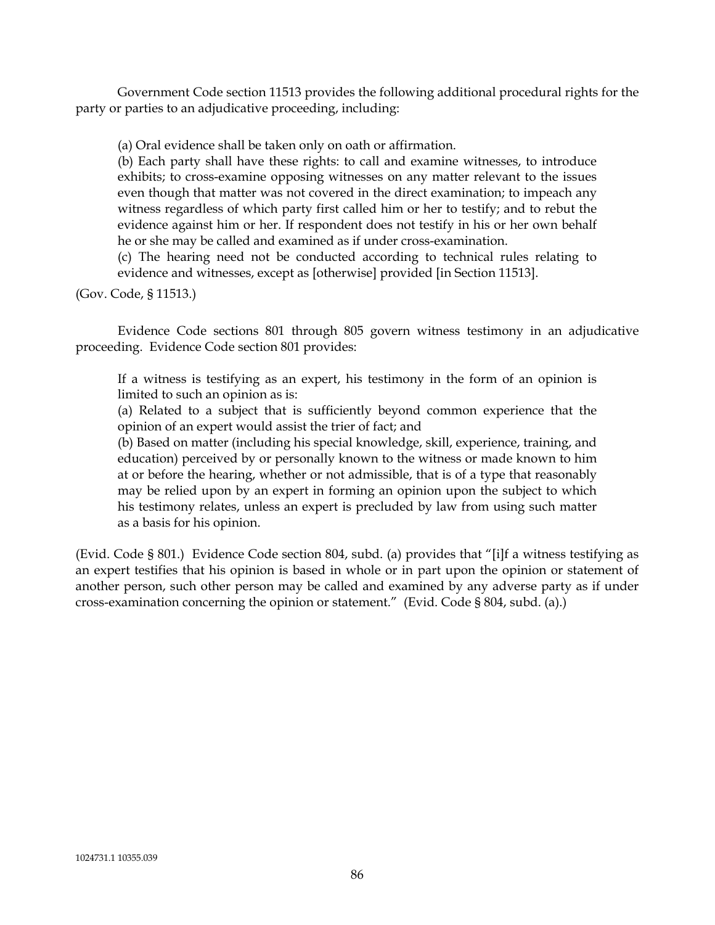Government Code section 11513 provides the following additional procedural rights for the party or parties to an adjudicative proceeding, including:

(a) Oral evidence shall be taken only on oath or affirmation.

(b) Each party shall have these rights: to call and examine witnesses, to introduce exhibits; to cross-examine opposing witnesses on any matter relevant to the issues even though that matter was not covered in the direct examination; to impeach any witness regardless of which party first called him or her to testify; and to rebut the evidence against him or her. If respondent does not testify in his or her own behalf he or she may be called and examined as if under cross-examination.

(c) The hearing need not be conducted according to technical rules relating to evidence and witnesses, except as [otherwise] provided [in Section 11513].

(Gov. Code, § 11513.)

Evidence Code sections 801 through 805 govern witness testimony in an adjudicative proceeding. Evidence Code section 801 provides:

If a witness is testifying as an expert, his testimony in the form of an opinion is limited to such an opinion as is:

(a) Related to a subject that is sufficiently beyond common experience that the opinion of an expert would assist the trier of fact; and

(b) Based on matter (including his special knowledge, skill, experience, training, and education) perceived by or personally known to the witness or made known to him at or before the hearing, whether or not admissible, that is of a type that reasonably may be relied upon by an expert in forming an opinion upon the subject to which his testimony relates, unless an expert is precluded by law from using such matter as a basis for his opinion.

(Evid. Code § 801.) Evidence Code section 804, subd. (a) provides that "[i]f a witness testifying as an expert testifies that his opinion is based in whole or in part upon the opinion or statement of another person, such other person may be called and examined by any adverse party as if under cross-examination concerning the opinion or statement." (Evid. Code § 804, subd. (a).)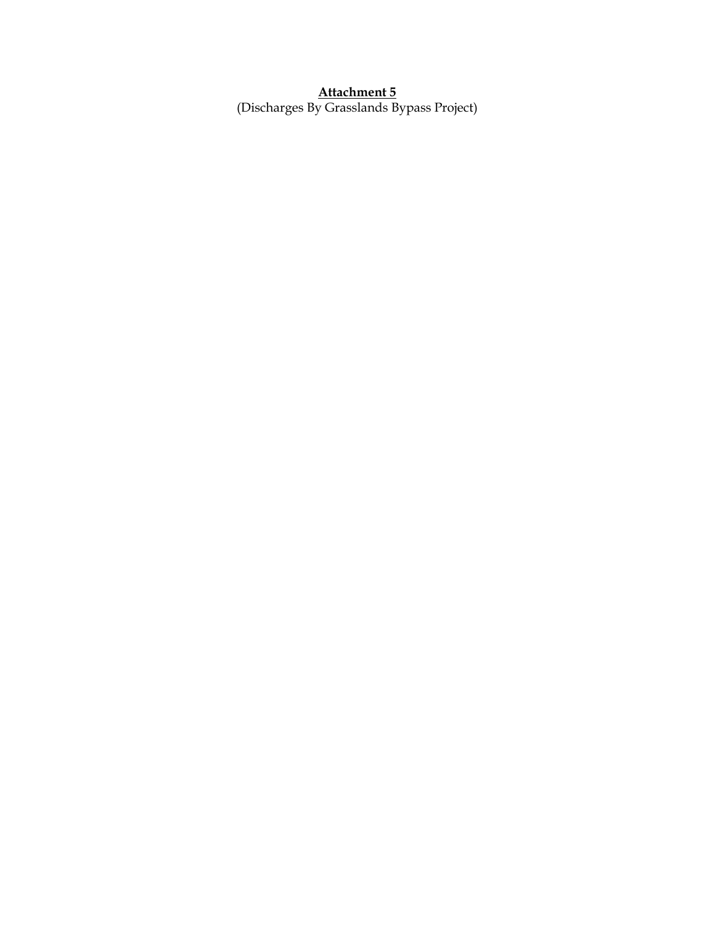**Attachment 5** (Discharges By Grasslands Bypass Project)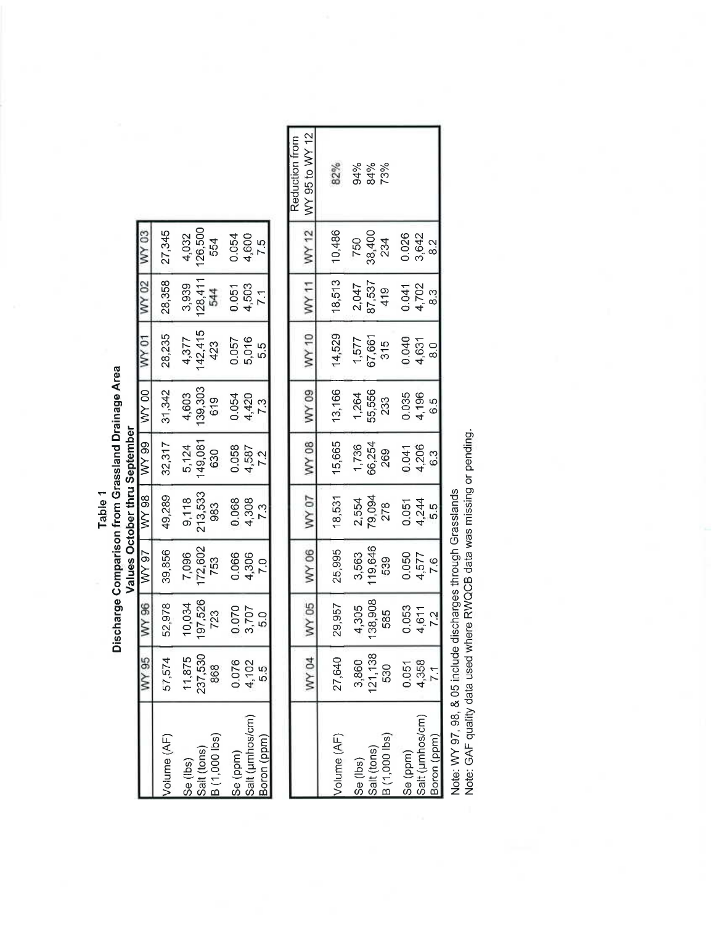Discharge Comparison from Grassland Drainage Area Values October thru September Table 1

126,500 27,345 **E0 AM** 0.054<br>4,600 4,032 554 7.5 28,358  $128,411$  $0.051$ <br> $4,503$ <br> $7.1$ WY 02 3,939 544  $4,377$ <br>142,415<br>423 28,235  $\begin{array}{r} 0.057 \\ 5,016 \\ 5.5 \end{array}$ NY 01  $4,603$ <br>139,303 31,342 WY 00 0.054<br>4,420<br>7.3 619  $\begin{bmatrix} 5,124 \\ 149,081 \end{bmatrix}$ 32,317 0.058<br>4,587<br>7.2  $\overline{W}$  99 630 9,118 86 AM 49,289 0.068<br>4,308 983 7.3  $\frac{7,096}{172,602}$ 39,856 0.066<br>4,306 **MY 97** 753 7.0  $\begin{array}{c} 10{,}034 \\ 197{,}526 \\ 723 \end{array}$ 52,978 96 AM 0.070<br>3,707 5.0  $\begin{bmatrix} 11,875 \\ 237,530 \end{bmatrix}$ 57,574 WY 95 0.076<br>4,102 868 5.5 Salt (µmhos/cm) /olume (AF) **B** (1,000 lbs) Boron (ppm) Salt (tons) Se (ppm) Se (lbs)

|                                          |                       |                         |                         |                        |                        |                        |                        |                        |                       | Reduction from       |
|------------------------------------------|-----------------------|-------------------------|-------------------------|------------------------|------------------------|------------------------|------------------------|------------------------|-----------------------|----------------------|
|                                          | WY 04                 | WY 05                   | WY 06                   | <b>NY 07</b>           | WY 08                  | WY 09                  | WY 10                  | $NY$ 11                |                       | WY 12 WY 95 to WY 12 |
|                                          |                       |                         |                         |                        |                        |                        |                        |                        |                       |                      |
| /olume (AF)                              | 27,640                | 29,957                  | 25,995                  | 18,531,                | 15,665                 | 13,166                 | 14,529                 | 18,513                 | 10,486                | 82%                  |
|                                          |                       |                         |                         |                        |                        |                        |                        |                        |                       |                      |
|                                          | 3,860<br>121,138      |                         |                         |                        |                        |                        |                        |                        |                       | 84%<br>84%<br>73%    |
| Se (lbs)<br>Salt (tons)<br>B (1,000 lbs) | 530                   | 4,305<br>138,908<br>585 | 3,563<br>119,646<br>539 | 2,554<br>79,094<br>278 | 1,736<br>66,254<br>269 | 1,264<br>55,556<br>233 | $\frac{1,577}{67,661}$ | 2,047<br>87,537<br>419 | 750<br>38,400<br>234  |                      |
|                                          |                       |                         |                         |                        |                        |                        |                        |                        | 0.026<br>3,642<br>8.2 |                      |
| Se (ppm)<br>Salt (µmhos/cm)              | 0.051<br>4,358<br>7.1 | 0.053<br>4,611<br>7.2   | 0.050<br>4,577<br>7.6   | 0.051<br>4,244<br>5.5  | 0.041<br>4,206<br>6.3  | 0.035<br>4,196<br>6.5  | 0.040<br>4,631<br>8.0  | 0.041<br>4,702<br>8.3  |                       |                      |
| oron (ppm)                               |                       |                         |                         |                        |                        |                        |                        |                        |                       |                      |
|                                          |                       |                         |                         |                        |                        |                        |                        |                        |                       |                      |

Note: WY 97, 98, & 05 include discharges through Grasslands

Note: GAF quality data used where RWQCB data was missing or pending.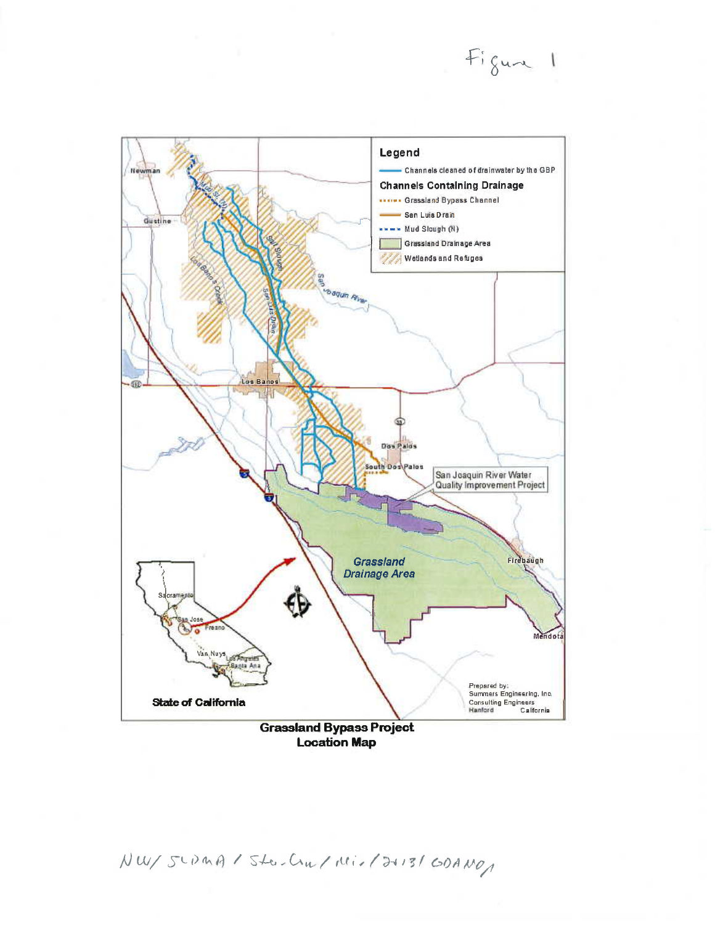Figur 1



**Location Map**